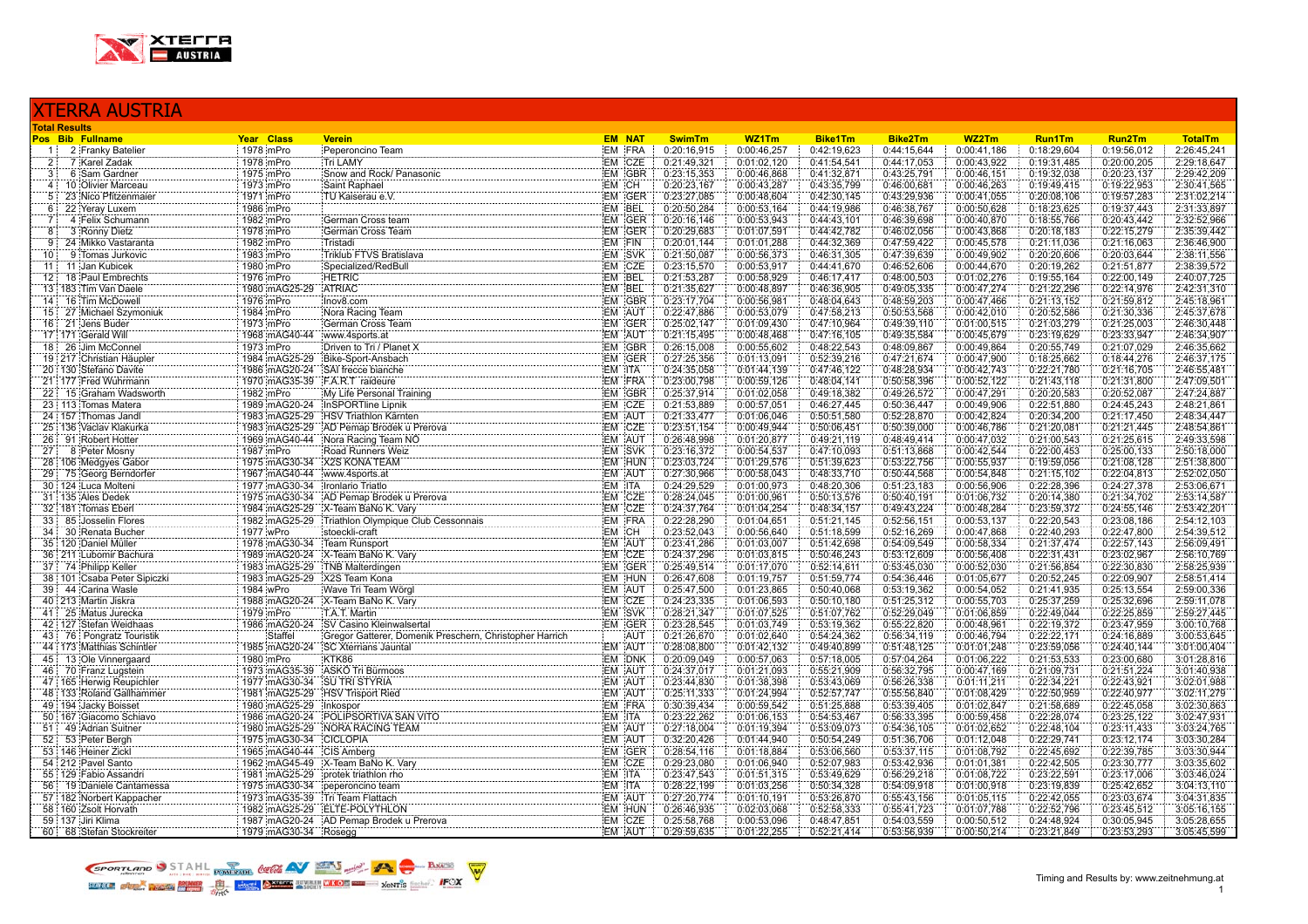

## XTERRA AUSTRIA **Total Results Pos Bib Fullname Year Class Verein EM NAT SwimTm WZ1Tm Bike1Tm Bike2Tm WZ2Tm Run1Tm Run2Tm TotalTm** 1 2 Franky Batelier 1978 mPro Peperoncino Team EM FRA 0:20:16,915 0:00:46,257 0:42:19,623 0:44:15,644 0:00:41,186 0:18:29,604 0:19:56,012 2:26:45,241 2 7 Karel Zadak 1978 mPro Tri LAMY EM CZE 0:21:49,321 0:01:02,120 0:41:54,541 0:44:17,053 0:00:43,922 0:19:31,485 0:20:00,205 2:29:18,647 3 6 Sam Gardner 1975 mPro Snow and Rock/ Panasonic EM GBR 0:23:15,353 0:00:46,868 0:41:32,871 0:43:25,791 0:00:46,151 0:19:32,038 0:20:23,137 2:29:42,209 4 10 Olivier Marceau 1973 mPro Saint Raphael EM CH 0:20:23,167 0:00:43,287 0:43:35,799 0:46:00,681 0:00:46,263 0:19:49,415 0:19:22,953 2:30:41,565 5 23 Nico Pfitzenmaier 1971 mPro TU Kaiserau e.V. EM GER 0:23:27,085 0:00:48,604 0:42:30,145 0:43:29,936 0:00:41,055 0:20:08,106 0:19:57,283 2:31:02,214 6 22 Yeray Luxem 1986 mPro EM BEL 0:20:50,284 0:00:53,164 0:44:19,986 0:46:38,767 0:00:50,628 0:18:23,625 0:19:37,443 2:31:33,897 7 4 Felix Schumann 1982 mPro German Cross team EM GER 0:20:16,146 0:00:53,943 0:44:43,101 0:46:39,698 0:00:40,870 0:18:55,766 0:20:43,442 2:32:52,966 8 3 Ronny Dietz 1978 mPro German Cross Team EM GER 0:20:29,683 0:01:07,591 0:44:42,782 0:46:02,056 0:00:43,868 0:20:18,183 0:22:15,279 2:35:39,442 9 24 Mikko Vastaranta 1982 mPro Tristadi EM FIN 0:20:01,144 0:01:01,288 0:44:32,369 0:47:59,422 0:00:45,578 0:21:11,036 0:21:16,063 2:36:46,900 10 9 Tomas Jurkovic 1983 mPro Triklub FTVS Bratislava EM SVK 0:21:50,087 0:00:56,373 0:46:31,305 0:47:39,639 0:00:49,902 0:20:20,606 0:20:03,644 2:38:11,556 11 11 Jan Kubicek 1980 mPro Specialized/RedBull EM CZE 0:23:15,570 0:00:53,917 0:44:41,670 0:46:52,606 0:00:44,670 0:20:19,262 0:21:51,877 2:38:39,572 12 18 Paul Embrechts 1976 mPro HETRIC EM BEL 0:21:53,287 0:00:58,929 0:46:17,417 0:48:00,503 0:01:02,276 0:19:55,164 0:22:00,149 2:40:07,725 13 183 Tim Van Daele 1980 mAG25-29 ATRIAC EM BEL 0:21:35,627 0:00:48,897 0:46:36,905 0:49:05,335 0:00:47,274 0:21:22,296 0:22:14,976 2:42:31,310 14 16 Tim McDowell 1976 mPro Inov8.com EM GBR 0:23:17,704 0:00:56,981 0:48:04,643 0:48:59,203 0:00:47,466 0:21:13,152 0:21:59,812 2:45:18,961 15 27 Michael Szymoniuk 1984 mPro Nora Racing Team EM AUT 0:22:47,886 0:00:53,079 0:47:58,213 0:50:53,568 0:00:42,010 0:20:52,586 0:21:30,336 2:45:37,678 16 21 Jens Buder 1973 mPro German Cross Team EM GER 0:25:02,147 0:01:09,430 0:47:10,964 0:49:39,110 0:01:00,515 0:21:03,279 0:21:25,003 2:46:30,448 17 171 Gerald Will 1968 mAG40-44 www.4sports.at EM AUT 0:21:15,495 0:00:48,468 0:47:16,105 0:49:35,584 0:00:45,679 0:23:19,629 0:23:33,947 2:46:34,907 18 26 Jim McConnel 1973 mPro Driven to Tri / Planet X EM GBR 0:26:15,008 0:00:55,602 0:48:22,543 0:48:09,867 0:00:49,864 0:20:55,749 0:21:07,029 2:46:35,662 19 217 Christian Häupler 1984 mAG25-29 Bike-Sport-Ansbach EM GER 0:27:25,356 0:01:13,091 0:52:39,216 0:47:21,674 0:00:47,900 0:18:25,662 0:18:44,276 2:46:37,175 20 130 Stefano Davite 1986 mAG20-24 SAI frecce bianche EM ITA 0:24:35,058 0:01:44,139 0:47:46,122 0:48:28,934 0:00:42,743 0:22:21,780 0:21:16,705 2:46:55,481 21 177 Fred Wuhrmann 1970 mAG35-39 F.A.R.T raideure EM FRA 0:23:00,798 0:00:59,126 0:48:04,141 0:50:58,396 0:00:52,122 0:21:43,118 0:21:31,800 2:47:09,501 22 15 Graham Wadsworth 1982 mPro My Life Personal Training EM GBR 0:25:37,914 0:01:02,058 0:49:18,382 0:49:26,572 0:00:47,291 0:20:20,583 0:20:52,087 2:47:24,887 23 113 Tomas Matera 1989 mAG20-24 InSPORTline Lipnik EM CZE 0:21:53,889 0:00:57,051 0:46:27,445 0:50:36,447 0:00:49,906 0:22:51,880 0:24:45,243 2:48:21,861 22 157 Thomas Jandl 1983 mAG25-29 HSV Triathlon Kärnten EM AUT 0:21:33,477 0:01:06,046 0:50:51,580 0:52:28,870 0:00:42,824 0:20:34,200 0:21:17,450 2:48:34,447<br>25 136 Vaclav Klakurka 1983 mAG25-29 AD Pemap Brodek u Prerova 25 136 Vaclav Klakurka 1983 mAG25-29 AD Pemap Brodek u Prerova EM CZE 0:23:51,154 0:00:49,944 0:50:06,451 0:50:39,000 0:00:46,786 0:21:20,081 0:21:21,445 2:48:54,861 0:21:21,445 2:48:54,861 0:21:21,445 2:48:54,861 0:21:20, 26 91 Robert Hotter 1969 mAG40-44 Nora Racing Team NÖ EM AUT 0:26:48,998 0:01:20,877 0:49:21,119 0:48:49,414 0:00:47,032 0:21:00,543 0:21:00,543 0:21:25,615 2:49:33,598<br>27 8 Peter Mosny 1987 MPro Road Runners Weiz Road Run 27 8 Peter Mosny 1987 mPro Road Runners Weiz EM SVK 0:23:16,372 0:00:54,537 0:47:10,093 0:51:13,868 0:00:42,544 0:22:00,453 0:25:00,133 2:50:18,000 28 106 Medgyes Gabor 1975 mAG30-34 X2S KONA TEAM EM HUN 0:23:03,724 0:01:29,576 0:51:39,623 0:53:22,756 0:00:55,937 0:19:59,056 0:21:08,128 2:51:38,800<br>29 75 Georg Berndorfer 1987 mAG40-44 www.4sports.at EM AUT 0:27:30,966 29 75 Georg Berndorfer 1967 mAG40-44 www.4sports.at EM AUT 0:27:30,966 0:00:58,043 0:48:33,710 0:50:44,568 0:00:54,848 0:21:15,102 0:22:04,813 2:52:02,050 30 124 Luca Molteni 1977 mAG30-34 Ironlario Triatlo EM ITA 0:24:29,529 0:01:00,973 0:48:20,306 0:51:23,183 0:00:56,906 0:22:28,396 0:24:27,378 2:53:06,671 31 135 Ales Dedek 1975 mAG30-34 AD Pemap Brodek u Prerova 1976 EM CZE 0:28:24,045 0:01:00,961 0:50:13,576 0:50:40,191 0:01:06,732 0:20:14,380 0:21:34,702 2:53:14,587<br>32 181 Tomas Eberl 1984 mAG25-29 X-Team BaNo K. Varv EM 32 181 Tomas Eberl 1984 mAG25-29 X-Team BaNo K. Vary EM CZE 0:24:37,764 0:01:04 254 0:48:34,157 0:49:43,224 0:00:48,284 0:23:59,372 0:24:55,146 2:53:42,201 0:31:04 0:51:21,145 0:52:56,151 0:00:53.137 0:22:20,543 0:23:08,18 33 85 Josselin Flores 1982 mAG25-29 Triathlon Olympique Club Cessonnais EM FRA 0:22:28,290 0:01:04,651 0:51:21,145 0:52:56,151 0:00:53,137 0:22:20,543 0:23:08,186 2:54:12,103<br>34 30 Renata Bucher 1977 wPro stoeckil-craft st 34 30 Renata Bucher 1977 wPro stoeckli-craft EM CH 0:23:52,043 0:00:56,640 0:51:18,599 0:52:16,269 0:00:47,868 0:22:40,293 0:22:47,800 2:54:39,512 35 120 Daniel Müller 1978 mAG30-34 Team Runsport 0:01:03,007 0:51:42,698 0:54:09,549 0:058,334 0:21:37,474 0:22:57,143 2:56:09,491 36 211 Lubomir Bachura 1989 mAG20-24 X-Team BaNo K. Vary EM CZE 0:24:37,296 0:01:03,815 0:50:46,243 0:53:12,609 0:00:56,408 0:22:31,431 0:23:02,967 2:56:10,769<br>37 74 Philipp Keller 1983 mAG25-29 TNB Malterdingen EM GER 0:2 37 74 Philipp Keller 2023 mAG25-29 TNB Malterdingen EM GER 0:25:49,514 0:01:17,070 0:52:14,611 0:53:45,030 0:00:52,030 0:21:56,854 0:22:30,830 2:58:25,939 0:21:56,854 0:22:30,830 2:58:25,939 0:21:56,774 0:54:36,854 0:22:09 38 101 Csaba Peter Sipiczki 1983 mAG25-29 X2S Team Kona EM HUN 0:26:47,608 0:01:19,757 0:51:59,774 0:54:36,446 0:01:05,677 0:20:52,245 0:22:09,907 2:58:51,414<br>39 44 Carina Wasle 1984 WPro Wave Tri Team Word EM AUT 0:25:47. 39 44 Carina Wasle 1984 wPro Wave Tri Team Wörgl EM AUT 0:25:47,500 0:01:23,865 0:50:40,068 0:53:19,362 0:00:54,052 0:21:41,935 0:25:13,554 2:59:00,336 40 213 Martin Jiskra 1988 mAG20-24 X-Team BaNo K. Vary EM CZE 0:24:23,335 0:01:06,593 0:50:10,180 0:51:25,312 0:00:55,703 0:25:37,259 0:25:32,696 2:59:11,078 41 25 Matus Jurecka 1979 mPro T.A.T. Martin EM SVK 0:28:21,347 0:01:07,525 0:51:07,762 0:52:29,049 0:01:06,859 0:22:49,044 0:22:25,859 2:59:27,445 42 127 Stefan Weidhaas 1986 mAG20-24 SV Casino Kleinwalsertal 2001 EM GER 0:23:28,545 0:01:03,749 0:53:19,362 0:55:22,820 0:00:48,961 0:22:19,372 0:23:47,959 3:00:10,768<br>43 76 Pongratz Touristik 2003 3:00:53:645 3:00:53:64 43 76 Pongratz Touristik Staffel Gregor Gatterer, Domenik Preschern, Christopher Harrich AUT 0:21:26,670 0:01:02,640 0:54:24,362 0:56:34,119 0:00:46,794 0:22:22,171 0:24:16,889 3:00:53,645 0:01:02:22,171 0:24:16,889 3:00:5 44 173 Matthias Schintler 1985 mAG20-24 SC Xterrians Jauntal EM AUT 0:28:08,800 0:01:42,132 0:49:40,899 0:51:48,125 0:01:01,248 0:23:59,056 0:24:40,144 3:01:00,404<br>45 13 Ole Vinnergaard 1980 mPro KTK86 KTK86 EM DNK 0:20:09 45 13 Ole Vinnergaard 1980 mPro KTK86 EM DNK 0:20:09,049 0:00:57,063 0:57:18,005 0:57:04,264 0:01:06,222 0:21:53,533 0:23:00,680 3:01:28,816 46 70 Franz Lugstein 21:00 1973 mAG35-39 ASKÖ Tri Bürmoos EM AUT 0:24:37,017 0:01:21,093 0:55:21,909 0:56:32,795 0:00:47,169 0:21:09,731 0:21:051,224 3:01:40,938<br>47 165 Herwig Reupichler 1977 mAG30-34 SU TRI STYRIA EM AUT 47 165 Herwig Reupichler 1977 mAG30-34 SU TRI STYRIA EM AUT 0:23:44,830 0:01:38,398 0:53:43,069 0:56:26,338 0:01:11,211 0:22:34,221 0:22:43,921 3:02:01,988 48 133 Roland Gallhammer 1981 mAG25-29 HSV Trisport Ried EM AUT 0:25:11,333 0:01:24,994 0:52:57,747 0:55:56,840 0:01:08,429 0:22:50,959 0:22:40,977 3:02:11,279 49 194 Jacky Boisset 1980 mAG25-29 Inkospor EM FRA 0:30:39,434 0:00:59,542 0:51:25,888 0:53:39,405 0:01:02,847 0:21:58,689 0:22:45,058 3:02:30,863 50 167 Giacomo Schiavo 1986 mAG20-24 POLIPSORTIVA SAN VITO 1986 1997 1997 1998 1998 1999 1998 mAG20-24 POLIPSORTIVA SAN VITO 1999 1999 1999 10:33:22,262 0:01:06,153 0:54:55,467 0:56:33,395 0:00:59,458 0:22:28,074 0:23:25,1 51 49 Adrian Suitner 1980 mAG25-29 NORA RACING TEAM TEAM EM AUT 0:27:18,004 0:01:19,394 0:53:09,073 0:54:36,105 0:01:02,652 0:22:48,104 0:23:11,433 3:03:24,765<br>52:53:Peter Bergh 0:22:29,741 0:23:12.174 3:03:30.284 CICLOPIA 52 53 Peter Bergh 1975 mAG30-34 CICLOPIA EM AUT 0:32:20,426 0:01:44,940 0:50:54,249 0:51:36,706 0:01:12,048 0:22:29,741 0:23:12,174 3:03:30,284 53 146 Heiner Zickl 1965 mAG40-44 CIS Amberg EM GER 0:28:54,116 0:01:18,884 0:53:06,560 0:53:37,115 0:01:08,792 0:22:45,692 0:22:39,785 3:03:30,944 54 212 Pavel Santo 1962 mAG45-49 X-Team BaNo K. Vary EM CZE 0:29:23,080 0:01:06,940 0:52:07,983 0:53:42,936 0:01:01,381 0:22:42,505 0:23:30,777 3:03:35,602<br>55 129 Fabio Assandri 1981 mAG25-29 protek trathlon mo EM (TA 0:23 55 129 Fabio Assandri 1981 mAG25-29 protek triathlon rho EM ITA 0:23:47,543 0:01:51,315 0:53:49,629 0:56:29,218 0:01:08,722 0:23:22,591 0:23:17,006 3:03:46,024<br>56 19 Daniele Cantamessa 1975 mAG30-34 peperoncino team EM ITA 56 19 Daniele Cantamessa 1975 mAG30-34 peperoncino team EM ITA 0:28:22,199 0:01:03,256 0:50:34,328 0:54:09,918 0:01:00,918 0:23:19,839 0:25:42,652 3:04:13,110<br>57 182 Norbert Kappacher 1973 mAG35-39 Tri Team Flattach EM IAU 57 182 Norbert Kappacher 1973 mAG35-39 Tri Team Flattach EM AUT 0:27:20,774 0:01:10,191 0:53:26,870 0:55:43,156 0:01:05,115 0:22:42,055 0:23:03,674 3:04:31,835 58 160 Zsolt Horvath 1982 mAG25-29 ELTE-POLYTHLON EM HUN 0:26:46,935 0:02:03,068 0:52:58,333 0:55:41,723 0:01:07,788 0:22:52,796 0:23:45,512 3:05:16,155<br>59 137 Un Klima 59 137 Jiri Klima 1987 mAG20-24 AD Pemap Brodek u Prerova EM CZE 0:25:58,768 0:00:53,096 0:48:47,851 0:54:03,559 0:00:50,512 0:24:48,924 0:30:05,945 3:05:28,655<br>60 68 Stefan Stockreiter 1979 mAG30-34 Rosegg Brodek u Prerov 60 68 Stefan Stockreiter 1979 mAG30-34 Rosegg EM AUT 0:29:59,635 0:01:22,255 0:52:21,414 0:53:56,939 0:00:50,214 0:23:21,849 0:23:53,293 3:05:45,599

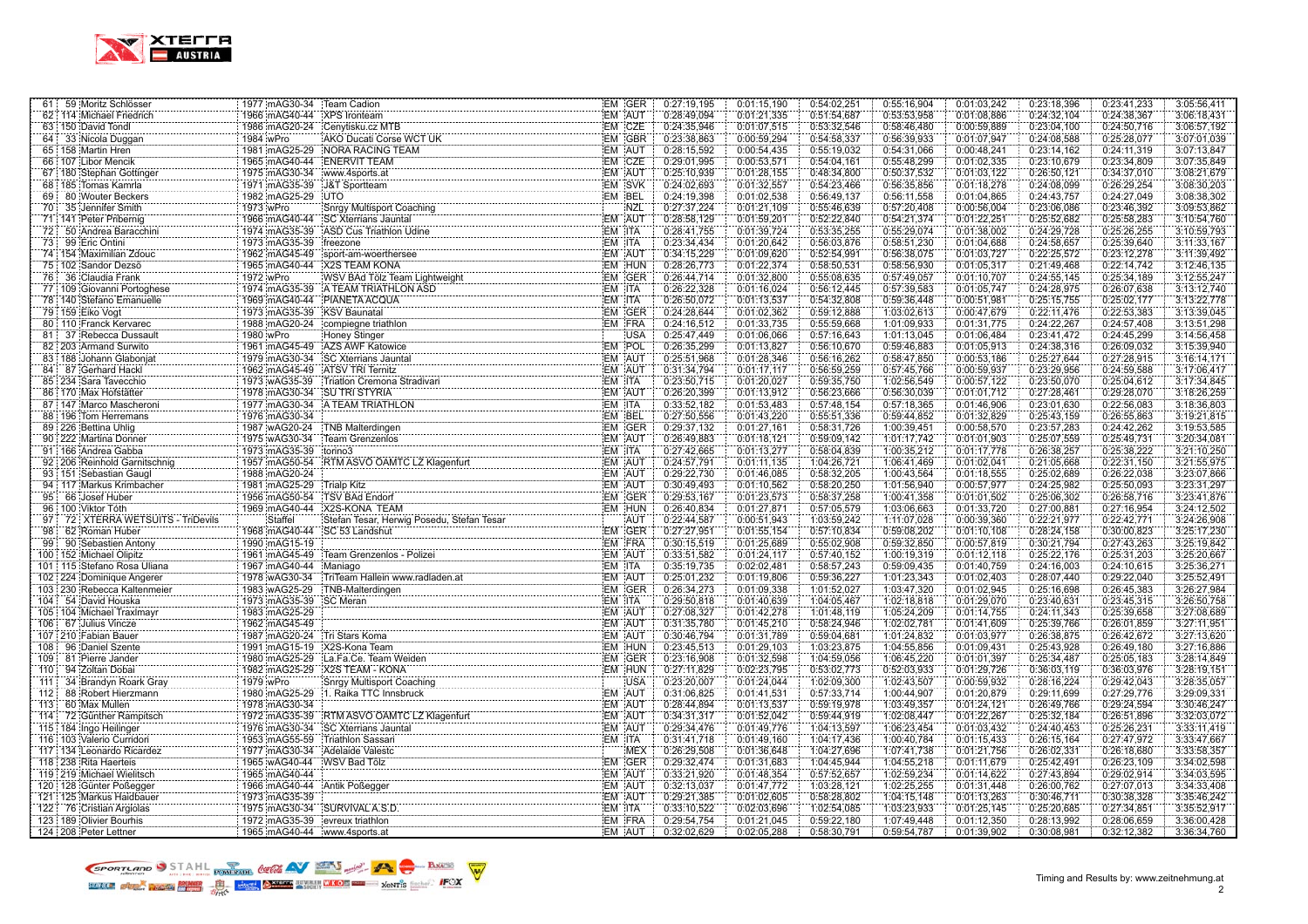

| 61 : | 59 Moritz Schlösser               | 1977 mAG30-34                  | Team Cadion                                                                                                                           | EM GER     | 0:27:19,195 | 0:01:15,190 | 0:54:02,251 | 0:55:16,904 | 0:01:03,242 | 0:23:18,396 | 0:23:41,233 | 3:05:56,411 |
|------|-----------------------------------|--------------------------------|---------------------------------------------------------------------------------------------------------------------------------------|------------|-------------|-------------|-------------|-------------|-------------|-------------|-------------|-------------|
|      | 62 114 Michael Friedrich<br>      | 1966 mAG40-44                  | <b>XPS</b> Ironteam                                                                                                                   | EM AUT     | 0:28:49,094 | 0:01:21,335 | 0:51:54,687 | 0:53:53,958 | 0:01:08,886 | 0:24:32,104 | 0:24:38,367 | 3:06:18,431 |
|      | 63 150 David Tondl                |                                | 1986 mAG20-24 Cenytisku.cz MTB                                                                                                        | EM CZE     | 0:24:35,946 | 0:01:07,515 | 0:53:32,546 | 0:58:46,480 | 0:00:59,889 | 0:23:04,100 | 0:24:50,716 | 3:06:57,192 |
|      | 64 33 Nicola Duqqan               | 1984 wPro                      | AKO Ducati Corse WCT UK                                                                                                               | EM GBR     | 0:23:38,863 | 0:00:59,294 | 0:54:58,337 | 0:56:39,933 | 0:01:07,947 | 0:24:08,588 | 0:25:28,077 | 3:07:01.039 |
|      | 65 158 Martin Hren                |                                | 1981 mAG25-29 NORA RACING TEAM                                                                                                        | EM AUT     | 0:28:15,592 | 0:00:54,435 | 0:55:19.032 | 0:54:31,066 | 0:00:48,241 | 0:23:14,162 | 0:24:11,319 | 3:07:13,847 |
|      | 66 107 Libor Mencik               | 1965 mAG40-44 ENERVIT TEAM     |                                                                                                                                       | EM CZE     | 0:29:01.995 | 0:00:53,571 | 0:54:04.161 | 0:55:48.299 | 0:01:02,335 | 0:23:10,679 | 0:23:34,809 | 3:07:35,849 |
|      | 67 180 Stephan Gottinger          | 1975 mAG30-34                  | www.4sports.at                                                                                                                        | EM AUT     | 0:25:10,939 | 0:01:28,155 | 0:48:34,800 | 0:50:37,532 | 0:01:03,122 | 0:26:50,121 | 0:34:37,010 | 3:08:21,679 |
|      | 68   185 Tomas Kamrla             | 1971 mAG35-39                  | J&T Sportteam                                                                                                                         | EM SVK     | 0:24:02,693 | 0:01:32,557 | 0:54:23,466 | 0:56:35,856 | 0:01:18,278 | 0:24:08,099 | 0:26:29,254 | 3:08:30,203 |
|      | 69 80 Wouter Beckers              | 1982 mAG25-29                  | <b>UTO</b><br>Shrgy Multisport Coaching<br>Shrgy Multisport Coaching<br>1901 Water                                                    | EM BEL     | 0:24:19,398 | 0:01:02,538 | 0:56:49,137 | 0:56:11,558 | 0:01:04,865 | 0:24:43,757 | 0:24:27,049 | 3:08:38,302 |
|      | 70 35 Jennifer Smith              | 1973 wPro                      |                                                                                                                                       | <b>NZL</b> | 0:27:37,224 | 0:01:21,109 | 0:55:46,639 | 0:57:20,408 | 0:00:56,004 | 0:23:06,086 | 0:23:46,392 | 3:09:53,862 |
|      | 71 141 Peter Pribernig            | 1966 mAG40-44                  | <b>SC Xterrians Jauntal</b>                                                                                                           | EM AUT     | 0:28:58,129 | 0:01:59,201 | 0:52:22,840 | 0:54:21,374 | 0:01:22,251 | 0:25:52,682 | 0:25:58,283 | 3:10:54,760 |
|      | 72 50 Andrea Baracchini           | 1974 mAG35-39                  | ASD Cus Triathlon Udine                                                                                                               | EM ITA     | 0:28:41.755 | 0:01:39.724 | 0:53:35,255 | 0:55:29.074 | 0:01:38,002 | 0:24:29.728 | 0:25:26,255 | 3:10:59,793 |
| 73:  | 99 Eric Ontini                    | 1973 mAG35-39                  | freezone                                                                                                                              | EM ITA     | 0:23:34,434 | 0:01:20,642 | 0:56:03,876 | 0:58:51,230 | 0:01:04,688 | 0:24:58,657 | 0:25:39,640 | 3:11:33,167 |
|      | 74 154 Maximilian Zdouc           | 1962 mAG45-49                  | sport-am-woerthersee                                                                                                                  | EM AUT     | 0:34:15,229 | 0:01:09,620 | 0:52:54,991 | 0:56:38,075 | 0:01:03,727 | 0:22:25,572 | 0:23:12,278 | 3:11:39,492 |
|      | 75 102 Sandor Dezsö               | 1965 mAG40-44                  | <b>X2S TEAM KONA</b>                                                                                                                  | EM HUN     | 0:28:26,773 | 0:01:22,374 | 0:58:50,531 | 0:58:56,930 | 0:01:05,317 | 0:21:49,468 | 0:22:14,742 | 3:12:46,135 |
|      | 76 36 Claudia Frank               | 1972 wPro                      | :X2S TEAM KONA<br>:WSV BAd Tölz Team Lightweight<br>:WSV BAd Tölz Team Lightweight                                                    | EM GER     | 0:26:44,714 | 0:01:32,800 | 0:55:08,635 | 0:57:49,057 | 0:01:10,707 | 0:24:55,145 | 0:25:34,189 | 3:12:55,247 |
|      | 77 109 Giovanni Portoghese        |                                | 1974 mAG35-39 A TEAM TRIATHLON ASD                                                                                                    | EM ITA     | 0:26:22,328 | 0:01:16,024 | 0:56:12,445 | 0:57:39,583 | 0:01:05,747 | 0:24:28,975 | 0:26:07,638 | 3:13:12,740 |
|      | 78 140 Stefano Emanuelle          |                                | 1969 mAG40-44 PIANETA ACQUA                                                                                                           | EM ITA     | 0:26:50.072 | 0:01:13,537 | 0:54:32,808 | 0:59:36.448 | 0:00:51,981 | 0:25:15,755 | 0:25:02,177 | 3:13:22,778 |
|      | 79 159 Eiko Vogt                  | 1973 mAG35-39 KSV Baunatal     |                                                                                                                                       | EM GER     | 0:24:28,644 | 0:01:02,362 | 0:59:12,888 | 1:03:02,613 | 0:00:47,679 | 0:22:11,476 | 0:22:53,383 | 3:13:39,045 |
|      | 80 110 Franck Kervarec            |                                | 1988 mAG20-24 compiegne triathlon<br>EM FRA                                                                                           |            | 0:24:16,512 | 0:01:33,735 | 0:55:59,668 | 1:01:09,933 | 0:01:31,775 | 0:24:22,267 | 0:24:57,408 | 3:13:51,298 |
|      | 81: 37 Rebecca Dussault           | 1980 wPro                      | <b>Honey Stinger</b>                                                                                                                  | <b>USA</b> | 0:25:47,449 | 0:01:06,066 | 0:57:16,643 | 1:01:13,045 | 0:01:06,484 | 0:23:41,472 | 0:24:45,299 | 3:14:56,458 |
|      | 82   203   Armand Surwito         |                                | 1961 mAG45-49 AZS AWF Katowice                                                                                                        | EM POL     | 0:26:35.299 | 0:01:13.827 | 0:56:10,670 | 0:59:46.883 | 0:01:05.913 | 0:24:38,316 | 0:26:09,032 | 3:15:39.940 |
|      | 83 188 Johann Glabonjat           | 1979 mAG30-34                  | SC Xterrians Jauntal                                                                                                                  | EM AUT     | 0:25:51,968 | 0:01:28,346 | 0:56:16,262 | 0:58:47,850 | 0:00:53,186 | 0:25:27,644 | 0:27:28,915 | 3:16:14,171 |
|      | 84 87 Gerhard Hackl               | 1962 mAG45-49 ATSV TRI Ternitz |                                                                                                                                       | EM AUT     | 0:31:34,794 | 0:01:17.117 | 0:56:59,259 | 0:57:45,766 | 0:00:59,937 | 0:23:29.956 | 0:24:59,588 | 3:17:06,417 |
|      | 85   234   Sara Tavecchio         | 1973 wAG35-39                  | Triatlon Cremona Stradivari                                                                                                           | EM ITA     | 0:23:50,715 | 0:01:20,027 | 0:59:35,750 | 1:02:56,549 | 0:00:57,122 | 0:23:50,070 | 0:25:04,612 | 3:17:34,845 |
|      | 86 170 Max Hofstätter             | 1978 mAG30-34                  | <b>SU TRI STYRIA</b>                                                                                                                  | EM AUT     | 0:26:20,399 | 0:01:13,912 | 0:56:23,666 | 0:56:30,039 | 0:01:01,712 | 0:27:28,461 | 0:29:28,070 | 3:18:26,259 |
|      | 87 147 Marco Mascheroni           | 1977 mAG30-34                  | A TEAM TRIATHLON                                                                                                                      | EM ITA     | 0:33:52,182 | 0:01:53,483 | 0:57:48,154 | 0:57:18,365 | 0:01:46,906 | 0:23:01,630 | 0:22:56,083 | 3:18:36,803 |
|      | 88 196 Tom Herremans              | 1976 mAG30-34                  |                                                                                                                                       | EM BEL     | 0:27:50.556 | 0:01:43.220 | 0:55:51,336 | 0:59:44,852 | 0:01:32.829 | 0:25:43,159 | 0:26:55,863 | 3:19:21,815 |
|      | 89 226 Bettina Uhlig              | 1987 wAG20-24                  | <b>TNB Malterdingen</b>                                                                                                               | EM GER     | 0:29:37,132 | 0:01:27,161 | 0:58:31,726 | 1:00:39,451 | 0:00:58,570 | 0:23:57,283 | 0:24:42,262 | 3:19:53,585 |
|      | 90 222 Martina Donner             | 1975 wAG30-34                  | Team Grenzenlos                                                                                                                       | EM AUT     | 0:26:49,883 | 0:01:18.121 | 0:59:09,142 | 1:01:17,742 | 0:01:01,903 | 0:25:07,559 | 0:25:49,731 | 3:20:34,081 |
|      | 91 166 Andrea Gabba               | 1973 mAG35-39                  | torino3                                                                                                                               | EM ITA     | 0:27:42,665 | 0:01:13,277 | 0:58:04,839 | 1:00:35,212 | 0:01:17,778 | 0:26:38,257 | 0:25:38,222 | 3:21:10,250 |
|      | 92 206 Reinhold Garnitschnig      | 1957 mAG50-54                  | :torino3<br>:RTM ASVO OAMTC LZ Klagenfurt                                                                                             | EM AUT     | 0:24:57,791 | 0:01:11,135 | 1:04:26,721 | 1:06:41,469 | 0:01:02,041 | 0:21:05,668 | 0:22:31,150 | 3:21:55,975 |
|      | 93 151 Sebastian Gaugl            | 1988 mAG20-24                  |                                                                                                                                       | EM AUT     | 0:29:22,730 | 0:01:46,085 | 0:58:32,205 | 1:00:43,564 | 0:01:18,555 | 0:25:02,689 | 0:26:22,038 | 3:23:07,866 |
|      | 94 117 Markus Krimbacher          | 1981 mAG25-29                  | Trialp Kitz                                                                                                                           | EM AUT     | 0:30:49,493 | 0:01:10.562 | 0:58:20,250 | 1:01:56,940 | 0:00:57,977 | 0:24:25,982 | 0:25:50,093 | 3:23:31,297 |
|      | 95 66 Josef Huber                 | 1956 mAG50-54                  | <b>TSV BAd Endorf</b>                                                                                                                 | EM GER     | 0:29:53,167 | 0:01:23,573 | 0:58:37,258 | 1:00:41,358 | 0:01:01,502 | 0:25:06,302 | 0:26:58,716 | 3:23:41,876 |
|      | 96 100 Viktor Tóth                | 1969 mAG40-44                  | X2S-KONA TEAM                                                                                                                         | EM HUN     | 0:26:40,834 | 0:01:27,871 | 0:57:05,579 | 1:03:06,663 | 0:01:33,720 | 0:27:00,881 | 0:27:16,954 | 3:24:12,502 |
|      | 97 72 XTERRA WETSUITS - TriDevils | Staffel                        | Stefan Tesar, Herwig Posedu, Stefan Tesar                                                                                             | <b>AUT</b> | 0:22:44,587 | 0:00:51,943 | 1:03:59,242 | 1:11:07,028 | 0:00:39,360 | 0:22:21,977 | 0:22:42,771 | 3:24:26,908 |
| 98   | 62 Roman Huber                    | 1968 mAG40-44                  | SC 53 Landshut                                                                                                                        | EM GER     | 0:27:27,951 | 0:01:55,154 | 0:57:10,834 | 0:59:08,202 | 0:01:10,108 | 0:28:24,158 | 0:30:00,823 | 3:25:17,230 |
|      | 99 90 Sebastien Antony            | 1990 mAG15-19                  |                                                                                                                                       | EM FRA     | 0:30:15.519 | 0:01:25,689 | 0:55:02,908 | 0:59:32,850 | 0:00:57,819 | 0:30:21,794 | 0:27:43,263 | 3:25:19,842 |
|      | 100 152 Michael Olipitz           | 1961 mAG45-49                  | Team Grenzenlos - Polizei                                                                                                             | EM AUT     | 0:33:51,582 | 0:01:24.117 | 0:57:40,152 | 1:00:19,319 | 0:01:12,118 | 0:25:22,176 | 0:25:31,203 | 3:25:20,667 |
|      | 101 115 Stefano Rosa Uliana       | 1967 mAG40-44                  | Maniago                                                                                                                               | EM ITA     | 0:35:19.735 | 0:02:02,481 | 0:58:57,243 | 0:59:09,435 | 0:01:40,759 | 0:24:16,003 | 0:24:10,615 | 3:25:36,271 |
|      | 102 224 Dominique Angerer         | 1978 wAG30-34                  | :Maniago<br>:TriTeam Hallein www.radladen.at<br>.                                                                                     | EM AUT     | 0:25:01,232 | 0:01:19,806 | 0:59:36,227 | 1:01:23,343 | 0:01:02.403 | 0:28:07.440 | 0:29:22,040 | 3:25:52,491 |
|      | 103 230 Rebecca Kaltenmeier       | 1983 wAG25-29                  | TNB-Malterdingen                                                                                                                      | EM GER     | 0:26:34,273 | 0:01:09,338 | 1:01:52,027 | 1:03:47,320 | 0:01:02,945 | 0:25:16,698 | 0:26:45,383 | 3:26:27,984 |
|      | 104 54 David Houska               | 1973 mAG35-39                  | <b>SC</b> Meran                                                                                                                       | EM ITA     | 0:29:50,818 | 0:01:40,639 | 1:04:05,467 | 1:02:18,818 | 0:01:29,070 | 0:23:40,631 | 0:23:45,315 | 3:26:50,758 |
|      | 105 104 Michael Traxlmayr         | 1983 mAG25-29                  |                                                                                                                                       | EM AUT     | 0:27:08,327 | 0:01:42,278 | 1:01:48,119 | 1:05:24,209 | 0:01:14,755 | 0:24:11,343 | 0:25:39,658 | 3:27:08,689 |
|      | 106 67 Julius Vincze              | 1962 mAG45-49                  |                                                                                                                                       | EM AUT     | 0:31:35,780 | 0:01:45,210 | 0:58:24,946 | 1:02:02,781 | 0:01:41,609 | 0:25:39,766 | 0:26:01,859 | 3:27:11,951 |
|      | 107 210 Fabian Bauer              | 1987 mAG20-24                  | Tri Stars Koma                                                                                                                        | EM AUT     | 0:30:46,794 | 0:01:31,789 | 0:59:04,681 | 1:01:24,832 | 0:01:03,977 | 0:26:38,875 | 0:26:42,672 | 3:27:13,620 |
|      | 108 96 Daniel Szente              |                                | 1980   mAG25-29   La Fa.Ce. Team Weiden<br>1980   mAG25-29   La Fa.Ce. Team Weiden<br>1982   mAGGE 36   USS HOUSE   LOCAL TEAM WEIDEN | EM HUN     | 0:23:45,513 | 0:01:29.103 | 1:03:23,875 | 1:04:55,856 | 0:01:09,431 | 0:25:43.928 | 0:26:49.180 | 3:27:16.886 |
|      | 109 81 Pierre Jander              |                                |                                                                                                                                       | EM GER     | 0:23:16,908 | 0:01:32,598 | 1:04:59,056 | 1:06:45,220 | 0:01:01,397 | 0:25:34,487 | 0:25:05,183 | 3:28:14,849 |
|      | 110 94 Zoltan Dobai               |                                | 1982 mAG25-29 X2S TEAM - KONA                                                                                                         | EM HUN     | 0:27:11,829 | 0:02:23,795 | 0:53:02,773 | 0:52:03,933 | 0:01:29,726 | 0:36:03,119 | 0:36:03,976 | 3:28:19,151 |
|      | 111 34 Brandyn Roark Gray         | 1979 wPro                      | <b>Snrgy Multisport Coaching</b>                                                                                                      | <b>USA</b> | 0:23:20,007 | 0:01:24,044 | 1:02:09,300 | 1:02:43,507 | 0:00:59,932 | 0:28:16,224 | 0:29:42,043 | 3:28:35,057 |
| 112: | 88 Robert Hierzmann               | 1980 mAG25-29                  | :1. Raika TTC Innsbruck                                                                                                               | EM AUT     | 0:31:06,825 | 0:01:41,531 | 0:57:33,714 | 1:00:44,907 | 0:01:20,879 | 0:29:11,699 | 0:27:29,776 | 3:29:09,331 |
| 113  | 60 Max Mullen                     | 1978 mAG30-34                  |                                                                                                                                       | EM AUT     | 0:28:44,894 | 0:01:13,537 | 0:59:19,978 | 1:03:49,357 | 0:01:24,121 | 0:26:49,766 | 0:29:24,594 | 3:30:46,247 |
|      | 114   72 Günther Rampitsch        |                                | 1972 mAG35-39 RTM ASVÖ ÖAMTC LZ Klagenfurt                                                                                            | EM AUT     | 0:34:31,317 | 0:01:52,042 | 0:59:44,919 | 1:02:08,447 | 0:01:22,267 | 0:25:32,184 | 0:26:51,896 | 3:32:03,072 |
|      | 115 184 Ingo Heilinger            | 1976 mAG30-34                  | SC Xterrians Jauntal                                                                                                                  | EM AUT     | 0:29:34,476 | 0:01:49,776 | 1:04:13,597 | 1:06:23,454 | 0:01:03,432 | 0:24:40,453 | 0:25:26,231 | 3:33:11,419 |
|      | 116 103 Valerio Curridori         | 1953 mAG55-59                  | Triathlon Sassari                                                                                                                     | EM ITA     | 0:31:41,718 | 0:01:49,160 | 1:04:17,436 | 1:00:40,784 | 0:01:15,433 | 0:26:15,164 | 0:27:47,972 | 3:33:47,667 |
|      | 117   134   Leonardo Ricardez     | 1977 mAG30-34                  | Adelaide Valesto                                                                                                                      | MEX        | 0:26:29,508 | 0:01:36,648 | 1:04:27,696 | 1:07:41,738 | 0:01:21,756 | 0:26:02,331 | 0:26:18,680 | 3:33:58,357 |
|      | 118 238 Rita Haerteis             | 1965 wAG40-44                  | WSV Bad Tolz<br>                                                                                                                      | EM GER     | 0:29:32,474 | 0:01:31,683 | 1:04:45,944 | 1:04:55,218 | 0:01:11,679 | 0:25:42,491 | 0:26:23,109 | 3:34:02,598 |
|      | 119 219 Michael Wielitsch         | 1965 mAG40-44                  |                                                                                                                                       | EM AUT     | 0:33:21,920 | 0:01:48,354 | 0:57:52,657 | 1:02:59,234 | 0:01:14,622 | 0:27:43,894 | 0:29:02,914 | 3:34:03,595 |
|      | 120 128 Günter Poßegger           | 1966 mAG40-44 Antik Poßegger   |                                                                                                                                       | EM AUT     | 0:32:13,037 | 0:01:47,772 | 1:03:28,121 | 1:02:25,255 | 0:01:31,448 | 0:26:00,762 | 0:27:07,013 | 3:34:33,408 |
|      | 121 125 Markus Haidbauer          | 1973 mAG35-39                  |                                                                                                                                       | EM AUT     | 0:29:21,385 | 0:01:02,605 | 0:58:28,802 | 1:04:15,148 | 0:01:13,263 | 0:30:46,711 | 0:30:38,328 | 3:35:46,242 |
|      | 122 76 Cristian Argiolas          |                                | 1975 mAG30-34 SURVIVAL A.S.D.                                                                                                         | EM ITA     | 0:33:10,522 | 0:02:03,696 | 1:02:54,085 | 1:03:23,933 | 0:01:25,145 | 0:25:20,685 | 0:27:34,851 | 3:35:52,917 |
|      | 123 189 Olivier Bourhis           | 1972 mAG35-39 evreux triathlon |                                                                                                                                       | EM FRA     | 0:29:54,754 | 0:01:21.045 | 0:59:22,180 | 1:07:49,448 | 0:01:12,350 | 0:28:13,992 | 0:28:06,659 | 3:36:00,428 |
|      | 124 208 Peter Lettner             | 1965 mAG40-44 www.4sports.at   |                                                                                                                                       | EM AUT     | 0:32:02.629 | 0:02:05,288 | 0:58:30.791 | 0:59:54.787 | 0:01:39,902 | 0:30:08.981 | 0:32:12,382 | 3:36:34,760 |

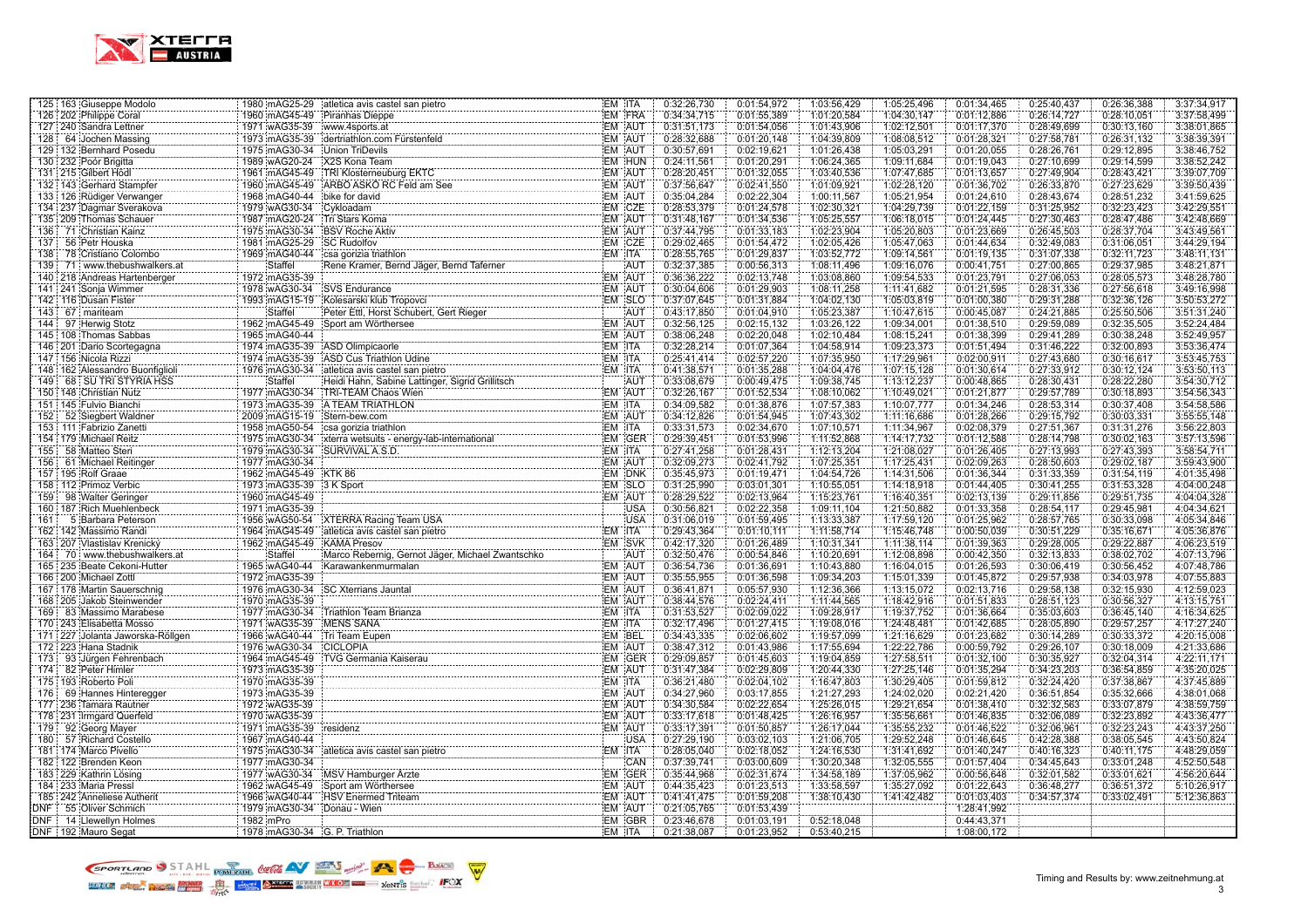

|            | 125 163 Giuseppe Modolo                         |                                | 1980 mAG25-29 atletica avis castel san pietro                                                                                     | EM ITA           | 0:32:26,730                | 0:01:54,972                | 1:03:56,429                | 1:05:25,496 | 0:01:34,465                | 0:25:40,437 | 0:26:36,388 | 3:37:34,917 |
|------------|-------------------------------------------------|--------------------------------|-----------------------------------------------------------------------------------------------------------------------------------|------------------|----------------------------|----------------------------|----------------------------|-------------|----------------------------|-------------|-------------|-------------|
|            | 126 202 Philippe Coral                          | 1960 mAG45-49 Piranhas Dieppe  |                                                                                                                                   | EM FRA           | 0:34:34,715                | 0:01:55,389                | 1:01:20,584                | 1:04:30,147 | 0:01:12,886                | 0:26:14,727 | 0:28:10,051 | 3:37:58,499 |
|            | 127 240 Sandra Lettner                          | 1971 wAG35-39                  | www.4sports.at                                                                                                                    | <b>EM AUT</b>    | 0:31:51,173                | 0:01:54,056                | 1:01:43,906                | 1:02:12,501 | 0:01:17,370                | 0:28:49,699 | 0:30:13,160 | 3:38:01,865 |
|            | 128 64 Jochen Massing                           |                                | 1973 mAG35-39 dertriathlon.com Fürstenfeld                                                                                        | EM AUT           | 0:28:32.688                | 0:01:20.148                | 1:04:39.809                | 1:08:08.512 | 0:01:28.321                | 0:27:58,781 | 0:26:31.132 | 3:38:39,391 |
|            | 129 132 Bernhard Posedu                         | 1975 mAG30-34 Union TriDevils  |                                                                                                                                   | EM AUT           | 0:30:57,691                | 0:02:19,621                | 1:01:26,438                | 1:05:03,291 | 0:01:20,055                | 0:28:26,761 | 0:29:12,895 | 3:38:46,752 |
|            | 130 232 Poór Brigitta                           | 1989 wAG20-24                  | X2S Kona Team                                                                                                                     | EM HUN           | 0:24:11,561                | 0:01:20,291                | 1:06:24,365                | 1:09:11,684 | 0:01:19,043                | 0:27:10,699 | 0:29:14,599 | 3:38:52,242 |
|            | 131 215 Gilbert Hödl                            | 1961 mAG45-49                  | X2S Kona Team<br>TRI Klosterneuburg EKTC<br>TRI Klosterneuburg EKTC                                                               | EM AUT           | 0:28:20,451                | 0:01:32,055                | 1:03:40,536                | 1:07:47,685 | 0:01:13,657                | 0:27:49,904 | 0:28:43,421 | 3:39:07,709 |
|            | 132   143 Gerhard Stampfer<br>.                 | 1960 mAG45-49                  | ARBO ASKO RC Feld am See                                                                                                          | EM AUT           | 0:37:56,647                | 0:02:41,550                | 1:01:09,921                | 1:02:28,120 | 0:01:36,702                | 0:26:33,870 | 0:27:23,629 | 3:39:50,439 |
|            | 133 126 Rüdiger Verwanger                       | 1968 mAG40-44                  | bike for david                                                                                                                    | EM AUT           | 0:35:04,284                | 0:02:22,304                | 1:00:11,567                | 1:05:21,954 | 0:01:24,610                | 0:28:43,674 | 0:28:51,232 | 3:41:59,625 |
|            | 134 237 Dagmar Sverakova                        | 1979 wAG30-34                  | Cykloadam                                                                                                                         | EM CZE           | 0:28:53,379                | 0:01:24,578                | 1:02:30,321                | 1:04:29,739 | 0:01:22,159                | 0:31:25,952 | 0:32:23,423 | 3:42:29,551 |
|            | 135 209 Thomas Schauer<br>.                     | 1987 mAG20-24                  | Tri Stars Koma                                                                                                                    | EM AUT           | 0:31:48,167                | 0:01:34,536                | 1:05:25,557                | 1:06:18,015 | 0:01:24,445                | 0:27:30,463 | 0:28:47,486 | 3:42:48,669 |
|            | 136 71 Christian Kainz                          | 1975 mAG30-34                  | <b>BSV Roche Aktiv</b>                                                                                                            | EM AUT           | 0:37:44,795                | 0:01:33,183                | 1:02:23,904                | 1:05:20,803 | 0:01:23,669                | 0:26:45,503 | 0:28:37,704 | 3:43:49,561 |
| 137        | 56 Petr Houska                                  | 1981 mAG25-29 SC Rudolfov      |                                                                                                                                   | EM CZE           | 0:29:02,465                | 0:01:54,472                | 1:02:05,426                | 1:05:47,063 | 0:01:44,634                | 0:32:49,083 | 0:31:06,051 | 3:44:29,194 |
| 138 i      | 78 Cristiano Colombo                            | 1969 mAG40-44                  | csa gorizia triathlon                                                                                                             | EM ITA           | 0:28:55,765                | 0:01:29,837                | 1:03:52,772                | 1:09:14,561 | 0:01:19,135                | 0:31:07,338 | 0:32:11,723 | 3:48:11,131 |
|            | 139 71 www.thebushwalkers.at                    | Staffel                        | Rene Kramer, Bernd Jäger, Bernd Taferner                                                                                          | <b>AUT</b>       | 0:32:37,385                | 0:00:56,313                | 1:08:11,496                | 1:09:16,076 | 0:00:41,751                | 0:27:00,865 | 0:29:37,985 | 3:48:21,871 |
|            | 140 218 Andreas Hartenberger                    | 1972 mAG35-39                  |                                                                                                                                   | EM AUT           | 0:36:36,222                | 0:02:13,748                | 1:03:08,860                | 1:09:54,533 | 0:01:23,791                | 0:27:06,053 | 0:28:05,573 | 3:48:28,780 |
|            | 141 241 Sonja Wimmer                            | 1978 wAG30-34                  | <b>SVS</b> Endurance                                                                                                              | EM AUT           | 0:30:04,606                | 0:01:29,903                | 1:08:11,258                | 1:11:41,682 | 0:01:21,595                | 0:28:31,336 | 0:27:56,618 | 3:49:16,998 |
|            | 142   116   Dusan Fister                        |                                | 1993 mAG15-19 Kolesarski klub Tropovci                                                                                            | EM SLO           | 0:37:07,645                | 0:01:31,884                | 1:04:02,130                | 1:05:03,819 | 0:01:00,380                | 0:29:31,288 | 0:32:36,126 | 3:50:53,272 |
|            | 143 67 mariteam                                 | <b>Staffel</b>                 | Peter Ettl, Horst Schubert, Gert Rieger<br>Sport am Wast Schubert, Gert Rieger<br>Sport am Wast ---                               | AUT              | 0:43:17,850                | 0:01:04,910                | 1:05:23,387                | 1:10:47,615 | 0:00:45,087                | 0:24:21,885 | 0:25:50,506 | 3:51:31,240 |
|            | 97 Herwig Stotz                                 | 1962 mAG45-49                  | Sport am Wörthersee                                                                                                               | EM AUT           | 0:32:56,125                | 0:02:15,132                | 1:03:26,122                | 1:09:34,001 | 0:01:38,510                | 0:29:59,089 | 0:32:35,505 | 3:52:24,484 |
|            | 145 108 Thomas Sabbas<br>146 108 Thomas Sabbas  | 1965 mAG40-44                  |                                                                                                                                   | EM AUT           | 0:38:06,248                | 0:02:20,048                | 1:02:10,484                | 1:08:15,241 | 0:01:38,399                | 0:29:41,289 | 0:30:38,248 | 3:52:49,957 |
|            | 146   201   Dario Scortegagna                   | 1974 mAG35-39                  | ASD Olimpicaorle                                                                                                                  | EM ITA           | 0:32:28,214                | 0:01:07.364                | 1:04:58,914                | 1:09:23,373 | 0:01:51,494                | 0:31:46,222 | 0:32:00,893 | 3:53:36,474 |
|            | 147 156 Nicola Rizzi                            |                                | 1974 mAG35-39 ASD Cus Triathlon Udine                                                                                             | EM ITA           | 0:25:41,414                | 0:02:57,220                | 1:07:35,950                | 1:17:29,961 | 0:02:00,911                | 0:27:43,680 | 0:30:16,617 | 3:53:45,753 |
|            | 148 162 Alessandro Buonfiglioli                 |                                | 1976 mAG30-34 atletica avis castel san pietro                                                                                     | EM ITA           | 0:41:38,571                | 0:01:35,288                | 1:04:04,476                | 1:07:15,128 | 0:01:30,614                | 0:27:33,912 | 0:30:12,124 | 3:53:50,113 |
|            | 149 68 SU TRI STYRIA HSS                        | <b>Staffel</b>                 | atletica avis castel san pietro<br>Heidi Hahn, Sabine Lattinger, Sigrid Grillitsch                                                | AUT              | 0:33:08,679                | 0:00:49,475                | 1:09:38,745                | 1:13:12,237 | 0:00:48,865                | 0:28:30,431 | 0:28:22,280 | 3:54:30,712 |
|            | 150 148 Christian Nutz                          | 1977 mAG30-34                  | TRI-TEAM Chaos Wien                                                                                                               | EM AUT           | 0:32:26,167                | 0:01:52,534                | 1:08:10,062                | 1:10:49,021 | 0:01:21,877                | 0:29:57,789 | 0:30:18,893 | 3:54:56,343 |
|            | 151 145 Fulvio Bianchi                          |                                | 1973 mAG35-39 A TEAM TRIATHLON                                                                                                    | EM ITA           | 0:34:09,582                | 0:01:38,876                | 1:07:57,383                | 1:10:07,777 | 0:01:34,246                | 0:28:53,314 | 0:30:37,408 | 3:54:58,586 |
| 152 :      | 52 Siegbert Waldner                             | 2009 mAG15-19 Stern-bew.com    |                                                                                                                                   | EM AUT           | 0:34:12,826                | 0:01:54,945                | 1:07:43,302                | 1:11:16,686 | 0:01:28.266                | 0:29:15,792 | 0:30:03,331 | 3:55:55,148 |
|            | 153 111 Fabrizio Zanetti                        |                                |                                                                                                                                   | <b>EM ITA</b>    | 0:33:31,573                | 0:02:34,670                | 1:07:10,571                | 1:11:34,967 | 0:02:08,379                | 0:27:51,367 | 0:31:31,276 | 3:56:22,803 |
|            | 154 179 Michael Reitz                           |                                | 1975 mAG30-34   xterra webulity<br>1975 mAG30-34   xterra websuits - energy-lab-international<br>1979 mAG30-34   study m.m.s.   x | EM GER           | 0:29:39,451                | 0:01:53,996                | 1:11:52,868                | 1:14:17,732 | 0:01:12,588                | 0:28:14,798 | 0:30:02,163 | 3:57:13,596 |
| 155        | 58 Matteo Steri                                 | 1979 mAG30-34                  | SURVIVAL A.S.D.                                                                                                                   | EM ITA           | 0:27:41,258                | 0:01:28,431                | 1:12:13,204                | 1:21:08,027 | 0:01:26,405                | 0:27:13,993 | 0:27:43,393 | 3:58:54,711 |
|            | 156 61 Michael Reitinger                        | 1977 mAG30-34                  |                                                                                                                                   | EM AUT           | 0:32:09,273                | 0:02:41,792                | 1:07:25,351                | 1:17:25,431 | 0:02:09,263                | 0:28:50,603 | 0:29:02,187 | 3:59:43,900 |
|            | 157 195 Rolf Graae                              | 1962 mAG45-49 KTK 86           |                                                                                                                                   | EM DNK           | 0:35:45,973                | 0:01:19,471                | 1:04:54,726                | 1:14:31,506 | 0:01:36,344                | 0:31:33,359 | 0:31:54,119 | 4:01:35,498 |
|            | 158 112 Primoz Verbic                           | 1973 mAG35-39                  | 3 K Sport                                                                                                                         | EM SLO           | 0:31:25,990                | 0:03:01,301                | 1:10:55,051                | 1:14:18,918 | 0:01:44,405                | 0:30:41,255 | 0:31:53,328 | 4:04:00,248 |
|            | 159 98 Walter Geringer                          | 1960 mAG45-49                  |                                                                                                                                   | EM AUT           | 0:28:29.522                | 0:02:13.964                | 1:15:23,761                | 1:16:40.351 | 0:02:13.139                | 0:29:11.856 | 0:29:51.735 | 4:04:04.328 |
|            | 160 187 Rich Muehlenbeck                        | 1971 mAG35-39                  |                                                                                                                                   | <b>USA</b>       | 0:30:56,821                | 0:02:22,358                | 1:09:11,104                | 1:21:50,882 | 0:01:33,358                | 0:28:54,117 | 0:29:45,981 | 4:04:34,621 |
| 161        | 5 Barbara Peterson                              | 1956 wAG50-54                  |                                                                                                                                   | <b>USA</b>       | 0:31:06,019                | 0:01:59,495                | 1:13:33,387                | 1:17:59,120 | 0:01:25,962                | 0:28:57,765 | 0:30:33,098 | 4:05:34,846 |
|            | 162 142 Massimo Randi<br>.                      | 1964 mAG45-49                  | atletica avis castel san pietro                                                                                                   | EM ITA           | 0:29:43,364                | 0:01:10,111                | 1:11:58,714                | 1:15:46,748 | 0:00:50,039                | 0:30:51,229 | 0:35:16,671 | 4:05:36,876 |
|            | 163 207 Vlastislav Krenický                     | 1962 mAG45-49                  | <b>KAMA Presov</b>                                                                                                                | EM SVK           | 0:42:17,320                | 0:01:26,489                | 1:10:31,341                | 1:11:38,114 | 0:01:39,363                | 0:29:28,005 | 0:29:22,887 | 4:06:23,519 |
|            | 164 70 www.thebushwalkers.at                    | Staffel                        | Marco Rebernig, Gernot Jäger, Michael Zwantschko                                                                                  | AUT              | 0:32:50,476                | 0:00:54,846                | 1:10:20,691                | 1:12:08,898 | 0:00:42,350                | 0:32:13,833 | 0:38:02,702 | 4:07:13,796 |
|            | 165 235 Beate Cekoni-Hutter                     | 1965 wAG40-44                  | Karawankenmurmalan                                                                                                                | EM AUT           | 0:36:54.736                | 0:01:36.691                | 1:10:43.880                | 1:16:04.015 | 0:01:26.593                | 0:30:06.419 | 0:30:56.452 | 4:07:48.786 |
|            | 166 200 Michael Zottl                           | 1972 mAG35-39                  |                                                                                                                                   | EM AUT           | 0:35:55,955                | 0:01:36,598                | 1:09:34,203                | 1:15:01,339 | 0:01:45,872                | 0:29:57,938 | 0:34:03,978 | 4:07:55,883 |
|            | 167 178 Martin Sauerschnig                      | 1976 mAG30-34                  | <b>SC Xterrians Jauntal</b>                                                                                                       | EM AUT           | 0:36:41,871                | 0:05:57,930                | 1:12:36,366                | 1:13:15,072 | 0:02:13,716                | 0:29:58,138 | 0:32:15,930 | 4:12:59,023 |
|            | 168 205 Jakob Steinwender                       | 1970 mAG35-39                  |                                                                                                                                   | EM AUT           | 0:38:44,576                | 0:02:24,411                | 1:11:44,565                | 1:18:42,916 | 0:01:51,833                | 0:28:51,123 | 0:30:56,327 | 4:13:15,751 |
|            | 169 83 Massimo Marabese                         | 1977 mAG30-34                  | Triathlon Team Brianza                                                                                                            | EM ITA           | 0:31:53,527                | 0:02:09.022                | 1:09:28,917                | 1:19:37,752 | 0:01:36,664                | 0:35:03,603 | 0:36:45,140 | 4:16:34,625 |
|            | 170 243 Elisabetta Mosso                        | 1971 wAG35-39                  | <b>MENS SANA</b>                                                                                                                  | EM ITA           | 0:32:17,496                | 0:01:27,415                | 1:19:08,016                | 1:24:48,481 | 0:01:42,685                | 0:28:05,890 | 0:29:57,257 | 4:17:27,240 |
|            | 171 227 Jolanta Jaworska-Röllgen                | 1966 wAG40-44                  | Tri Team Eupen                                                                                                                    | EM BEL           | 0:34:43.335                | 0:02:06.602                | 1:19:57.099                | 1:21:16.629 | 0:01:23.682                | 0:30:14.289 | 0:30:33.372 | 4:20:15.008 |
|            | 172 223 Hana Stadnik                            | 1976 wAG30-34                  | CICLOPIA                                                                                                                          | EM AUT           | 0:38:47,312                | 0:01:43,986                | 1:17:55,694                | 1:22:22,786 | 0:00:59,792                | 0:29:26,107 | 0:30:18,009 | 4:21:33,686 |
|            | 173 93 Jürgen Fehrenbach                        | 1964 mAG45-49                  | TVG Germania Kaiserau                                                                                                             | EM GER           | 0:29:09,857                | 0:01:45,603                | 1:19:04,859                | 1:27:58,511 | 0:01:32,100                | 0:30:35,927 | 0:32:04,314 | 4:22:11,171 |
|            | 174 82 Peter Himler                             | 1973 mAG35-39                  |                                                                                                                                   | EM AUT           | 0:31:47,384                | 0:02:29,809                | 1:20:44,330                | 1:27:25,146 | 0:01:35,294                | 0:34:23,203 | 0:36:54,859 | 4:35:20,025 |
|            | 175 193 Roberto Poli                            | 1970 mAG35-39                  |                                                                                                                                   | EM ITA           | 0:36:21,480                | 0:02:04,102                | 1:16:47,803                | 1:30:29,405 | 0:01:59,812                | 0:32:24,420 | 0:37:38,867 | 4:37:45,889 |
|            | 176 69 Hannes Hinteregger                       | 1973 mAG35-39                  |                                                                                                                                   | EM AUT           | 0:34:27,960                | 0:03:17,855                | 1:21:27,293                | 1:24:02,020 | 0:02:21,420                | 0:36:51,854 | 0:35:32,666 | 4:38:01,068 |
|            | 177 236 Tamara Rautner                          | 1972 wAG35-39                  |                                                                                                                                   | EM AUT           | 0:34:30,584                | 0:02:22,654                | 1:25:26,015                | 1:29:21,654 | 0:01:38,410                | 0:32:32,563 | 0:33:07,879 | 4:38:59,759 |
|            | 178 231 Irmgard Querfeld                        | 1970 wAG35-39                  |                                                                                                                                   | EM AUT           | 0:33:17,618                | 0:01:48,425                | 1:26:16,957                | 1:35:56,661 | 0:01:46,835                | 0:32:06,089 | 0:32:23,892 | 4:43:36,477 |
|            | 179 92 Georg Mayer                              | 1971 mAG35-39                  | residenz                                                                                                                          | EM AUT           | 0:33:17,391                | 0:01:50,857                | 1:26:17,044                | 1:35:55,232 | 0:01:46,522                | 0:32:06,961 | 0:32:23,243 | 4:43:37,250 |
|            | 180 57 Richard Costello                         | 1967 mAG40-44                  | iatletica avis castel san pietro<br>jatletica avis castel san pietro                                                              | <b>USA</b>       | 0:27:29,190                | 0:03:02,103                | 1:21:06,705                | 1:29:52,248 | 0:01:46,645                | 0:42:28,388 | 0:38:05,545 | 4:43:50,824 |
|            | 181   174   Marco Pivello                       | 1975 mAG30-34                  |                                                                                                                                   | EM ITA           | 0:28:05,040                | 0:02:18,052                | 1:24:16,530                | 1:31:41,692 | 0:01:40,247                | 0:40:16,323 | 0:40:11,175 | 4:48:29,059 |
|            | 182 122 Brenden Keon                            | 1977 mAG30-34                  |                                                                                                                                   | CAN              | 0:37:39,741                | 0:03:00,609                | 1:30:20,348                | 1:32:05,555 | 0:01:57,404                | 0:34:45,643 | 0:33:01,248 | 4:52:50,548 |
|            | 183 229 Kathrin Lösing                          | 1977 wAG30-34                  | MSV Hamburger Arzte                                                                                                               | EM GER           | 0:35:44.968                | 0:02:31,674                | 1:34:58,189                | 1:37:05,962 | 0:00:56,648                | 0:32:01,582 | 0:33:01,621 | 4:56:20.644 |
|            | 184 233 Maria Pressl                            | 1962 wAG45-49                  | Sport am Wörthersee                                                                                                               | EM AUT<br>EM AUT | 0:44:35,423                | 0:01:23,513                | 1:33:58,597<br>1:38:10,430 | 1:35:27,092 | 0:01:22,643                | 0:36:48,277 | 0:36:51,372 | 5:10:26,917 |
| <b>DNF</b> | 185 242 Anneliese Autherit<br>55 Oliver Schmich | 1966 wAG40-44<br>1979 mAG30-34 | <b>HSV Enermed Triteam</b><br>Donau - Wien                                                                                        | EM AUT           | 0:41:41,475<br>0:21:05,765 | 0:01:59,208<br>0:01:53,439 |                            | 1:41:42,482 | 0:01:03,403<br>1:28:41,992 | 0:34:57,374 | 0:33:02,491 | 5:12:36,863 |
|            | DNF 14 Llewellyn Holmes                         | 1982 mPro                      |                                                                                                                                   | EM GBR           | 0:23:46,678                | 0:01:03,191                | 0:52:18,048                |             | 0:44:43,371                |             |             |             |
|            | DNF : 192 Mauro Segat                           | 1978 mAG30-34 G. P. Triathlon  |                                                                                                                                   | EM ITA           | 0:21:38,087                | 0:01:23,952                | 0:53:40,215                |             | 1:08:00,172                |             |             |             |
|            |                                                 |                                |                                                                                                                                   |                  |                            |                            |                            |             |                            |             |             |             |

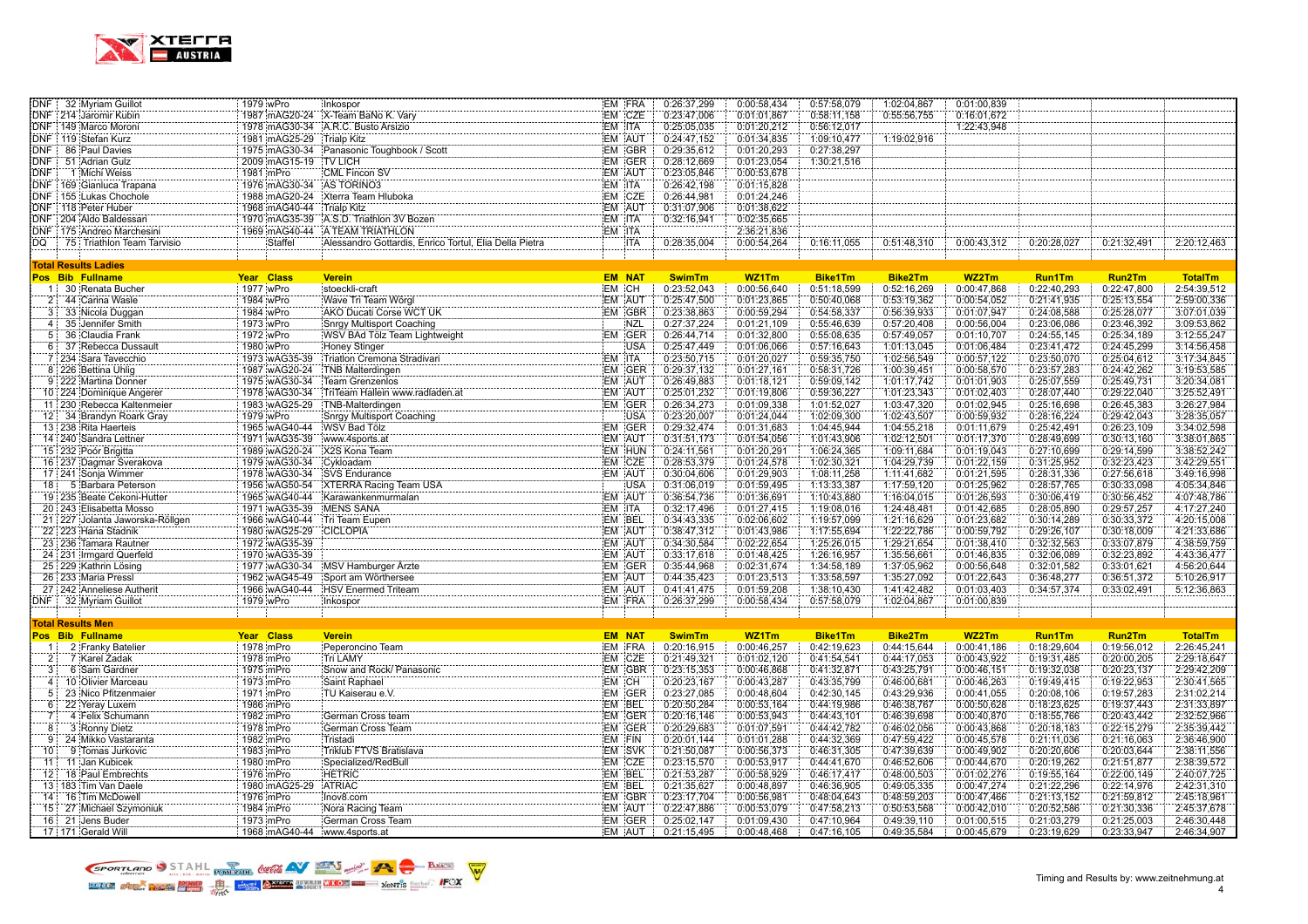

|                | DNF 32 Myriam Guillot                  | 1979 wPro                                 | Inkospor                                                                                                                                         |               | EM FRA        | 0:26:37,299                       | 0:00:58,434                | 0:57:58,079                | 1:02:04,867                | 0:01:00,839                |                            |                            |                            |
|----------------|----------------------------------------|-------------------------------------------|--------------------------------------------------------------------------------------------------------------------------------------------------|---------------|---------------|-----------------------------------|----------------------------|----------------------------|----------------------------|----------------------------|----------------------------|----------------------------|----------------------------|
|                | DNF 214 Jaromir Kubin                  |                                           | 1987 mAG20-24 X-Team BaNo K. Vary<br>1987 mAG20-24 X-Team BaNo K. Vary                                                                           |               | EM CZE        | 0:23:47,006                       | 0:01:01.867                | 0:58:11,158                | 0:55:56,755                | 0:16:01,672                |                            |                            |                            |
|                | DNF 149 Marco Moroni                   |                                           | 1978 mAG30-34 A.R.C. Busto Arsizio                                                                                                               | EM ITA        |               | 0:25:05,035                       | 0:01:20,212                | 0:56:12,017                |                            | 1:22:43,948                |                            |                            |                            |
|                | DNF 119 Stefan Kurz                    | 1981 mAG25-29 Trialp Kitz                 | 1975 im AG30-34<br>2000 im AG30-34 - iPanasonic Toughbook / Scott<br>2000 im AG45-44 - iPanasonic Toughbook / Scott                              | <b>EM AUT</b> |               | 0:24:47,152                       | 0:01:34,835                | 1:09:10,477                | 1:19:02,916                |                            |                            |                            |                            |
|                | DNF 86 Paul Davies                     |                                           |                                                                                                                                                  |               | EM GBR        | 0:29:35.612                       | 0:01:20.293                | 0:27:38,297                |                            |                            |                            |                            |                            |
|                | DNF 51 Adrian Gulz                     | 2009 mAG15-19 TV LICH                     |                                                                                                                                                  |               | EM GER        | 0:28:12,669                       | 0:01:23,054                | 1:30:21,516                |                            |                            |                            |                            |                            |
| <b>DNF</b>     | 1 Michi Weiss                          | 1981 mPro                                 | <b>CML Fincon SV</b>                                                                                                                             |               | EM AUT        | 0:23:05,846                       | 0:00:53,678                |                            |                            |                            |                            |                            |                            |
|                | DNF 169 Gianluca Trapana               | 1976 mAG30-34 AS TORINO3                  |                                                                                                                                                  | EM ITA        |               | 0:26:42,198                       | 0:01:15,828                |                            |                            |                            |                            |                            |                            |
|                | DNF 155 Lukas Chochole                 |                                           | 1988 mAG20-24 Xterra Team Hluboka                                                                                                                | EM CZE        |               | 0:26:44,981                       | 0:01:24,246                |                            |                            |                            |                            |                            |                            |
|                | DNF 118 Peter Huber                    | 1968 mAG40-44 Trialp Kitz                 |                                                                                                                                                  | EM AUT        |               | 0:31:07,906                       | 0:01:38,622                |                            |                            |                            |                            |                            |                            |
|                | DNF : 204 Aldo Baldessari              |                                           | 1970 mAG35-39 A.S.D. Triathlon 3V Bozen                                                                                                          | EM ITA        |               | 0:32:16,941                       | 0:02:35,665                |                            |                            |                            |                            |                            |                            |
|                | DNF 175 Andreo Marchesini              |                                           | 1969 mAG40-44 A TEAM TRIATHLON                                                                                                                   | EM ITA        |               |                                   | 2:36:21,836                |                            |                            |                            |                            |                            |                            |
| DQ             | 75 Triathlon Team Tarvisio             | Staffel                                   | Alessandro Gottardis, Enrico Tortul, Elia Della Pietra                                                                                           |               | <b>ITA</b>    | 0:28:35,004                       | 0:00:54,264                | 0:16:11,055                | 0:51:48,310                | 0:00:43,312                | 0:20:28,027                | 0:21:32,491                | 2:20:12,463                |
|                |                                        |                                           |                                                                                                                                                  |               |               |                                   |                            |                            |                            |                            |                            |                            |                            |
|                | <b>Total Results Ladies</b>            |                                           |                                                                                                                                                  |               |               |                                   |                            |                            |                            |                            |                            |                            |                            |
|                | Pos Bib Fullname                       | Year Class                                | <b>Verein</b>                                                                                                                                    |               | <b>EM NAT</b> | <b>SwimTm</b>                     | WZ1Tm                      | <b>Bike1Tm</b>             | <b>Bike2Tm</b>             | WZ2Tm                      | <b>Run1Tm</b>              | Run2Tm                     | <b>TotalTm</b>             |
|                | 1 30 Renata Bucher                     | 1977 wPro                                 | stoeckli-craft                                                                                                                                   | EM CH         |               | 0:23:52,043                       | 0:00:56,640                | 0:51:18,599                | 0:52:16,269                | 0:00:47,868                | 0:22:40,293                | 0:22:47,800                | 2:54:39,512                |
|                | 2 44 Carina Wasle                      | 1984 wPro                                 | AKO Ducati Corse WCT UK<br>IAKO Ducati Corse WCT UK                                                                                              | EM AUT        |               | 0:25:47,500                       | 0:01:23,865                | 0:50:40,068                | 0:53:19,362                | 0:00:54,052                | 0:21:41,935                | 0:25:13,554                | 2:59:00,336                |
| $3^+$          | 33 Nicola Duggan                       | 1984 wPro                                 |                                                                                                                                                  |               | EM GBR        | 0:23:38,863                       | 0:00:59,294                | 0:54:58,337                | 0:56:39,933                | 0:01:07,947                | 0:24:08,588                | 0:25:28,077                | 3:07:01,039                |
| 4:             | 35 Jennifer Smith                      | 1973 wPro                                 |                                                                                                                                                  |               | <b>NZL</b>    | 0:27:37,224                       | 0:01:21,109                | 0:55:46,639                | 0:57:20,408                | 0:00:56,004                | 0:23:06,086                | 0:23:46,392                | 3:09:53,862                |
| 5 <sup>1</sup> | 36 Claudia Frank                       | 1972 wPro                                 | WSV BAd Tolz Team Lightweight<br>Hopey Start - Communication of the Communication of the Communication of the Communication of the Communication |               | EM GER        | 0:26:44,714                       | 0:01:32,800                | 0:55:08,635                | 0:57:49,057                | 0:01:10,707                | 0:24:55,145                | 0:25:34,189                | 3:12:55,247                |
|                | 6 37 Rebecca Dussault                  | 1980 wPro                                 | <b>Honey Stinger</b>                                                                                                                             |               | <b>USA</b>    | 0:25:47,449                       | 0:01:06.066                | 0:57:16,643                | 1:01:13,045                | 0:01:06,484                | 0:23:41,472                | 0:24:45,299                | 3:14:56,458                |
|                | 7 234 Sara Tavecchio<br>.              | 1973 wAG35-39                             | Triation Cremona Stradivari                                                                                                                      | EM ITA        |               | 0:23:50,715                       | 0:01:20,027                | 0:59:35,750                | 1:02:56,549                | 0:00:57,122                | 0:23:50,070                | 0:25:04,612                | 3:17:34,845                |
|                | 8 226 Bettina Uhlig                    | 1987 wAG20-24                             | TNB Malterdingen                                                                                                                                 |               | EM GER        | 0:29:37,132                       | 0:01:27,161                | 0:58:31,726                | 1:00:39,451                | 0:00:58,570                | 0:23:57,283                | 0:24:42,262                | 3:19:53,585                |
|                | 9 222 Martina Donner                   | 1975 wAG30-34                             |                                                                                                                                                  | EM AUT        |               | 0:26:49,883                       | 0:01:18,121                | 0:59:09,142                | 1:01:17,742                | 0:01:01,903                | 0:25:07,559                | 0:25:49,731                | 3:20:34,081                |
|                | 10 224 Dominique Angerer               | 1978 wAG30-34                             | ETTTTELEMINEN<br>ETTTELEMINEN MANUSCHER MANUSCHER MITTELEMINEN<br>ETTNE-Malterringss                                                             |               | EM AUT        | 0:25:01,232                       | 0:01:19,806                | 0:59:36,227                | 1:01:23,343                | 0:01:02,403                | 0:28:07,440                | 0:29:22,040                | 3:25:52,491                |
|                | 11 230 Rebecca Kaltenmeier             | 1983 wAG25-29                             | TNB-Malterdingen                                                                                                                                 |               | EM GER        | 0:26:34,273                       | 0:01:09.338                | 1:01:52,027                | 1:03:47,320                | 0:01:02,945                | 0:25:16,698                | 0:26:45,383                | 3:26:27,984                |
|                | 12: 34 Brandyn Roark Gray              | 1979 wPro                                 | <b>Snrgy Multisport Coaching</b>                                                                                                                 |               | <b>USA</b>    | 0:23:20,007                       | 0:01:24,044                | 1:02:09,300                | 1:02:43,507                | 0:00:59,932                | 0:28:16,224                | 0:29:42,043                | 3:28:35,057                |
|                | 13 238 Rita Haerteis                   | 1965 wAG40-44 WSV Bad Tölz                |                                                                                                                                                  |               | EM GER        | 0:29:32,474                       | 0:01:31,683                | 1:04:45,944                | 1:04:55,218                | 0:01:11,679                | 0:25:42,491                | 0:26:23,109                | 3:34:02,598                |
|                | 14 240 Sandra Lettner                  | 1971 wAG35-39 www.4sports.at              |                                                                                                                                                  | EM AUT        |               | 0:31:51,173                       | 0:01:54,056                | 1:01:43,906                | 1:02:12,501                | 0:01:17,370                | 0:28:49,699                | 0:30:13,160                | 3:38:01,865                |
|                | 15 232 Poór Brigitta                   | 1989 wAG20-24 X2S Kona Team               |                                                                                                                                                  |               | EM HUN        | 0:24:11,561                       | 0:01:20,291                | 1:06:24,365                | 1:09:11,684                | 0:01:19,043                | 0:27:10,699                | 0:29:14,599                | 3:38:52,242                |
|                | 16 237 Dagmar Sverakova<br>.           | 1979 wAG30-34 Cykloadam                   |                                                                                                                                                  |               | EM CZE        | 0:28:53,379                       | 0:01:24,578                | 1:02:30,321                | 1:04:29,739                | 0:01:22,159                | 0:31:25,952                | 0:32:23,423                | 3:42:29,551                |
|                | 17 241 Sonja Wimmer                    | 1978 wAG30-34                             | <b>SVS Endurance</b>                                                                                                                             | EM AUT        |               | 0:30:04,606                       | 0:01:29,903                | 1:08:11,258                | 1:11:41,682                | 0:01:21,595                | 0:28:31,336                | 0:27:56,618                | 3:49:16,998                |
|                | 18 5 Barbara Peterson                  |                                           | 1956   WAG50-54   XTERRA Racing Team USA                                                                                                         |               | <b>USA</b>    | 0:31:06,019                       | 0:01:59,495                | 1:13:33,387                | 1:17:59,120                | 0:01:25,962                | 0:28:57,765                | 0:30:33,098                | 4:05:34,846                |
|                | 19 235 Beate Cekoni-Hutter             |                                           | 1965 wAG40-44 Karawankenmurmalan                                                                                                                 | EM AUT        |               | 0:36:54,736                       | 0:01:36,691                | 1:10:43,880                | 1:16:04,015                | 0:01:26,593                | 0:30:06,419                | 0:30:56,452                | 4:07:48,786                |
|                | 20   243 Elisabetta Mosso              | 1971 wAG35-39 MENS SANA                   |                                                                                                                                                  | EM ITA        |               | 0:32:17,496                       | 0:01:27,415                | 1:19:08.016                | 1:24:48,481                | 0:01:42,685                | 0:28:05,890                | 0:29:57,257                | 4:17:27,240                |
|                | 21 227 Jolanta Jaworska-Röllgen        | 1966 wAG40-44 Tri Team Eupen              |                                                                                                                                                  | EM BEL        |               | 0:34:43.335                       | 0:02:06,602                | 1:19:57,099                | 1:21:16,629                | 0:01:23,682                | 0:30:14,289                | 0:30:33,372                | 4:20:15,008                |
|                | 22 223 Hana Stadnik                    | 1980 wAG25-29                             | <b>CICLOPIA</b>                                                                                                                                  | <b>EM AUT</b> |               | 0:38:47,312                       | 0:01:43,986                | 1:17:55,694                | 1:22:22,786                | 0:00:59,792                | 0:29:26,107                | 0:30:18,009                | 4:21:33,686                |
|                | 23 236 Tamara Rautner                  | 1972 wAG35-39                             |                                                                                                                                                  | EM AUT        |               | 0:34:30,584                       | 0:02:22,654                | 1:25:26,015                | 1:29:21,654                | 0:01:38,410                | 0:32:32,563                | 0:33:07,879                | 4:38:59,759                |
|                | 24 231 Irmgard Querfeld                |                                           | 1977 twk330-34<br>1982 : WAS30-34 : MSV Hamburger Arzte<br>1982 : WA 24 - MSV Hamburger Arzte                                                    | <b>EM AUT</b> |               | 0:33:17,618                       | 0:01:48,425                | 1:26:16,957                | 1:35:56,661                | 0:01:46,835                | 0:32:06,089                | 0:32:23,892                | 4:43:36,477                |
|                | 25 229 Kathrin Lösing                  |                                           |                                                                                                                                                  |               | EM GER        | 0:35:44,968                       | 0:02:31,674                | 1:34:58,189                | 1:37:05,962                | 0:00:56,648                | 0:32:01,582                | 0:33:01,621                | 4:56:20,644                |
|                | 26 233 Maria Pressl                    | 1962 wAG45-49                             | Sport am Wörthersee                                                                                                                              |               | EM AUT        | 0:44:35,423                       | 0:01:23,513                | 1:33:58,597                | 1:35:27,092                | 0:01:22,643                | 0:36:48,277                | 0:36:51,372                | 5:10:26,917                |
|                | 27 242 Anneliese Autherit              |                                           | 1966 wAG40-44 HSV Enermed Triteam                                                                                                                | EM AUT        |               | 0:41:41,475                       | 0:01:59,208                | 1:38:10,430                | 1:41:42,482                | 0:01:03,403                | 0:34:57,374                | 0:33:02,491                | 5:12:36,863                |
|                | DNF 32 Myriam Guillot                  | 1979 wPro                                 | Inkospor                                                                                                                                         |               | EM FRA        | 0:26:37,299                       | 0:00:58,434                | 0:57:58,079                | 1:02:04,867                | 0:01:00,839                |                            |                            |                            |
|                |                                        |                                           |                                                                                                                                                  |               |               |                                   |                            |                            |                            |                            |                            |                            |                            |
|                | <u> Fotal Results Men</u>              |                                           |                                                                                                                                                  |               |               |                                   |                            |                            |                            |                            |                            |                            |                            |
|                | Pos Bib Fullname                       | Year Class                                | <b>Verein</b>                                                                                                                                    |               | <b>EM NAT</b> | <b>SwimTm</b>                     | WZ1Tm                      | <b>Bike1Tm</b>             | <b>Bike2Tm</b>             | WZ2Tm                      | <b>Run1Tm</b>              | Run2Tm                     | <b>TotalTm</b>             |
| 11             | 2 Franky Batelier                      | 1978 mPro                                 | Peperoncino Team                                                                                                                                 |               | EM FRA        | 0:20:16,915                       | 0:00:46,257                | 0:42:19,623                | 0:44:15,644                | 0:00:41,186                | 0:18:29,604                | 0:19:56,012                | 2:26:45,241                |
| 2 <sup>1</sup> | 7 Karel Zadak                          | 1978 mPro                                 | Show and Rock/ Panasonic.<br>Convert Rock/ Panasonic.                                                                                            |               | EM CZE        | 0:21:49,321                       | 0:01:02,120                | 0:41:54,541                | 0:44:17,053                | 0:00:43,922                | 0:19:31,485                | 0:20:00,205                | 2:29:18,647                |
| $\overline{3}$ | 6 Sam Gardner                          | 1975 mPro                                 |                                                                                                                                                  |               | EM GBR        | 0:23:15,353                       | 0:00:46,868                | 0:41:32,871                | 0:43:25,791                | 0:00:46,151                | 0:19:32,038                | 0:20:23,137                | 2:29:42,209                |
| 4:             | 10 Olivier Marceau                     | 1973 mPro                                 | Saint Raphael                                                                                                                                    | EM CH         |               | 0:20:23,167                       | 0:00:43.287                | 0:43:35,799                | 0:46:00,681                | 0:00:46.263                | 0:19:49,415                | 0:19:22.953                | 2:30:41.565                |
| 5              | 23 Nico Pfitzenmaier                   | 1971 mPro                                 | TU Kaiserau e.V.                                                                                                                                 |               | EM GER        | 0:23:27,085                       | 0:00:48,604                | 0:42:30,145                | 0:43:29,936                | 0:00:41,055                | 0:20:08,106                | 0:19:57,283                | 2:31:02,214                |
|                | 6 22 Yeray Luxem                       | 1986 mPro                                 |                                                                                                                                                  | EM BEL        |               | 0:20:50,284                       | 0:00:53,164                | 0:44:19,986                | 0:46:38,767                | 0:00:50,628                | 0:18:23,625                | 0:19:37,443                | 2:31:33,897                |
| 7 :            | 4 Felix Schumann                       | 1982 mPro                                 | German Cross team                                                                                                                                |               | EM GER        | 0:20:16,146                       | 0:00:53,943                | 0:44:43,101                | 0:46:39,698                | 0:00:40,870                | 0:18:55,766                | 0:20:43,442                | 2:32:52,966                |
| 8:             | 3 Ronny Dietz                          | 1978 mPro                                 | German Cross Team                                                                                                                                |               | EM GER        | 0:20:29,683                       | 0:01:07,591                | 0:44:42,782                | 0:46:02,056                | 0:00:43,868                | 0:20:18,183                | 0:22:15,279                | 2:35:39,442                |
|                | 9 24 Mikko Vastaranta                  | 1982 mPro                                 | Triklub FTVS Bratislava<br>Triklub FTVS Bratislava                                                                                               | EM FIN        |               | 0:20:01,144                       | 0:01:01.288                | 0:44:32,369                | 0:47:59,422                | 0:00:45,578                | 0:21:11,036                | 0:21:16,063                | 2:36:46,900                |
| 10:            | 9 Tomas Jurkovic                       | 1983 mPro                                 |                                                                                                                                                  |               | EM SVK        | 0:21:50,087                       | 0:00:56,373                | 0:46:31,305                | 0:47:39,639                | 0:00:49,902                | 0:20:20,606                | 0:20:03,644                | 2:38:11,556                |
|                | 11 11 Jan Kubicek                      | 1980 mPro                                 | Specialized/RedBull                                                                                                                              |               | EM CZE        | 0:23:15,570                       | 0:00:53,917                | 0:44:41,670                | 0:46:52,606                | 0:00:44,670                | 0:20:19,262                | 0:21:51,877                | 2:38:39,572                |
|                |                                        |                                           |                                                                                                                                                  |               |               |                                   |                            |                            |                            |                            |                            |                            |                            |
|                | 12 18 Paul Embrechts                   | 1976 mPro                                 | <b>HETRIC</b>                                                                                                                                    | EM BEL        |               | 0:21:53,287                       | 0:00:58,929                | 0:46:17,417                | 0:48:00,503                | 0:01:02,276                | 0:19:55,164                | 0:22:00,149                | 2:40:07,725                |
|                | 13:183 Tim Van Daele                   | 1980 mAG25-29                             | ATRIAC                                                                                                                                           | EM BEL        |               | 0:21:35,627                       | 0:00:48,897                | 0:46:36,905                | 0:49:05,335                | 0:00:47,274                | 0:21:22,296                | 0:22:14,976                | 2:42:31,310                |
|                | 14 16 Tim McDowell                     | 1976 mPro                                 | Inov8.com                                                                                                                                        |               | EM GBR        | 0:23:17,704                       | 0:00:56,981                | 0:48:04,643                | 0:48:59,203                | 0:00:47,466                | 0:21:13,152                | 0:21:59,812                | 2:45:18,961                |
|                | 15 27 Michael Szymoniuk                | 1984 mPro                                 | Nora Racing Team                                                                                                                                 |               | EM AUT        | 0:22:47,886                       | 0:00:53,079                | 0:47:58,213                | 0:50:53,568                | 0:00:42,010                | 0:20:52,586                | 0:21:30,336                | 2:45:37,678                |
|                | 16 21 Jens Buder<br>17:171 Gerald Will | 1973 mPro<br>1968 mAG40-44 www.4sports.at | German Cross Team                                                                                                                                |               | EM GER        | 0:25:02,147<br>EM AUT 0:21:15,495 | 0:01:09,430<br>0:00:48,468 | 0:47:10,964<br>0:47:16,105 | 0:49:39,110<br>0:49:35,584 | 0:01:00,515<br>0:00:45,679 | 0:21:03,279<br>0:23:19,629 | 0:21:25,003<br>0:23:33,947 | 2:46:30,448<br>2:46:34,907 |

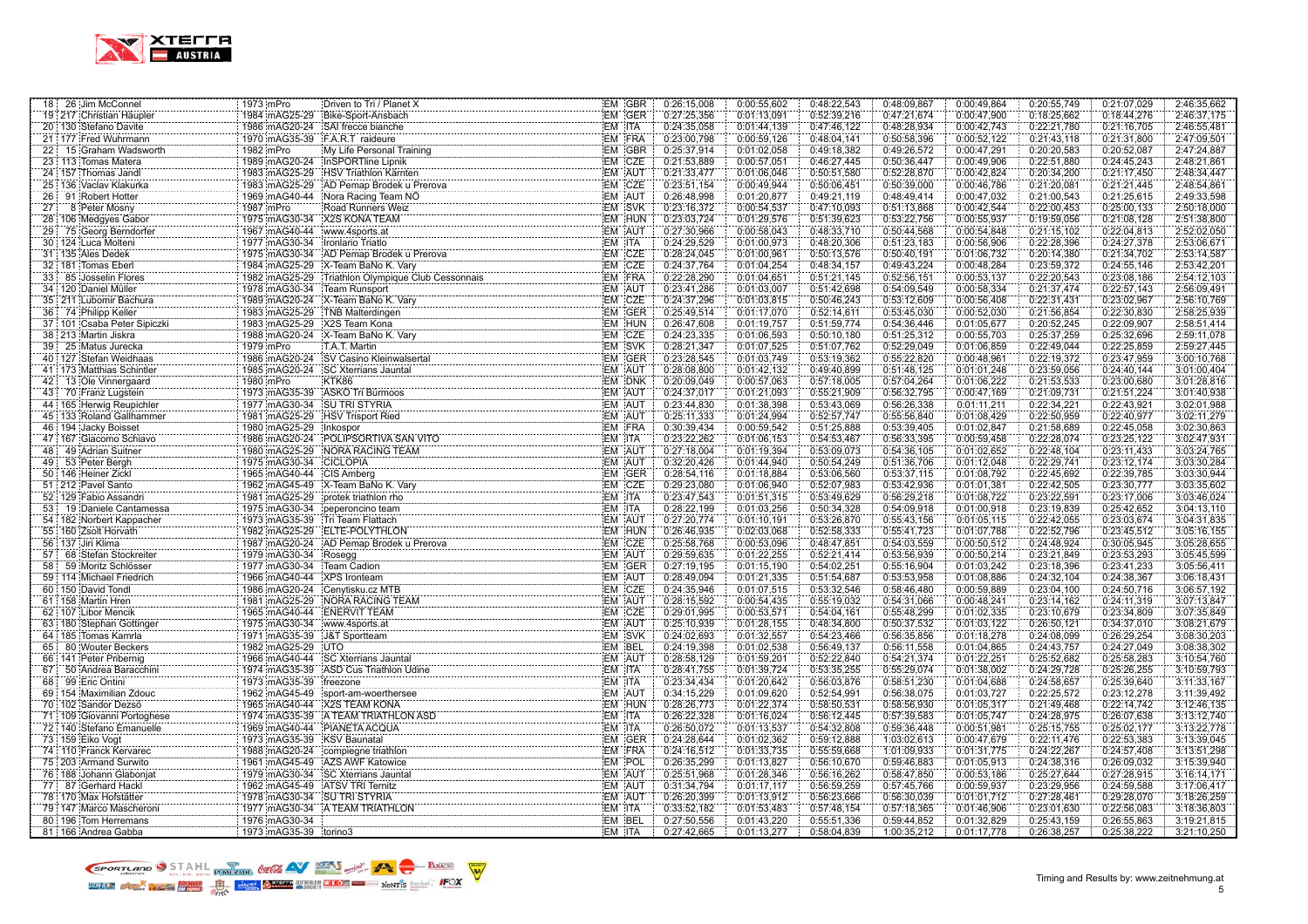

| 18 26 Jim McConnel                                     | 1973 mPro                       | Driven to Tri / Planet X                                                                                                                                                                                                         | EM GBR           | 0:26:15,008                | 0:00:55,602                | 0:48:22,543                | 0:48:09,867                | 0:00:49,864                | 0:20:55,749                | 0:21:07,029                | 2:46:35,662                |
|--------------------------------------------------------|---------------------------------|----------------------------------------------------------------------------------------------------------------------------------------------------------------------------------------------------------------------------------|------------------|----------------------------|----------------------------|----------------------------|----------------------------|----------------------------|----------------------------|----------------------------|----------------------------|
| 19 217 Christian Häupler                               | 1984 mAG25-29                   | Bike-Sport-Ansbach                                                                                                                                                                                                               | EM GER           | 0:27:25,356                | 0:01:13,091                | 0:52:39,216                | 0:47:21,674                | 0:00:47,900                | 0:18:25,662                | 0:18:44,276                | 2:46:37,175                |
| 20 130 Stefano Davite                                  |                                 | 1986 mAG20-24 SAI frecce bianche                                                                                                                                                                                                 | EM ITA           | 0:24:35,058                | 0:01:44,139                | 0:47:46,122                | 0:48:28,934                | 0:00:42,743                | 0:22:21,780                | 0:21:16,705                | 2:46:55,481                |
| 21 177 Fred Wuhrmann                                   | 1970 mAG35-39 F.A.R.T raideure  |                                                                                                                                                                                                                                  | EM FRA           | 0:23:00.798                | 0:00:59.126                | 0:48:04,141                | 0:50:58.396                | 0:00:52.122                | 0:21:43,118                | 0:21:31,800                | 2:47:09,501                |
| 22 15 Graham Wadsworth                                 | 1982 mPro                       | My Life Personal Training                                                                                                                                                                                                        | EM GBR           | 0:25:37,914                | 0:01:02,058                | 0:49:18,382                | 0:49:26,572                | 0:00:47,291                | 0:20:20,583                | 0:20:52,087                | 2:47:24,887                |
| 23 113 Tomas Matera                                    |                                 | 1989 mAG20-24 InSPORTline Lipnik                                                                                                                                                                                                 | EM CZE           | 0:21:53,889                | 0:00:57,051                | 0:46:27,445                | 0:50:36,447                | 0:00:49,906                | 0:22:51,880                | 0:24:45,243                | 2:48:21.861                |
| 24 157 Thomas Jandl                                    |                                 | 1983 mAG25-29 HSV Triathlon Kärnten                                                                                                                                                                                              | EM AUT           | 0:21:33,477                | 0:01:06,046                | 0:50:51,580                | 0:52:28,870                | 0:00:42,824                | 0:20:34,200                | 0:21:17,450                | 2:48:34,447                |
| 25 136 Vaclav Klakurka<br>.                            | 1983 mAG25-29                   |                                                                                                                                                                                                                                  | EM CZE           | 0:23:51,154                | 0:00:49,944                | 0:50:06,451                | 0:50:39,000                | 0:00:46,786                | 0:21:20,081                | 0:21:21,445                | 2:48:54,861                |
| 26 91 Robert Hotter                                    | 1969 mAG40-44                   | Nora Racing Team NO                                                                                                                                                                                                              | EM AUT           | 0:26:48,998                | 0:01:20,877                | 0:49:21,119                | 0:48:49,414                | 0:00:47,032                | 0:21:00,543                | 0:21:25,615                | 2:49:33,598                |
| 27<br>8 Peter Mosny                                    | 1987 mPro                       | Road Runners Weiz                                                                                                                                                                                                                | EM SVK           | 0:23:16,372                | 0:00:54,537                | 0:47:10,093                | 0:51:13,868                | 0:00:42,544                | 0:22:00,453                | 0:25:00,133                | 2:50:18,000                |
| 28 106 Medgyes Gabor<br>.                              | 1975 mAG30-34                   | X2S KONA TEAM                                                                                                                                                                                                                    | EM HUN           | 0:23:03,724                | 0:01:29,576                | 0:51:39,623                | 0:53:22,756                | 0:00:55,937                | 0:19:59,056                | 0:21:08,128                | 2:51:38,800                |
| 29 75 Georg Berndorfer                                 | 1967 mAG40-44 www.4sports.at    |                                                                                                                                                                                                                                  | EM AUT           | 0:27:30,966                | 0:00:58,043                | 0:48:33.710                | 0:50:44,568                | 0:00:54,848                | 0:21:15,102                | 0:22:04,813                | 2:52:02,050                |
| 30 124 Luca Molteni                                    | 1977 mAG30-34 Ironlario Triatlo |                                                                                                                                                                                                                                  | EM ITA           | 0:24:29.529                | 0:01:00,973                | 0:48:20,306                | 0:51:23,183                | 0:00:56.906                | 0:22:28,396                | 0:24:27,378                | 2:53:06,671                |
| 31 135 Ales Dedek                                      | 1975 mAG30-34                   | AD Pemap Brodek u Prerova<br>AD Pemap Brodek u Prerova                                                                                                                                                                           | EM CZE           | 0:28:24,045                | 0:01:00.961                | 0:50:13,576                | 0:50:40,191                | 0:01:06,732                | 0:20:14,380                | 0:21:34,702                | 2:53:14,587                |
| 32   181 Tomas Eberl                                   | 1984 mAG25-29                   | X-Team BaNo K. Vary<br>X-Team BaNo K. Vary<br>Triathlon Olympique Club Cessonnais<br>Trans Burgo Club Cessonnais                                                                                                                 | EM CZE           | 0:24:37,764                | 0:01:04.254                | 0:48:34,157                | 0:49:43,224                | 0:00:48,284                | 0:23:59,372                | 0:24:55,146                | 2:53:42,201                |
| 33 85 Josselin Flores                                  | 1982 mAG25-29                   |                                                                                                                                                                                                                                  | EM FRA           | 0:22:28,290                | 0:01:04,651                | 0:51:21,145                | 0:52:56,151                | 0:00:53,137                | 0:22:20,543                | 0:23:08,186                | 2:54:12,103                |
| 34 120 Daniel Müller                                   | 1978 mAG30-34                   | Team Runsport                                                                                                                                                                                                                    | EM AUT           | 0:23:41,286                | 0:01:03,007                | 0:51:42,698                | 0:54:09,549                | 0:00:58,334                | 0:21:37,474                | 0:22:57,143                | 2:56:09,491                |
| 35 211 Lubomir Bachura                                 | 1989 mAG20-24                   | X-Team BaNo K. Vary<br>All Construction Construction Construction Construction Construction Construction Construction Construction Construction Construction Construction Construction Construction Construction Construction Co | EM CZE           | 0:24:37,296                | 0:01:03,815                | 0:50:46,243                | 0:53:12,609                | 0:00:56,408                | 0:22:31,431                | 0:23:02,967                | 2:56:10,769                |
| 36 74 Philipp Keller                                   | 1983 mAG25-29                   | TNB Malterdingen                                                                                                                                                                                                                 | EM GER           | 0:25:49,514                | 0:01:17.070                | 0:52:14,611                | 0:53:45,030                | 0:00:52,030                | 0:21:56,854                | 0:22:30,830                | 2:58:25,939                |
| 37 101 Csaba Peter Sipiczki                            |                                 |                                                                                                                                                                                                                                  | EM HUN<br>EM CZE | 0:26:47,608                | 0:01:19,757                | 0:51:59,774                | 0:54:36,446                | 0:01:05,677                | 0:20:52,245                | 0:22:09,907                | 2:58:51,414                |
| 38 213 Martin Jiskra                                   |                                 | 1988 mAG20-24 X-Team BaNo K. Vary<br>1988 mAG20-24 X-Team BaNo K. Vary<br>1979 mPro                                                                                                                                              |                  | 0:24:23,335                | 0:01:06,593                | 0:50:10,180                | 0:51:25,312                | 0:00:55,703                | 0:25:37,259                | 0:25:32,696                | 2:59:11,078                |
| 39 25 Matus Jurecka<br>40 127 Stefan Weidhaas          |                                 | 1986 mAG20-24 - HOLL Wetuni<br>1986 mAG20-24 - ISV Casino Kleinwalsertal<br>1986 mAG20 34 - ISV Casino Kleinwalsertal                                                                                                            | EM SVK<br>EM GER | 0:28:21,347<br>0:23:28,545 | 0:01:07.525<br>0:01:03,749 | 0:51:07,762<br>0:53:19,362 | 0:52:29,049<br>0:55:22,820 | 0:01:06.859<br>0:00:48,961 | 0:22:49,044<br>0:22:19,372 | 0:22:25,859<br>0:23:47,959 | 2:59:27,445<br>3:00:10,768 |
| .<br>41 173 Matthias Schintler                         |                                 | 1985 mAG20-24 SC Xterrians Jauntal                                                                                                                                                                                               | EM AUT           | 0:28:08,800                | 0:01:42,132                | 0:49:40,899                | 0:51:48,125                | 0:01:01,248                | 0:23:59,056                | 0:24:40,144                | 3:01:00,404                |
| 42 13 Ole Vinnergaard                                  | 1980 mPro                       | the control of the control of the control of the control of the control of<br>KTK86                                                                                                                                              | EM DNK           | 0:20:09,049                | 0:00:57,063                | 0:57:18,005                | 0:57:04,264                | 0:01:06,222                | 0:21:53,533                | 0:23:00,680                | 3:01:28,816                |
| 43 70 Franz Lugstein                                   | 1973 mAG35-39                   | ASKO Tri Bürmoos                                                                                                                                                                                                                 | EM AUT           | 0:24:37.017                | 0:01:21,093                | 0:55:21,909                | 0:56:32,795                | 0:00:47.169                | 0:21:09,731                | 0:21:51,224                | 3:01:40.938                |
| 44 165 Herwig Reupichler                               | 1977 mAG30-34                   | <b>SU TRI STYRIA</b>                                                                                                                                                                                                             | EM AUT           | 0:23:44,830                | 0:01:38,398                | 0:53:43,069                | 0:56:26,338                | 0:01:11,211                | 0:22:34,221                | 0:22:43,921                | 3:02:01,988                |
| 45 133 Roland Gallhammer                               | 1981 mAG25-29                   | <b>HSV Trisport Ried</b>                                                                                                                                                                                                         | EM AUT           | 0:25:11,333                | 0:01:24,994                | 0:52:57,747                | 0:55:56,840                | 0:01:08,429                | 0:22:50,959                | 0:22:40,977                | 3:02:11,279                |
| 46   194 Jacky Boisset                                 |                                 |                                                                                                                                                                                                                                  | EM FRA           | 0:30:39,434                | 0:00:59,542                | 0:51:25,888                | 0:53:39,405                | 0:01:02,847                | 0:21:58,689                | 0:22:45,058                | 3:02:30,863                |
| 47 167 Giacomo Schiavo                                 |                                 | 1986 ImAG20-24 POLIPSORTIVA SAN VITO                                                                                                                                                                                             | EM ITA           | 0:23:22,262                | 0:01:06,153                | 0:54:53,467                | 0:56:33,395                | 0:00:59,458                | 0:22:28,074                | 0:23:25,122                | 3:02:47,931                |
| 48 49 Adrian Suitner                                   |                                 | 1980 mAG25-29 NORA RACING TEAM                                                                                                                                                                                                   | EM AUT           | 0:27:18,004                | 0:01:19,394                | 0:53:09.073                | 0:54:36,105                | 0:01:02,652                | 0:22:48,104                | 0:23:11,433                | 3:03:24,765                |
| 49<br>53 Peter Bergh                                   | 1975 mAG30-34                   | <b>CICLOPIA</b>                                                                                                                                                                                                                  | EM AUT           | 0:32:20.426                | 0:01:44.940                | 0:50:54,249                | 0:51:36,706                | 0:01:12,048                | 0:22:29,741                | 0:23:12,174                | 3:03:30,284                |
| 50 146 Heiner Zickl                                    | 1965 mAG40-44                   | CIS Amberg                                                                                                                                                                                                                       | EM GER           | 0:28:54,116                | 0:01:18,884                | 0:53:06,560                | 0:53:37,115                | 0:01:08,792                | 0:22:45,692                | 0:22:39,785                | 3:03:30,944                |
| 51 212 Pavel Santo                                     |                                 | 1962 mAG45-49 X-Team BaNo K. Vary                                                                                                                                                                                                | EM CZE           | 0:29:23,080                | 0:01:06,940                | 0:52:07,983                | 0:53:42,936                | 0:01:01,381                | 0:22:42,505                | 0:23:30,777                | 3:03:35,602                |
| 52 129 Fabio Assandri                                  | 1981 mAG25-29                   | protek triathlon rho                                                                                                                                                                                                             | EM ITA           | 0:23:47,543                | 0:01:51,315                | 0:53:49,629                | 0:56:29,218                | 0:01:08,722                | 0:23:22,591                | 0:23:17,006                | 3:03:46,024                |
| 53 19 Daniele Cantamessa                               | 1975 mAG30-34                   | peperoncino team                                                                                                                                                                                                                 | EM ITA           | 0:28:22,199                | 0:01:03,256                | 0:50:34,328                | 0:54:09,918                | 0:01:00,918                | 0:23:19,839                | 0:25:42,652                | 3:04:13,110                |
| 54 182 Norbert Kappacher                               | 1973 mAG35-39                   | Tri Team Flattach                                                                                                                                                                                                                | EM AUT           | 0:27:20,774                | 0:01:10,191                | 0:53:26,870                | 0:55:43,156                | 0:01:05,115                | 0:22:42,055                | 0:23:03,674                | 3:04:31,835                |
| 55 160 Zsolt Horvath                                   |                                 | 1982 mAG25-29 ELTE-POLYTHLON                                                                                                                                                                                                     | EM HUN           | 0:26:46.935                | 0:02:03,068                | 0:52:58,333                | 0:55:41.723                | 0:01:07,788                | 0:22:52,796                | 0:23:45,512                | 3:05:16,155                |
| 56 137 Jiri Klima                                      | 1987 mAG20-24                   |                                                                                                                                                                                                                                  | EM CZE           | 0:25:58,768                | 0:00:53,096                | 0:48:47,851                | 0:54:03,559                | 0:00:50,512                | 0:24:48,924                | 0:30:05,945                | 3:05:28,655                |
| 57 :<br>68 Stefan Stockreiter                          | 1979 mAG30-34                   | Rosegg                                                                                                                                                                                                                           | EM AUT           | 0:29:59,635                | 0:01:22,255                | 0:52:21,414                | 0:53:56,939                | 0:00:50,214                | 0:23:21,849                | 0:23:53,293                | 3:05:45,599                |
| 58<br>59 Moritz Schlösser                              | 1977 mAG30-34                   | Team Cadion                                                                                                                                                                                                                      | EM GER           | 0:27:19,195                | 0:01:15.190                | 0:54:02,251                | 0:55:16,904                | 0:01:03.242                | 0:23:18,396                | 0:23:41,233                | 3:05:56,411                |
| 59 114 Michael Friedrich                               | 1966 mAG40-44                   | XPS Ironteam                                                                                                                                                                                                                     | EM AUT           | 0:28:49,094                | 0:01:21,335                | 0:51:54,687                | 0:53:53,958                | 0:01:08,886                | 0:24:32,104                | 0:24:38,367                | 3:06:18,431                |
| 60 150 David Tondl                                     |                                 | 1986 mAG20-24 Cenytisku.cz MTB<br>Convertice MTB<br>WORA RACING TEAM                                                                                                                                                             | EM CZE           | 0:24:35,946                | 0:01:07,515                | 0:53:32,546                | 0:58:46,480                | 0:00:59,889                | 0:23:04,100                | 0:24:50,716                | 3:06:57,192                |
| 61 158 Martin Hren                                     | 1981 mAG25-29                   |                                                                                                                                                                                                                                  | EM AUT           | 0:28:15,592                | 0:00:54,435                | 0:55:19.032                | 0:54:31,066                | 0:00:48,241                | 0:23:14,162                | 0:24:11,319                | 3:07:13,847                |
| 62 107 Libor Mencik                                    | 1965 mAG40-44 ENERVIT TEAM      |                                                                                                                                                                                                                                  | EM CZE           | 0:29:01,995                | 0:00:53,571                | 0:54:04,161                | 0:55:48,299                | 0:01:02,335                | 0:23:10,679                | 0:23:34,809                | 3:07:35,849                |
| 63 180 Stephan Gottinger                               | 1975 mAG30-34                   | www.4sports.at                                                                                                                                                                                                                   | EM AUT           | 0:25:10,939                | 0:01:28,155                | 0:48:34,800                | 0:50:37,532                | 0:01:03,122                | 0:26:50,121                | 0:34:37,010                | 3:08:21,679                |
| 64 185 Tomas Kamrla                                    | 1971 mAG35-39                   | J&T Sportteam                                                                                                                                                                                                                    | EM SVK           | 0:24:02,693                | 0:01:32,557                | 0:54:23,466                | 0:56:35,856                | 0:01:18,278                | 0:24:08.099                | 0:26:29,254                | 3:08:30,203                |
| 65 80 Wouter Beckers<br>.                              |                                 | 1966   mAG40-44<br>1966   mAG40-44   SC Xterrians Jauntal<br>1974   mAG4C44   SC Xterrians Jauntal                                                                                                                               | EM BEL           | 0:24:19,398                | 0:01:02,538                | 0:56:49,137                | 0:56:11,558                | 0:01:04,865                | 0:24:43,757                | 0:24:27,049                | 3:08:38,302                |
| 66 141 Peter Pribernig                                 |                                 |                                                                                                                                                                                                                                  | EM AUT           | 0:28:58,129                | 0:01:59,201                | 0:52:22,840                | 0:54:21,374                | 0:01:22,251                | 0:25:52,682                | 0:25:58,283                | 3:10:54,760                |
| 50 Andrea Baracchini<br>$67$ :<br>.                    | 1974 mAG35-39                   | ASD Cus Triathlon Udine                                                                                                                                                                                                          | EM ITA           | 0:28:41,755                | 0:01:39,724                | 0:53:35,255                | 0:55:29,074                | 0:01:38,002                | 0:24:29,728                | 0:25:26,255                | 3:10:59,793                |
| 68<br>99 Eric Ontini                                   | 1973 mAG35-39                   | freezone                                                                                                                                                                                                                         | EM ITA           | 0:23:34,434                | 0:01:20,642                | 0:56:03,876                | 0:58:51,230                | 0:01:04,688                | 0:24:58,657                | 0:25:39,640                | 3:11:33,167                |
| 69 154 Maximilian Zdouc                                |                                 | 1962 mAG45-49 sport-am-woerthersee                                                                                                                                                                                               | EM AUT           | 0:34:15,229                | 0:01:09,620                | 0:52:54,991                | 0:56:38,075                | 0:01:03,727                | 0:22:25,572                | 0:23:12,278                | 3:11:39,492                |
| 70 102 Sandor Dezsö                                    |                                 | 1965 mAG40-44 X2S TEAM KONA<br>1974 mAG35-39 A TEAM TRIATHLON ASD                                                                                                                                                                | EM HUN<br>EM ITA | 0:28:26,773<br>0:26:22,328 | 0:01:22,374<br>0:01:16.024 | 0:58:50,531<br>0:56:12,445 | 0:58:56,930                | 0:01:05,317<br>0:01:05,747 | 0:21:49,468<br>0:24:28,975 | 0:22:14,742<br>0:26:07,638 | 3:12:46,135<br>3:13:12,740 |
| 71 109 Giovanni Portoghese<br>72 140 Stefano Emanuelle |                                 | 1969 mAG40-44 PIANETA ACQUA                                                                                                                                                                                                      | EM ITA           | 0:26:50,072                | 0:01:13,537                | 0:54:32,808                | 0:57:39,583<br>0:59:36,448 | 0:00:51,981                | 0:25:15,755                | 0:25:02,177                | 3:13:22,778                |
| 73 159 Eiko Vogt                                       | 1973 mAG35-39 KSV Baunatal      |                                                                                                                                                                                                                                  | EM GER           | 0:24:28,644                | 0:01:02,362                | 0:59:12,888                | 1:03:02,613                | 0:00:47,679                | 0:22:11,476                | 0:22:53,383                | 3:13:39,045                |
| 74 110 Franck Kervarec                                 |                                 | 1988 mAG20-24 complegne triathlon                                                                                                                                                                                                | EM FRA           | 0:24:16.512                | 0:01:33,735                | 0:55:59,668                | 1:01:09,933                | 0:01:31,775                | 0:24:22,267                | 0:24:57,408                | 3:13:51,298                |
| 75 203 Armand Surwito                                  |                                 | 1961 mAG45-49 AZS AWF Katowice                                                                                                                                                                                                   | EM POL           | 0:26:35,299                | 0:01:13,827                | 0:56:10,670                | 0:59:46,883                | 0:01:05,913                | 0:24:38,316                | 0:26:09,032                | 3:15:39,940                |
| 76 188 Johann Glaboniat                                |                                 | 1979 mAG30-34 SC Xterrians Jauntal                                                                                                                                                                                               | EM AUT           | 0:25:51,968                | 0:01:28,346                | 0:56:16,262                | 0:58:47,850                | 0:00:53,186                | 0:25:27,644                | 0:27:28,915                | 3:16:14,171                |
| 77 87 Gerhard Hackl                                    | 1962 mAG45-49 ATSV TRI Ternitz  |                                                                                                                                                                                                                                  | EM AUT           | 0:31:34,794                | 0:01:17,117                | 0:56:59,259                | 0:57:45,766                | 0:00:59,937                | 0:23:29,956                | 0:24:59,588                | 3:17:06,417                |
| 78 170 Max Hofstätter                                  | 1978 mAG30-34                   | <b>SU TRI STYRIA</b>                                                                                                                                                                                                             | EM AUT           | 0:26:20,399                | 0:01:13,912                | 0:56:23,666                | 0:56:30,039                | 0:01:01,712                | 0:27:28,461                | 0:29:28,070                | 3:18:26,259                |
| 79 147 Marco Mascheroni                                | 1977 mAG30-34                   | A TEAM TRIATHLON                                                                                                                                                                                                                 | EM ITA           | 0:33:52,182                | 0:01:53,483                | 0:57:48,154                | 0:57:18,365                | 0:01:46,906                | 0:23:01,630                | 0:22:56,083                | 3:18:36,803                |
| 80 196 Tom Herremans                                   | 1976 mAG30-34                   |                                                                                                                                                                                                                                  | EM BEL           | 0:27:50,556                | 0:01:43,220                | 0:55:51,336                | 0:59:44,852                | 0:01:32,829                | 0:25:43,159                | 0:26:55,863                | 3:19:21,815                |
| 81 166 Andrea Gabba                                    | 1973 mAG35-39 torino3           |                                                                                                                                                                                                                                  | EM ITA           | 0:27:42,665                | 0:01:13,277                | 0:58:04,839                | 1:00:35.212                | 0:01:17,778                | 0:26:38,257                | 0:25:38,222                | 3:21:10,250                |

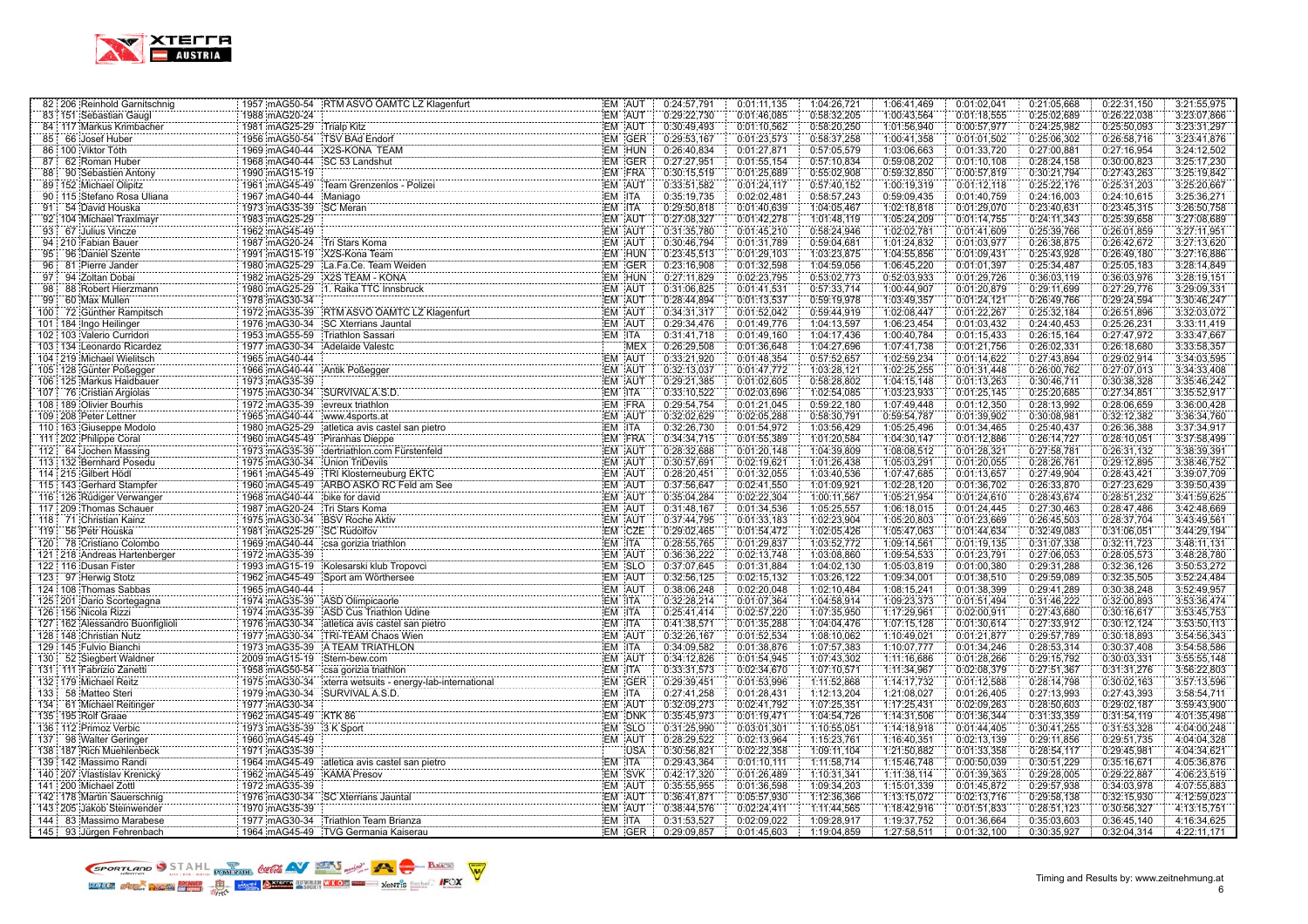

| 82 206 Reinhold Garnitschnig                        | 1957 mAG50-54 RTM ASVÖ ÖAMTC LZ Klagenfurt                                                                                                                     | 0:24:57,791<br>EM AUT                          | 0:01:11,135<br>1:04:26,721<br>1:06:41,469                               | 0:01:02,041                | 0:22:31,150<br>0:21:05,668<br>3:21:55,975                               |
|-----------------------------------------------------|----------------------------------------------------------------------------------------------------------------------------------------------------------------|------------------------------------------------|-------------------------------------------------------------------------|----------------------------|-------------------------------------------------------------------------|
| 83 151 Sebastian Gaugl                              | 1988 mAG20-24                                                                                                                                                  | EM AUT<br>0:29:22,730                          | 0:01:46,085<br>0:58:32,205<br>1:00:43,564                               | 0:01:18,555                | 0:25:02,689<br>0:26:22,038<br>3:23:07,866                               |
| 84 117 Markus Krimbacher                            | 1981 mAG25-29 Trialp Kitz                                                                                                                                      | EM AUT<br>0:30:49,493                          | 0:58:20,250<br>1:01:56,940<br>0:01:10,562                               | 0:00:57,977                | 0:24:25,982<br>0:25:50,093<br>3:23:31,297                               |
| 85 <sup>1</sup><br>66 Josef Huber                   | 1956 mAG50-54 TSV BAd Endorf                                                                                                                                   | EM GER<br>0:29:53,167                          | 0:01:23,573<br>0:58:37,258<br>1:00:41,358                               | 0:01:01,502                | 0:25:06,302<br>0:26:58,716<br>3:23:41,876                               |
| 86 100 Viktor Tóth                                  | 1969 mAG40-44 X2S-KONA TEAM                                                                                                                                    | EM HUN<br>0:26:40.834                          | 0:01:27,871<br>0:57:05,579<br>1:03:06,663                               | 0:01:33,720                | 0:27:00,881<br>0:27:16,954<br>3:24:12,502                               |
| 87<br>62 Roman Huber                                | 1968 mAG40-44 SC 53 Landshut                                                                                                                                   | EM GER<br>0:27:27,951                          | 0:57:10,834<br>0:01:55,154<br>0:59:08,202                               | 0:01:10,108                | 0:30:00,823<br>3:25:17,230<br>0:28:24,158                               |
| 88<br>90 Sebastien Antony                           | 1990 mAG15-19                                                                                                                                                  | EM FRA<br>0:30:15,519                          | 0:01:25,689<br>0:55:02,908<br>0:59:32,850                               | 0:00:57,819                | 3:25:19,842<br>0:30:21,794<br>0:27:43,263                               |
| 89 152 Michael Olipitz                              | 1961 mAG45-49 Team Grenzenlos - Polizei                                                                                                                        | EM AUT<br>0:33:51,582                          | 0:01:24,117<br>0:57:40,152<br>1:00:19,319                               | 0:01:12,118                | 0:25:31,203<br>0:25:22,176<br>3:25:20,667                               |
| 90 115 Stefano Rosa Uliana                          | 1967 mAG40-44 Maniago                                                                                                                                          | EM ITA<br>0:35:19.735                          | 0:02:02,481<br>0:58:57,243<br>0:59:09,435                               | 0:01:40,759                | 0:24:10,615<br>0:24:16,003<br>3:25:36,271                               |
| 91<br>54 David Houska                               | 1973 mAG35-39<br>SC Meran                                                                                                                                      | EM ITA<br>0:29:50,818                          | 0:01:40,639<br>1:04:05.467<br>1:02:18,818                               | 0:01:29,070                | 0:23:40,631<br>0:23:45,315<br>3:26:50,758                               |
| 92 104 Michael Traxlmayr                            | 1983 mAG25-29                                                                                                                                                  | EM AUT<br>0:27:08,327                          | 0:01:42,278<br>1:01:48,119<br>1:05:24,209                               | 0:01:14,755                | 0:24:11,343<br>0:25:39,658<br>3:27:08.689                               |
| 93<br>67 Julius Vincze                              | 1962 mAG45-49                                                                                                                                                  | EM AUT<br>0:31:35,780                          | 0:58:24,946<br>1:02:02,781<br>0:01:45,210                               | 0:01:41,609                | 0:26:01,859<br>0:25:39,766<br>3:27:11,951                               |
| 94 210 Fabian Bauer                                 | 1987 mAG20-24 Tri Stars Koma                                                                                                                                   | EM AUT<br>0:30:46,794                          | 0:01:31,789<br>0:59:04,681<br>1:01:24,832                               | 0:01:03,977                | 3:27:13,620<br>0:26:38,875<br>0:26:42,672                               |
| 95<br>96 Daniel Szente                              | 1991 mAG15-19 X2S-Kona Team                                                                                                                                    | EM HUN<br>0:23:45.513                          | 1:03:23,875<br>1:04:55,856<br>0:01:29,103                               | 0:01:09,431                | 0:25:43,928<br>0:26:49,180<br>3:27:16,886                               |
| 96<br>81 Pierre Jander                              | 1980 mAG25-29<br>La.Fa.Ce. Team Weiden                                                                                                                         | EM GER<br>0:23:16,908                          | 0:01:32,598<br>1:04:59,056<br>1:06:45,220                               | 0:01:01.397                | 0:25:34,487<br>0:25:05,183<br>3:28:14,849                               |
| 97<br>94 Zoltan Dobai                               | 1982 mAG25-29 X2S TEAM - KONA                                                                                                                                  | EM HUN<br>0:27:11,829                          | 0:02:23,795<br>0:53:02,773<br>0.52:03,933                               | 0:01:29,726                | 0:36:03,119<br>0:36:03,976<br>3:28:19,151                               |
| 88 Robert Hierzmann<br>98                           | 1980 mAG25-29<br>1. Raika TTC Innsbruck                                                                                                                        | EM AUT<br>0:31:06,825                          | 0:01:41,531<br>0:57:33,714<br>1:00:44,907                               | 0:01:20,879                | 0:29:11,699<br>0:27:29,776<br>3:29:09,331                               |
| 99<br>60 Max Mullen                                 | 1978 mAG30-34                                                                                                                                                  | EM AUT<br>0:28:44,894                          | 0:01:13,537<br>0:59:19,978<br>1:03:49,357                               | 0:01:24,121                | 0:29:24,594<br>0:26:49,766<br>3:30:46,247                               |
| 72 Günther Rampitsch<br>100:                        |                                                                                                                                                                | EM AUT<br>0:34:31,317                          | 0:01:52,042<br>0:59:44,919<br>1:02:08,447                               | 0:01:22,267                | 3:32:03,072<br>0:25:32,184<br>0:26:51,896                               |
| 101 184 Ingo Heilinger                              | 1976 mAG30-34 SC Xterrians Jauntal                                                                                                                             | EM AUT<br>0:29:34,476                          | 0:01:49,776<br>1:04:13,597<br>1:06:23,454                               | 0:01:03,432                | 0:24:40,453<br>0:25:26,231<br>3:33:11,419                               |
| 102 103 Valerio Curridori                           | 1953 mAG55-59 Triathlon Sassari                                                                                                                                | EM ITA<br>0:31:41,718                          | 0:01:49,160<br>1:04:17,436<br>1:00:40,784                               | 0:01:15,433                | 0:26:15,164<br>0:27:47,972<br>3:33:47,667                               |
| 103 134 Leonardo Ricardez                           | 1977 mAG30-34<br>Adelaide Valestc                                                                                                                              | <b>MEX</b><br>0:26:29.508                      | 0:01:36.648<br>1:04:27.696<br>1:07:41.738                               | 0:01:21.756                | 0:26:02.331<br>0:26:18,680<br>3:33:58,357                               |
| 104 219 Michael Wielitsch                           | 1965 mAG40-44                                                                                                                                                  | EM AUT<br>0:33:21,920                          | 0:01:48,354<br>0:57:52,657<br>1:02:59,234                               | 0:01:14,622                | 0:27:43,894<br>0:29:02,914<br>3:34:03,595                               |
| 105 128 Günter Poßegger                             | 1966 mAG40-44 Antik Poßegger                                                                                                                                   | EM AUT<br>0:32:13,037                          | 1:03:28,121<br>1:02:25,255<br>0:01:47,772                               | 0:01:31,448                | 3:34:33,408<br>0:26:00,762<br>0:27:07,013                               |
| 106   125   Markus Haidbauer                        | 1973 mAG35-39                                                                                                                                                  | EM AUT<br>0:29:21,385                          | 0:01:02,605<br>0:58:28,802<br>1:04:15,148                               | 0:01:13,263                | 3:35:46,242<br>0:30:46,711<br>0:30:38,328                               |
| 107 76 Cristian Argiolas                            | 1975 mAG30-34 SURVIVAL A.S.D.                                                                                                                                  | EM ITA<br>0:33:10,522                          | 0:02:03,696<br>1:02:54,085<br>1:03:23,933                               | 0:01:25,145                | 0:25:20,685<br>0:27:34,851<br>3:35:52,917                               |
| 108 189 Olivier Bourhis                             | 1972 mAG35-39 evreux triathlon                                                                                                                                 | EM FRA<br>0:29:54,754                          | 0:01:21.045<br>0:59:22,180<br>1:07:49,448                               | 0:01:12,350                | 0:28:06,659<br>0:28:13,992<br>3:36:00,428                               |
| 109 208 Peter Lettner                               | 1965 mAG40-44 www.4sports.at                                                                                                                                   | EM AUT<br>0:32:02,629                          | 0:02:05.288<br>0:58:30,791<br>0:59:54,787                               | 0:01:39,902                | 0:32:12,382<br>0:30:08,981<br>3:36:34,760                               |
| 110 163 Giuseppe Modolo                             | 1980 mAG25-29 atletica avis castel san pietro                                                                                                                  | EM ITA<br>0:32:26,730                          | 0:01:54,972<br>1:03:56,429<br>1:05:25,496                               | 0:01:34,465                | 0:25:40,437<br>0:26:36,388<br>3:37:34,917                               |
| 111 202 Philippe Coral                              | 1960 mAG45-49 Piranhas Dieppe                                                                                                                                  | EM FRA<br>0:34:34,715                          | 0:01:55,389<br>1:01:20,584<br>1:04:30,147                               | 0:01:12,886                | 0:26:14,727<br>0:28:10,051<br>3:37:58,499                               |
| 112 64 Jochen Massing                               | 1973 mAG35-39 dertriathlon.com Fürstenfeld                                                                                                                     | EM AUT<br>0:28:32,688                          | 0:01:20,148<br>1:04:39,809<br>1:08:08,512                               | 0:01:28,321                | 3:38:39,391<br>0:27:58,781<br>0:26:31,132                               |
| 113:132 Bernhard Posedu                             | 1975 mAG30-34 Union TriDevils                                                                                                                                  | EM AUT<br>0:30:57,691                          | 0:02:19.621<br>1:01:26,438<br>1:05:03,291                               | 0:01:20,055                | 0:28:26,761<br>0:29:12,895<br>3:38:46,752                               |
| 114 215 Gilbert Hödl                                | 1961 mAG45-49 TRI Klosterneuburg EKTC                                                                                                                          | EM AUT<br>0:28:20.451                          | 0:01:32,055<br>1:03:40,536<br>1:07:47,685                               | 0:01:13,657                | 0:27:49,904<br>0:28:43,421<br>3:39:07,709                               |
| 115 143 Gerhard Stampfer                            | 1960 mAG45-49 ARBO ASKO RC Feld am See                                                                                                                         | EM AUT<br>0:37:56,647                          | 0:02:41,550<br>1:01:09,921<br>1:02:28,120                               | 0:01:36,702                | 0:27:23,629<br>0:26:33,870<br>3:39:50,439                               |
| 116 126 Rüdiger Verwanger                           | 1968 mAG40-44 bike for david                                                                                                                                   | EM AUT<br>0:35:04,284                          | 0:02:22:304<br>1:00:11,567<br>1:05:21,954                               | 0:01:24,610                | 0:28:43,674<br>0:28:51,232<br>3:41:59,625                               |
| 117 209 Thomas Schauer                              | 1987 mAG20-24 Tri Stars Koma                                                                                                                                   | EM AUT<br>0:31:48,167                          | 1:05:25,557<br>1:06:18,015<br>0:01:34,536                               | 0:01:24,445                | 0:28:47,486<br>3:42:48,669<br>0:27:30,463                               |
| 118 71 Christian Kainz                              | 1975 mAG30-34 BSV Roche Aktiv                                                                                                                                  | EM AUT<br>0:37:44,795                          | 0:01:33,183<br>1:02:23,904<br>1:05:20,803                               | 0:01:23,669                | 0:28:37,704<br>3:43:49,561<br>0:26:45,503                               |
| 119:<br>56 Petr Houska                              | 1981 mAG25-29 SC Rudolfov                                                                                                                                      | EM CZE<br>0:29:02,465                          | 0:01:54,472<br>1:02:05,426<br>1:05:47,063                               | 0:01:44,634                | 0:32:49,083<br>0:31:06,051<br>3:44:29,194                               |
| 120 78 Cristiano Colombo                            | 1969 mAG40-44 csa gorizia triathlon                                                                                                                            | EM ITA<br>0:28:55,765                          | 1:03:52,772<br>0:01:29,837<br>1:09:14,561                               | 0:01:19,135                | 0:32:11,723<br>0:31:07,338<br>3:48:11,131                               |
| 121   218   Andreas Hartenberger                    | 1993. m. 4615-19 : Kolesarski klub Tropovci<br>1993. m. 4615-19 : Kolesarski klub Tropovci                                                                     | EM AUT<br>0:36:36,222                          | 0:02:13,748<br>1:03:08,860<br>1:09:54,533                               | 0:01:23,791                | 0:27:06,053<br>0:28:05,573<br>3:48:28,780                               |
| 122 116 Dusan Fister                                |                                                                                                                                                                | EM SLO<br>0:37:07,645                          | 1:04:02,130<br>1:05:03,819<br>0:01:31,884                               | 0:01:00,380                | 0:32:36,126<br>0:29:31,288<br>3:50:53,272                               |
| 123 97 Herwig Stotz                                 | 1962 mAG45-49 Sport am Wörthersee                                                                                                                              | EM AUT<br>0:32:56,125                          | 0:02:15,132<br>1:03:26,122<br>1:09:34,001                               | 0:01:38,510                | 0:32:35,505<br>3:52:24,484<br>0:29:59,089                               |
| 124 108 Thomas Sabbas                               | 1965 mAG40-44                                                                                                                                                  | EM AUT<br>0:38:06,248                          | 0:02:20,048<br>1:02:10,484<br>1:08:15,241                               | 0:01:38,399                | 0:30:38,248<br>3:52:49,957<br>0:29:41,289                               |
| 125 201 Dario Scortegagna                           | 1974 mAG35-39 ASD Olimpicaorle                                                                                                                                 | EM ITA<br>0:32:28,214                          | 0:01:07,364<br>1:04:58,914<br>1:09:23,373                               | 0:01:51,494                | 0:31:46,222<br>0:32:00,893<br>3:53:36,474                               |
| 126 156 Nicola Rizzi                                | 1974 mAG35-39 ASD Cus Triathlon Udine                                                                                                                          | EM ITA<br>0:25:41,414                          | 0:02:57,220<br>1:07:35,950<br>1:17:29,961                               | 0:02:00,911                | 0:27:43,680<br>0:30:16,617<br>3:53:45,753                               |
| 127   162   Alessandro Buonfiglioli                 | 1976 mAG30-34 atletica avis castel san pietro                                                                                                                  | EM ITA<br>0:41:38,571                          | 1:04:04,476<br>0:01:35,288<br>1:07:15,128                               | 0:01:30,614                | 0:30:12,124<br>3:53:50,113<br>0:27:33,912                               |
| 128   148 Christian Nutz                            | 1977 mAG30-34 TRI-TEAM Chaos Wien                                                                                                                              | EM AUT<br>0:32:26,167                          | 0:01:52,534<br>1:08:10,062<br>1:10:49,021                               | 0:01:21,877                | 0:30:18,893<br>0:29:57,789<br>3:54:56,343                               |
| 129 145 Fulvio Bianchi<br>130 52 Siegbert Waldner   | 1973 mAG35-39 A TEAM TRIATHLON<br>2009 mAG15-19 Stern-bew.com                                                                                                  | EM ITA<br>0:34:09,582<br>EM AUT<br>0:34:12,826 | 0:01:38,876<br>1:07:57,383<br>1:10:07,777<br>1:07:43,302                | 0:01:34,246<br>0:01:28,266 | 0:30:37,408<br>0:28:53,314<br>3:54:58,586<br>0:30:03,331<br>3:55:55,148 |
|                                                     |                                                                                                                                                                |                                                | 0:01:54,945<br>1:11:16,686                                              |                            | 0:29:15,792                                                             |
| 131   111 Fabrizio Zanetti<br>132 179 Michael Reitz | 1958 mAG50-54 csa gorizia triathlon<br>1975 mAG30-34 - XEEFR websites - energy-lab-international<br>1979 mAG30-34 - Xterra websites - energy-lab-international | EM ITA<br>0:33:31,573<br>EM GER<br>0:29:39,451 | 0:02:34,670<br>1:07:10,571<br>1:11:34,967<br>1:11:52,868                | 0:02:08,379<br>0:01:12,588 | 0:27:51,367<br>0:31:31,276<br>3:56:22,803<br>0:30:02,163<br>0:28:14,798 |
| 58 Matteo Steri                                     |                                                                                                                                                                | EM ITA                                         | 0:01:53,996<br>1:14:17,732                                              |                            | 3:57:13,596                                                             |
| 133<br>61 Michael Reitinger                         | SURVIVAL A.S.D.<br>1979 mAG30-34<br>1977 mAG30-34                                                                                                              | 0:27:41,258<br>EM AUT<br>0:32:09,273           | 0:01:28,431<br>1:12:13,204<br>1:21:08,027<br>0:02:41,792<br>1:17:25,431 | 0:01:26,405<br>0:02:09,263 | 0:27:13,993<br>0:27:43,393<br>3:58:54,711<br>0:28:50,603<br>0:29:02,187 |
| 134:<br>135   195   Rolf Graae                      | 1962 mAG45-49 KTK 86                                                                                                                                           | EM DNK<br>0:35:45,973                          | 1:07:25,351<br>1:04:54,726<br>1:14:31,506<br>0:01:19.471                | 0:01:36,344                | 3:59:43,900<br>0:31:54,119<br>0:31:33,359<br>4:01:35,498                |
| 136 112 Primoz Verbic                               | 1973 mAG35-39 3 K Sport                                                                                                                                        | EM SLO<br>0:31:25,990                          | 0:03:01,301<br>1:10:55,051<br>1:14:18,918                               | 0:01:44,405                | 0:31:53,328<br>4:04:00,248<br>0:30:41,255                               |
| 137 98 Walter Geringer                              | 1960 mAG45-49                                                                                                                                                  | EM AUT<br>0:28:29,522                          | 0:02:13,964<br>1:15:23,761<br>1:16:40,351                               | 0:02:13,139                | 0:29:51,735<br>4:04:04,328<br>0:29:11,856                               |
| 138   187   Rich Muehlenbeck                        | 1971 mAG35-39                                                                                                                                                  | <b>USA</b><br>0:30:56,821                      | 0:02:22,358<br>1:21:50,882<br>1:09:11,104                               | 0:01:33,358                | 0:29:45,981<br>0:28:54,117<br>4:04:34,621                               |
| 139   142 Massimo Randi                             | 1964 mAG45-49 atletica avis castel san pietro                                                                                                                  | EM ITA<br>0:29:43,364                          | 0:01:10,111<br>1:11:58,714<br>1:15:46,748                               | 0:00:50,039                | 0:35:16,671<br>0:30:51,229<br>4:05:36,876                               |
| 140 207 Vlastislav Krenický                         | 1962 mAG45-49 KAMA Presov                                                                                                                                      | EM SVK<br>0:42:17,320                          | 1:10:31,341<br>1:11:38,114<br>0:01:26,489                               | 0:01:39,363                | 0:29:28,005<br>0:29:22,887<br>4:06:23,519                               |
| 141 200 Michael Zottl                               | 1972 mAG35-39                                                                                                                                                  | EM AUT<br>0:35:55.955                          | 1:09:34,203<br>0:01:36.598<br>1:15:01,339                               | 0:01:45.872                | 0:29:57.938<br>0:34:03.978<br>4:07:55,883                               |
| 142   178 Martin Sauerschnig                        | 1976 mAG30-34 SC Xterrians Jauntal                                                                                                                             | EM AUT<br>0:36:41,871                          | 1:12:36,366<br>0:05:57,930<br>1:13:15,072                               | 0:02:13,716                | 0:32:15,930<br>4:12:59,023<br>0:29:58,138                               |
| 143 205 Jakob Steinwender                           | 1970 mAG35-39                                                                                                                                                  | EM AUT<br>0:38:44,576                          | 0:02:24,411<br>1:11:44,565<br>1:18:42,916                               | 0:01:51,833                | 0:28:51,123<br>0:30:56,327<br>4:13:15,751                               |
| 144 83 Massimo Marabese                             | 1977 mAG30-34 Triathlon Team Brianza                                                                                                                           | EM ITA<br>0:31:53,527                          | 1:09:28,917<br>0:02:09.022<br>1:19:37,752                               | 0:01:36,664                | 0:36:45,140<br>0:35:03,603<br>4:16:34,625                               |
| 145 93 Jürgen Fehrenbach                            | 1964 mAG45-49 TVG Germania Kaiserau                                                                                                                            | EM GER<br>0:29:09.857                          | 0:01:45,603<br>1:19:04,859<br>1:27:58,511                               | 0:01:32,100                | 0:30:35,927<br>0:32:04,314<br>4:22:11,171                               |
|                                                     |                                                                                                                                                                |                                                |                                                                         |                            |                                                                         |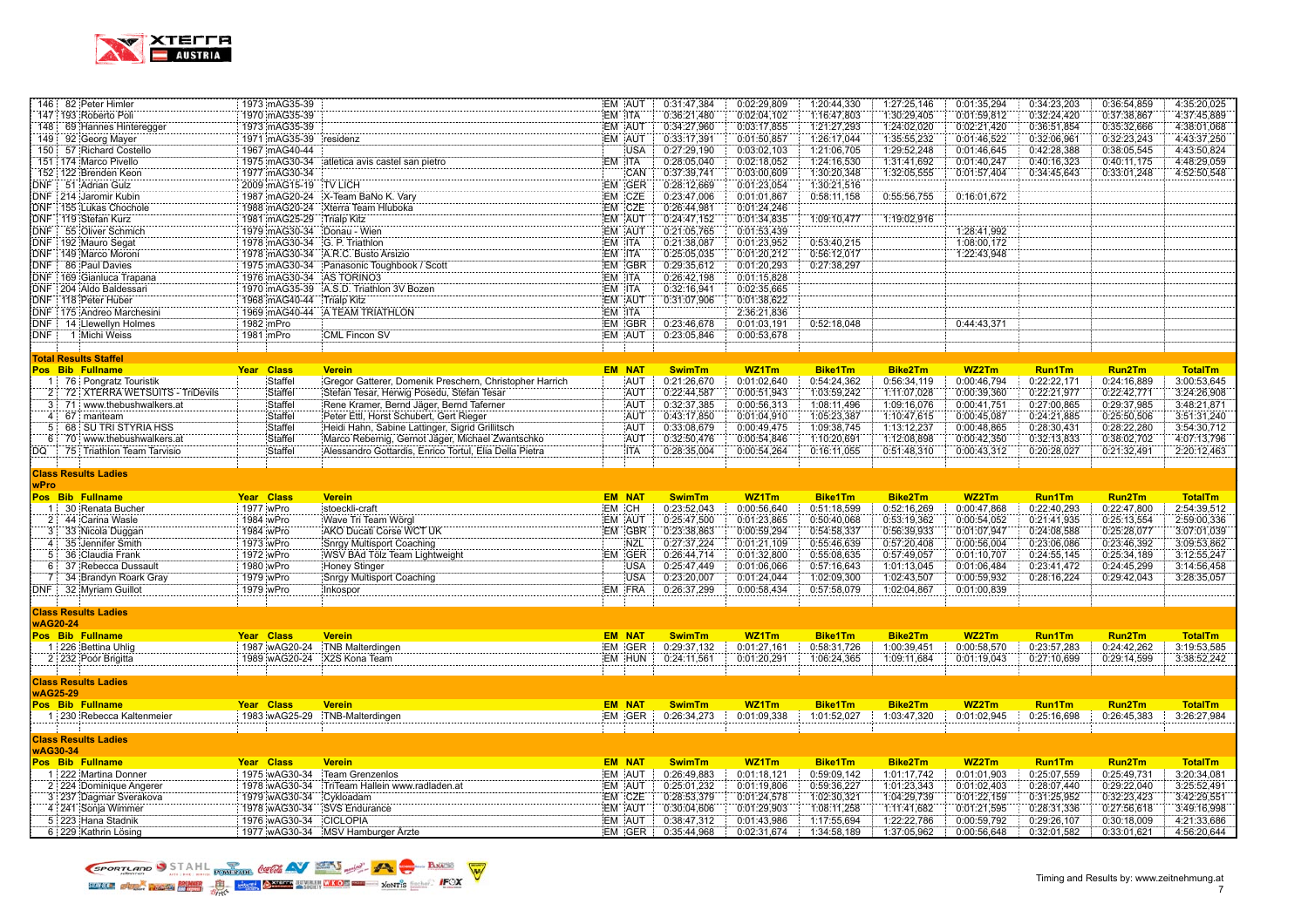

|             | 146 82 Peter Himler                        | 1973 mAG35-39          |                                                         | EM AUT           | 0:31:47,384                | 0:02:29,809                | 1:20:44,330                | 1:27:25,146                | 0:01:35,294                | 0:34:23,203                | 0:36:54,859                | 4:35:20,025                |
|-------------|--------------------------------------------|------------------------|---------------------------------------------------------|------------------|----------------------------|----------------------------|----------------------------|----------------------------|----------------------------|----------------------------|----------------------------|----------------------------|
|             | 147 193 Roberto Poli                       | 1970 mAG35-39          |                                                         | EM ITA           | 0:36:21,480                | 0:02:04,102                | 1:16:47,803                | 1:30:29,405                | 0:01:59,812                | 0:32:24,420                | 0:37:38,867                | 4:37:45,889                |
|             | 148 69 Hannes Hinteregger                  | 1973 mAG35-39          |                                                         | EM AUT           | 0:34:27,960                | 0:03:17,855                | 1:21:27,293                | 1:24:02,020                | 0:02:21,420                | 0:36:51,854                | 0:35:32,666                | 4:38:01,068                |
|             | 149 92 Georg Mayer                         | 1971 mAG35-39          | residenz                                                | EM AUT           | 0:33:17,391                | 0:01:50,857                | 1:26:17,044                | 1:35:55,232                | 0:01:46,522                | 0:32:06,961                | 0:32:23,243                | 4:43:37,250                |
|             | 150 57 Richard Costello                    | 1967 mAG40-44          |                                                         | <b>USA</b>       | 0:27:29,190                | 0:03:02,103                | 1:21:06,705                | 1:29:52,248                | 0:01:46,645                | 0:42:28,388                | 0:38:05,545                | 4:43:50,824                |
|             | 151 174 Marco Pivello                      | 1975 mAG30-34          | atletica avis castel san pietro                         | EM ITA           | 0:28:05,040                | 0:02:18,052                | 1:24:16,530                | 1:31:41,692                | 0:01:40,247                | 0:40:16,323                | 0:40:11,175                | 4:48:29,059                |
|             | 152 122 Brenden Keon                       | 1977 mAG30-34          |                                                         | CAN              | 0:37:39,741                | 0:03:00,609                | 1:30:20,348                | 1:32:05,555                | 0:01:57,404                | 0:34:45,643                | 0:33:01,248                | 4:52:50,548                |
| DNF:        | 51 Adrian Gulz                             | 2009 mAG15-19          | <b>TV LICH</b>                                          | EM GER           | 0:28:12.669                | 0:01:23,054                | 1:30:21,516                |                            |                            |                            |                            |                            |
|             | DNF 214 Jaromir Kubin                      | 1987 mAG20-24          | X-Team BaNo K. Vary                                     | EM CZE           | 0:23:47.006                | 0:01:01,867                | 0:58:11,158                | 0:55:56,755                | 0:16:01,672                |                            |                            |                            |
|             | DNF 155 Lukas Chochole                     | 1988 mAG20-24          | Xterra Team Hluboka                                     | EM CZE           | 0:26:44,981                | 0:01:24,246                |                            |                            |                            |                            |                            |                            |
|             | DNF   119 Stefan Kurz                      | 1981 mAG25-29          | Trialp Kitz                                             | EM AUT           | 0:24:47,152                | 0:01:34,835                | 1:09:10,477                | 1:19:02,916                |                            |                            |                            |                            |
| <b>DNF</b>  | 55 Oliver Schmich                          | 1979 mAG30-34          | Donau - Wien                                            | EM AUT           | 0:21:05,765                | 0:01:53,439                |                            |                            | 1:28:41,992                |                            |                            |                            |
|             | DNF 192 Mauro Segat                        | 1978 mAG30-34          | G. P. Triathlon                                         | EM ITA           | 0:21:38,087                | 0:01:23,952                | 0:53:40,215                |                            | 1:08:00,172                |                            |                            |                            |
|             | DNF : 149 Marco Moroni                     | 1978 mAG30-34          | A.R.C. Busto Arsizio                                    | EM ITA           | 0:25:05,035                | 0:01:20,212                | 0:56:12,017                |                            | 1:22:43,948                |                            |                            |                            |
| DNF:        | 86 Paul Davies                             | 1975 mAG30-34          | Panasonic Toughbook / Scott                             | EM GBR           | 0:29:35,612                | 0:01:20,293                | 0:27:38,297                |                            |                            |                            |                            |                            |
|             | DNF 169 Gianluca Trapana                   | 1976 mAG30-34          | AS TORINO3                                              | EM ITA           | 0:26:42,198                | 0:01:15,828                |                            |                            |                            |                            |                            |                            |
|             | DNF 204 Aldo Baldessari                    | 1970 mAG35-39          | A.S.D. Triathlon 3V Bozen                               | EM ITA           | 0:32:16,941                | 0:02:35,665                |                            |                            |                            |                            |                            |                            |
|             | DNF   118 Peter Huber                      | 1968 mAG40-44          | <b>Trialp Kitz</b>                                      | EM AUT           | 0:31:07,906                | 0:01:38,622                |                            |                            |                            |                            |                            |                            |
|             | DNF 175 Andreo Marchesini                  | 1969 mAG40-44          | A TEAM TRIATHLON                                        | EM ITA           |                            | 2:36:21,836                |                            |                            |                            |                            |                            |                            |
|             |                                            |                        |                                                         |                  |                            |                            |                            |                            |                            |                            |                            |                            |
| DNF:        | DNF 14 Llewellyn Holmes<br>1 Michi Weiss   | 1982 mPro<br>1981 mPro | <b>CML Fincon SV</b>                                    | EM GBR<br>EM AUT | 0:23:46,678<br>0:23:05,846 | 0:01:03,191<br>0:00:53,678 | 0:52:18,048                |                            | 0:44:43,371                |                            |                            |                            |
|             |                                            |                        |                                                         |                  |                            |                            |                            |                            |                            |                            |                            |                            |
|             |                                            |                        |                                                         |                  |                            |                            |                            |                            |                            |                            |                            |                            |
|             | <b>Total Results Staffel</b>               |                        |                                                         |                  |                            |                            |                            |                            |                            |                            |                            |                            |
|             | Pos Bib Fullname                           | Year Class             | <b>Verein</b>                                           | <b>EM NAT</b>    | <b>SwimTm</b>              | WZ1Tm                      | <b>Bike1Tm</b>             | <b>Bike2Tm</b>             | WZ2Tm                      | <b>Run1Tm</b>              | <b>Run2Tm</b>              | <b>TotalTm</b>             |
|             | 1 76 Pongratz Touristik                    | Staffel                | Gregor Gatterer, Domenik Preschern, Christopher Harrich | AUT              | 0:21:26,670                | 0:01:02,640                | 0:54:24,362                | 0:56:34,119                | 0:00:46,794                | 0:22:22,171                | 0:24:16,889                | 3:00:53,645                |
|             | 72 XTERRA WETSUITS - TriDevils             | Staffel                | Stefan Tesar, Herwig Posedu, Stefan Tesar               | AUT              | 0:22:44,587                | 0:00:51,943                | 1:03:59,242                | 1:11:07,028                | 0:00:39,360                | 0:22:21,977                | 0:22:42,771                | 3:24:26,908                |
| 3:          | 71 : www.thebushwalkers.at                 | Staffel                | Rene Kramer, Bernd Jäger, Bernd Taferner                | <b>AUT</b>       | 0:32:37,385                | 0:00:56,313                | 1:08:11,496                | 1:09:16,076                | 0:00:41,751                | 0:27:00,865                | 0:29:37,985                | 3:48:21.871                |
| 4:          | 67 mariteam                                | Staffel                | Peter Ettl, Horst Schubert, Gert Rieger                 | <b>AUT</b>       | 0:43:17,850                | 0:01:04,910                | 1:05:23,387                | 1:10:47,615                | 0:00:45.087                | 0:24:21,885                | 0:25:50,506                | 3:51:31.240                |
| 5:          | 68 SU TRI STYRIA HSS                       | Staffel                | Heidi Hahn, Sabine Lattinger, Sigrid Grillitsch         | AUT              | 0:33:08,679                | 0:00:49,475                | 1:09:38,745                | 1:13:12,237                | 0:00:48,865                | 0:28:30,431                | 0:28:22,280                | 3:54:30,712                |
|             | 6 70 www.thebushwalkers.at                 | Staffel                | Marco Rebernig, Gernot Jäger, Michael Zwantschko        | AUT              | 0:32:50,476                | 0:00:54,846                | 1:10:20,691                | 1:12:08,898                | 0:00:42,350                | 0:32:13,833                | 0:38:02,702                | 4:07:13,796                |
| DQ          | 75 Triathlon Team Tarvisio                 | Staffel                | Alessandro Gottardis, Enrico Tortul, Elia Della Pietra  | <b>ITA</b>       | 0:28:35,004                | 0:00:54,264                | 0:16:11,055                | 0:51:48,310                | 0:00:43,312                | 0:20:28,027                | 0:21:32,491                | 2:20:12,463                |
|             |                                            |                        |                                                         |                  |                            |                            |                            |                            |                            |                            |                            |                            |
|             |                                            |                        |                                                         |                  |                            |                            |                            |                            |                            |                            |                            |                            |
|             | <b>Class Results Ladies</b>                |                        |                                                         |                  |                            |                            |                            |                            |                            |                            |                            |                            |
| wPro        |                                            |                        |                                                         |                  |                            |                            |                            |                            |                            |                            |                            |                            |
|             | Pos Bib Fullname                           | Year Class             | <b>Verein</b>                                           | <b>EM NAT</b>    | <b>SwimTm</b>              | WZ1Tm                      | <b>Bike1Tm</b>             | <b>Bike2Tm</b>             | WZ2Tm                      | <b>Run1Tm</b>              | Run2Tm                     | <b>TotalTm</b>             |
| $1^{\circ}$ | 30 Renata Bucher                           | 1977 wPro              | stoeckli-craft                                          | EM CH            | 0:23:52,043                | 0:00:56,640                | 0:51:18,599                | 0:52:16,269                | 0:00:47,868                | 0:22:40,293                | 0:22:47,800                | 2:54:39,512                |
| 2:          | 44 Carina Wasle                            | 1984 wPro              | Wave Tri Team Wörgl                                     | EM AUT           | 0:25:47.500                | 0:01:23,865                | 0:50:40,068                | 0:53:19,362                | 0:00:54.052                | 0:21:41,935                | 0:25:13,554                | 2:59:00,336                |
| 3:          | 33 Nicola Duggan                           | 1984 wPro              | AKO Ducati Corse WCT UK                                 | EM GBR           | 0:23:38,863                | 0:00:59,294                | 0:54:58,337                | 0:56:39,933                | 0:01:07,947                | 0:24:08,588                | 0:25:28,077                | 3:07:01,039                |
| 4:          | 35 Jennifer Smith                          | 1973 wPro              | Snrgy Multisport Coaching                               | NZL              | 0:27:37,224                | 0:01:21,109                | 0:55:46,639                | 0:57:20,408                | 0:00:56,004                | 0:23:06,086                | 0:23:46,392                | 3:09:53,862                |
| 5:          | 36 Claudia Frank                           | 1972 wPro              | WSV BAd Tölz Team Lightweight                           | EM GER           | 0:26:44,714                | 0:01:32,800                | 0:55:08,635                | 0:57:49,057                | 0:01:10,707                | 0:24:55,145                | 0:25:34,189                | 3:12:55,247                |
| 6           | 37 Rebecca Dussault                        | 1980 wPro              | Honey Stinger                                           | <b>USA</b>       | 0:25:47,449                | 0:01:06,066                | 0:57:16,643                | 1:01:13,045                | 0:01:06,484                | 0:23:41,472                | 0:24:45,299                | 3:14:56,458                |
| 7:          | 34 Brandyn Roark Gray                      | 1979 wPro              | Snrgy Multisport Coaching                               | <b>USA</b>       | 0:23:20,007                | 0:01:24,044                | 1:02:09,300                | 1:02:43,507                | 0:00:59,932                | 0:28:16,224                | 0:29:42,043                | 3:28:35,057                |
|             | DNF 32 Myriam Guillot                      |                        |                                                         | EM FRA           | 0:26:37,299                | 0:00:58,434                | 0:57:58,079                | 1:02:04,867                | 0:01:00,839                |                            |                            |                            |
|             |                                            | 1979 wPro              | Inkospor                                                |                  |                            |                            |                            |                            |                            |                            |                            |                            |
|             | <b>Class Results Ladies</b>                |                        |                                                         |                  |                            |                            |                            |                            |                            |                            |                            |                            |
|             | <b>wAG20-24</b>                            |                        |                                                         |                  |                            |                            |                            |                            |                            |                            |                            |                            |
|             | Pos Bib Fullname                           | Year Class             | <b>Verein</b>                                           | <b>EM NAT</b>    | <b>SwimTm</b>              | WZ1Tm                      | <b>Bike1Tm</b>             | <b>Bike2Tm</b>             | WZ2Tm                      | <b>Run1Tm</b>              | Run2Tm                     | <b>TotalTm</b>             |
|             | 1 226 Bettina Uhlig                        | 1987 wAG20-24          | TNB Malterdingen                                        | EM GER           | 0:29:37,132                | 0:01:27,161                | 0:58:31,726                | 1:00:39,451                | 0:00:58,570                | 0:23:57,283                | 0:24:42,262                | 3:19:53,585                |
|             | 2 232 Poór Brigitta                        | 1989 wAG20-24          | X2S Kona Team                                           | EM HUN           | 0:24:11,561                | 0:01:20,291                | 1:06:24,365                | 1:09:11,684                | 0:01:19,043                | 0:27:10,699                | 0:29:14,599                | 3:38:52,242                |
|             |                                            |                        |                                                         |                  |                            |                            |                            |                            |                            |                            |                            |                            |
|             | <b>Class Results Ladies</b>                |                        |                                                         |                  |                            |                            |                            |                            |                            |                            |                            |                            |
|             |                                            |                        |                                                         |                  |                            |                            |                            |                            |                            |                            |                            |                            |
|             | <b>wAG25-29</b>                            | Year Class             | <b>Verein</b>                                           | <b>EM NAT</b>    | <b>SwimTm</b>              |                            | <b>Bike1Tm</b>             | <b>Bike2Tm</b>             | WZ2Tm                      | <b>Run1Tm</b>              | Run2Tm                     | <b>TotalTm</b>             |
|             | Pos Bib Fullname                           |                        |                                                         |                  |                            | WZ1Tm                      |                            |                            |                            |                            |                            |                            |
|             | 1 230 Rebecca Kaltenmeier                  | 1983 wAG25-29          | TNB-Malterdingen                                        | EM GER           | 0:26:34,273                | 0:01:09,338                | 1:01:52,027                | 1:03:47,320                | 0:01:02,945                | 0:25:16,698                | 0:26:45,383                | 3:26:27,984                |
|             |                                            |                        |                                                         |                  |                            |                            |                            |                            |                            |                            |                            |                            |
|             | <b>Class Results Ladies</b>                |                        |                                                         |                  |                            |                            |                            |                            |                            |                            |                            |                            |
|             | <b>wAG30-34</b>                            |                        |                                                         |                  |                            |                            |                            |                            |                            |                            |                            |                            |
|             | Pos Bib Fullname                           | Year Class             | <b>Verein</b>                                           | <b>EM NAT</b>    | <b>SwimTm</b>              | WZ1Tm                      | <b>Bike1Tm</b>             | <b>Bike2Tm</b>             | WZ2Tm                      | <b>Run1Tm</b>              | <b>Run2Tm</b>              | <b>TotalTm</b>             |
|             | 1 222 Martina Donner                       | 1975 wAG30-34          | Team Grenzenlos                                         | EM AUT           | 0:26:49,883                | 0:01:18,121                | 0:59:09,142                | 1:01:17,742                | 0:01:01,903                | 0:25:07,559                | 0:25:49,731                | 3:20:34,081                |
|             | 2 224 Dominique Angerer                    | 1978 wAG30-34          | TriTeam Hallein www.radladen.at                         | EM AUT           | 0:25:01,232                | 0:01:19,806                | 0:59:36,227                | 1:01:23,343                | 0:01:02.403                | 0:28:07,440                | 0:29:22,040                | 3:25:52,491                |
|             | 3 237 Dagmar Sverakova                     | 1979 wAG30-34          | Cykloadam                                               | EM CZE           | 0:28:53,379                | 0:01:24,578                | 1:02:30,321                | 1:04:29,739                | 0:01:22,159                | 0:31:25,952                | 0:32:23,423                | 3:42:29,551                |
|             | 4 241 Sonja Wimmer                         | 1978 wAG30-34          | <b>SVS Endurance</b>                                    | EM AUT           | 0:30:04,606                | 0:01:29,903                | 1:08:11,258                | 1:11:41,682                | 0:01:21,595                | 0:28:31,336                | 0:27:56,618                | 3:49:16,998                |
|             | 5 223 Hana Stadnik<br>6 229 Kathrin Lösing | 1976 wAG30-34          | CICLOPIA<br>1977 wAG30-34 MSV Hamburger Arzte           | EM AUT<br>EM GER | 0:38:47,312<br>0:35:44,968 | 0:01:43,986<br>0:02:31,674 | 1:17:55,694<br>1:34:58,189 | 1:22:22,786<br>1:37:05,962 | 0:00:59,792<br>0:00:56,648 | 0:29:26,107<br>0:32:01,582 | 0:30:18,009<br>0:33:01,621 | 4:21:33,686<br>4:56:20,644 |

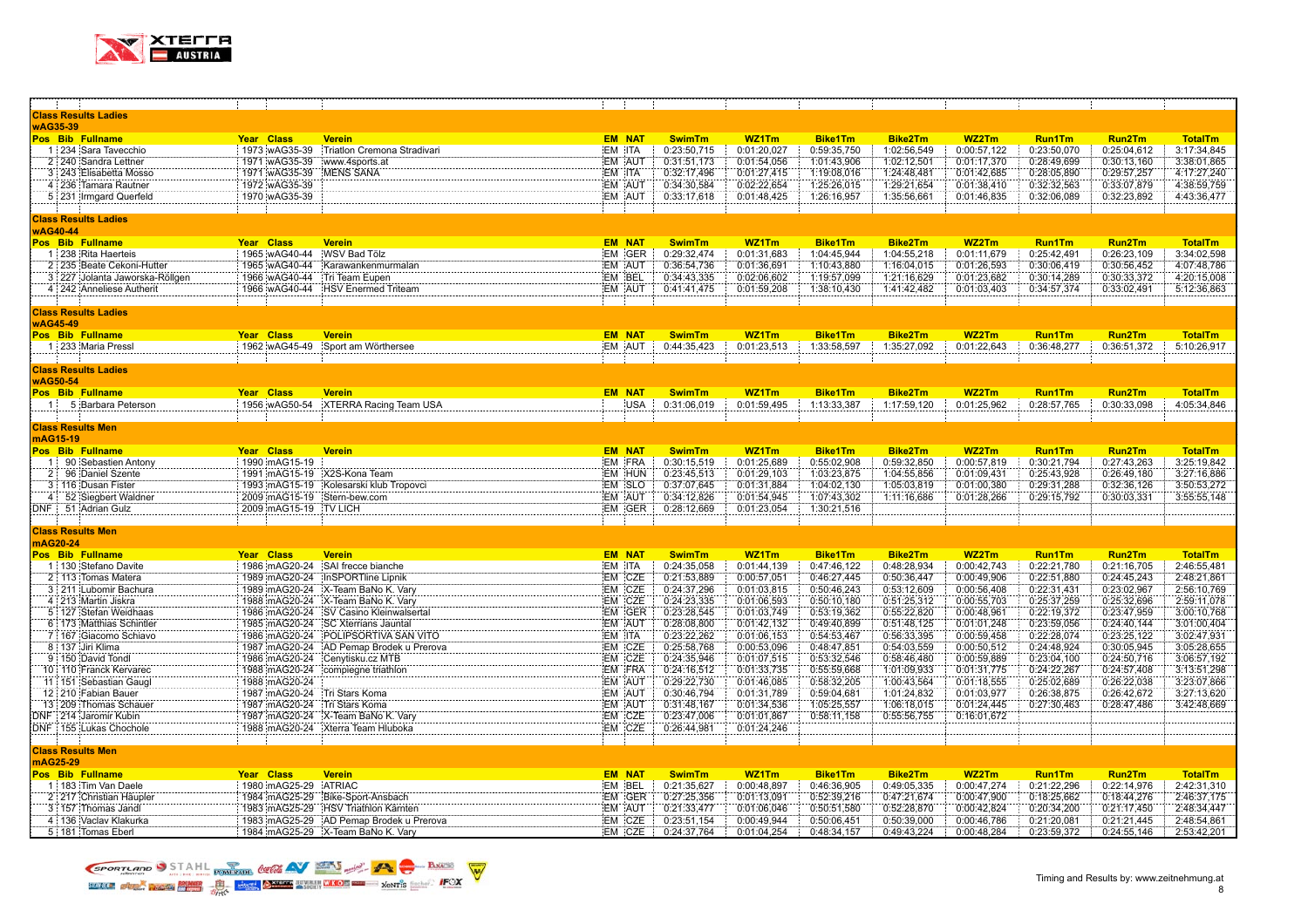

|                 | - 1                            | - 11                           |                                         |        |               |               |             |                |                |             |               |               |                |
|-----------------|--------------------------------|--------------------------------|-----------------------------------------|--------|---------------|---------------|-------------|----------------|----------------|-------------|---------------|---------------|----------------|
|                 | <b>Class Results Ladies</b>    |                                |                                         |        |               |               |             |                |                |             |               |               |                |
| wAG35-39        |                                |                                |                                         |        |               |               |             |                |                |             |               |               |                |
|                 | Pos Bib Fullname               | Year Class                     | <b>Verein</b>                           |        | <b>EM NAT</b> | <b>SwimTm</b> | WZ1Tm       | <b>Bike1Tm</b> | <b>Bike2Tm</b> | WZ2Tm       | <b>Run1Tm</b> | Run2Tm        | <b>TotalTm</b> |
|                 | 1 234 Sara Tavecchio           | 1973 wAG35-39                  | :Triatlon Cremona Stradivari            | EM ITA |               | 0:23:50,715   | 0:01:20,027 | 0:59:35,750    | 1:02:56,549    | 0:00:57,122 | 0:23:50,070   | 0:25:04,612   | 3:17:34,845    |
|                 | 2 240 Sandra Lettner           | 1971 wAG35-39                  | www.4sports.at                          |        | EM AUT        | 0:31:51,173   | 0:01:54,056 | 1:01:43,906    | 1:02:12,501    | 0:01:17,370 | 0:28:49,699   | 0:30:13,160   | 3:38:01,865    |
|                 | 3 243 Elisabetta Mosso         | 1971 wAG35-39                  | MENS SANA                               | EM ITA |               | 0:32:17,496   | 0:01:27,415 | 1:19:08,016    | 1:24:48,481    | 0:01:42,685 | 0:28:05,890   | 0:29:57,257   | 4:17:27,240    |
|                 | 4 236 Tamara Rautner           | 1972 wAG35-39                  |                                         |        | EM AUT        | 0:34:30,584   | 0:02:22,654 | 1:25:26,015    | 1:29:21,654    | 0:01:38,410 | 0:32:32,563   | 0:33:07,879   | 4:38:59,759    |
|                 | 5 231 Irmgard Querfeld         | 1970 wAG35-39                  |                                         |        | EM AUT        | 0:33:17,618   | 0:01:48,425 | 1:26:16,957    | 1:35:56,661    | 0:01:46,835 | 0:32:06,089   | 0:32:23,892   | 4:43:36,477    |
|                 |                                |                                |                                         |        |               |               |             |                |                |             |               |               |                |
|                 |                                |                                |                                         |        |               |               |             |                |                |             |               |               |                |
|                 | <b>Class Results Ladies</b>    |                                |                                         |        |               |               |             |                |                |             |               |               |                |
| wAG40-44        |                                |                                |                                         |        |               |               |             |                |                |             |               |               |                |
|                 | Pos Bib Fullname               | Year Class                     | <b>Verein</b>                           |        | <b>EM NAT</b> | <b>SwimTm</b> | WZ1Tm       | <b>Bike1Tm</b> | <b>Bike2Tm</b> | WZ2Tm       | <b>Run1Tm</b> | Run2Tm        | <b>TotalTm</b> |
|                 | 1 238 Rita Haerteis            | 1965 wAG40-44                  | WSV Bad Tölz                            |        | EM GER        | 0:29:32,474   | 0:01:31,683 | 1:04:45,944    | 1:04:55,218    | 0:01:11,679 | 0:25:42,491   | 0:26:23,109   | 3:34:02,598    |
|                 | 2 235 Beate Cekoni-Hutter      | 1965 wAG40-44                  | Karawankenmurmalan                      |        | EM AUT        | 0:36:54.736   | 0:01:36,691 | 1:10:43,880    | 1:16:04,015    | 0:01:26,593 | 0:30:06,419   | 0:30:56,452   | 4:07:48.786    |
|                 | 3 227 Jolanta Jaworska-Röllgen | 1966 wAG40-44                  | Tri Team Eupen                          |        | EM BEL        | 0:34:43,335   | 0:02:06,602 | 1:19:57,099    | 1:21:16,629    | 0:01:23,682 | 0:30:14,289   | 0:30:33,372   | 4:20:15,008    |
|                 | 4 242 Anneliese Autherit       |                                | 1966 wAG40-44 HSV Enermed Triteam       |        | EM AUT        | 0:41:41,475   | 0:01:59,208 | 1:38:10,430    | 1:41:42,482    | 0:01:03,403 | 0:34:57,374   | 0:33:02,491   | 5:12:36,863    |
|                 |                                |                                |                                         |        |               |               |             |                |                |             |               |               |                |
|                 | <b>Class Results Ladies</b>    |                                |                                         |        |               |               |             |                |                |             |               |               |                |
| <b>wAG45-49</b> |                                |                                |                                         |        |               |               |             |                |                |             |               |               |                |
|                 | Pos Bib Fullname               | Year Class                     | <b>Verein</b>                           |        | <b>EM NAT</b> | <b>SwimTm</b> | WZ1Tm       | <b>Bike1Tm</b> | <b>Bike2Tm</b> | WZ2Tm       | <b>Run1Tm</b> | <b>Run2Tm</b> | <b>TotalTm</b> |
|                 | 1 233 Maria Pressl             | 1962 wAG45-49                  | Sport am Wörthersee                     |        | EM AUT        | 0:44:35,423   | 0:01:23,513 | 1:33:58,597    | 1:35:27,092    | 0:01:22,643 | 0:36:48,277   | 0:36:51,372   | 5:10:26,917    |
|                 |                                |                                |                                         |        |               |               |             |                |                |             |               |               |                |
|                 | <b>Class Results Ladies</b>    |                                |                                         |        |               |               |             |                |                |             |               |               |                |
| <b>wAG50-54</b> |                                |                                |                                         |        |               |               |             |                |                |             |               |               |                |
|                 | Pos Bib Fullname               | Year Class                     |                                         |        | <b>EM NAT</b> |               |             | <b>Bike1Tm</b> |                |             | <b>Run1Tm</b> |               | <b>TotalTm</b> |
|                 |                                |                                | <b>Verein</b>                           |        |               | <b>SwimTm</b> | WZ1Tm       |                | Bike2Tm        | WZ2Tm       |               | <b>Run2Tm</b> |                |
|                 | 1 5 Barbara Peterson           |                                | 1956 wAG50-54 XTERRA Racing Team USA    |        | <b>USA</b>    | 0:31:06,019   | 0:01:59,495 | 1:13:33,387    | 1:17:59,120    | 0:01:25,962 | 0:28:57,765   | 0:30:33,098   | 4:05:34,846    |
|                 |                                |                                |                                         |        |               |               |             |                |                |             |               |               |                |
|                 | <b>Class Results Men</b>       |                                |                                         |        |               |               |             |                |                |             |               |               |                |
| mAG15-19        |                                |                                |                                         |        |               |               |             |                |                |             |               |               |                |
|                 | Pos Bib Fullname               | Year Class                     | <b>Verein</b>                           |        | <b>EM NAT</b> | <b>SwimTm</b> | WZ1Tm       | <b>Bike1Tm</b> | Bike2Tm        | WZ2Tm       | <b>Run1Tm</b> | Run2Tm        | <b>TotalTm</b> |
|                 | 1 90 Sebastien Antony          | 1990 mAG15-19                  |                                         |        | EM FRA        | 0:30:15,519   | 0:01:25,689 | 0:55:02,908    | 0:59:32,850    | 0:00:57,819 | 0:30:21,794   | 0:27:43,263   | 3:25:19,842    |
|                 | 2 96 Daniel Szente             | 1991 mAG15-19 X2S-Kona Team    |                                         |        | EM HUN        | 0:23:45,513   | 0:01:29,103 | 1:03:23,875    | 1:04:55,856    | 0:01:09,431 | 0:25:43,928   | 0:26:49,180   | 3:27:16,886    |
|                 | 3 116 Dusan Fister             |                                | 1993 mAG15-19 Kolesarski klub Tropovci  |        | EM SLO        | 0:37:07,645   | 0:01:31,884 | 1:04:02,130    | 1:05:03,819    | 0:01:00,380 | 0:29:31,288   | 0:32:36,126   | 3:50:53,272    |
|                 | 4 52 Siegbert Waldner          | 2009 mAG15-19 Stern-bew.com    |                                         |        | EM AUT        | 0:34:12,826   | 0:01:54,945 | 1:07:43,302    | 1:11:16,686    | 0:01:28,266 | 0:29:15,792   | 0:30:03,331   | 3:55:55,148    |
|                 | DNF 51 Adrian Gulz             | 2009 mAG15-19 TV LICH          |                                         |        | EM GER        | 0:28:12,669   | 0:01:23,054 | 1:30:21,516    |                |             |               |               |                |
|                 |                                |                                |                                         |        |               |               |             |                |                |             |               |               |                |
|                 | <b>Class Results Men</b>       |                                |                                         |        |               |               |             |                |                |             |               |               |                |
|                 | mAG20-24                       |                                |                                         |        |               |               |             |                |                |             |               |               |                |
|                 | Pos Bib Fullname               | Year Class                     | <b>Verein</b>                           |        | <b>EM NAT</b> | <b>SwimTm</b> | WZ1Tm       | <b>Bike1Tm</b> | Bike2Tm        | WZ2Tm       | Run1Tm        | Run2Tm        | <b>TotalTm</b> |
|                 | 1 130 Stefano Davite           | 1986 mAG20-24                  | SAI frecce bianche                      | EM ITA |               | 0:24:35,058   | 0:01:44,139 | 0:47:46,122    | 0:48:28,934    | 0:00:42,743 | 0:22:21,780   | 0:21:16,705   | 2:46:55,481    |
|                 | 2 113 Tomas Matera             |                                | 1989 mAG20-24 InSPORTline Lipnik        |        | EM CZE        | 0:21:53,889   | 0:00:57,051 | 0:46:27,445    | 0:50:36,447    | 0:00:49,906 | 0:22:51,880   | 0:24:45,243   | 2:48:21,861    |
|                 | 3 211 Lubomir Bachura          |                                | 1989 mAG20-24 X-Team BaNo K. Vary       |        | EM CZE        | 0:24:37,296   | 0:01:03,815 | 0:50:46,243    | 0:53:12,609    | 0:00:56,408 | 0:22:31,431   | 0:23:02,967   | 2:56:10,769    |
|                 |                                |                                |                                         |        |               |               |             |                |                |             |               |               |                |
|                 | 4 213 Martin Jiskra            |                                | 1988 mAG20-24 X-Team BaNo K. Vary       |        | EM CZE        | 0:24:23,335   | 0:01:06,593 | 0:50:10,180    | 0:51:25,312    | 0:00:55,703 | 0:25:37,259   | 0:25:32,696   | 2:59:11,078    |
|                 | 5 127 Stefan Weidhaas          |                                | 1986 mAG20-24 SV Casino Kleinwalsertal  |        | EM GER        | 0:23:28,545   | 0:01:03,749 | 0:53:19,362    | 0:55:22,820    | 0:00:48,961 | 0:22:19,372   | 0:23:47,959   | 3:00:10,768    |
|                 | 6:173 Matthias Schintler       |                                | 1985 mAG20-24 SC Xterrians Jauntal      |        | EM AUT        | 0:28:08,800   | 0:01:42,132 | 0:49:40,899    | 0:51:48,125    | 0:01:01,248 | 0:23:59,056   | 0:24:40,144   | 3:01:00,404    |
|                 | 7 167 Giacomo Schiavo          |                                | 1986 mAG20-24 POLIPSORTIVA SAN VITO     | EM ITA |               | 0:23:22,262   | 0:01:06,153 | 0:54:53,467    | 0:56:33,395    | 0:00:59,458 | 0:22:28,074   | 0:23:25,122   | 3:02:47,931    |
|                 | 8 137 Jiri Klima               |                                | 1987 mAG20-24 AD Pemap Brodek u Prerova |        | EM CZE        | 0:25:58,768   | 0:00:53,096 | 0:48:47,851    | 0:54:03,559    | 0:00:50,512 | 0:24:48,924   | 0:30:05,945   | 3:05:28,655    |
|                 | 9 150 David Tondl              | 1986 mAG20-24 Cenytisku.cz MTB |                                         |        | EM CZE        | 0:24:35,946   | 0:01:07,515 | 0:53:32,546    | 0:58:46,480    | 0:00:59,889 | 0:23:04,100   | 0:24:50,716   | 3:06:57,192    |
|                 | 10 110 Franck Kervarec         |                                | 1988 mAG20-24 complegne triathlon       |        | EM FRA        | 0:24:16,512   | 0:01:33,735 | 0:55:59,668    | 1:01:09,933    | 0:01:31,775 | 0:24:22,267   | 0:24:57,408   | 3:13:51,298    |
|                 | 11 151 Sebastian Gaugl         | 1988 mAG20-24                  |                                         |        | EM AUT        | 0:29:22,730   | 0:01:46,085 | 0:58:32,205    | 1:00:43,564    | 0:01:18,555 | 0:25:02,689   | 0:26:22,038   | 3:23:07,866    |
|                 | 12 210 Fabian Bauer            | 1987 mAG20-24 Tri Stars Koma   |                                         |        | EM AUT        | 0:30:46,794   | 0:01:31,789 | 0:59:04,681    | 1:01:24,832    | 0:01:03,977 | 0:26:38,875   | 0:26:42,672   | 3:27:13,620    |
|                 | 13 209 Thomas Schauer          | 1987 mAG20-24 Tri Stars Koma   |                                         |        | EM AUT        | 0:31:48,167   | 0:01:34,536 | 1:05:25,557    | 1:06:18,015    | 0:01:24,445 | 0:27:30,463   | 0:28:47,486   | 3:42:48,669    |
|                 | DNF : 214 Jaromir Kubin        |                                | 1987 mAG20-24 X-Team BaNo K. Vary       |        | EM CZE        | 0:23:47,006   | 0:01:01.867 | 0:58:11,158    | 0:55:56,755    | 0:16:01,672 |               |               |                |
|                 | DNF 155 Lukas Chochole         |                                | 1988 mAG20-24 Xterra Team Hluboka       |        | EM CZE        | 0:26:44,981   | 0:01:24,246 |                |                |             |               |               |                |
|                 |                                |                                |                                         |        |               |               |             |                |                |             |               |               |                |
|                 | <b>Class Results Men</b>       |                                |                                         |        |               |               |             |                |                |             |               |               |                |
| mAG25-29        |                                |                                |                                         |        |               |               |             |                |                |             |               |               |                |
|                 | Pos Bib Fullname               | Year Class                     | <b>Verein</b>                           |        | <b>EM NAT</b> | <b>SwimTm</b> | WZ1Tm       | <b>Bike1Tm</b> | Bike2Tm        | WZ2Tm       | <b>Run1Tm</b> | Run2Tm        | <b>TotalTm</b> |
|                 |                                |                                |                                         |        | EM BEL        |               |             |                |                |             |               |               | 2:42:31.310    |
|                 | 1:183 Tim Van Daele            | 1980 mAG25-29 ATRIAC           |                                         |        |               | 0:21:35,627   | 0:00:48,897 | 0:46:36,905    | 0:49:05,335    | 0:00:47,274 | 0:21:22,296   | 0:22:14,976   |                |
|                 | 2 217 Christian Häupler        |                                | 1984 mAG25-29 Bike-Sport-Ansbach        |        | EM GER        | 0:27:25,356   | 0:01:13,091 | 0:52:39,216    | 0:47:21,674    | 0:00:47,900 | 0:18:25,662   | 0:18:44,276   | 2:46:37,175    |
|                 | 3 157 Thomas Jandl             |                                | 1983 mAG25-29 HSV Triathlon Kärnten     |        | EM AUT        | 0:21:33,477   | 0:01:06,046 | 0:50:51,580    | 0:52:28,870    | 0:00:42,824 | 0:20:34,200   | 0:21:17,450   | 2:48:34,447    |
|                 | 4 136 Vaclav Klakurka          |                                | 1983 mAG25-29 AD Pemap Brodek u Prerova |        | EM CZE        | 0:23:51,154   | 0:00:49,944 | 0:50:06,451    | 0:50:39,000    | 0:00:46,786 | 0:21:20,081   | 0:21:21,445   | 2:48:54,861    |
|                 | 5:181 Tomas Eberl              |                                | 1984 mAG25-29 X-Team BaNo K. Vary       |        | EM CZE        | 0:24:37,764   | 0:01:04,254 | 0:48:34,157    | 0:49:43,224    | 0:00:48,284 | 0:23:59,372   | 0:24:55,146   | 2:53:42,201    |

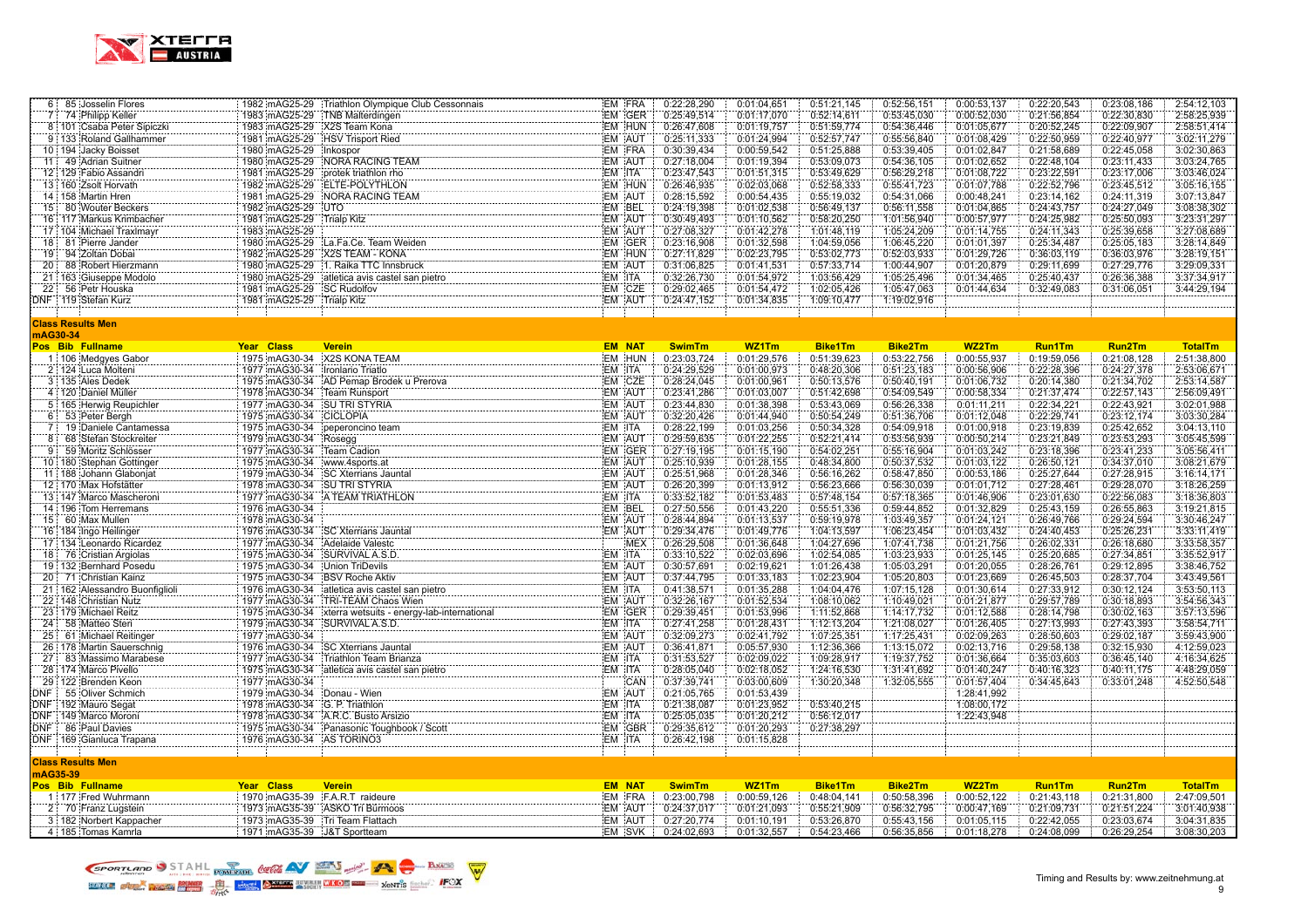

|          | 6 85 Josselin Flores                    |                                 | 1982 mAG25-29 Triathlon Olympique Club Cessonnais                                                                            | EM FRA                  | 0:22:28,290                | 0:01:04.651                | 0:51:21,145                | 0:52:56,151            | 0:00:53,137                | 0:22:20,543                | 0:23:08,186                | 2:54:12,103                |
|----------|-----------------------------------------|---------------------------------|------------------------------------------------------------------------------------------------------------------------------|-------------------------|----------------------------|----------------------------|----------------------------|------------------------|----------------------------|----------------------------|----------------------------|----------------------------|
| 7 :      | 74 Philipp Keller                       |                                 | 1983 mAG25-29 TNB Malterdingen                                                                                               | EM GER                  | 0:25:49,514                | 0:01:17,070                | 0:52:14,611                | 0:53:45,030            | 0:00:52,030                | 0:21:56,854                | 0:22:30,830                | 2:58:25,939                |
|          | 8 101 Csaba Peter Sipiczki              | 1983 mAG25-29 X2S Team Kona     |                                                                                                                              | EM HUN                  | 0:26:47,608                | 0:01:19,757                | 0:51:59,774                | 0:54:36,446            | 0:01:05,677                | 0:20:52,245                | 0:22:09,907                | 2:58:51,414                |
|          | 9 133 Roland Gallhammer                 |                                 | 1981 mAG25-29 HSV Trisport Ried                                                                                              | EM AUT                  | 0:25:11,333                | 0:01:24,994                | 0:52:57,747                | 0:55:56,840            | 0:01:08,429                | 0:22:50,959                | 0:22:40,977                | 3:02:11,279                |
|          | 10 194 Jacky Boisset                    | 1980 mAG25-29                   | <b>Inkospor</b>                                                                                                              | EM FRA                  | 0:30:39.434                | 0:00:59.542                | 0:51:25,888                | 0:53:39,405            | 0:01:02,847                | 0:21:58,689                | 0:22:45,058                | 3:02:30,863                |
|          | 11 49 Adrian Suitner                    |                                 | 1980 mAG25-29 NORA RACING TEAM                                                                                               | EM AUT                  | 0:27:18,004                | 0:01:19,394                | 0:53:09.073                | 0:54:36,105            | 0:01:02,652                | 0:22:48,104                | 0:23:11,433                | 3:03:24,765                |
|          | 12 129 Fabio Assandri                   |                                 | 1981 mAG25-29 protek triathlon rho                                                                                           | EM ITA                  | 0:23:47,543                | 0:01:51,315                | 0:53:49,629                | 0:56:29,218            | 0:01:08,722                | 0:23:22,591                | 0:23:17,006                | 3:03:46,024                |
|          | 13 160 Zsolt Horvath                    |                                 | 1982 mAG25-29 ELTE-POLYTHLON                                                                                                 | EM HUN                  | 0:26:46,935                | 0:02:03,068                | 0:52:58,333                | 0:55:41,723            | 0:01:07,788                | 0:22:52,796                | 0:23:45.512                | 3:05:16,155                |
|          | 14 158 Martin Hren                      |                                 | 1981 mAG25-29 NORA RACING TEAM                                                                                               | EM AUT                  | 0:28:15,592                | 0:00:54,435                | 0:55:19.032                | 0:54:31,066            | 0:00:48,241                | 0:23:14,162                | 0:24:11,319                | 3:07:13,847                |
|          | 15 80 Wouter Beckers                    | 1982 mAG25-29 UTO               |                                                                                                                              | EM BEL                  | 0:24:19,398                | 0:01:02,538                | 0:56:49,137                | 0:56:11,558            | 0:01:04,865                | 0:24:43,757                | 0:24:27,049                | 3:08:38,302                |
|          | 16: 117 Markus Krimbacher               | 1981 mAG25-29 Trialp Kitz       |                                                                                                                              | EM AUT                  | 0:30:49,493                | 0:01:10,562                | 0:58:20,250                | 1:01:56,940            | 0:00:57,977                | 0:24:25,982                | 0:25:50,093                | 3:23:31,297                |
|          | 17 104 Michael Traxlmayr                | 1983 mAG25-29                   |                                                                                                                              | EM AUT                  | 0:27:08,327                | 0:01:42,278                | 1:01:48,119                | 1:05:24,209            | 0:01:14,755                | 0:24:11,343                | 0:25:39,658                | 3:27:08,689                |
|          | 18 81 Pierre Jander                     |                                 | 1980 mAG25-29 La.Fa.Ce. Team Weiden                                                                                          | EM GER                  | 0:23:16,908                | 0:01:32,598                | 1:04:59,056                | 1:06:45,220            | 0:01:01,397                | 0:25:34,487                | 0:25:05,183                | 3:28:14,849                |
|          | 19 94 Zoltan Dobai                      |                                 | 1982 mAG25-29 X2S TEAM - KONA                                                                                                | EM HUN                  | 0:27:11,829                | 0:02:23.795                | 0:53:02,773                | 0:52:03,933            | 0:01:29,726                | 0:36:03,119                | 0:36:03,976                | 3:28:19,151                |
|          | 20 88 Robert Hierzmann                  |                                 |                                                                                                                              | EM AUT                  | 0:31:06,825                | 0:01:41,531                | 0:57:33,714                | 1:00:44,907            | 0:01:20,879                | 0:29:11,699                | 0:27:29,776                | 3:29:09,331                |
|          | 21 163 Giuseppe Modolo                  |                                 |                                                                                                                              | EM ITA                  | 0:32:26,730                | 0:01:54,972                | 1:03:56,429                | 1:05:25,496            | 0:01:34,465                | 0:25:40,437                | 0:26:36,388                | 3:37:34,917                |
|          | 22 56 Petr Houska                       | 1981 mAG25-29 SC Rudolfov       |                                                                                                                              | EM CZE                  | 0:29:02,465                | 0:01:54,472                | 1:02:05,426                | 1:05:47,063            | 0:01:44,634                | 0:32:49,083                | 0:31:06,051                | 3:44:29,194                |
|          | DNF   119 Stefan Kurz                   | 1981 mAG25-29 Trialp Kitz       |                                                                                                                              | EM AUT                  | 0:24:47,152                | 0:01:34,835                | 1:09:10,477                | 1:19:02,916            |                            |                            |                            |                            |
|          |                                         |                                 |                                                                                                                              |                         |                            |                            |                            |                        |                            |                            |                            |                            |
|          | <b>Class Results Men</b>                |                                 |                                                                                                                              |                         |                            |                            |                            |                        |                            |                            |                            |                            |
|          | mAG30-34                                |                                 |                                                                                                                              |                         |                            |                            |                            |                        |                            |                            |                            |                            |
|          | Pos Bib Fullname                        | Year Class                      | <b>Verein</b>                                                                                                                | <b>EM NAT</b>           | <b>SwimTm</b>              | WZ1Tm                      | <b>Bike1Tm</b>             | Bike2Tm                | WZ2Tm                      | <b>Run1Tm</b>              | Run2Tm                     | <b>TotalTm</b>             |
|          | 1 106 Medgyes Gabor                     | 1975 mAG30-34 X2S KONA TEAM     |                                                                                                                              | EM HUN                  | 0:23:03,724                | 0:01:29,576                | 0:51:39,623                | 0:53:22,756            | 0:00:55,937                | 0:19:59,056                | 0:21:08,128                | 2:51:38,800                |
|          | 2 124 Luca Molteni                      | 1977 mAG30-34 Ironlario Triatlo |                                                                                                                              | EM ITA                  | 0:24:29,529                | 0:01:00,973                | 0:48:20,306                | 0:51:23,183            | 0:00:56,906                | 0:22:28,396                | 0:24:27,378                | 2:53:06,671                |
|          | 3   135   Ales Dedek                    |                                 | 1975 mAG30-34 AD Pemap Brodek u Prerova                                                                                      | EM CZE                  | 0:28:24,045                | 0:01:00,961                | 0:50:13,576                | 0:50:40,191            | 0:01:06,732                | 0:20:14,380                | 0:21:34,702                | 2:53:14,587                |
|          | 4   120 Daniel Müller                   | 1978 mAG30-34 Team Runsport     |                                                                                                                              | EM AUT                  | 0:23:41,286                | 0:01:03,007                | 0:51:42,698                | 0:54:09,549            | 0:00:58,334                | 0:21:37,474                | 0:22:57,143                | 2:56:09,491                |
|          | 5 165 Herwig Reupichler                 | 1977 mAG30-34 SU TRI STYRIA     |                                                                                                                              | EM AUT                  | 0:23:44,830                | 0:01:38,398                | 0:53:43,069                | 0:56:26,338            | 0:01:11,211                | 0:22:34,221                | 0:22:43,921                | 3:02:01,988                |
|          | 6 53 Peter Bergh                        | 1975 mAG30-34 CICLOPIA          |                                                                                                                              | EM AUT                  | 0:32:20,426                | 0:01:44,940                | 0:50:54,249                | 0:51:36,706            | 0:01:12,048                | 0:22:29,741                | 0:23:12,174                | 3:03:30,284                |
|          | 7 19 Daniele Cantamessa                 | 1975 mAG30-34                   | peperoncino team                                                                                                             | EM ITA                  | 0:28:22,199                | 0:01:03.256                | 0:50:34,328                | 0:54:09,918            | 0:01:00,918                | 0:23:19,839                | 0:25:42,652                | 3:04:13,110                |
|          | 8 68 Stefan Stockreiter                 | 1979 mAG30-34 Rosegg            |                                                                                                                              | EM AUT                  | 0:29:59,635                | 0:01:22,255                | 0:52:21,414                | 0:53:56,939            | 0:00:50,214                | 0:23:21,849                | 0:23:53,293                | 3:05:45,599                |
|          | 9 59 Moritz Schlösser                   | 1977 mAG30-34 Team Cadion       |                                                                                                                              | EM GER                  | 0:27:19,195                | 0:01:15,190                | 0:54:02,251                | 0:55:16,904            | 0:01:03,242                | 0:23:18,396                | 0:23:41,233                | 3:05:56,411                |
|          | 10 180 Stephan Gottinger                | 1975 mAG30-34 www.4sports.at    |                                                                                                                              | EM AUT                  | 0:25:10,939                | 0:01:28,155                | 0:48:34,800                | 0:50:37,532            | 0:01:03,122                | 0:26:50,121                | 0:34:37,010                | 3:08:21,679                |
|          | 11 188 Johann Glabonjat                 |                                 | 1979 mAG30-34 SC Xterrians Jauntal                                                                                           | EM AUT                  | 0:25:51,968                | 0:01:28.346                | 0:56:16.262                | 0:58:47.850            | 0:00:53,186                | 0:25:27,644                | 0:27:28,915                | 3:16:14.171                |
|          | 12 170 Max Hofstätter                   | 1978 mAG30-34 SU TRI STYRIA     |                                                                                                                              | EM AUT                  | 0:26:20,399                | 0:01:13,912                | 0:56:23,666                | 0:56:30,039            | 0:01:01,712                | 0:27:28,461                | 0:29:28,070                | 3:18:26,259                |
|          | 13 147 Marco Mascheroni                 |                                 | 1977 mAG30-34 A TEAM TRIATHLON                                                                                               | EM ITA                  | 0:33:52,182                | 0:01:53,483                | 0:57:48,154                | 0:57:18,365            | 0:01:46,906                | 0:23:01,630                | 0:22:56,083                | 3:18:36,803                |
|          | 14 196 Tom Herremans                    | 1976 mAG30-34                   |                                                                                                                              | EM BEL                  | 0:27:50,556                | 0:01:43,220                | 0:55:51,336                | 0:59:44,852            | 0:01:32,829                | 0:25:43,159                | 0:26:55,863                | 3:19:21,815                |
|          | 15 60 Max Mullen                        | 1978 mAG30-34                   |                                                                                                                              | EM AUT                  | 0:28:44,894                | 0:01:13,537                | 0:59:19,978                | 1:03:49,357            | 0:01:24,121                | 0:26:49,766                | 0:29:24,594                | 3:30:46,247                |
|          | 16 184 Ingo Heilinger                   |                                 | 1976 mAG30-34 SC Xterrians Jauntal                                                                                           | EM AUT                  | 0:29:34,476                | 0:01:49,776                | 1:04:13,597                | 1:06:23,454            | 0:01:03,432                | 0:24:40,453                | 0:25:26,231                | 3:33:11,419                |
|          | 17 134 Leonardo Ricardez                | 1977 mAG30-34 Adelaide Valestc  |                                                                                                                              | MEX                     | 0:26:29,508                | 0:01:36.648                | 1:04:27,696                | 1:07:41,738            | 0:01:21,756                | 0:26:02,331                | 0:26:18,680                | 3:33:58,357                |
|          | 18 76 Cristian Argiolas                 | 1975 mAG30-34                   | SURVIVAL A.S.D.                                                                                                              | EM ITA                  | 0:33:10,522                | 0:02:03,696                | 1:02:54,085                | 1:03:23,933            | 0:01:25,145                | 0:25:20,685                | 0:27:34,851                | 3:35:52,917                |
|          | 19 132 Bernhard Posedu                  | 1975 mAG30-34                   | Union TriDevils                                                                                                              | EM AUT                  | 0:30:57,691                | 0:02:19,621                | 1:01:26,438                | 1:05:03,291            | 0:01:20,055                | 0:28:26,761                | 0:29:12,895                | 3:38:46,752                |
|          | 20 71 Christian Kainz                   | 1975 mAG30-34 BSV Roche Aktiv   | atletica avis castel san pietro<br> atletica avis castel san pietro<br> Trpi TEXIX XI                                        | EM AUT                  | 0:37:44,795                | 0:01:33,183                | 1:02:23,904                | 1:05:20,803            | 0:01:23,669                | 0:26:45,503                | 0:28:37,704                | 3:43:49,561                |
|          | 21 162 Alessandro Buonfiglioli          | 1976 mAG30-34                   |                                                                                                                              | EM ITA                  | 0:41:38,571                | 0:01:35,288                | 1:04:04,476                | 1:07:15.128            | 0:01:30,614                | 0:27:33,912                | 0:30:12,124                | 3:53:50,113                |
|          | 22 148 Christian Nutz                   |                                 | 1977 mAG30-34 TRI-TEAM Chaos Wien                                                                                            | EM AUT                  | 0:32:26,167                | 0:01:52,534                | 1:08:10,062                | 1:10:49,021            | 0:01:21,877                | 0:29:57,789                | 0:30:18,893                | 3:54:56,343                |
|          | 23 179 Michael Reitz                    |                                 | 1975 mAG30-34 xterra wetsuits - energy-lab-international                                                                     | EM GER                  | 0:29:39,451                | 0:01:53,996                | 1:11:52,868                | 1:14:17,732            | 0:01:12,588                | 0:28:14,798                | 0:30:02,163                | 3:57:13,596                |
|          | 24 58 Matteo Steri                      | 1979 mAG30-34 SURVIVAL A.S.D.   |                                                                                                                              | EM ITA                  | 0:27:41.258                | 0:01:28,431                | 1:12:13,204                | 1:21:08,027            | 0:01:26,405                | 0:27:13,993                | 0:27:43,393                | 3:58:54,711                |
| 25       | 61 Michael Reitinger                    | 1977 mAG30-34                   |                                                                                                                              | EM AUT                  | 0:32:09,273                | 0:02:41,792                | 1:07:25,351                | 1:17:25,431            | 0:02:09,263                | 0:28:50,603                | 0:29:02,187                | 3:59:43,900                |
|          | 26 178 Martin Sauerschnig               |                                 | 1976 mAG30-34 SC Xterrians Jauntal                                                                                           | EM AUT                  | 0:36:41,871                | 0:05:57,930                | 1:12:36,366                | 1:13:15,072            | 0:02:13,716                | 0:29:58,138                | 0:32:15,930                | 4:12:59,023                |
|          | 27 83 Massimo Marabese                  |                                 | 1977 mAG30-34 Triathlon Team Brianza<br>atletica avis castel san pietro<br> atletica avis castel san pietro                  | EM ITA                  | 0:31:53,527                | 0:02:09,022                | 1:09:28,917                | 1:19:37,752            | 0:01:36,664                | 0:35:03,603                | 0:36:45,140                | 4:16:34,625                |
|          | 28 174 Marco Pivello                    | 1975 mAG30-34                   |                                                                                                                              | EM ITA                  | 0:28:05,040                | 0:02:18,052                | 1:24:16,530                | 1:31:41,692            | 0:01:40,247                | 0:40:16,323                | 0:40:11,175                | 4:48:29,059                |
|          | 29 122 Brenden Keon                     | 1977 mAG30-34                   |                                                                                                                              | CAN                     | 0:37:39,741                | 0:03:00,609                | 1:30:20,348                | 1:32:05,555            | 0:01:57,404                | 0:34:45,643                | 0:33:01,248                | 4:52:50,548                |
|          | DNF 55 Oliver Schmich                   | 1979 mAG30-34 Donau - Wien      |                                                                                                                              | EM AUT                  | 0:21:05,765                | 0:01:53,439                |                            |                        | 1:28:41,992                |                            |                            |                            |
|          | DNF 192 Mauro Segat                     | 1978 mAG30-34 G. P. Triathlon   |                                                                                                                              | EM ITA                  | 0:21:38,087                | 0:01:23,952                | 0:53:40,215                |                        | 1:08:00,172                |                            |                            |                            |
|          | DNF   149 Marco Moroni                  |                                 | 1978 mAG30-34 A.R.C. Busto Arsizio<br>1975 mAG30-34 Panasonic Toughbook / Scott<br>1975 mAG30-34 Panasonic Toughbook / Scott | EM ITA                  | 0:25:05,035                | 0:01:20,212                | 0:56:12,017                |                        | 1:22:43,948                |                            |                            |                            |
|          | DNF 86 Paul Davies                      |                                 |                                                                                                                              | EM GBR                  | 0:29:35,612                | 0:01:20,293                | 0:27:38,297                |                        |                            |                            |                            |                            |
|          | DNF 169 Gianluca Trapana                | 1976 mAG30-34 AS TORINO3        |                                                                                                                              | EM ITA                  | 0:26:42,198                | 0:01:15,828                |                            |                        |                            |                            |                            |                            |
|          |                                         |                                 |                                                                                                                              |                         |                            |                            |                            |                        |                            |                            |                            |                            |
|          | <b>Class Results Men</b>                |                                 |                                                                                                                              |                         |                            |                            |                            |                        |                            |                            |                            |                            |
| mAG35-39 |                                         |                                 |                                                                                                                              |                         |                            |                            |                            |                        |                            |                            |                            |                            |
|          | Pos Bib Fullname<br>1 177 Fred Wuhrmann | Year Class                      | <b>Verein</b>                                                                                                                | <b>EM NAT</b><br>EM FRA | <b>SwimTm</b>              | WZ1Tm                      | <b>Bike1Tm</b>             | Bike2Tm<br>0:50:58,396 | WZ2Tm                      | <b>Run1Tm</b>              | Run2Tm                     | <b>TotalTm</b>             |
|          | .                                       | 1970 mAG35-39 F.A.R.T raideure  | 1973 mAG35-39 ASKO Tri Bürmoos                                                                                               | EM AUT                  | 0:23:00,798<br>0:24:37,017 | 0:00:59,126<br>0:01:21,093 | 0:48:04,141<br>0:55:21,909 | 0:56:32,795            | 0:00:52,122<br>0:00:47,169 | 0:21:43,118                | 0:21:31,800<br>0:21:51,224 | 2:47:09,501<br>3:01:40,938 |
|          | 2 70 Franz Lugstein                     | 1973 mAG35-39 Tri Team Flattach |                                                                                                                              | EM AUT                  | 0:27:20.774                | 0:01:10.191                | 0:53:26.870                | 0:55:43.156            | 0:01:05.115                | 0:21:09,731<br>0:22:42.055 | 0:23:03.674                | 3:04:31.835                |
|          | 3 182 Norbert Kappacher                 |                                 |                                                                                                                              |                         |                            |                            |                            |                        |                            |                            |                            |                            |
|          | 4 185 Tomas Kamrla                      | 1971 mAG35-39 J&T Sportteam     |                                                                                                                              | EM SVK                  | 0:24:02,693                | 0:01:32,557                | 0:54:23,466                | 0:56:35,856            | 0:01:18,278                | 0:24:08.099                | 0:26:29,254                | 3:08:30,203                |

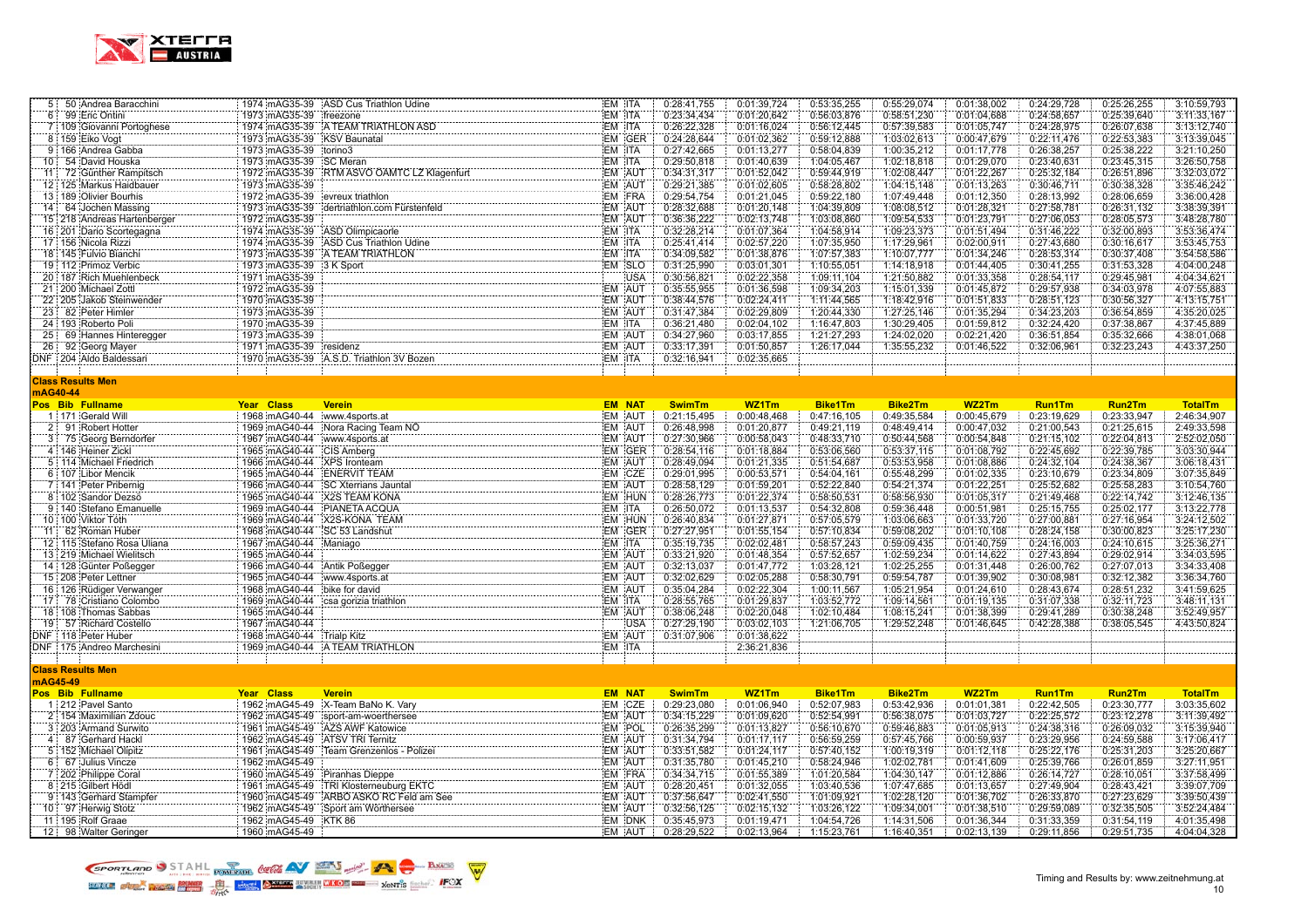

|          |          | 5 50 Andrea Baracchini      |                                | 1974 mAG35-39 ASD Cus Triathlon Udine      | EM ITA        |            | 0:28:41,755   | 0:01:39,724 | 0:53:35,255    | 0:55:29,074    | 0:01:38,002 | 0:24:29,728   | 0:25:26,255   | 3:10:59,793    |
|----------|----------|-----------------------------|--------------------------------|--------------------------------------------|---------------|------------|---------------|-------------|----------------|----------------|-------------|---------------|---------------|----------------|
|          |          | 6 99 Eric Ontini            | 1973 mAG35-39 freezone         |                                            | EM ITA        |            | 0:23:34,434   | 0:01:20,642 | 0:56:03,876    | 0:58:51,230    | 0:01:04,688 | 0:24:58,657   | 0:25:39,640   | 3:11:33,167    |
|          |          | 7 109 Giovanni Portoghese   |                                | 1974 mAG35-39 A TEAM TRIATHLON ASD         | EM ITA        |            | 0:26:22,328   | 0:01:16,024 | 0:56:12,445    | 0:57:39,583    | 0:01:05,747 | 0:24:28,975   | 0:26:07,638   | 3:13:12,740    |
|          |          | 8 159 Eiko Vogt             | 1973 mAG35-39 KSV Baunatal     |                                            | EM GER        |            | 0:24:28,644   | 0:01:02,362 | 0:59:12,888    | 1:03:02,613    | 0:00:47,679 | 0:22:11,476   | 0:22:53,383   | 3:13:39,045    |
|          |          | 9 166 Andrea Gabba          | 1973 mAG35-39 torino3          |                                            | EM ITA        |            | 0:27:42,665   | 0:01:13,277 | 0:58:04,839    | 1:00:35,212    | 0:01:17,778 | 0:26:38,257   | 0:25:38,222   | 3:21:10,250    |
|          |          | 10 54 David Houska          | 1973 mAG35-39 SC Meran         |                                            | EM ITA        |            | 0:29:50,818   | 0:01:40,639 | 1:04:05,467    | 1:02:18,818    | 0:01:29,070 | 0:23:40,631   | 0:23:45,315   | 3:26:50,758    |
|          |          | 11: 72 Günther Rampitsch    |                                | 1972 mAG35-39 RTM ASVO ÖAMTC LZ Klagenfurt | EM AUT        |            | 0:34:31,317   | 0:01:52,042 | 0:59:44,919    | 1:02:08,447    | 0:01:22,267 | 0:25:32,184   | 0:26:51,896   | 3:32:03,072    |
|          |          | 12 125 Markus Haidbauer     | 1973 mAG35-39                  |                                            | EM AUT        |            | 0:29:21,385   | 0:01:02,605 | 0:58:28,802    | 1:04:15,148    | 0:01:13,263 | 0:30:46,711   | 0:30:38,328   | 3:35:46,242    |
|          |          | 13 189 Olivier Bourhis      | 1972 mAG35-39                  | evreux triathlon                           | EM FRA        |            | 0:29:54,754   | 0:01:21,045 | 0:59:22,180    | 1:07:49.448    | 0:01:12,350 | 0:28:13,992   | 0:28:06,659   | 3:36:00,428    |
|          |          | 14 64 Jochen Massing        | 1973 mAG35-39                  | dertriathlon.com Fürstenfeld               | EM AUT        |            | 0:28:32,688   | 0:01:20,148 | 1:04:39,809    | 1:08:08,512    | 0:01:28,321 | 0:27:58,781   | 0:26:31,132   | 3:38:39,391    |
|          |          | 15 218 Andreas Hartenberger | 1972 mAG35-39                  |                                            | EM AUT        |            | 0:36:36,222   | 0:02:13,748 | 1:03:08,860    | 1:09:54,533    | 0:01:23,791 | 0:27:06,053   | 0:28:05,573   | 3:48:28,780    |
|          |          | 16 201 Dario Scortegagna    |                                | 1974 mAG35-39 ASD Olimpicaorle             | EM ITA        |            | 0:32:28,214   | 0:01:07,364 | 1:04:58,914    | 1:09:23,373    | 0:01:51,494 | 0:31:46,222   | 0:32:00,893   | 3:53:36,474    |
|          |          | 17 156 Nicola Rizzi         |                                | 1974 mAG35-39 ASD Cus Triathlon Udine      | EM ITA        |            | 0:25:41,414   | 0:02:57,220 | 1:07:35,950    | 1:17:29,961    | 0:02:00,911 | 0:27:43,680   | 0:30:16,617   | 3:53:45,753    |
|          |          | 18 145 Fulvio Bianchi       |                                | 1973 mAG35-39 A TEAM TRIATHLON             | EM ITA        |            | 0:34:09,582   | 0:01:38,876 | 1:07:57,383    | 1:10:07,777    | 0:01:34,246 | 0:28:53,314   | 0:30:37,408   | 3:54:58,586    |
|          |          | 19 112 Primoz Verbic        | 1973 mAG35-39                  | 3 K Sport                                  | EM SLO        |            | 0:31:25,990   | 0:03:01,301 | 1:10:55,051    | 1:14:18,918    | 0:01:44,405 | 0:30:41,255   | 0:31:53,328   | 4:04:00,248    |
|          |          | 20 187 Rich Muehlenbeck     | 1971 mAG35-39                  |                                            |               | <b>USA</b> | 0:30:56,821   | 0:02:22,358 | 1:09:11,104    | 1:21:50,882    | 0:01:33,358 | 0:28:54,117   | 0:29:45,981   | 4:04:34,621    |
|          |          | 21 200 Michael Zottl        | 1972 mAG35-39                  |                                            | EM AUT        |            | 0:35:55,955   | 0:01:36,598 | 1:09:34,203    | 1:15:01,339    | 0:01:45,872 | 0:29:57,938   | 0:34:03,978   | 4:07:55,883    |
|          |          | 22 205 Jakob Steinwender    | 1970 mAG35-39                  |                                            | EM AUT        |            | 0:38:44,576   | 0:02:24,411 | 1:11:44,565    | 1:18:42,916    | 0:01:51,833 | 0:28:51,123   | 0:30:56,327   | 4:13:15,751    |
|          |          | 23 82 Peter Himler          | 1973 mAG35-39                  |                                            | EM AUT        |            | 0:31:47,384   | 0:02:29,809 | 1:20:44,330    | 1:27:25,146    | 0:01:35,294 |               | 0:36:54,859   | 4:35:20,025    |
|          |          |                             |                                |                                            | EM ITA        |            |               |             |                | 1:30:29,405    |             | 0:34:23,203   |               |                |
|          |          | 24 193 Roberto Poli         | 1970 mAG35-39                  |                                            |               |            | 0:36:21,480   | 0:02:04,102 | 1:16:47,803    |                | 0:01:59,812 | 0:32:24,420   | 0:37:38,867   | 4:37:45,889    |
|          |          | 25 69 Hannes Hinteregger    | 1973 mAG35-39                  |                                            | EM AUT        |            | 0:34:27,960   | 0:03:17,855 | 1:21:27,293    | 1:24:02,020    | 0:02:21,420 | 0:36:51,854   | 0:35:32,666   | 4:38:01.068    |
|          |          | 26 92 Georg Mayer           | 1971 mAG35-39 residenz         |                                            | EM AUT        |            | 0:33:17,391   | 0:01:50,857 | 1:26:17,044    | 1:35:55,232    | 0:01:46,522 | 0:32:06,961   | 0:32:23,243   | 4:43:37,250    |
|          |          | DNF 204 Aldo Baldessari     |                                | 1970 mAG35-39 A.S.D. Triathlon 3V Bozen    | EM ITA        |            | 0:32:16,941   | 0:02:35,665 |                |                |             |               |               |                |
|          |          |                             |                                |                                            |               |            |               |             |                |                |             |               |               |                |
|          |          | <b>Class Results Men</b>    |                                |                                            |               |            |               |             |                |                |             |               |               |                |
|          | mAG40-44 |                             |                                |                                            |               |            |               |             |                |                |             |               |               |                |
|          |          | Pos Bib Fullname            | Year Class                     | <b>Verein</b>                              | <b>EM NAT</b> |            | <b>SwimTm</b> | WZ1Tm       | <b>Bike1Tm</b> | <b>Bike2Tm</b> | WZ2Tm       | <b>Run1Tm</b> | <b>Run2Tm</b> | <b>TotalTm</b> |
|          |          | 1:171 Gerald Will           | 1968 mAG40-44 www.4sports.at   |                                            | EM AUT        |            | 0:21:15,495   | 0:00:48,468 | 0:47:16,105    | 0:49:35,584    | 0:00:45,679 | 0:23:19,629   | 0:23:33,947   | 2:46:34,907    |
|          |          | 2 91 Robert Hotter          |                                | 1969 mAG40-44 Nora Racing Team NO          | EM AUT        |            | 0:26:48,998   | 0:01:20,877 | 0:49:21,119    | 0:48:49,414    | 0:00:47,032 | 0:21:00,543   | 0:21:25,615   | 2:49:33,598    |
|          |          | 3 75 Georg Berndorfer       | 1967 mAG40-44 www.4sports.at   |                                            | EM AUT        |            | 0:27:30,966   | 0:00:58,043 | 0:48:33,710    | 0:50:44,568    | 0:00:54,848 | 0:21:15,102   | 0:22:04,813   | 2:52:02,050    |
|          |          | 4 146 Heiner Zickl          | 1965 mAG40-44 CIS Amberg       |                                            | EM GER        |            | 0:28:54,116   | 0:01:18,884 | 0:53:06,560    | 0:53:37,115    | 0:01:08,792 | 0:22:45,692   | 0:22:39,785   | 3:03:30,944    |
|          |          | 5 114 Michael Friedrich     | 1966 mAG40-44 XPS Ironteam     |                                            | EM AUT        |            | 0:28:49,094   | 0:01:21,335 | 0:51:54,687    | 0:53:53,958    | 0:01:08,886 | 0:24:32,104   | 0:24:38,367   | 3:06:18,431    |
|          |          | 6 107 Libor Mencik          | 1965 mAG40-44 ENERVIT TEAM     |                                            | EM CZE        |            | 0:29:01,995   | 0:00:53,571 | 0:54:04,161    | 0:55:48,299    | 0:01:02,335 | 0:23:10,679   | 0:23:34,809   | 3:07:35,849    |
|          |          | 7 141 Peter Pribernig       |                                | 1966 mAG40-44 SC Xterrians Jauntal         | EM AUT        |            | 0:28:58,129   | 0:01:59,201 | 0:52:22,840    | 0:54:21,374    | 0:01:22,251 | 0:25:52,682   | 0:25:58,283   | 3:10:54,760    |
|          |          | 8 102 Sandor Dezsö          |                                | 1965 mAG40-44 X2S TEAM KONA                | EM HUN        |            | 0:28:26.773   | 0:01:22.374 | 0:58:50,531    | 0:58:56.930    | 0:01:05.317 | 0:21:49.468   | 0:22:14.742   | 3:12:46,135    |
|          |          | 9 140 Stefano Emanuelle     |                                | 1969 mAG40-44 PIANETA ACQUA                | EM ITA        |            | 0:26:50,072   | 0:01:13,537 | 0:54:32,808    | 0:59:36,448    | 0:00:51,981 | 0:25:15,755   | 0:25:02,177   | 3:13:22,778    |
|          |          | 10 100 Viktor Tóth          |                                | 1969 mAG40-44 X2S-KONA TEAM                | EM HUN        |            | 0:26:40,834   | 0:01:27,871 | 0:57:05,579    | 1:03:06,663    | 0:01:33,720 | 0:27:00,881   | 0:27:16,954   | 3:24:12,502    |
|          |          | 11 62 Roman Huber           | 1968 mAG40-44 SC 53 Landshut   |                                            | EM GER        |            | 0:27:27,951   | 0:01:55,154 | 0:57:10,834    | 0:59:08,202    | 0:01:10,108 | 0:28:24,158   | 0:30:00,823   | 3:25:17,230    |
|          |          | 12: 115 Stefano Rosa Uliana | 1967 mAG40-44                  | Maniago                                    | EM ITA        |            | 0:35:19,735   | 0:02:02,481 | 0:58:57,243    | 0:59:09,435    | 0:01:40,759 | 0:24:16,003   | 0:24:10,615   | 3:25:36,271    |
|          |          | 13 219 Michael Wielitsch    | 1965 mAG40-44                  |                                            | EM AUT        |            | 0:33:21,920   | 0:01:48,354 | 0:57:52,657    | 1:02:59,234    | 0:01:14,622 | 0:27:43,894   | 0:29:02,914   | 3:34:03,595    |
|          |          | 14 128 Günter Poßegger      | 1966 mAG40-44 Antik Poßegger   |                                            | EM AUT        |            | 0:32:13.037   | 0:01:47,772 | 1:03:28,121    | 1:02:25,255    | 0:01:31,448 | 0:26:00,762   | 0:27:07.013   | 3:34:33,408    |
|          |          | 15 208 Peter Lettner        | 1965 mAG40-44 www.4sports.at   |                                            | EM AUT        |            | 0:32:02,629   | 0:02:05,288 | 0:58:30,791    | 0:59:54,787    | 0:01:39,902 | 0:30:08,981   | 0:32:12,382   | 3:36:34,760    |
|          |          | 16 126 Rüdiger Verwanger    | 1968 mAG40-44 bike for david   |                                            | EM AUT        |            | 0:35:04,284   | 0:02:22,304 | 1:00:11,567    | 1:05:21,954    | 0:01:24,610 | 0:28:43,674   | 0:28:51,232   | 3:41:59,625    |
|          |          | 17 78 Cristiano Colombo     | 1969 mAG40-44                  | csa gorizia triathlon                      | EM ITA        |            | 0:28:55.765   | 0:01:29.837 | 1:03:52,772    | 1:09:14,561    | 0:01:19,135 | 0:31:07,338   | 0:32:11,723   | 3:48:11,131    |
|          |          | 18 108 Thomas Sabbas        | 1965 mAG40-44                  |                                            | EM AUT        |            | 0:38:06,248   | 0:02:20.048 | 1:02:10,484    | 1:08:15,241    | 0:01:38,399 | 0:29:41,289   | 0:30:38,248   | 3:52:49,957    |
|          |          | 19 57 Richard Costello      | 1967 mAG40-44                  |                                            |               | <b>USA</b> | 0:27:29,190   | 0:03:02,103 | 1:21:06,705    | 1:29:52,248    | 0:01:46,645 | 0:42:28,388   | 0:38:05,545   | 4:43:50,824    |
|          |          | DNF 118 Peter Huber         | 1968 mAG40-44                  | Trialp Kitz                                | EM AUT        |            | 0:31:07,906   | 0:01:38,622 |                |                |             |               |               |                |
|          |          | DNF 175 Andreo Marchesini   |                                | 1969 mAG40-44 A TEAM TRIATHLON             | EM ITA        |            |               | 2:36:21,836 |                |                |             |               |               |                |
|          |          |                             |                                |                                            |               |            |               |             |                |                |             |               |               |                |
|          |          | <b>Class Results Men</b>    |                                |                                            |               |            |               |             |                |                |             |               |               |                |
| mAG45-49 |          |                             |                                |                                            |               |            |               |             |                |                |             |               |               |                |
|          |          | Pos Bib Fullname            | Year Class                     | <b>Verein</b>                              | <b>EM NAT</b> |            | <b>SwimTm</b> | WZ1Tm       | <b>Bike1Tm</b> | <b>Bike2Tm</b> | WZ2Tm       | <b>Run1Tm</b> | Run2Tm        | <b>TotalTm</b> |
|          |          | 1 212 Pavel Santo           |                                | 1962 mAG45-49 X-Team BaNo K. Vary          | EM CZE        |            | 0:29:23,080   | 0:01:06.940 | 0:52:07,983    | 0:53:42,936    | 0:01:01,381 | 0:22:42,505   | 0:23:30,777   | 3:03:35,602    |
|          |          | 2 154 Maximilian Zdouc      |                                | 1962 mAG45-49 sport-am-woerthersee         | EM AUT        |            | 0:34:15,229   | 0:01:09,620 | 0:52:54,991    | 0:56:38,075    | 0:01:03,727 | 0:22:25,572   | 0:23:12.278   | 3:11:39,492    |
|          |          | 3 203 Armand Surwito        |                                | 1961 mAG45-49 AZS AWF Katowice             | EM POL        |            | 0:26:35,299   | 0:01:13,827 | 0:56:10,670    | 0:59:46,883    | 0:01:05,913 | 0:24:38,316   | 0:26:09,032   | 3:15:39,940    |
|          |          | 4 87 Gerhard Hackl          | 1962 mAG45-49 ATSV TRI Ternitz |                                            | EM AUT        |            | 0:31:34,794   | 0:01:17,117 | 0:56:59,259    | 0:57:45,766    | 0:00:59,937 | 0:23:29,956   | 0:24:59,588   | 3:17:06,417    |
|          |          | 5 152 Michael Olipitz       | 1961 mAG45-49                  | Team Grenzenlos - Polizei                  | EM AUT        |            | 0:33:51,582   | 0:01:24,117 | 0:57:40,152    | 1:00:19,319    | 0:01:12,118 | 0:25:22,176   | 0:25:31,203   | 3:25:20,667    |
|          |          | 6 67 Julius Vincze          | 1962 mAG45-49                  |                                            | EM AUT        |            | 0:31:35,780   | 0:01:45,210 | 0:58:24,946    | 1:02:02,781    | 0:01:41,609 | 0:25:39,766   | 0:26:01,859   | 3:27:11,951    |
|          |          | 7 202 Philippe Coral        | 1960 mAG45-49 Piranhas Dieppe  |                                            | EM FRA        |            | 0:34:34,715   | 0:01:55,389 | 1:01:20,584    | 1:04:30,147    | 0:01:12,886 | 0:26:14,727   | 0:28:10,051   | 3:37:58,499    |
|          |          | 8 215 Gilbert Hödl          |                                | 1961 mAG45-49 TRI Klosterneuburg EKTC      | EM AUT        |            | 0:28:20,451   | 0:01:32,055 | 1:03:40,536    | 1:07:47,685    | 0:01:13,657 | 0:27:49,904   | 0:28:43,421   | 3:39:07,709    |
|          |          | 9 143 Gerhard Stampfer      |                                | 1960 mAG45-49 ARBO ASKO RC Feld am See     | EM AUT        |            | 0:37:56,647   | 0:02:41,550 | 1:01:09,921    | 1:02:28,120    | 0:01:36,702 | 0:26:33,870   | 0:27:23,629   | 3:39:50,439    |
|          |          | 10 97 Herwig Stotz          |                                | 1962 mAG45-49 Sport am Wörthersee          | EM AUT        |            | 0:32:56,125   | 0:02:15,132 | 1:03:26,122    | 1:09:34,001    | 0:01:38,510 | 0:29:59,089   | 0:32:35,505   | 3:52:24,484    |
|          |          | 11 195 Rolf Graae           | 1962 mAG45-49 KTK 86           |                                            | EM DNK        |            | 0:35:45,973   | 0:01:19,471 | 1:04:54,726    | 1:14:31,506    | 0:01:36,344 | 0:31:33,359   | 0:31:54,119   | 4:01:35,498    |
|          |          |                             |                                |                                            |               |            |               |             |                |                |             |               |               |                |

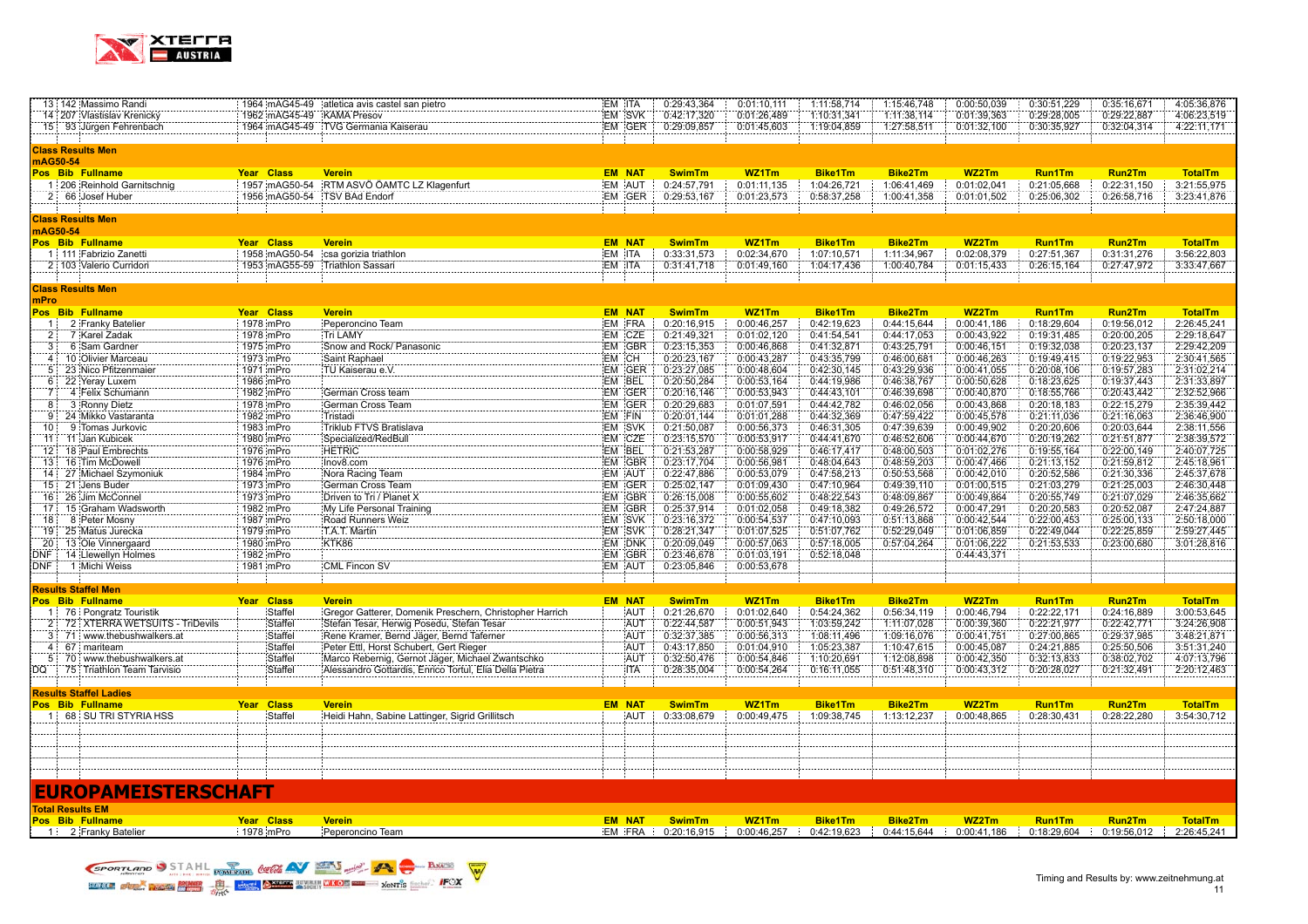

|                        | 13 142 Massimo Randi                       |                           | 1964 mAG45-49 atletica avis castel san pietro           | EM ITA           | 0:29:43,364                | 0:01:10,111                | 1:11:58,714                | 1:15:46,748                | 0:00:50,039                | 0:30:51,229                | 0:35:16,671                | 4:05:36,876                |
|------------------------|--------------------------------------------|---------------------------|---------------------------------------------------------|------------------|----------------------------|----------------------------|----------------------------|----------------------------|----------------------------|----------------------------|----------------------------|----------------------------|
|                        | 14 207 Vlastislav Krenický                 | 1962 mAG45-49 KAMA Presov |                                                         | EM SVK           | 0:42:17,320                | 0:01:26,489                | 1:10:31,341                | 1:11:38,114                | 0:01:39,363                | 0:29:28,005                | 0:29:22,887                | 4:06:23,519                |
|                        | 15 93 Jürgen Fehrenbach                    |                           | 1964 mAG45-49 TVG Germania Kaiserau                     | EM GER           | 0:29:09,857                | 0:01:45,603                | 1:19:04,859                | 1:27:58,511                | 0:01:32,100                | 0:30:35,927                | 0:32:04,314                | 4:22:11,171                |
|                        |                                            |                           |                                                         |                  |                            |                            |                            |                            |                            |                            |                            |                            |
|                        | <b>Class Results Men</b>                   |                           |                                                         |                  |                            |                            |                            |                            |                            |                            |                            |                            |
|                        | mAG50-54                                   |                           |                                                         |                  |                            |                            |                            |                            |                            |                            |                            |                            |
|                        | Pos Bib Fullname                           | <b>Year Class</b>         | <b>Verein</b>                                           | <b>EM NAT</b>    | <b>SwimTm</b>              | WZ1Tm                      | <b>Bike1Tm</b>             | <b>Bike2Tm</b>             | WZ2Tm                      | <b>Run1Tm</b>              | Run <sub>2</sub> Tm        | <b>TotalTm</b>             |
|                        | 1 206 Reinhold Garnitschnig                | 1957 mAG50-54             | RTM ASVÖ ÖAMTC LZ Klagenfurt                            | EM AUT           | 0:24:57,791                | 0:01:11,135                | 1:04:26,721                | 1:06:41,469                | 0:01:02,041                | 0:21:05,668                | 0:22:31,150                | 3:21:55,975                |
|                        | 2 66 Josef Huber                           | 1956 mAG50-54             | <b>TSV BAd Endorf</b>                                   | EM GER           | 0:29:53,167                | 0:01:23,573                | 0:58:37,258                | 1:00:41,358                | 0:01:01,502                | 0:25:06,302                | 0:26:58,716                | 3:23:41,876                |
|                        |                                            |                           |                                                         |                  |                            |                            |                            |                            |                            |                            |                            |                            |
|                        | <b>Class Results Men</b>                   |                           |                                                         |                  |                            |                            |                            |                            |                            |                            |                            |                            |
|                        | nAG50-54                                   |                           |                                                         |                  |                            |                            |                            |                            |                            |                            |                            |                            |
|                        | Pos Bib Fullname                           | Year Class                | <b>Verein</b>                                           | <b>EM NAT</b>    | <b>SwimTm</b>              | WZ1Tm                      | <b>Bike1Tm</b>             | <b>Bike2Tm</b>             | WZ2Tm                      | <b>Run1Tm</b>              | Run2Tm                     | <b>TotalTm</b>             |
|                        | 1 111 Fabrizio Zanetti                     | 1958 mAG50-54             | csa gorizia triathlon                                   | EM ITA           | 0:33:31,573                | 0:02:34,670                | 1:07:10,571                | 1:11:34,967                | 0:02:08,379                | 0:27:51,367                | 0:31:31,276                | 3:56:22,803                |
|                        | 2 103 Valerio Curridori                    | 1953 mAG55-59             | Triathlon Sassari                                       | EM ITA           | 0:31:41,718                | 0:01:49,160                | 1:04:17,436                | 1:00:40,784                | 0:01:15,433                | 0:26:15,164                | 0:27:47,972                | 3:33:47,667                |
|                        |                                            |                           |                                                         |                  |                            |                            |                            |                            |                            |                            |                            |                            |
|                        | <b>Class Results Men</b>                   |                           |                                                         |                  |                            |                            |                            |                            |                            |                            |                            |                            |
| mPro                   |                                            |                           |                                                         |                  |                            |                            |                            |                            |                            |                            |                            |                            |
|                        | Pos Bib Fullname                           | Year Class                | <b>Verein</b>                                           | <b>EM NAT</b>    | <b>SwimTm</b>              | WZ1Tm                      | <b>Bike1Tm</b>             | <b>Bike2Tm</b>             | WZ2Tm                      | <b>Run1Tm</b>              | Run <sub>2</sub> Tm        | <b>TotalTm</b>             |
| $-11$                  | 2 Franky Batelier                          | 1978 mPro                 | Peperoncino Team                                        | EM FRA           | 0:20:16,915                | 0:00:46,257                | 0:42:19,623                | 0:44:15,644                | 0:00:41,186                | 0:18:29,604                | 0:19:56,012                | 2:26:45,241                |
| 2:                     | 7 Karel Zadak                              | 1978 mPro                 | Tri LAMY                                                | EM CZE           | 0:21:49,321                | 0:01:02,120                | 0:41:54,541                | 0:44:17,053                | 0:00:43,922                | 0:19:31,485                | 0:20:00,205                | 2:29:18,647                |
| 3:<br>$\mathbf{A}$ :   | 6 Sam Gardner                              | 1975 mPro                 | Snow and Rock/ Panasonic                                | <b>EM GBR</b>    | 0:23:15.353                | 0:00:46.868                | 0:41:32,871                | 0:43:25.791                | 0:00:46.151                | 0:19:32.038                | 0:20:23,137                | 2:29:42.209                |
|                        | 10 Olivier Marceau                         | 1973 mPro                 | Saint Raphael                                           | EM CH            | 0:20:23,167                | 0:00:43,287                | 0:43:35,799                | 0:46:00,681                | 0:00:46,263                | 0:19:49,415                | 0:19:22,953                | 2:30:41,565                |
| 5                      | 23 Nico Pfitzenmaier                       | 1971 mPro                 | TU Kaiserau e.V.                                        | EM GER           | 0:23:27,085                | 0:00:48,604                | 0:42:30,145                | 0:43:29,936                | 0:00:41,055                | 0:20:08,106                | 0:19:57,283                | 2:31:02,214                |
|                        | 6 22 Yeray Luxem<br>4 Felix Schumann       | 1986 mPro<br>1982 mPro    |                                                         | EM BEL<br>EM GER | 0:20:50,284<br>0:20:16,146 | 0:00:53,164<br>0:00:53,943 | 0:44:19,986<br>0:44:43,101 | 0:46:38,767<br>0:46:39,698 | 0:00:50,628<br>0:00:40,870 | 0:18:23,625<br>0:18:55,766 | 0:19:37,443<br>0:20:43,442 | 2:31:33,897<br>2:32:52,966 |
| 7:                     |                                            |                           | German Cross team                                       | EM GER           |                            |                            |                            |                            |                            |                            |                            | 2:35:39.442                |
| 8:                     | 3 Ronny Dietz                              | 1978 mPro                 | German Cross Team                                       |                  | 0:20:29,683                | 0:01:07,591                | 0:44:42,782                | 0:46:02,056                | 0:00:43,868                | 0:20:18.183                | 0:22:15,279                |                            |
| -9<br>10               | 24 Mikko Vastaranta                        | 1982 mPro<br>1983 mPro    | Tristadi                                                | EM FIN<br>EM SVK | 0:20:01,144<br>0:21:50,087 | 0:01:01.288<br>0:00:56,373 | 0:44:32,369<br>0:46:31,305 | 0:47:59,422<br>0:47:39,639 | 0:00:45,578<br>0:00:49,902 | 0:21:11,036<br>0:20:20,606 | 0:21:16,063<br>0:20:03,644 | 2:36:46,900<br>2:38:11,556 |
|                        | 9 Tomas Jurkovic<br>11 11: Jan Kubicek     | 1980 mPro                 | Triklub FTVS Bratislava<br>Specialized/RedBull          | EM CZE           | 0:23:15,570                | 0:00:53,917                | 0:44:41,670                | 0:46:52,606                | 0:00:44,670                | 0:20:19,262                | 0:21:51,877                | 2:38:39,572                |
|                        | 12: 18 Paul Embrechts                      |                           |                                                         |                  |                            |                            |                            | 0:48:00.503                |                            |                            |                            | 2:40:07,725                |
|                        |                                            | 1976 mPro                 | <b>HETRIC</b>                                           | EM BEL           | 0:21:53,287                | 0:00:58,929                | 0:46:17,417                |                            | 0:01:02,276<br>0:00:47,466 | 0:19:55,164                | 0:22:00,149                |                            |
| 13:                    | 16 Tim McDowell<br>14 27 Michael Szymoniuk | 1976 mPro                 | Inov8.com                                               | EM GBR<br>EM AUT | 0:23:17,704<br>0:22:47,886 | 0:00:56,981<br>0:00:53,079 | 0:48:04,643<br>0:47:58,213 | 0:48:59,203<br>0:50:53,568 | 0:00:42,010                | 0:21:13,152<br>0:20:52,586 | 0:21:59,812<br>0:21:30,336 | 2:45:18,961<br>2:45:37,678 |
| 15 <sup>1</sup>        | 21 Jens Buder                              | 1984 mPro<br>1973 mPro    | Nora Racing Team<br>German Cross Team                   | EM GER           | 0:25:02,147                | 0:01:09,430                | 0:47:10,964                | 0:49:39,110                | 0:01:00,515                | 0:21:03,279                | 0:21:25,003                | 2:46:30,448                |
|                        |                                            |                           |                                                         |                  |                            |                            |                            |                            |                            |                            |                            |                            |
| 16:<br>17 <sub>1</sub> | 26 Jim McConnel<br>15 Graham Wadsworth     | 1973 mPro<br>1982 mPro    | Driven to Tri / Planet X<br>My Life Personal Training   | EM GBR<br>EM GBR | 0:26:15,008<br>0:25:37,914 | 0:00:55,602<br>0:01:02.058 | 0:48:22,543<br>0:49:18,382 | 0:48:09,867<br>0:49:26,572 | 0:00:49,864<br>0:00:47,291 | 0:20:55,749<br>0:20:20,583 | 0:21:07,029<br>0:20:52,087 | 2:46:35,662<br>2:47:24,887 |
| 18                     | 8 Peter Mosny                              | 1987 mPro                 | Road Runners Weiz                                       | EM SVK           | 0:23:16,372                | 0:00:54,537                | 0:47:10,093                | 0:51:13,868                | 0:00:42,544                | 0:22:00,453                | 0:25:00,133                | 2:50:18,000                |
| 19 <sup>1</sup>        | 25 Matus Jurecka                           | 1979 mPro                 | T.A.T. Martin                                           | EM SVK           | 0:28:21.347                | 0:01:07.525                | 0:51:07,762                | 0:52:29,049                | 0:01:06,859                | 0:22:49,044                | 0:22:25,859                | 2:59:27,445                |
| 20                     | 13 Ole Vinnergaard                         | 1980 mPro                 | KTK86                                                   | EM DNK           | 0:20:09,049                | 0:00:57,063                | 0:57:18,005                | 0:57:04,264                | 0:01:06,222                | 0:21:53,533                | 0:23:00,680                | 3:01:28,816                |
| JNF                    | 14 Llewellyn Holmes                        | 1982 mPro                 |                                                         | EM GBR           | 0:23:46,678                | 0:01:03,191                | 0:52:18,048                |                            | 0:44:43,371                |                            |                            |                            |
| DNF                    | 1 Michi Weiss                              | 1981 mPro                 | CML Fincon SV                                           | EM AUT           | 0:23:05,846                | 0:00:53,678                |                            |                            |                            |                            |                            |                            |
|                        |                                            |                           |                                                         |                  |                            |                            |                            |                            |                            |                            |                            |                            |
|                        | <u>Results Staffel Men</u>                 |                           |                                                         |                  |                            |                            |                            |                            |                            |                            |                            |                            |
|                        | Pos Bib Fullname                           | <b>Class</b><br>Year      | <b>Verein</b>                                           | <b>EM NAT</b>    | <b>SwimTm</b>              | WZ1Tm                      | <b>Bike1Tm</b>             | <b>Bike2Tm</b>             | WZ2Tm                      | <b>Run1Tm</b>              | <b>Run2Tm</b>              | <b>TotalTm</b>             |
|                        | 1 76 Pongratz Touristik                    | Staffel                   | Gregor Gatterer, Domenik Preschern, Christopher Harrich | AUT              | 0:21:26,670                | 0:01:02,640                | 0:54:24,362                | 0:56:34,119                | 0:00:46,794                | 0:22:22,171                | 0:24:16,889                | 3:00:53,645                |
|                        | 2 72 XTERRA WETSUITS - TriDevils           | Staffel                   | Stefan Tesar, Herwig Posedu, Stefan Tesar               | AUT              | 0:22:44,587                | 0:00:51,943                | 1:03:59,242                | 1:11:07,028                | 0:00:39,360                | 0:22:21,977                | 0:22:42,771                | 3:24:26,908                |
|                        | www.thebushwalkers.at<br>$3 \cdot 71$      | Staffel                   | Rene Kramer, Bernd Jäger, Bernd Taferner                | AUT              | 0:32:37,385                | 0:00:56,313                | 1:08:11,496                | 1:09:16,076                | 0:00:41,751                | 0:27:00,865                | 0:29:37,985                | 3:48:21,871                |
|                        | 4.67<br>mariteam                           | Staffel                   | Peter Ettl, Horst Schubert, Gert Rieger                 | AUT              | 0:43:17,850                | 0:01:04,910                | 1:05:23,387                | 1:10:47,615                | 0:00:45,087                | 0:24:21,885                | 0:25:50,506                | 3:51:31,240                |
|                        | 5 70 www.thebushwalkers.at                 | Staffel                   | Marco Rebernig, Gernot Jäger, Michael Zwantschko        | AUT              | 0:32:50,476                | 0:00:54,846                | 1:10:20,691                | 1:12:08,898                | 0:00:42,350                | 0:32:13,833                | 0:38:02,702                | 4:07:13,796                |
| DQ :                   | 75 Triathlon Team Tarvisio                 | Staffel                   | Alessandro Gottardis, Enrico Tortul, Elia Della Pietra  | <b>ITA</b>       | 0:28:35,004                | 0:00:54,264                | 0:16:11,055                | 0:51:48,310                | 0:00:43,312                | 0:20:28,027                | 0:21:32,491                | 2:20:12,463                |
|                        |                                            |                           |                                                         |                  |                            |                            |                            |                            |                            |                            |                            |                            |
|                        | Results Staffel Ladies                     |                           |                                                         |                  |                            |                            |                            |                            |                            |                            |                            |                            |
|                        | Pos Bib Fullname                           | <b>Class</b><br>Year      | <b>Verein</b>                                           | <b>EM NAT</b>    | <b>SwimTm</b>              | WZ1Tm                      | <b>Bike1Tm</b>             | <b>Bike2Tm</b>             | WZ2Tm                      | <b>Run1Tm</b>              | Run2Tm                     | <b>TotalTm</b>             |
|                        | 1 68 SU TRI STYRIA HSS                     | Staffel                   | Heidi Hahn, Sabine Lattinger, Sigrid Grillitsch         | AUT              | 0:33:08,679                | 0:00:49,475                | 1:09:38,745                | 1:13:12,237                | 0:00:48,865                | 0:28:30,431                | 0:28:22,280                | 3:54:30,712                |
|                        |                                            |                           |                                                         |                  |                            |                            |                            |                            |                            |                            |                            |                            |
|                        |                                            |                           |                                                         |                  |                            |                            |                            |                            |                            |                            |                            |                            |
|                        |                                            |                           |                                                         |                  |                            |                            |                            |                            |                            |                            |                            |                            |
|                        |                                            |                           |                                                         |                  |                            |                            |                            |                            |                            |                            |                            |                            |
|                        |                                            |                           |                                                         |                  |                            |                            |                            |                            |                            |                            |                            |                            |
|                        |                                            |                           |                                                         |                  |                            |                            |                            |                            |                            |                            |                            |                            |
|                        | <b>EUROPAMEISTERSCHAFT</b>                 |                           |                                                         |                  |                            |                            |                            |                            |                            |                            |                            |                            |
|                        | <b>Total Results EM</b>                    |                           |                                                         |                  |                            |                            |                            |                            |                            |                            |                            |                            |
|                        | Pos Bib Fullname                           | Year Class                | <b>Verein</b>                                           | <b>EM NAT</b>    | <b>SwimTm</b>              | WZ1Tm                      | <b>Bike1Tm</b>             | <b>Bike2Tm</b>             | WZ2Tm                      | <b>Run1Tm</b>              | <b>Run2Tm</b>              | <b>TotalTm</b>             |
|                        | 1 2 Franky Batelier                        | 1978 mPro                 | Peperoncino Team                                        | EM FRA           | 0:20:16,915                | 0:00:46,257                | 0:42:19,623                | 0:44:15,644                | 0:00:41,186                | 0:18:29,604                | 0:19:56,012                | 2:26:45,241                |
|                        |                                            |                           |                                                         |                  |                            |                            |                            |                            |                            |                            |                            |                            |

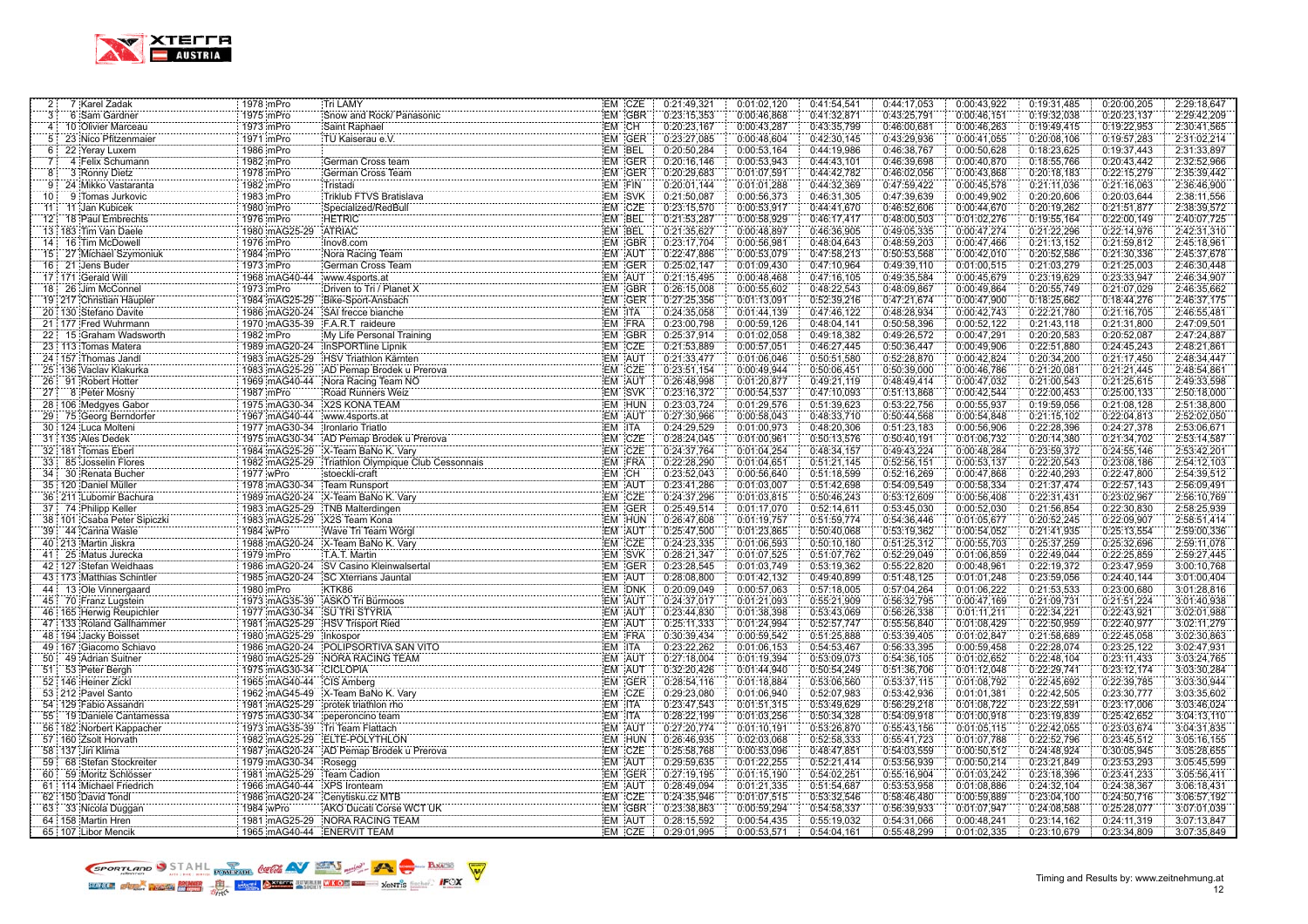

| 2:              | 7 Karel Zadak                                                      | 1978 mPro                 | Tri LAMY                                                                                                                                                            |                         | EM CZE | 0:21:49,321                | 0:01:02,120                | 0:41:54,541                | 0:44:17,053                | 0:00:43,922                | 0:19:31,485                | 0:20:00,205                | 2:29:18,647                |
|-----------------|--------------------------------------------------------------------|---------------------------|---------------------------------------------------------------------------------------------------------------------------------------------------------------------|-------------------------|--------|----------------------------|----------------------------|----------------------------|----------------------------|----------------------------|----------------------------|----------------------------|----------------------------|
| 3               | 6 Sam Gardner                                                      | 1975 mPro                 | Snow and Rock/ Panasonic                                                                                                                                            |                         | EM GBR | 0:23:15,353                | 0:00:46,868                | 0:41:32,871                | 0:43:25,791                | 0:00:46,151                | 0:19:32,038                | 0:20:23,137                | 2:29:42,209                |
| 4:              | 10 Olivier Marceau                                                 | 1973 mPro                 | Saint Raphael                                                                                                                                                       | EM CH                   |        | 0:20:23,167                | 0:00:43,287                | 0:43:35,799                | 0:46:00,681                | 0:00:46,263                | 0:19:49,415                | 0:19:22,953                | 2:30:41,565                |
| 5 <sup>1</sup>  | 23 Nico Pfitzenmaier                                               | 1971 mPro                 | TU Kaiserau e.V.                                                                                                                                                    |                         | EM GER | 0:23:27,085                | 0:00:48,604                | 0:42:30,145                | 0:43:29,936                | 0:00:41,055                | 0:20:08,106                | 0:19:57,283                | 2:31:02,214                |
| 6               | 22 Yeray Luxem                                                     | 1986 mPro                 |                                                                                                                                                                     | EM BEL                  |        | 0:20:50,284                | 0:00:53,164                | 0:44:19,986                | 0:46:38,767                | 0:00:50,628                | 0:18:23,625                | 0:19:37,443                | 2:31:33,897                |
| 7               | 4 Felix Schumann                                                   | 1982 mPro                 | German Cross team                                                                                                                                                   |                         | EM GER | 0:20:16,146                | 0:00:53,943                | 0:44:43,101                | 0:46:39,698                | 0:00:40,870                | 0:18:55,766                | 0:20:43,442                | 2:32:52,966                |
| 8               | 3 Ronny Dietz                                                      | 1978 mPro                 | German Cross Team                                                                                                                                                   |                         | EM GER | 0:20:29,683                | 0:01:07.591                | 0:44:42,782                | 0:46:02.056                | 0:00:43,868                | 0:20:18,183                | 0:22:15,279                | 2:35:39,442                |
| 9               | 24 Mikko Vastaranta<br>.                                           | 1982 mPro                 | Tristadi                                                                                                                                                            | EM FIN                  |        | 0:20:01.144                | 0:01:01.288                | 0:44:32,369                | 0:47:59,422                | 0:00:45,578                | 0:21:11.036                | 0:21:16,063                | 2:36:46.900                |
| 10 <sup>1</sup> | 9 Tomas Jurkovic                                                   | 1983 mPro                 | :Tristadi<br>:Triklub FTVS Bratislava<br>:Triklub FTVS Bratislava                                                                                                   | EM SVK                  |        | 0:21:50,087                | 0:00:56,373                | 0:46:31,305                | 0:47:39,639                | 0:00:49,902                | 0:20:20,606                | 0:20:03,644                | 2:38:11,556                |
| 11:             | 11 Jan Kubicek                                                     | 1980 mPro                 | Specialized/RedBull                                                                                                                                                 |                         | EM CZE | 0:23:15,570                | 0:00:53,917                | 0:44:41,670                | 0:46:52,606                | 0:00:44,670                | 0:20:19,262                | 0:21:51,877                | 2:38:39,572                |
| 12 <sup>1</sup> | 18 Paul Embrechts                                                  | 1976 mPro                 | <b>HETRIC</b>                                                                                                                                                       |                         |        | 0:21:53,287                | 0:00:58,929                | 0:46:17,417                | 0:48:00,503                | 0:01:02,276                | 0:19:55,164                | 0:22:00,149                | 2:40:07,725                |
|                 | 13 183 Tim Van Daele                                               | 1980 mAG25-29             | ATRIAC                                                                                                                                                              |                         |        | 0:21:35,627                | 0:00:48,897                | 0:46:36,905                | 0:49:05,335                | 0:00:47,274                | 0:21:22,296                | 0:22:14,976                | 2:42:31,310                |
| 14:             | 16 Tim McDowell                                                    | 1976 mPro                 | Nora Racing Team                                                                                                                                                    |                         | EM GBR | 0:23:17,704                | 0:00:56,981                | 0:48:04,643                | 0:48:59,203                | 0:00:47,466                | 0:21:13,152                | 0:21:59,812                | 2:45:18,961                |
| 15 <sup>2</sup> | 27 Michael Szymoniuk                                               | 1984 mPro                 |                                                                                                                                                                     | EM AUT                  |        | 0:22:47,886                | 0:00:53,079                | 0:47:58,213                | 0:50:53,568                | 0:00:42,010                | 0:20:52,586                | 0:21:30,336                | 2:45:37,678                |
| 16              | 21 Jens Buder                                                      | 1973 mPro                 | German Cross Team                                                                                                                                                   |                         | EM GER | 0:25:02.147                | 0:01:09,430                | 0:47:10,964                | 0:49:39,110                | 0:01:00.515                | 0:21:03,279                | 0:21:25,003                | 2:46:30.448                |
|                 | 17 171 Gerald Will                                                 | 1968 mAG40-44             | www.4sports.at                                                                                                                                                      |                         | EM AUT | 0:21:15,495                | 0:00:48,468                | 0:47:16,105                | 0:49:35,584                | 0:00:45,679                | 0:23:19,629                | 0:23:33,947                | 2:46:34,907                |
|                 | 18 26 Jim McConnel                                                 | 1973 mPro                 |                                                                                                                                                                     |                         |        | 0:26:15,008                | 0:00:55,602                | 0:48:22,543                | 0:48:09,867                | 0:00:49,864                | 0:20:55,749                | 0:21:07,029                | 2:46:35,662                |
|                 | 19 217 Christian Häupler                                           |                           | 1984 mAG25-29 Bike-Sport-Ansbach                                                                                                                                    |                         | EM GER | 0:27:25,356                | 0:01:13,091                | 0:52:39,216                | 0:47:21,674                | 0:00:47,900                | 0:18:25,662                | 0:18:44,276                | 2:46:37,175                |
|                 | 20 130 Stefano Davite                                              |                           | 1986 mAG20-24 SAI frecce bianche                                                                                                                                    | EM ITA                  |        | 0:24:35,058                | 0:01:44,139                | 0:47:46,122                | 0:48:28,934                | 0:00:42,743                | 0:22:21,780                | 0:21:16,705                | 2:46:55,481                |
|                 | 21 177 Fred Wuhrmann                                               |                           | 1970 mAG35-39 F.A.R.T raideure                                                                                                                                      |                         | EM FRA | 0:23:00,798                | 0:00:59,126                | 0:48:04,141                | 0:50:58,396                | 0:00:52,122                | 0:21:43,118                | 0:21:31,800                | 2:47:09,501                |
| 22:             | 15 Graham Wadsworth                                                | 1982 mPro                 |                                                                                                                                                                     |                         | EM GBR | 0:25:37,914                | 0:01:02:058                | 0:49:18,382                | 0:49:26,572                | 0:00:47,291                | 0:20:20,583                | 0:20:52,087                | 2:47:24,887                |
|                 | 23   113 Tomas Matera                                              |                           | 1989 mAG20-24 InSPORTline Lipnik                                                                                                                                    |                         | EM CZE | 0:21:53,889                | 0:00:57,051                | 0:46:27,445                | 0:50:36,447                | 0:00:49,906                | 0:22:51,880                | 0:24:45,243                | 2:48:21,861                |
|                 | 24 157 Thomas Jandl<br>.                                           |                           | 1983 mAG25-29 HSV Triathlon Kärnten                                                                                                                                 | EM AUT                  |        | 0:21:33,477                | 0:01:06,046                | 0:50:51,580                | 0:52:28,870                | 0:00:42,824                | 0:20:34,200                | 0:21:17,450                | 2:48:34.447                |
|                 | 25 136 Vaclav Klakurka                                             |                           | 1983 mAG25-29 HSV Triathlon Karnten<br>1983 mAG25-29 HD Pemap Brodek u Prerova<br>1988 mAG25-29 HD Pemap Brodek u Prerova                                           |                         | EM CZE | 0:23:51,154                | 0:00:49,944                | 0:50:06,451                | 0:50:39,000                | 0:00:46,786                | 0:21:20,081                | 0:21:21,445                | 2:48:54,861                |
|                 | 26 91 Robert Hotter                                                |                           | 1969 mAG40-44 Nora Racing Team NO                                                                                                                                   | EM AUT                  |        | 0:26:48,998                | 0:01:20,877                | 0:49:21,119                | 0:48:49,414                | 0:00:47,032                | 0:21:00,543                | 0:21:25,615                | 2:49:33,598                |
| 27:             | 8 Peter Mosny                                                      | 1987 mPro                 | Road Runners Weiz                                                                                                                                                   |                         | EM SVK | 0:23:16,372                | 0:00:54,537                | 0:47:10,093                | 0:51:13,868                | 0:00:42,544                | 0:22:00,453                | 0:25:00,133                | 2:50:18,000                |
|                 | 28 106 Medgyes Gabor                                               |                           | 1975 mAG30-34 X2S KONA TEAM                                                                                                                                         |                         | EM HUN | 0:23:03,724                | 0:01:29,576                | 0:51:39,623                | 0:53:22,756                | 0:00:55,937                | 0:19:59,056                | 0:21:08,128                | 2:51:38,800                |
| 29:             | 75 Georg Berndorfer                                                |                           | 1967 mAG40-44 www.4sports.at                                                                                                                                        | EM AUT                  |        | 0:27:30,966                | 0:00:58,043                | 0:48:33,710                | 0:50:44,568                | 0:00:54,848                | 0:21:15,102                | 0:22:04,813                | 2:52:02,050                |
|                 | 30 124 Luca Molteni                                                |                           | 1977 mAG30-34 Ironlario Triatlo                                                                                                                                     | <b>EM ITA</b>           |        | 0:24:29,529                | 0:01:00,973                | 0:48:20,306                | 0:51:23,183                | 0:00:56,906                | 0:22:28,396                | 0:24:27,378                | 2:53:06,671                |
|                 | 31 135 Ales Dedek                                                  |                           |                                                                                                                                                                     |                         | EM CZE | 0:28:24,045                | 0:01:00,961                | 0:50:13,576                | 0:50:40,191                | 0:01:06,732                | 0:20:14,380                | 0:21:34,702                | 2:53:14,587                |
|                 | 32 181 Tomas Eberl                                                 |                           |                                                                                                                                                                     |                         | EM CZE | 0:24:37,764                | 0:01:04,254                | 0:48:34,157                | 0:49:43,224                | 0:00:48,284                | 0:23:59,372                | 0:24:55,146                | 2:53:42,201                |
| 33              | 85 Josselin Flores                                                 |                           | 1984 imAG25-29 X-Team BaNo K. Vary<br>1982 imAG25-29 Triathlon Olympique Club Cessonnais                                                                            |                         | EM FRA | 0:22:28,290                | 0:01:04.651                | 0:51:21,145                | 0:52:56,151                | 0:00:53,137                | 0:22:20,543                | 0:23:08,186                | 2:54:12,103                |
| 34              | 30 Renata Bucher                                                   | 1977 wPro                 | stoeckli-craft                                                                                                                                                      | EM CH                   |        | 0:23:52,043                | 0:00:56,640                | 0:51:18,599                | 0:52:16,269                | 0:00:47,868                | 0:22:40,293                | 0:22:47,800                | 2:54:39,512                |
|                 | 35 120 Daniel Müller                                               |                           | 1978 mAG30-34 Team Runsport                                                                                                                                         | EM AUT                  |        | 0:23:41,286                | 0:01:03,007                | 0:51:42,698                | 0:54:09,549                | 0:00:58,334                | 0:21:37,474                | 0:22:57,143                | 2:56:09,491                |
|                 | 36 211 Lubomir Bachura                                             |                           | 1989 mAG20-24 X-Team BaNo K. Vary                                                                                                                                   |                         | EM CZE | 0:24:37,296                | 0:01:03,815                | 0:50:46,243                | 0:53:12,609                | 0:00:56,408                | 0:22:31,431                | 0:23:02,967                | 2:56:10,769                |
|                 | 37 74 Philipp Keller                                               |                           | 1983 mAG25-29 TNB Malterdingen<br>", EM GER<br>EM HUN EM HUN                                                                                                        |                         |        | 0:25:49,514                | 0:01:17,070                | 0:52:14,611                | 0:53:45,030                | 0:00:52,030                | 0:21:56,854                | 0:22:30,830                | 2:58:25,939                |
|                 | 38   101   Csaba Peter Sipiczki<br>38   101   Csaba Peter Sipiczki |                           | 1983 mAG25-29 X2S Team Kona                                                                                                                                         |                         |        | 0:26:47,608                | 0:01:19,757                | 0:51:59,774                | 0.54:36,446                | 0:01:05,677                | 0:20:52,245                | 0:22:09,907                | 2:58:51,414                |
| 39:             | 44 Carina Wasle                                                    | 1984 wPro                 | Wave Tri Team Wörgl                                                                                                                                                 | EM AUT                  |        | 0:25:47,500                | 0:01:23,865                | 0:50:40,068                | 0:53:19,362                | 0:00:54,052                | 0:21:41,935                | 0:25:13,554                | 2:59:00,336                |
|                 | 40 213 Martin Jiskra                                               |                           | 1988 mAG20-24 X-Team BaNo K. Vary                                                                                                                                   | EM CZE                  |        | 0:24:23,335                | 0:01:06,593                | 0:50:10,180                | 0:51:25.312                | 0:00:55,703                | 0:25:37,259                | 0:25:32,696                | 2:59:11,078                |
| 41:             | 25 Matus Jurecka                                                   |                           |                                                                                                                                                                     | EM SVK                  |        | 0:28:21,347                | 0:01:07,525                | 0:51:07,762                | 0:52:29,049                | 0:01:06,859                | 0:22:49,044                | 0:22:25,859                | 2:59:27,445                |
|                 | 42 127 Stefan Weidhaas<br>.                                        |                           |                                                                                                                                                                     |                         | EM GER | 0:23:28,545                | 0:01:03,749                | 0:53:19,362                | 0:55:22,820                | 0:00:48,961                | 0:22:19,372                | 0:23:47,959                | 3:00:10,768                |
|                 | 43 173 Matthias Schintler                                          |                           | 1985 mAG20-24 SC Xterrians Jauntal                                                                                                                                  | EM AUT                  |        | 0:28:08,800                | 0:01:42,132                | 0:49:40,899                | 0:51:48,125                | 0:01:01,248                | 0:23:59,056                | 0:24:40,144                | 3:01:00,404                |
|                 | 44 13 Ole Vinnergaard<br>.                                         |                           |                                                                                                                                                                     |                         | EM DNK | 0:20:09,049                | 0:00:57,063                | 0:57:18,005                | 0:57:04,264                | 0:01:06,222                | 0:21:53,533                | 0:23:00,680                | 3:01:28,816                |
|                 | 45 70 Franz Lugstein                                               |                           | 1973 mAG35-39 ASKO Tri Bürmoos<br>1973 mAG35-39 ASKO Tri Bürmoos                                                                                                    | EM AUT                  |        | 0:24:37,017                | 0:01:21,093                | 0:55:21,909                | 0:56:32,795                | 0:00:47,169                | 0:21:09,731                | 0:21:51,224                | 3:01:40,938                |
|                 | 46 165 Herwig Reupichler                                           |                           | 1977 mAG30-34 SU TRI STYRIA                                                                                                                                         | EM AUT                  |        | 0:23:44,830                | 0:01:38,398                | 0:53:43,069                | 0:56:26,338                | 0:01:11,211                | 0:22:34,221                | 0:22:43,921                | 3:02:01,988                |
|                 | 47:133 Roland Gallhammer                                           | 1981 mAG25-29             | HSV Trisport Ried                                                                                                                                                   |                         | EM AUT | 0:25:11,333                | 0:01:24,994                | 0:52:57,747                | 0:55:56,840                | 0:01:08,429                | 0:22:50.959                | 0:22:40,977                | 3:02:11,279                |
|                 | 48 194 Jacky Boisset                                               | 1980 mAG25-29 Inkospor    |                                                                                                                                                                     | EM ITA                  | EM FRA | 0:30:39,434                | 0:00:59.542                | 0:51:25,888                | 0:53:39,405                | 0:01:02,847                | 0:21:58,689                | 0:22:45,058                | 3:02:30,863                |
|                 | 49 167 Giacomo Schiavo                                             |                           |                                                                                                                                                                     | EM AUT                  |        | 0:23:22,262                | 0:01:06,153                | 0:54:53,467                | 0:56:33,395                | 0:00:59,458                | 0:22:28.074                | 0:23:25,122                | 3:02:47,931                |
| 50 <sup>1</sup> | 49 Adrian Suitner                                                  |                           | 1980 mAG25-29 NORA RACING TEAM                                                                                                                                      |                         |        | 0:27:18,004                | 0:01:19,394                | 0:53:09,073                | 0:54:36,105                | 0:01:02,652                | 0:22:48,104                | 0:23:11,433                | 3:03:24,765                |
| 51              | 53 Peter Bergh                                                     | 1975 mAG30-34 CICLOPIA    |                                                                                                                                                                     | EM AUT                  | EM GER | 0:32:20,426<br>0:28:54,116 | 0:01:44,940                | 0:50:54,249                | 0:51:36,706                | 0:01:12,048                | 0:22:29,741                | 0:23:12,174                | 3:03:30,284                |
|                 | 52 146 Heiner Zickl                                                | 1965 mAG40-44             | <b>CIS Amberg</b>                                                                                                                                                   |                         |        |                            | 0:01:18,884                | 0:53:06,560                | 0:53:37,115                | 0:01:08,792                | 0:22:45,692                | 0:22:39,785                | 3:03:30,944                |
|                 | 53 212 Pavel Santo                                                 |                           | 1962 mAG45-49 X-Team BaNo K. Vary                                                                                                                                   |                         | EM CZE | 0:29:23,080                | 0:01:06.940                | 0:52:07,983                | 0:53:42,936                | 0:01:01,381                | 0:22:42,505                | 0:23:30,777                | 3:03:35,602                |
|                 | 54 129 Fabio Assandri                                              |                           | 1981 mAG25-29 protek triathlon rho                                                                                                                                  | EM ITA<br><b>EM ITA</b> |        | 0:23:47,543<br>0:28:22,199 | 0:01:51,315                | 0:53:49,629                | 0:56:29,218                | 0:01:08,722                | 0:23:22,591                | 0:23:17,006                | 3:03:46,024                |
| 55:             | 19 Daniele Cantamessa                                              |                           | 1975 mAG30-34 peperoncino team<br>1973 mAG35-39 Tri Team Flattach                                                                                                   | EM AUT                  |        | 0:27:20,774                | 0:01:03.256<br>0:01:10,191 | 0:50:34,328                | 0:54:09,918<br>0:55:43,156 | 0:01:00,918<br>0:01:05,115 | 0:23:19,839<br>0:22:42,055 | 0:25:42,652                | 3:04:13,110<br>3:04:31,835 |
|                 | 56 182 Norbert Kappacher<br>57 160 Zsolt Horvath                   |                           |                                                                                                                                                                     |                         | EM HUN | 0:26:46,935                | 0:02:03.068                | 0:53:26,870<br>0:52:58,333 | 0:55:41,723                | 0:01:07,788                | 0:22:52,796                | 0:23:03,674                | 3:05:16,155                |
|                 | 58 137 Jiri Klima                                                  |                           |                                                                                                                                                                     |                         | EM CZE | 0:25:58,768                | 0:00:53,096                | 0:48:47,851                | 0:54:03,559                | 0:00:50,512                | 0:24:48,924                | 0:23:45,512<br>0:30:05,945 | 3:05:28,655                |
| 59              | 68 Stefan Stockreiter                                              | 1979 mAG30-34 Rosegg      |                                                                                                                                                                     | EM AUT                  |        | 0:29:59,635                | 0:01:22,255                | 0:52:21,414                | 0:53:56,939                | 0:00:50,214                | 0:23:21,849                | 0:23:53,293                | 3:05:45,599                |
| 60              | 59 Moritz Schlösser                                                | 1981 mAG25-29 Team Cadion |                                                                                                                                                                     |                         | EM GER | 0:27:19,195                | 0:01:15,190                | 0:54:02,251                | 0:55:16,904                | 0:01:03,242                | 0:23:18,396                | 0:23:41,233                | 3:05:56,411                |
|                 | .<br>61 114 Michael Friedrich                                      |                           | 1966 mAG40-44 XPS Ironteam                                                                                                                                          |                         | EM AUT | 0:28:49,094                | 0:01:21,335                | 0:51:54,687                | 0:53:53,958                | 0:01:08,886                | 0:24:32,104                | 0:24:38,367                | 3:06:18,431                |
|                 | 62 150 David Tondl                                                 |                           | 1986 mAG20-24 Cenytisku.cz MTB                                                                                                                                      |                         | EM CZE | 0:24:35,946                | 0:01:07,515                | 0:53:32,546                | 0:58:46,480                | 0:00:59,889                | 0:23:04,100                | 0:24:50,716                | 3:06:57,192                |
| 63              | 33 Nicola Duggan                                                   | 1984 wPro                 | AKO Ducati Corse WCT UK<br>AKO Ducati Corse WCT UK<br>NODA DA SULTAN SULTAN SULTAN SULTAN SULTAN DI SALENGER DA SULTAN SULTAN SULTAN SULTAN SULTAN SULTAN SULTAN SU |                         | EM GBR | 0:23:38,863                | 0:00:59,294                | 0:54:58,337                | 0:56:39,933                | 0:01:07,947                | 0:24:08,588                | 0:25:28,077                | 3:07:01,039                |
|                 | 64 158 Martin Hren                                                 |                           | 1981 mAG25-29 NORA RACING TEAM                                                                                                                                      |                         | EM AUT | 0:28:15,592                | 0:00:54,435                | 0:55:19,032                | 0:54:31,066                | 0:00:48,241                | 0:23:14,162                | 0:24:11,319                | 3:07:13,847                |
|                 | 65 107 Libor Mencik                                                |                           | 1965 mAG40-44 ENERVIT TEAM                                                                                                                                          |                         | EM CZE | 0:29:01,995                | 0:00:53,571                | 0:54:04,161                | 0:55:48,299                | 0:01:02,335                | 0:23:10,679                | 0:23:34,809                | 3:07:35,849                |
|                 |                                                                    |                           |                                                                                                                                                                     |                         |        |                            |                            |                            |                            |                            |                            |                            |                            |

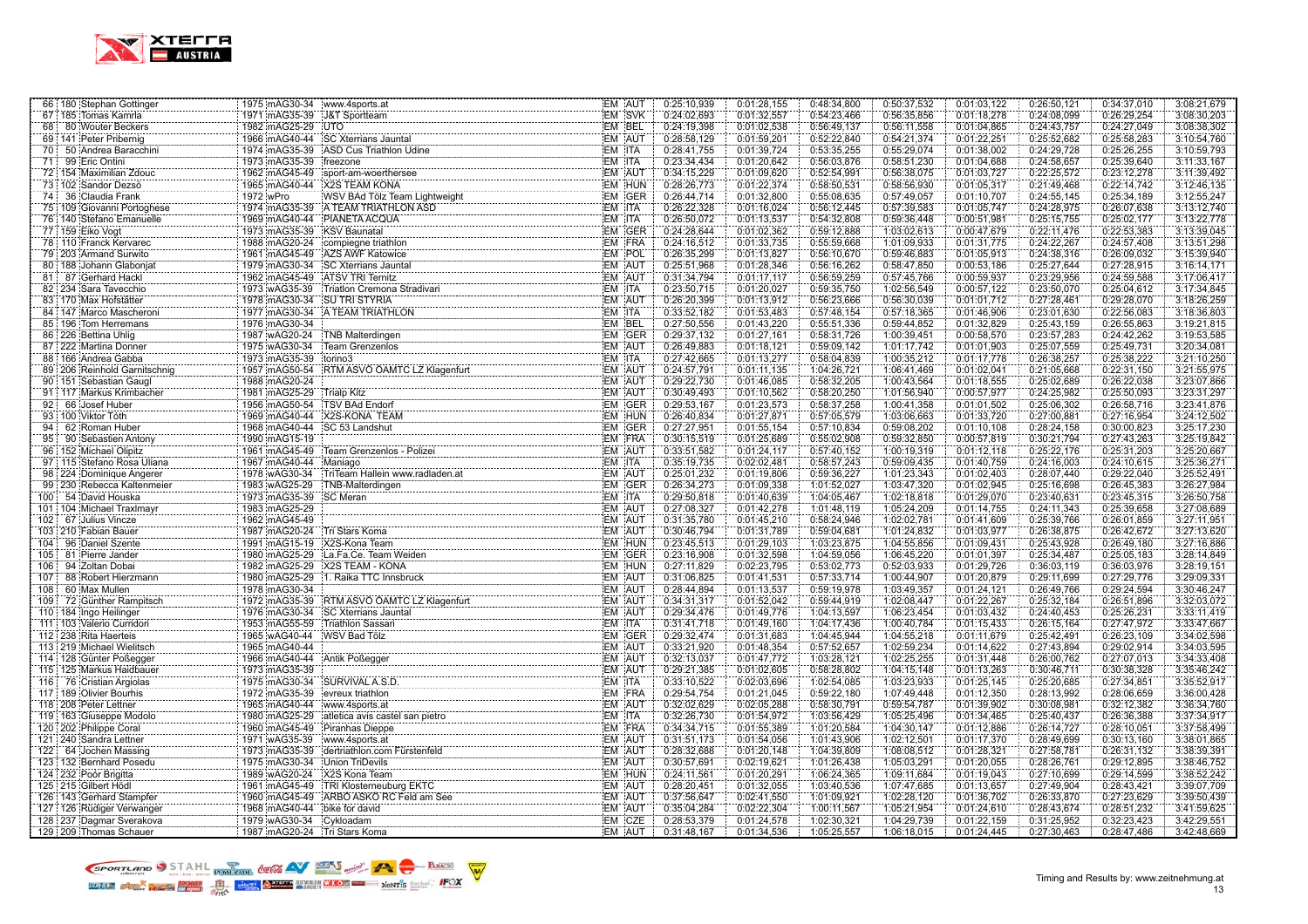

| 66 180 Stephan Gottinger                                       | 1975 mAG30-34 www.4sports.at                 |                                                                                                                          | EM AUT                  | 0:25:10,939                | 0:01:28,155                | 0:48:34,800                | 0:50:37,532                | 0:01:03,122                | 0:26:50,121                | 0:34:37,010                | 3:08:21,679                |
|----------------------------------------------------------------|----------------------------------------------|--------------------------------------------------------------------------------------------------------------------------|-------------------------|----------------------------|----------------------------|----------------------------|----------------------------|----------------------------|----------------------------|----------------------------|----------------------------|
| 67 185 Tomas Kamrla                                            | 1971 mAG35-39                                | J&T Sportteam                                                                                                            | EM SVK                  | 0:24:02,693                | 0:01:32,557                | 0:54:23,466                | 0:56:35,856                | 0:01:18,278                | 0:24:08,099                | 0:26:29,254                | 3:08:30,203                |
| 68 80 Wouter Beckers                                           | 1982 mAG25-29 UTO                            |                                                                                                                          | EM BEL                  | 0:24:19,398                | 0:01:02,538                | 0:56:49,137                | 0:56:11,558                | 0:01:04,865                | 0:24:43,757                | 0:24:27,049                | 3:08:38,302                |
| 69 141 Peter Pribernig                                         |                                              | 1966 mAG40-44 SC Xterrians Jauntal                                                                                       | <b>EM AUT</b>           | 0:28:58.129                | 0:01:59.201                | 0:52:22.840                | 0:54:21.374                | 0:01:22.251                | 0:25:52.682                | 0:25:58.283                | 3:10:54,760                |
| 50 Andrea Baracchini<br>70 :                                   | 1974 mAG35-39                                | ASD Cus Triathlon Udine                                                                                                  | EM ITA                  | 0:28:41,755                | 0:01:39,724                | 0:53:35,255                | 0:55:29,074                | 0:01:38,002                | 0:24:29,728                | 0:25:26,255                | 3:10:59,793                |
| 71 99 Eric Ontini                                              | 1973 mAG35-39                                | freezone                                                                                                                 | EM ITA                  | 0:23:34,434                | 0:01:20,642                | 0:56:03,876                | 0:58:51,230                | 0:01:04,688                | 0:24:58,657                | 0:25:39,640                | 3:11:33,167                |
| 72 154 Maximilian Zdouc                                        | 1962 mAG45-49                                | sport-am-woerthersee                                                                                                     | EM AUT                  | 0:34:15,229                | 0:01:09,620                | 0:52:54,991                | 0:56:38,075                | 0:01:03,727                | 0:22:25,572                | 0:23:12,278                | 3:11:39,492                |
| 73 102 Sandor Dezsö<br>.                                       | 1965 mAG40-44                                | <b>X2S TEAM KONA</b>                                                                                                     | EM HUN                  | 0:28:26,773                | 0:01:22,374                | 0:58:50,531                | 0:58:56,930                | 0:01:05,317                | 0:21:49,468                | 0:22:14,742                | 3:12:46,135                |
| 74 36 Claudia Frank                                            | 1972 wPro                                    | X2S TEAM KONA<br>WSV BAd Tolz Team Lightweight                                                                           | EM GER                  | 0:26:44,714                | 0:01:32,800                | 0:55:08,635                | 0:57:49,057                | 0:01:10,707                | 0:24:55,145                | 0:25:34,189                | 3:12:55,247                |
| 75 109 Giovanni Portoghese                                     |                                              | 1974 mAG35-39 A TEAM TRIATHLON ASD                                                                                       | EM ITA                  | 0:26:22,328                | 0:01:16,024                | 0:56:12,445                | 0:57:39,583                | 0:01:05,747                | 0:24:28,975                | 0:26:07,638                | 3:13:12,740                |
| 76 140 Stefano Emanuelle                                       |                                              | 1969 mAG40-44 PIANETA ACQUA                                                                                              | EM ITA                  | 0:26:50,072                | 0:01:13,537                | 0:54:32,808                | 0:59:36,448                | 0:00:51,981                | 0:25:15,755                | 0:25:02,177                | 3:13:22,778                |
| .<br>77 159 Eiko Vogt                                          | 1973 mAG35-39 KSV Baunatal                   |                                                                                                                          | EM GER                  | 0:24:28,644                | 0:01:02,362                | 0:59:12,888                | 1:03:02,613                | 0:00:47,679                | 0:22:11,476                | 0:22:53,383                | 3:13:39,045                |
| 78 110 Franck Kervarec                                         |                                              | 1988 mAG20-24 compiegne triathlon                                                                                        | EM FRA                  | 0:24:16,512                | 0:01:33,735                | 0:55:59,668                | 1:01:09,933                | 0:01:31,775                | 0:24:22,267                | 0:24:57,408                | 3:13:51,298                |
| 79 203 Armand Surwito                                          | 1961 mAG45-49                                | AZS AWF Katowice                                                                                                         | EM POL                  | 0:26:35,299                | 0:01:13,827                | 0:56:10,670                | 0:59:46,883                | 0:01:05,913                | 0:24:38,316                | 0:26:09,032                | 3:15:39,940                |
| 80 188 Johann Glaboniat                                        | 1979 mAG30-34                                | <b>SC Xterrians Jauntal</b>                                                                                              | EM AUT                  | 0:25:51,968                | 0:01:28,346                | 0:56:16,262                | 0:58:47,850                | 0:00:53,186                | 0:25:27,644                | 0:27:28,915                | 3:16:14,171                |
| 81 87 Gerhard Hackl                                            | 1962 mAG45-49 ATSV TRI Ternitz               |                                                                                                                          | EM AUT                  | 0:31:34,794                | 0:01:17.117                | 0:56:59,259                | 0:57:45,766                | 0:00:59,937                | 0:23:29,956                | 0:24:59,588                | 3:17:06,417                |
| 82 234 Sara Tavecchio                                          | 1973 wAG35-39                                | Triatlon Cremona Stradivari                                                                                              | EM ITA                  | 0:23:50,715                | 0:01:20,027                | 0:59:35,750                | 1:02:56,549                | 0:00:57,122                | 0:23:50,070                | 0:25:04,612                | 3:17:34,845                |
| 83 170 Max Hofstätter                                          | 1978 mAG30-34                                | <b>SU TRI STYRIA</b>                                                                                                     | EM AUT                  | 0:26:20,399                | 0:01:13,912                | 0:56:23,666                | 0:56:30,039                | 0:01:01.712                | 0:27:28,461                | 0:29:28,070                | 3:18:26,259                |
| .<br>84 147 Marco Mascheroni                                   | 1977 mAG30-34                                | A TEAM TRIATHLON                                                                                                         | EM ITA                  | 0:33:52,182                | 0:01:53,483                | 0:57:48,154                | 0:57:18,365                | 0:01:46,906                | 0:23:01,630                | 0:22:56,083                | 3:18:36,803                |
| 85 196 Tom Herremans                                           | 1976 mAG30-34                                |                                                                                                                          | EM BEL                  | 0:27:50,556                | 0:01:43,220                | 0:55:51,336                | 0:59:44,852                | 0:01:32,829                | 0:25:43,159                | 0:26:55,863                | 3:19:21,815                |
| 86 226 Bettina Uhlig                                           | 1987 wAG20-24                                | TNB Malterdingen                                                                                                         | EM GER                  | 0:29:37,132                | 0:01:27,161                | 0:58:31,726                | 1:00:39,451                | 0:00:58,570                | 0:23:57,283                | 0:24:42,262                | 3:19:53,585                |
| 87 222 Martina Donner                                          | 1975 wAG30-34                                | Team Grenzenlos                                                                                                          | <b>EM AUT</b>           | 0:26:49.883                | 0:01:18,121                | 0:59:09,142                | 1:01:17,742                | 0:01:01,903                | 0:25:07,559                | 0:25:49,731                | 3:20:34,081                |
| 88 166 Andrea Gabba                                            | 1973 mAG35-39                                | torino3                                                                                                                  | EM ITA                  | 0:27:42,665                | 0:01:13,277                | 0:58:04,839                | 1:00:35,212                | 0:01:17,778                | 0:26:38,257                | 0:25:38,222                | 3:21:10,250                |
| .<br>89 206 Reinhold Garnitschnig                              | 1957 mAG50-54                                | :torino3<br>:RTM ASVO OAMTC LZ Klagenfurt                                                                                | EM AUT                  | 0:24:57,791                | 0:01:11,135                | 1:04:26,721                | 1:06:41,469                | 0:01:02,041                | 0:21:05,668                | 0:22:31,150                | 3:21:55,975                |
| .<br>90 151 Sebastian Gaugl                                    | 1988 mAG20-24                                |                                                                                                                          | EM AUT                  | 0:29:22,730                | 0:01:46,085                | 0:58:32,205                | 1:00:43,564                | 0:01:18,555                | 0:25:02,689                | 0:26:22,038                | 3:23:07,866                |
| 91 117 Markus Krimbacher                                       | 1981 mAG25-29                                | Trialp Kitz                                                                                                              | EM AUT                  | 0:30:49,493                | 0:01:10,562                | 0:58:20,250                | 1:01:56,940                | 0:00:57,977                | 0:24:25,982                | 0:25:50,093                | 3:23:31,297                |
| 92:<br>66 Josef Huber                                          | 1956 mAG50-54                                | <b>TSV BAd Endorf</b>                                                                                                    | EM GER                  | 0:29:53,167                | 0:01:23,573                | 0:58:37,258                | 1:00:41,358                | 0:01:01,502                | 0:25:06,302                | 0:26:58,716                | 3:23:41,876                |
| 93 100 Viktor Tóth                                             | 1969 mAG40-44                                | X2S-KONA TEAM                                                                                                            | EM HUN                  | 0:26:40.834                | 0:01:27,871                | 0:57:05,579                | 1:03:06,663                | 0:01:33,720                | 0:27:00,881                | 0:27:16,954                | 3:24:12,502                |
| 94:<br>62 Roman Huber                                          | 1968 mAG40-44                                | SC 53 Landshut                                                                                                           | EM GER                  | 0:27:27,951                | 0:01:55,154                | 0:57:10,834                | 0:59:08,202                | 0:01:10,108                | 0:28:24,158                | 0:30:00,823                | 3:25:17,230                |
| 95<br>90 Sebastien Antony                                      | 1990 mAG15-19                                |                                                                                                                          | EM FRA                  | 0:30:15,519                | 0:01:25,689                | 0:55:02,908                | 0:59:32,850                | 0:00:57,819                | 0:30:21,794                | 0:27:43,263                | 3:25:19,842                |
| 96 152 Michael Olipitz                                         | 1961 mAG45-49                                | Team Grenzenlos - Polizei                                                                                                | EM AUT                  | 0:33:51,582                | 0:01:24,117                | 0:57:40,152                | 1:00:19,319                | 0:01:12,118                | 0:25:22,176                | 0:25:31,203                | 3:25:20,667                |
| 97 115 Stefano Rosa Uliana                                     | 1967 mAG40-44                                | Maniago                                                                                                                  | EM ITA                  | 0:35:19,735                | 0:02:02,481                | 0:58:57,243                | 0:59:09,435                | 0:01:40,759                | 0:24:16,003                | 0:24:10,615                | 3:25:36,271                |
|                                                                | 1978 wAG30-34                                |                                                                                                                          | EM AUT                  | 0:25:01,232                | 0:01:19,806                | 0:59:36,227                | 1:01:23,343                | 0:01:02,403                | 0:28:07,440                | 0:29:22,040                | 3:25:52,491                |
| 98 224 Dominique Angerer                                       |                                              | TriTeam Hallein www.radladen.at                                                                                          | EM GER                  |                            |                            |                            |                            |                            |                            | 0:26:45,383                |                            |
| 99 230 Rebecca Kaltenmeier                                     | 1983 wAG25-29                                | TNB-Malterdingen                                                                                                         | EM ITA                  | 0:26:34,273                | 0:01:09.338<br>0:01:40.639 | 1:01:52,027<br>1:04:05.467 | 1:03:47,320                | 0:01:02,945<br>0:01:29.070 | 0:25:16,698                | 0:23:45.315                | 3:26:27,984                |
| 100 54 David Houska                                            | 1973 mAG35-39                                | SC Meran                                                                                                                 |                         | 0:29:50.818                |                            |                            | 1:02:18.818                |                            | 0:23:40.631                |                            | 3:26:50.758                |
| 101   104   Michael Traxlmayr<br>101   104   Michael Traxlmayr | 1983 mAG25-29                                |                                                                                                                          | EM AUT<br>EM AUT        | 0:27:08,327                | 0:01:42,278                | 1:01:48,119                | 1:05:24,209                | 0:01:14,755                | 0:24:11.343                | 0:25:39,658                | 3:27:08,689                |
| 102 67 Julius Vincze                                           | 1962 mAG45-49                                |                                                                                                                          | EM AUT                  | 0:31:35,780                | 0:01:45,210                | 0:58:24,946                | 1:02:02,781<br>1:01:24,832 | 0:01:41,609                | 0:25:39,766                | 0:26:01,859                | 3:27:11,951                |
| 103 210 Fabian Bauer                                           | 1987 mAG20-24<br>1991 mAG15-19 X2S-Kona Team | Tri Stars Koma                                                                                                           | EM HUN                  | 0:30:46,794                | 0:01:31,789                | 0:59:04,681                |                            | 0:01:03,977                | 0:26:38,875<br>0:25:43,928 | 0:26:42,672                | 3:27:13,620<br>3:27:16,886 |
| 104 96 Daniel Szente                                           |                                              |                                                                                                                          | EM GER                  | 0:23:45,513<br>0:23:16,908 | 0:01:29,103                | 1:03:23,875<br>1:04:59,056 | 1:04:55,856                | 0:01:09,431                |                            | 0:26:49,180<br>0:25:05,183 |                            |
| 81 Pierre Jander<br>105:                                       |                                              | 1980 mAG25-29 La.Fa.Ce. Team Weiden                                                                                      | EM HUN                  | 0:27:11.829                | 0:01:32,598<br>0:02:23.795 |                            | 1:06:45,220<br>0:52:03.933 | 0:01:01,397<br>0:01:29.726 | 0:25:34,487<br>0:36:03.119 | 0:36:03.976                | 3:28:14,849<br>3:28:19.151 |
| 94 Zoltan Dobai<br>: 106<br>107 :                              | 1982 mAG25-29                                | X2S TEAM - KONA<br>1. Raika TTC Innsbruck                                                                                | EM AUT                  |                            |                            | 0:53:02,773                | 1:00:44,907                |                            | 0:29:11,699                |                            | 3:29:09,331                |
| 88 Robert Hierzmann<br>60 Max Mullen                           | 1980 mAG25-29<br>1978 mAG30-34               |                                                                                                                          | EM AUT                  | 0:31:06,825<br>0:28:44,894 | 0:01:41,531                | 0:57:33,714<br>0:59:19,978 | 1:03:49,357                | 0:01:20,879<br>0:01:24,121 | 0:26:49,766                | 0:27:29,776<br>0:29:24,594 | 3:30:46,247                |
| 108 :                                                          |                                              | RTM ASVO OAMTC LZ Klagenfurt                                                                                             | EM AUT                  | 0:34:31,317                | 0:01:13,537<br>0:01:52,042 | 0:59:44,919                | 1:02:08,447                | 0:01:22,267                | 0:25:32,184                | 0:26:51,896                | 3:32:03,072                |
| 72 Günther Rampitsch<br>109                                    | 1972 mAG35-39                                |                                                                                                                          | EM AUT                  |                            |                            |                            |                            |                            |                            |                            |                            |
| 110 184 Ingo Heilinger<br>111 103 Valerio Curridori            | 1976 mAG30-34<br>1953 mAG55-59               | <b>SC Xterrians Jauntal</b><br>Triathlon Sassari                                                                         | EM ITA                  | 0:29:34,476<br>0:31:41,718 | 0:01:49,776<br>0:01:49,160 | 1:04:13,597<br>1:04:17,436 | 1:06:23,454<br>1:00:40,784 | 0:01:03,432<br>0:01:15,433 | 0:24:40,453<br>0:26:15,164 | 0:25:26,231<br>0:27:47,972 | 3:33:11,419<br>3:33:47,667 |
| 112 238 Rita Haerteis                                          | 1965 wAG40-44                                |                                                                                                                          | <b>EM GER</b>           | 0:29:32.474                | 0:01:31.683                | 1:04:45.944                | 1:04:55,218                | 0:01:11.679                | 0:25:42.491                | 0:26:23,109                | 3:34:02.598                |
| .<br>113 219 Michael Wielitsch                                 | 1965 mAG40-44                                | WSV Bad Tölz                                                                                                             | EM AUT                  | 0:33:21,920                | 0:01:48,354                | 0:57:52,657                | 1:02:59,234                | 0:01:14,622                | 0:27:43,894                | 0:29:02,914                | 3:34:03,595                |
| .<br>114 128 Günter Poßegger                                   | 1966 mAG40-44 Antik Poßegger                 |                                                                                                                          | EM AUT                  | 0:32:13,037                | 0:01:47,772                | 1:03:28,121                | 1:02:25,255                | 0:01:31,448                | 0:26:00,762                | 0:27:07,013                | 3:34:33,408                |
| 115 125 Markus Haidbauer                                       | 1973 mAG35-39                                |                                                                                                                          | EM AUT                  | 0:29:21,385                | 0:01:02,605                | 0:58:28,802                | 1:04:15,148                | 0:01:13,263                | 0:30:46,711                | 0:30:38,328                | 3:35:46,242                |
| .<br>116 76 Cristian Argiolas                                  |                                              | 1975 mAG30-34 SURVIVAL A.S.D.                                                                                            | EM ITA                  | 0:33:10,522                | 0:02:03.696                | 1:02:54,085                | 1:03:23,933                | 0:01:25,145                | 0:25:20,685                | 0:27:34,851                | 3:35:52,917                |
| 117 189 Olivier Bourhis                                        | 1972 mAG35-39                                | the control of the control of the control of the control of<br>evreux triathlon                                          | EM FRA                  | 0:29:54,754                | 0:01:21.045                | 0:59:22,180                | 1:07:49,448                | 0:01:12,350                | 0:28:13,992                | 0:28:06,659                | 3:36:00,428                |
| 118 208 Peter Lettner                                          | 1965 mAG40-44                                | www.4sports.at                                                                                                           | EM AUT                  | 0:32:02.629                | 0:02:05.288                | 0:58:30,791                | 0:59:54,787                | 0:01:39,902                | 0:30:08,981                | 0:32:12,382                |                            |
|                                                                |                                              |                                                                                                                          | EM ITA                  |                            | 0:01:54,972                |                            |                            | 0:01:34,465                | 0:25:40,437                |                            | 3:36:34,760<br>3:37:34,917 |
| 119   163 Giuseppe Modolo<br>120 202 Philippe Coral            | 1980 mAG25-29                                | atletica avis castel san pietro                                                                                          | EM FRA                  | 0:32:26,730                | 0:01:55,389                | 1:03:56,429<br>1:01:20,584 | 1:05:25,496<br>1:04:30,147 |                            |                            | 0:26:36,388<br>0:28:10,051 | 3:37:58,499                |
|                                                                | 1960 mAG45-49                                | Piranhas Dieppe                                                                                                          | <b>EM AUT</b>           | 0:34:34,715<br>0:31:51,173 | 0:01:54,056                | 1:01:43,906                | 1:02:12,501                | 0:01:12,886<br>0:01:17,370 | 0:26:14,727<br>0:28:49,699 | 0:30:13,160                | 3:38:01,865                |
| 121 240 Sandra Lettner                                         |                                              | $\frac{1973 \text{ imAG35-39}}{1975 \text{ imAG35-39}} \cdot \frac{1}{\text{dertriathlon.com} \cdot \text{Fürstenfeld}}$ | EM AUT                  | 0:28:32,688                | 0:01:20,148                | 1:04:39,809                | 1:08:08,512                | 0:01:28,321                | 0:27:58,781                | 0:26:31,132                | 3:38:39,391                |
| 122: 64 Jochen Massing<br>123 132 Bernhard Posedu              |                                              | Union TriDevils                                                                                                          | EM AUT                  | 0:30:57,691                | 0:02:19,621                | 1:01:26,438                | 1:05:03,291                | 0:01:20,055                | 0:28:26,761                |                            | 3:38:46,752                |
|                                                                | 1975 mAG30-34                                |                                                                                                                          | EM HUN                  |                            | 0:01:20.291                |                            | 1:09:11.684                | 0:01:19.043                | 0:27:10.699                | 0:29:12,895<br>0:29:14.599 |                            |
| 124 232 Poór Brigitta                                          | 1989 wAG20-24                                | TRI Klosterneuburg EKTC<br>TRI Klosterneuburg EKTC<br>TABBA XAIZA DAI                                                    |                         | 0:24:11,561                |                            | 1:06:24,365                |                            |                            |                            |                            | 3:38:52,242                |
| 125 215 Gilbert Hödl                                           | 1961 mAG45-49                                | 1960 mAG45-49 ARBO ASKO RC Feld am See                                                                                   | EM AUT<br><b>EM AUT</b> | 0:28:20,451<br>0:37:56,647 | 0:01:32,055                | 1:03:40,536<br>1:01:09,921 | 1:07:47,685<br>1:02:28,120 | 0:01:13,657<br>0:01:36,702 | 0:27:49,904                | 0:28:43,421<br>0:27:23,629 | 3:39:07,709<br>3:39:50,439 |
| 126   143 Gerhard Stampfer<br>127 126 Rüdiger Verwanger        | 1968 mAG40-44                                | bike for david                                                                                                           | EM AUT                  | 0:35:04,284                | 0:02:41,550<br>0:02:22,304 | 1:00:11,567                | 1:05:21,954                | 0:01:24,610                | 0:26:33,870<br>0:28:43,674 | 0:28:51,232                | 3:41:59,625                |
|                                                                | 1979 wAG30-34 Cykloadam                      | <u> 1989 - Jan James James James James James James James James James James James James James James James James J</u>     | EM CZE                  | 0:28:53,379                | 0:01:24,578                | 1:02:30,321                | 1:04:29,739                | 0:01:22,159                | 0:31:25,952                | 0:32:23,423                | 3:42:29,551                |
| 128 237 Dagmar Sverakova                                       |                                              |                                                                                                                          | EM AUT                  |                            |                            |                            |                            |                            |                            |                            |                            |
| 129 209 Thomas Schauer                                         | 1987 mAG20-24 Tri Stars Koma                 |                                                                                                                          |                         | 0:31:48,167                | 0:01:34,536                | 1:05:25,557                | 1:06:18,015                | 0:01:24,445                | 0:27:30,463                | 0:28:47,486                | 3:42:48,669                |

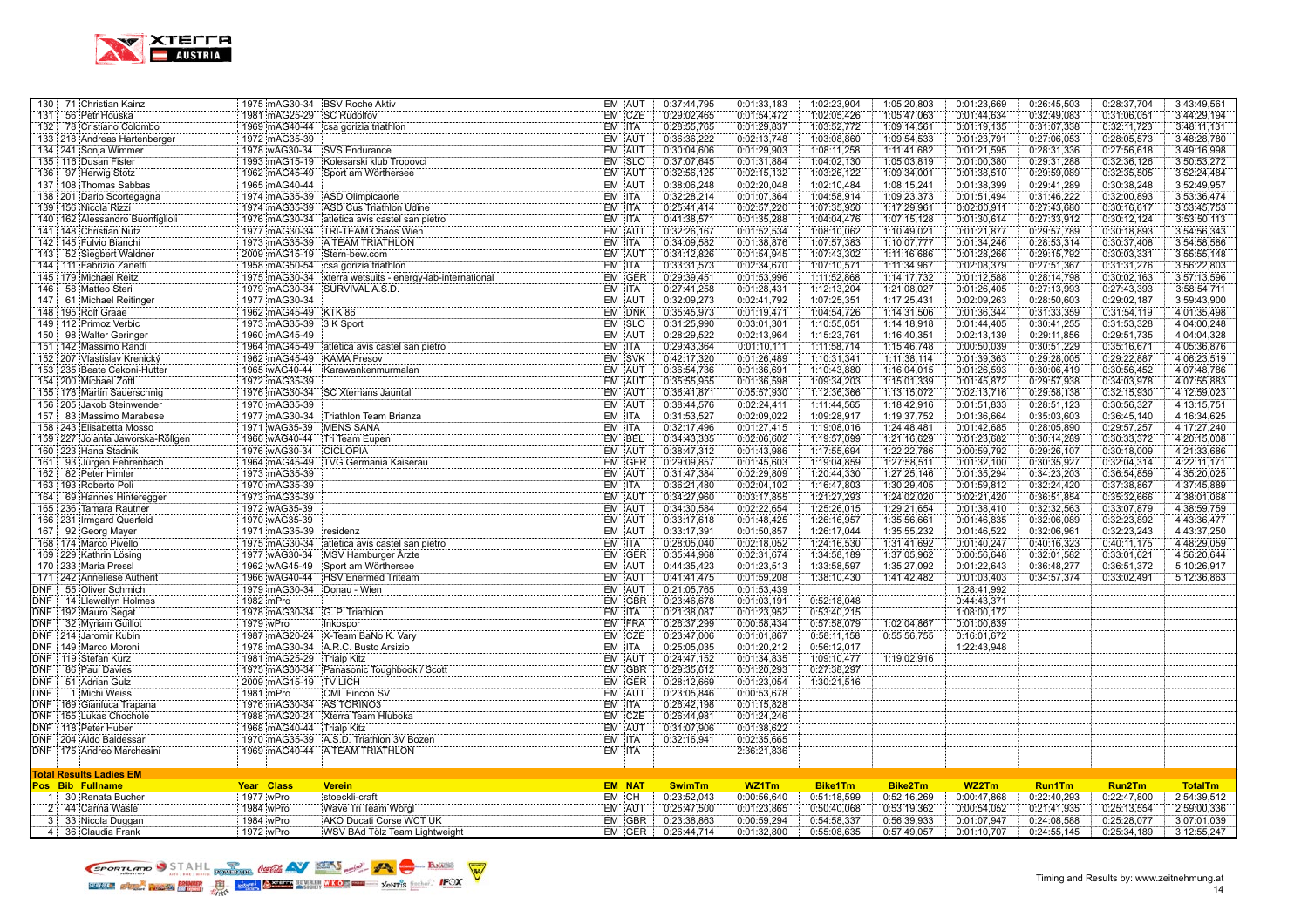

| 130 71 Christian Kainz           | 1975 mAG30-34 BSV Roche Aktiv |                                                          | EM AUT        | 0:37:44,795   | 0:01:33,183 | 1:02:23,904    | 1:05:20,803    | 0:01:23,669 | 0:26:45,503   | 0:28:37,704 | 3:43:49,561    |
|----------------------------------|-------------------------------|----------------------------------------------------------|---------------|---------------|-------------|----------------|----------------|-------------|---------------|-------------|----------------|
| 131<br>56 Petr Houska            | 1981 mAG25-29 SC Rudolfov     |                                                          | EM CZE        | 0:29:02,465   | 0:01:54,472 | 1:02:05,426    | 1:05:47,063    | 0:01:44,634 | 0:32:49,083   | 0:31:06,051 | 3:44:29,194    |
| 132 78 Cristiano Colombo         |                               | 1969 mAG40-44 csa gorizia triathlon                      | EM ITA        | 0:28:55,765   | 0:01:29,837 | 1:03:52,772    | 1:09:14,561    | 0:01:19,135 | 0:31:07,338   | 0:32:11,723 | 3:48:11,131    |
| 133 218 Andreas Hartenberger     | 1972 mAG35-39                 |                                                          | EM AUT        | 0:36:36,222   | 0:02:13,748 | 1:03:08,860    | 1:09:54,533    | 0:01:23,791 | 0:27:06,053   | 0:28:05,573 | 3:48:28,780    |
| 134 241 Sonja Wimmer             | 1978 wAG30-34 SVS Endurance   |                                                          | EM AUT        | 0:30:04,606   | 0:01:29,903 | 1:08:11,258    | 1:11:41,682    | 0:01:21,595 | 0:28:31,336   | 0:27:56,618 | 3:49:16,998    |
| 135 116 Dusan Fister             |                               | 1993 mAG15-19 Kolesarski klub Tropovci                   | EM SLO        | 0:37:07,645   | 0:01:31,884 | 1:04:02,130    | 1:05:03,819    | 0:01:00,380 | 0:29:31,288   | 0:32:36,126 | 3:50:53,272    |
| 136 97 Herwig Stotz              |                               | 1962 mAG45-49 Sport am Wörthersee                        | EM AUT        | 0:32:56,125   | 0:02:15,132 | 1:03:26,122    | 1:09:34,001    | 0:01:38,510 | 0:29:59,089   | 0:32:35,505 | 3:52:24,484    |
| 137   108   Thomas Sabbas        | 1965 mAG40-44                 |                                                          | EM AUT        | 0:38:06,248   | 0:02:20,048 | 1:02:10,484    | 1:08:15,241    | 0:01:38,399 | 0:29:41,289   | 0:30:38,248 | 3:52:49,957    |
| 138   201 Dario Scortegagna      |                               | 1974 mAG35-39 ASD Olimpicaorle                           | EM ITA        | 0:32:28.214   | 0:01:07,364 | 1:04:58,914    | 1:09:23,373    | 0:01:51.494 | 0:31:46,222   | 0:32:00,893 | 3:53:36.474    |
| 139 156 Nicola Rizzi             |                               | 1974 mAG35-39 ASD Cus Triathlon Udine                    | EM ITA        | 0:25:41,414   | 0:02:57,220 | 1:07:35,950    | 1:17:29,961    | 0:02:00,911 | 0:27:43,680   | 0:30:16,617 | 3:53:45,753    |
| 140 162 Alessandro Buonfiglioli  |                               | 1976 mAG30-34 atletica avis castel san pietro            | EM ITA        | 0:41:38,571   | 0:01:35,288 | 1:04:04,476    | 1:07:15,128    | 0:01:30,614 | 0:27:33,912   | 0:30:12,124 | 3:53:50,113    |
| 141   148 Christian Nutz         |                               | 1977 mAG30-34 TRI-TEAM Chaos Wien                        | EM AUT        | 0:32:26,167   | 0:01:52,534 | 1:08:10,062    | 1:10:49,021    | 0:01:21,877 | 0:29:57,789   | 0:30:18,893 | 3:54:56,343    |
| 142 145 Fulvio Bianchi           |                               | 1973 mAG35-39 A TEAM TRIATHLON                           | EM ITA        | 0:34:09,582   | 0:01:38,876 | 1:07:57,383    | 1:10:07,777    | 0:01:34,246 | 0:28:53,314   | 0:30:37,408 | 3:54:58,586    |
| 143 52 Siegbert Waldner          | 2009 mAG15-19 Stern-bew.com   |                                                          | EM AUT        | 0:34:12,826   | 0:01:54,945 | 1:07:43,302    | 1:11:16,686    | 0:01:28,266 | 0:29:15,792   | 0:30:03,331 | 3:55:55,148    |
| 144   111 Fabrizio Zanetti       |                               | 1958 mAG50-54 csa gorizia triathlon                      | EM ITA        | 0:33:31,573   | 0:02:34,670 | 1:07:10,571    | 1:11:34,967    | 0:02:08,379 | 0:27:51,367   | 0:31:31,276 | 3:56:22,803    |
| 145 179 Michael Reitz            |                               | 1975 mAG30-34 xterra wetsuits - energy-lab-international | EM GER        | 0:29:39,451   | 0:01:53,996 | 1:11:52,868    | 1:14:17,732    | 0:01:12,588 | 0:28:14,798   | 0:30:02,163 | 3:57:13,596    |
| 58 Matteo Steri<br>146           |                               | 1979 mAG30-34 SURVIVAL A.S.D.                            | EM ITA        | 0:27:41,258   | 0:01:28,431 | 1:12:13,204    | 1:21:08,027    | 0:01:26,405 | 0:27:13,993   | 0:27:43,393 | 3:58:54,711    |
| 147 61 Michael Reitinger         | 1977 mAG30-34                 |                                                          | EM AUT        | 0:32:09.273   | 0:02:41,792 | 1:07:25,351    | 1:17:25,431    | 0:02:09.263 | 0:28:50,603   | 0:29:02,187 | 3:59:43,900    |
| 148 195 Rolf Graae               |                               |                                                          | EM DNK        | 0:35:45,973   | 0:01:19,471 |                |                | 0:01:36,344 |               |             |                |
|                                  | 1962 mAG45-49 KTK 86          |                                                          |               |               |             | 1:04:54,726    | 1:14:31,506    |             | 0:31:33,359   | 0:31:54,119 | 4:01:35,498    |
| 149 112 Primoz Verbic            | 1973 mAG35-39 3 K Sport       |                                                          | EM SLO        | 0:31:25,990   | 0:03:01,301 | 1:10:55,051    | 1:14:18,918    | 0:01:44,405 | 0:30:41,255   | 0:31:53,328 | 4:04:00,248    |
| 150 98 Walter Geringer           | 1960 mAG45-49                 |                                                          | EM AUT        | 0:28:29,522   | 0:02:13,964 | 1:15:23,761    | 1:16:40,351    | 0:02:13,139 | 0:29:11,856   | 0:29:51,735 | 4:04:04,328    |
| 151   142 Massimo Randi          |                               | 1964 mAG45-49 atletica avis castel san pietro            | EM ITA        | 0:29:43.364   | 0:01:10,111 | 1:11:58,714    | 1:15:46,748    | 0:00:50.039 | 0:30:51,229   | 0:35:16,671 | 4:05:36,876    |
| 152 207 Vlastislav Krenický      | 1962 mAG45-49 KAMA Presov     |                                                          | EM SVK        | 0:42:17,320   | 0:01:26,489 | 1:10:31,341    | 1:11:38,114    | 0:01:39,363 | 0:29:28,005   | 0:29:22,887 | 4:06:23,519    |
| 153 235 Beate Cekoni-Hutter      | 1965 wAG40-44                 | Karawankenmurmalan                                       | EM AUT        | 0:36:54,736   | 0:01:36,691 | 1:10:43,880    | 1:16:04,015    | 0:01:26,593 | 0:30:06,419   | 0:30:56,452 | 4:07:48,786    |
| 154   200   Michael Zottl        | 1972 mAG35-39                 |                                                          | EM AUT        | 0:35:55,955   | 0:01:36,598 | 1:09:34,203    | 1:15:01,339    | 0:01:45,872 | 0:29:57,938   | 0:34:03,978 | 4:07:55,883    |
| 155 178 Martin Sauerschnig       | 1976 mAG30-34                 | <b>SC Xterrians Jauntal</b>                              | EM AUT        | 0:36:41,871   | 0:05:57,930 | 1:12:36,366    | 1:13:15,072    | 0:02:13,716 | 0:29:58,138   | 0:32:15,930 | 4:12:59,023    |
| 156 205 Jakob Steinwender        | 1970 mAG35-39                 |                                                          | EM AUT        | 0:38:44,576   | 0:02:24,411 | 1:11:44,565    | 1:18:42,916    | 0:01:51,833 | 0:28:51,123   | 0:30:56,327 | 4:13:15,751    |
| 157 83 Massimo Marabese          | 1977 mAG30-34                 | Triathlon Team Brianza                                   | EM ITA        | 0:31:53,527   | 0:02:09.022 | 1:09:28,917    | 1:19:37,752    | 0:01:36,664 | 0:35:03,603   | 0:36:45,140 | 4:16:34,625    |
| 158 243 Elisabetta Mosso         | 1971 wAG35-39 MENS SANA       |                                                          | EM ITA        | 0:32:17,496   | 0:01:27,415 | 1:19:08,016    | 1:24:48,481    | 0:01:42,685 | 0:28:05,890   | 0:29:57,257 | 4:17:27,240    |
| 159 227 Jolanta Jaworska-Röllgen | 1966 wAG40-44 Tri Team Eupen  |                                                          | EM BEL        | 0:34:43,335   | 0:02:06,602 | 1:19:57,099    | 1:21:16,629    | 0:01:23,682 | 0:30:14,289   | 0:30:33,372 | 4:20:15,008    |
| 160 223 Hana Stadnik             | 1976 wAG30-34                 | <b>CICLOPIA</b>                                          | EM AUT        | 0:38:47,312   | 0:01:43,986 | 1:17:55,694    | 1:22:22,786    | 0:00:59.792 | 0:29:26,107   | 0:30:18,009 | 4:21:33,686    |
| 161 93 Jürgen Fehrenbach         |                               | 1964 mAG45-49 TVG Germania Kaiserau                      | EM GER        | 0:29:09,857   | 0:01:45,603 | 1:19:04,859    | 1:27:58,511    | 0:01:32,100 | 0:30:35,927   | 0:32:04,314 | 4:22:11,171    |
| 162 82 Peter Himler              | 1973 mAG35-39                 |                                                          | EM AUT        | 0:31:47,384   | 0:02:29,809 | 1:20:44,330    | 1:27:25,146    | 0:01:35,294 | 0:34:23,203   | 0:36:54,859 | 4:35:20,025    |
| 163 193 Roberto Poli             | 1970 mAG35-39                 |                                                          | EM ITA        | 0:36:21,480   | 0:02:04,102 | 1:16:47,803    | 1:30:29,405    | 0:01:59,812 | 0:32:24,420   | 0:37:38,867 | 4:37:45,889    |
| 69 Hannes Hinteregger<br>164 :   | 1973 mAG35-39                 |                                                          | EM AUT        | 0:34:27.960   | 0:03:17.855 | 1:21:27,293    | 1:24:02,020    | 0:02:21.420 | 0:36:51,854   | 0:35:32,666 | 4:38:01.068    |
| 165   236 Tamara Rautner         | 1972 wAG35-39                 |                                                          | EM AUT        | 0:34:30,584   | 0:02:22,654 | 1:25:26,015    | 1:29:21,654    | 0:01:38,410 | 0:32:32,563   | 0:33:07,879 | 4:38:59,759    |
| 166 231 Irmgard Querfeld         | 1970 wAG35-39                 |                                                          | EM AUT        | 0:33:17,618   | 0:01:48,425 | 1:26:16,957    | 1:35:56,661    | 0:01:46,835 | 0:32:06,089   | 0:32:23,892 | 4:43:36,477    |
| 167 92 Georg Mayer               | 1971 mAG35-39 residenz        |                                                          | EM AUT        | 0:33:17,391   | 0:01:50,857 | 1:26:17,044    | 1:35:55,232    | 0:01:46,522 | 0:32:06,961   | 0:32:23,243 | 4:43:37,250    |
| 168 174 Marco Pivello            | 1975 mAG30-34                 | atletica avis castel san pietro                          | EM ITA        | 0:28:05,040   | 0:02:18.052 | 1:24:16,530    | 1:31:41,692    | 0:01:40,247 | 0:40:16,323   | 0:40:11,175 | 4:48:29,059    |
| 169 229 Kathrin Lösing           | 1977 wAG30-34                 | MSV Hamburger Ärzte                                      | EM GER        | 0:35:44,968   | 0:02:31,674 | 1:34:58,189    | 1:37:05,962    | 0:00:56,648 | 0:32:01,582   | 0:33:01,621 | 4:56:20,644    |
| 170 233 Maria Pressl             | 1962 wAG45-49                 | Sport am Wörthersee                                      | EM AUT        | 0:44:35,423   | 0:01:23,513 | 1:33:58,597    | 1:35:27,092    | 0:01:22,643 | 0:36:48,277   | 0:36:51,372 | 5:10:26,917    |
| 171 242 Anneliese Autherit       | 1966 wAG40-44                 | <b>HSV</b> Enermed Triteam                               | EM AUT        | 0:41:41,475   | 0:01:59,208 | 1:38:10,430    | 1:41:42,482    | 0:01:03,403 | 0:34:57,374   | 0:33:02,491 | 5:12:36,863    |
| DNF 55 Oliver Schmich            | 1979 mAG30-34 Donau - Wien    |                                                          | EM AUT        | 0:21:05,765   | 0:01:53,439 |                |                | 1:28:41,992 |               |             |                |
| DNF: 14 Llewellyn Holmes         | 1982 mPro                     |                                                          | EM GBR        | 0:23:46.678   | 0:01:03,191 | 0:52:18,048    |                | 0:44:43.371 |               |             |                |
| DNF 192 Mauro Segat              | 1978 mAG30-34 G. P. Triathlon |                                                          | EM ITA        | 0:21:38,087   | 0:01:23,952 | 0:53:40,215    |                | 1:08:00,172 |               |             |                |
| DNF 32 Myriam Guillot            | 1979 wPro                     | Inkospor                                                 | EM FRA        | 0:26:37,299   | 0:00:58,434 | 0:57:58,079    | 1:02:04,867    | 0:01:00,839 |               |             |                |
| DNF 214 Jaromir Kubin            | 1987 mAG20-24                 | X-Team BaNo K. Vary                                      | EM CZE        | 0:23:47.006   | 0:01:01.867 | 0:58:11,158    | 0:55:56,755    | 0:16:01,672 |               |             |                |
| DNF 149 Marco Moroni             |                               | 1978 mAG30-34 A.R.C. Busto Arsizio                       | EM ITA        | 0:25:05,035   | 0:01:20,212 | 0:56:12,017    |                | 1:22:43,948 |               |             |                |
| DNF 119 Stefan Kurz              | 1981 mAG25-29 Trialp Kitz     |                                                          | EM AUT        | 0:24:47.152   | 0:01:34,835 | 1:09:10,477    | 1:19:02,916    |             |               |             |                |
| <b>DNF</b><br>86 Paul Davies     |                               | 1975 mAG30-34 Panasonic Toughbook / Scott                | EM GBR        | 0:29:35,612   | 0:01:20,293 | 0:27:38,297    |                |             |               |             |                |
| <b>DNF</b><br>51 Adrian Gulz     | 2009 mAG15-19 TV LICH         |                                                          | EM GER        | 0:28:12,669   | 0:01:23,054 | 1:30:21,516    |                |             |               |             |                |
| <b>DNF</b><br>1 Michi Weiss      | 1981 mPro                     | <b>CML Fincon SV</b>                                     | EM AUT        | 0:23:05,846   | 0:00:53,678 |                |                |             |               |             |                |
| DNF 169 Gianluca Trapana         | 1976 mAG30-34 AS TORINO3      |                                                          | EM ITA        | 0:26:42.198   | 0:01:15,828 |                |                |             |               |             |                |
| DNF : 155 Lukas Chochole         | 1988 mAG20-24                 | Xterra Team Hluboka                                      | EM CZE        | 0:26:44,981   | 0:01:24,246 |                |                |             |               |             |                |
| DNF 118 Peter Huber              | 1968 mAG40-44 Trialp Kitz     |                                                          | EM AUT        | 0:31:07,906   | 0:01:38,622 |                |                |             |               |             |                |
| DNF 204 Aldo Baldessari          |                               | 1970 mAG35-39 A.S.D. Triathlon 3V Bozen                  | EM ITA        | 0:32:16,941   | 0:02:35,665 |                |                |             |               |             |                |
| DNF : 175 Andreo Marchesini      |                               | 1969 mAG40-44 A TEAM TRIATHLON                           | EM ITA        |               | 2:36:21,836 |                |                |             |               |             |                |
|                                  |                               |                                                          |               |               |             |                |                |             |               |             |                |
|                                  |                               |                                                          |               |               |             |                |                |             |               |             |                |
| <b>Total Results Ladies EM</b>   |                               |                                                          |               |               |             |                |                |             |               |             |                |
| Pos Bib Fullname                 | Year Class                    | <b>Verein</b>                                            | <b>EM NAT</b> | <b>SwimTm</b> | WZ1Tm       | <b>Bike1Tm</b> | <b>Bike2Tm</b> | WZ2Tm       | <b>Run1Tm</b> | Run2Tm      | <b>TotalTm</b> |
| 1 30 Renata Bucher               | 1977 wPro                     | stoeckli-craft                                           | EM CH         | 0:23:52,043   | 0:00:56,640 | 0:51:18,599    | 0:52:16,269    | 0:00:47,868 | 0:22:40,293   | 0:22:47,800 | 2:54:39,512    |
| 2 44 Carina Wasle                | 1984 wPro                     | Wave Tri Team Wörgl                                      | EM AUT        | 0:25:47,500   | 0:01:23,865 | 0:50:40,068    | 0:53:19,362    | 0:00:54,052 | 0:21:41,935   | 0:25:13,554 | 2:59:00,336    |
| 3 33 Nicola Duggan               | 1984 wPro                     | AKO Ducati Corse WCT UK                                  | EM GBR        | 0:23:38,863   | 0:00:59,294 | 0:54:58,337    | 0:56:39,933    | 0:01:07,947 | 0:24:08,588   | 0:25:28,077 | 3:07:01,039    |
| 4 36 Claudia Frank               | 1972 wPro                     | WSV BAd Tölz Team Lightweight                            | EM GER        | 0:26:44,714   | 0:01:32,800 | 0:55:08,635    | 0:57:49,057    | 0:01:10,707 | 0:24:55,145   | 0:25:34,189 | 3:12:55,247    |

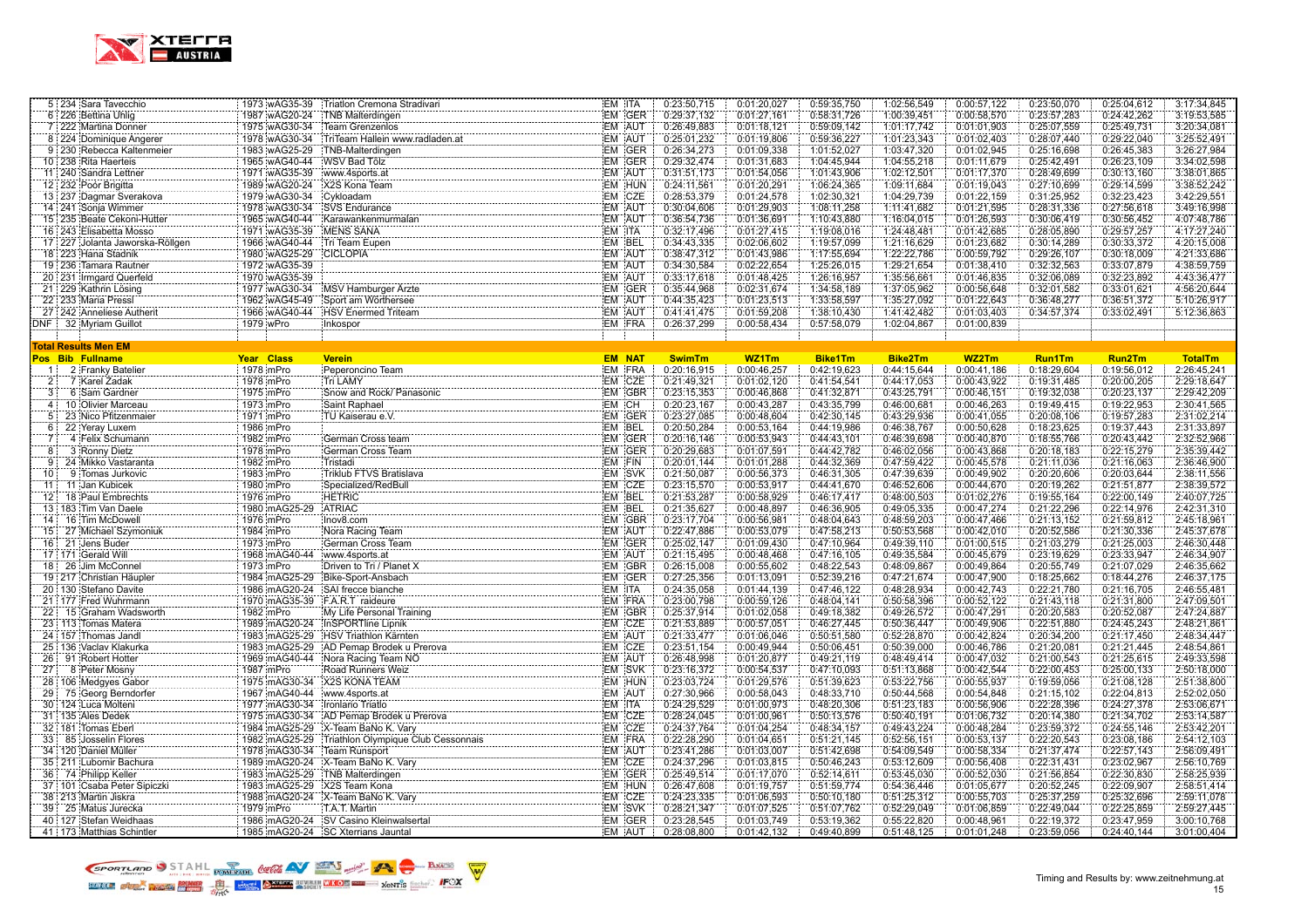

|     | 5 234 Sara Tavecchio            | 1973 wAG35-39                  | Triatlon Cremona Stradivari                                                                                                                                                   | EM ITA        |        | 0:23:50,715   | 0:01:20,027 | 0:59:35,750    | 1:02:56,549    | 0:00:57,122 | 0:23:50,070   | 0:25:04,612   | 3:17:34,845    |
|-----|---------------------------------|--------------------------------|-------------------------------------------------------------------------------------------------------------------------------------------------------------------------------|---------------|--------|---------------|-------------|----------------|----------------|-------------|---------------|---------------|----------------|
|     | 6 226 Bettina Uhlig<br>.        | 1987 wAG20-24                  | TNB Malterdingen                                                                                                                                                              |               | EM GER | 0:29:37,132   | 0:01:27,161 | 0:58:31,726    | 1:00:39,451    | 0:00:58,570 | 0:23:57,283   | 0:24:42,262   | 3:19:53,585    |
|     | 7 222 Martina Donner            | 1975 wAG30-34                  | Team Grenzenlos                                                                                                                                                               | EM AUT        |        | 0:26:49,883   | 0:01:18,121 | 0:59:09,142    | 1:01:17,742    | 0:01:01,903 | 0:25:07,559   | 0:25:49,731   | 3:20:34,081    |
|     | 8 224 Dominique Angerer         | 1978 wAG30-34                  | TriTeam Hallein www.radladen.at                                                                                                                                               | EM AUT        |        | 0:25:01,232   | 0:01:19,806 | 0:59:36,227    | 1:01:23,343    | 0:01:02,403 | 0:28:07,440   | 0:29:22,040   | 3:25:52,491    |
|     | 9 230 Rebecca Kaltenmeier       | 1983 wAG25-29                  | TNB-Malterdingen                                                                                                                                                              |               | EM GER | 0:26:34,273   | 0:01:09,338 | 1:01:52,027    | 1:03:47,320    | 0:01:02,945 | 0:25:16,698   | 0:26:45,383   | 3:26:27,984    |
|     | 10 238 Rita Haerteis            | 1965 wAG40-44 WSV Bad Tölz     |                                                                                                                                                                               |               | EM GER | 0:29:32,474   | 0:01:31.683 | 1:04:45,944    | 1:04:55,218    | 0:01:11,679 | 0:25:42,491   | 0:26:23,109   | 3:34:02,598    |
|     | 11:240 Sandra Lettner           | 1971 wAG35-39                  | www.4sports.at                                                                                                                                                                | EM AUT        |        | 0:31:51.173   | 0:01:54,056 | 1:01:43,906    | 1:02:12,501    | 0:01:17,370 | 0:28:49.699   | 0:30:13,160   | 3:38:01.865    |
|     | 12 232 Poór Brigitta            | 1989 wAG20-24                  | X2S Kona Team                                                                                                                                                                 |               | EM HUN | 0:24:11,561   | 0:01:20,291 | 1:06:24,365    | 1:09:11,684    | 0:01:19,043 | 0:27:10,699   | 0:29:14,599   | 3:38:52,242    |
|     | 13 237 Dagmar Sverakova         | 1979 wAG30-34                  | Cykloadam                                                                                                                                                                     |               |        | 0:28:53,379   | 0:01:24,578 | 1:02:30,321    | 1:04:29,739    | 0:01:22,159 | 0:31:25,952   | 0:32:23,423   | 3:42:29,551    |
|     | 14 241 Sonja Wimmer             | 1978 wAG30-34                  | SVS Endurance                                                                                                                                                                 | EM CZE        |        | 0:30:04,606   | 0:01:29,903 | 1:08:11,258    | 1:11:41,682    | 0:01:21,595 | 0:28:31,336   | 0:27:56,618   | 3:49:16,998    |
|     | 15 235 Beate Cekoni-Hutter      | 1965 wAG40-44                  | Karawankenmurmalan                                                                                                                                                            | EM AUT        |        | 0:36:54,736   | 0:01:36,691 | 1:10:43,880    | 1:16:04,015    | 0:01:26,593 | 0:30:06,419   | 0:30:56,452   | 4:07:48,786    |
|     | 16 243 Elisabetta Mosso         | 1971 wAG35-39                  | MENS SANA                                                                                                                                                                     | EM ITA        |        | 0:32:17,496   | 0:01:27,415 | 1:19:08,016    | 1:24:48,481    | 0:01:42,685 | 0:28:05,890   | 0:29:57,257   | 4:17:27,240    |
|     | 17 227 Jolanta Jaworska-Röllgen | 1966 wAG40-44                  | Tri Team Eupen                                                                                                                                                                | EM BEL        |        | 0:34:43,335   | 0:02:06.602 | 1:19:57,099    | 1:21:16,629    | 0:01:23,682 | 0:30:14,289   | 0:30:33,372   | 4:20:15,008    |
|     | 18 223 Hana Stadnik             | 1980 wAG25-29                  | CICLOPIA                                                                                                                                                                      | EM AUT        |        | 0:38:47,312   | 0:01:43,986 | 1:17:55,694    | 1:22:22,786    | 0:00:59,792 | 0:29:26,107   | 0:30:18,009   | 4:21:33,686    |
|     | 19 236 Tamara Rautner           | 1972 wAG35-39                  |                                                                                                                                                                               | EM AUT        |        | 0:34:30,584   | 0:02:22,654 | 1:25:26,015    | 1:29:21,654    | 0:01:38,410 | 0:32:32,563   | 0:33:07,879   | 4:38:59,759    |
|     | 20 231 Irmgard Querfeld         | 1970 wAG35-39                  |                                                                                                                                                                               | EM AUT        |        | 0:33:17,618   | 0:01:48,425 | 1:26:16,957    | 1:35:56,661    | 0:01:46,835 | 0:32:06,089   | 0:32:23,892   | 4:43:36,477    |
|     | 21 229 Kathrin Lösing           | 1977 wAG30-34                  | MSV Hamburger Arzte                                                                                                                                                           |               | EM GER | 0:35:44,968   | 0:02:31,674 | 1:34:58,189    | 1:37:05,962    | 0:00:56,648 | 0:32:01,582   | 0:33:01,621   | 4:56:20,644    |
|     | 22 233 Maria Pressl             | 1962 wAG45-49                  | Sport am Wörthersee                                                                                                                                                           | EM AUT        |        | 0:44:35,423   | 0:01:23,513 | 1:33:58,597    | 1:35:27,092    | 0:01:22,643 | 0:36:48,277   | 0:36:51,372   | 5:10:26,917    |
|     | 27 242 Anneliese Autherit       | 1966 wAG40-44                  | HSV Enermed Triteam                                                                                                                                                           | EM AUT        |        | 0:41:41,475   | 0:01:59,208 | 1:38:10,430    | 1:41:42,482    | 0:01:03,403 | 0:34:57,374   | 0:33:02,491   | 5:12:36,863    |
|     | DNF 32 Myriam Guillot           | 1979 wPro                      | Inkospor                                                                                                                                                                      | EM FRA        |        | 0:26:37,299   | 0:00:58,434 | 0:57:58,079    | 1:02:04,867    | 0:01:00,839 |               |               |                |
|     |                                 |                                |                                                                                                                                                                               |               |        |               |             |                |                |             |               |               |                |
|     | Total Results Men EM            |                                |                                                                                                                                                                               |               |        |               |             |                |                |             |               |               |                |
|     | Pos Bib Fullname                | Year Class                     | <b>Verein</b>                                                                                                                                                                 | <b>EM NAT</b> |        | <b>SwimTm</b> | WZ1Tm       | <b>Bike1Tm</b> | <b>Bike2Tm</b> | WZ2Tm       | <b>Run1Tm</b> | <b>Run2Tm</b> | <b>TotalTm</b> |
|     | 1 2 Franky Batelier             | 1978 mPro                      | Peperoncino Team                                                                                                                                                              | EM FRA        |        | 0:20:16,915   | 0:00:46,257 | 0:42:19,623    | 0:44:15,644    | 0:00:41,186 | 0:18:29,604   | 0:19:56,012   | 2:26:45,241    |
| 2:  | 7 Karel Zadak                   | 1978 mPro                      | Tri LAMY                                                                                                                                                                      | EM CZE        |        | 0:21:49,321   | 0:01:02,120 | 0:41:54,541    | 0:44:17,053    | 0:00:43,922 | 0:19:31,485   | 0:20:00,205   | 2:29:18,647    |
| 3:  | 6 Sam Gardner                   | 1975 mPro                      | Snow and Rock/ Panasonic                                                                                                                                                      |               | EM GBR | 0:23:15,353   | 0:00:46,868 | 0:41:32,871    | 0:43:25,791    | 0:00:46,151 | 0:19:32,038   | 0:20:23,137   | 2:29:42,209    |
|     | 4 10 Olivier Marceau            | 1973 mPro                      | Saint Raphael                                                                                                                                                                 | EM CH         |        | 0:20:23,167   | 0:00:43,287 | 0:43:35,799    | 0:46:00,681    | 0:00:46,263 | 0:19:49,415   | 0:19:22,953   | 2:30:41,565    |
| 5.  | 23 Nico Pfitzenmaier            | 1971 mPro                      | TU Kaiserau e.V.                                                                                                                                                              |               | EM GER | 0:23:27.085   | 0:00:48,604 | 0:42:30,145    | 0:43:29,936    | 0:00:41,055 | 0:20:08,106   | 0:19:57,283   | 2:31:02,214    |
| 6:  | 22 Yeray Luxem                  | 1986 mPro                      |                                                                                                                                                                               | EM BEL        |        | 0:20:50,284   | 0:00:53,164 | 0:44:19,986    | 0:46:38,767    | 0:00:50,628 | 0:18:23,625   | 0:19:37,443   | 2:31:33,897    |
| 7:  | 4 Felix Schumann                | 1982 mPro                      | German Cross team                                                                                                                                                             |               | EM GER | 0:20:16,146   | 0:00:53,943 | 0:44:43,101    | 0:46:39,698    | 0:00:40,870 | 0:18:55,766   | 0:20:43,442   | 2:32:52,966    |
| 8   | 3 Ronny Dietz                   | 1978 mPro                      | German Cross Team                                                                                                                                                             |               | EM GER | 0:20:29,683   | 0:01:07,591 | 0:44:42,782    | 0:46:02,056    | 0:00:43,868 | 0:20:18,183   | 0:22:15,279   | 2:35:39,442    |
| 9.  | 24 Mikko Vastaranta             | 1982 mPro                      | Tristadi                                                                                                                                                                      | EM FIN        |        | 0:20:01,144   | 0:01:01,288 | 0:44:32,369    | 0:47:59,422    | 0:00:45,578 | 0:21:11,036   | 0:21:16,063   | 2:36:46,900    |
| 10  | 9 Tomas Jurkovic                | 1983 mPro                      | Triklub FTVS Bratislava                                                                                                                                                       | EM SVK        |        | 0:21:50,087   | 0:00:56,373 | 0:46:31,305    | 0:47:39,639    | 0:00:49,902 | 0:20:20,606   | 0:20:03,644   | 2:38:11,556    |
| 11  | 11 Jan Kubicek                  | 1980 mPro                      | Specialized/RedBull                                                                                                                                                           | EM CZE        |        | 0:23:15,570   | 0:00:53,917 | 0:44:41,670    | 0:46:52,606    | 0:00:44,670 | 0:20:19,262   | 0:21:51,877   | 2:38:39,572    |
|     | 12 18 Paul Embrechts            | 1976 mPro                      | <b>HETRIC</b>                                                                                                                                                                 | EM BEL        |        | 0:21:53,287   | 0:00:58,929 | 0:46:17,417    | 0:48:00,503    | 0:01:02.276 | 0:19:55,164   | 0:22:00,149   | 2:40:07,725    |
|     | 13 183 Tim Van Daele            | 1980 mAG25-29                  | <b>ATRIAC</b>                                                                                                                                                                 | EM BEL        |        | 0:21:35,627   | 0:00:48,897 | 0:46:36,905    | 0:49:05,335    | 0:00:47,274 | 0:21:22,296   | 0:22:14,976   | 2:42:31,310    |
|     | 14 16 Tim McDowell              | 1976 mPro                      | Inov8.com                                                                                                                                                                     |               | EM GBR | 0:23:17,704   | 0:00:56,981 | 0:48:04,643    | 0:48:59,203    | 0:00:47,466 | 0:21:13,152   | 0:21:59,812   | 2:45:18,961    |
| 15: | 27 Michael Szymoniuk            | 1984 mPro                      | Nora Racing Team                                                                                                                                                              | EM AUT        |        | 0:22:47,886   | 0:00:53,079 | 0:47:58,213    | 0:50:53,568    | 0:00:42,010 | 0:20:52,586   | 0:21:30,336   | 2:45:37,678    |
|     | 16: 21 Jens Buder               | 1973 mPro                      | German Cross Team                                                                                                                                                             |               | EM GER | 0:25:02,147   | 0:01:09,430 | 0:47:10,964    | 0:49:39,110    | 0:01:00,515 | 0:21:03,279   | 0:21:25,003   | 2:46:30,448    |
|     | 17 171 Gerald Will              | 1968 mAG40-44                  | www.4sports.at                                                                                                                                                                | EM AUT        |        | 0:21:15,495   | 0:00:48,468 | 0:47:16,105    | 0:49:35,584    | 0:00:45,679 | 0:23:19,629   | 0:23:33,947   | 2:46:34,907    |
|     | 18 26 Jim McConnel              | 1973 mPro                      | Driven to Tri / Planet X                                                                                                                                                      |               | EM GBR | 0:26:15,008   | 0:00:55.602 | 0:48:22,543    | 0:48:09.867    | 0:00:49.864 | 0:20:55,749   | 0:21:07,029   | 2:46:35,662    |
|     | 19:217 Christian Häupler        | 1984 mAG25-29                  | Bike-Sport-Ansbach                                                                                                                                                            |               | EM GER | 0:27:25,356   | 0:01:13,091 | 0:52:39,216    | 0:47:21,674    | 0:00:47,900 | 0:18:25,662   | 0:18:44,276   | 2:46:37,175    |
|     | 20 130 Stefano Davite           |                                | 1986 mAG20-24 SAI frecce bianche                                                                                                                                              | EM ITA        |        | 0:24:35,058   | 0:01:44,139 | 0:47:46,122    | 0:48:28,934    | 0:00:42,743 | 0:22:21,780   | 0:21:16,705   | 2:46:55,481    |
|     | 21 177 Fred Wuhrmann            | 1970 mAG35-39 F.A.R.T raideure |                                                                                                                                                                               | EM FRA        |        | 0:23:00,798   | 0:00:59,126 | 0:48:04,141    | 0:50:58,396    | 0:00:52,122 | 0:21:43,118   | 0:21:31,800   | 2:47:09,501    |
|     | 22 15 Graham Wadsworth          | 1982 mPro                      | My Life Personal Training <b>Committee Committee Personal Training</b>                                                                                                        |               | EM GBR | 0:25:37,914   | 0:01:02.058 | 0:49:18,382    | 0:49:26,572    | 0:00:47,291 | 0:20:20,583   | 0:20:52,087   | 2:47:24,887    |
|     | 23 113 Tomas Matera             |                                | 1989 mAG20-24 InSPORTline Lipnik                                                                                                                                              | EM CZE        |        | 0:21:53,889   | 0:00:57,051 | 0:46:27,445    | 0:50:36,447    | 0:00:49,906 | 0:22:51,880   | 0:24:45,243   | 2:48:21,861    |
|     | 24 157 Thomas Jandl             |                                |                                                                                                                                                                               | EM AUT        |        | 0:21:33,477   | 0:01:06.046 | 0:50:51,580    | 0:52:28,870    | 0:00:42,824 | 0:20:34,200   | 0:21:17,450   | 2:48:34,447    |
|     | 25 136 Vaclav Klakurka          |                                |                                                                                                                                                                               | EM CZE        |        | 0:23:51,154   | 0:00:49,944 | 0:50:06,451    | 0:50:39,000    | 0:00:46,786 | 0:21:20,081   | 0:21:21,445   | 2:48:54,861    |
|     | 26 91 Robert Hotter             |                                | 1983 m AG25-23 - ANX - HIRBUNU Narriten<br>1983 m AG25-29 - AD Pemap Brodek u Prerova<br>1989 m ACAN 74 - Nica: Academy Brodek u Prerova<br>1969 mAG40-44 Nora Racing Team NO | EM AUT        |        | 0:26:48,998   | 0:01:20,877 | 0:49:21,119    | 0:48:49,414    | 0:00:47,032 | 0:21:00,543   | 0:21:25,615   | 2:49:33,598    |
| 27  | 8 Peter Mosny                   | 1987 mPro                      | Road Runners Weiz                                                                                                                                                             | EM SVK        |        | 0:23:16.372   | 0:00:54,537 | 0:47:10,093    | 0:51:13,868    | 0:00:42,544 | 0:22:00,453   | 0:25:00,133   | 2:50:18,000    |
|     | 28 106 Medgyes Gabor            | 1975 mAG30-34                  | X2S KONA TEAM                                                                                                                                                                 |               | EM HUN | 0:23:03,724   | 0:01:29,576 | 0:51:39,623    | 0:53:22,756    | 0:00:55,937 | 0:19:59,056   | 0:21:08,128   | 2:51:38,800    |
|     | 29 75 Georg Berndorfer          | 1967 mAG40-44 www.4sports.at   |                                                                                                                                                                               | EM AUT        |        | 0:27:30,966   | 0:00:58,043 | 0:48:33,710    | 0:50:44,568    | 0:00:54,848 | 0:21:15,102   | 0:22:04,813   | 2:52:02,050    |
|     | 30 124 Luca Molteni             | 1977 mAG30-34                  | Ironlario Triatlo                                                                                                                                                             | EM ITA        |        | 0:24:29,529   | 0:01:00,973 | 0:48:20,306    | 0:51:23,183    | 0:00:56,906 | 0:22:28,396   | 0:24:27,378   | 2:53:06,671    |
|     | 31   135   Ales Dedek           | 1975 mAG30-34                  |                                                                                                                                                                               | EM CZE        |        | 0:28:24,045   | 0:01:00.961 | 0:50:13,576    | 0:50:40,191    | 0:01:06,732 | 0:20:14,380   | 0:21:34,702   | 2:53:14,587    |
|     | 32 181 Tomas Eberl              |                                | 1984 mAG25-29 X-Team BaNo K. Vary                                                                                                                                             | EM CZE        |        | 0:24:37,764   | 0:01:04,254 | 0:48:34,157    | 0:49:43,224    | 0:00:48,284 | 0:23:59,372   | 0:24:55,146   | 2:53:42,201    |
|     | 33 85 Josselin Flores           | 1982 mAG25-29                  | Triathlon Olympique Club Cessonnais                                                                                                                                           | EM FRA        |        | 0:22:28,290   | 0:01:04,651 | 0:51:21,145    | 0:52:56,151    | 0:00:53,137 | 0:22:20,543   | 0:23:08,186   | 2:54:12,103    |
|     | 34 120 Daniel Müller            | 1978 mAG30-34                  | Team Runsport                                                                                                                                                                 | EM AUT        |        | 0:23:41,286   | 0:01:03,007 | 0:51:42,698    | 0:54:09,549    | 0:00:58,334 | 0:21:37,474   | 0:22:57,143   | 2:56:09,491    |
|     | 35 211 Lubomir Bachura          |                                | 1989 mAG20-24 X-Team BaNo K. Vary                                                                                                                                             | EM CZE        |        | 0:24:37,296   | 0:01:03,815 | 0:50:46,243    | 0:53:12,609    | 0:00:56,408 | 0:22:31,431   | 0:23:02,967   | 2:56:10,769    |
|     | 36 74 Philipp Keller            | 1983 mAG25-29 TNB Malterdingen |                                                                                                                                                                               |               | EM GER | 0:25:49,514   | 0:01:17,070 | 0:52:14,611    | 0:53:45,030    | 0:00:52,030 | 0:21:56,854   | 0:22:30,830   | 2:58:25,939    |
|     | 37 101 Csaba Peter Sipiczki     | 1983 mAG25-29 X2S Team Kona    |                                                                                                                                                                               |               | EM HUN | 0:26:47,608   | 0:01:19,757 | 0:51:59,774    | 0:54:36,446    | 0:01:05,677 | 0:20:52,245   | 0:22:09,907   | 2:58:51,414    |
|     | 38   213   Martin Jiskra        | 1988 mAG20-24                  | X-Team BaNo K. Vary                                                                                                                                                           | EM CZE        |        | 0:24:23,335   | 0:01:06,593 | 0:50:10,180    | 0:51:25,312    | 0:00:55,703 | 0:25:37,259   | 0:25:32,696   | 2:59:11,078    |
|     | 39 25 Matus Jurecka             | 1979 mPro                      | T.A.T. Martin                                                                                                                                                                 | EM SVK        |        | 0:28:21,347   | 0:01:07,525 | 0:51:07,762    | 0:52:29,049    | 0:01:06,859 | 0:22:49,044   | 0:22:25,859   | 2:59:27,445    |
|     | 40 127 Stefan Weidhaas          |                                | 1986 mAG20-24 SV Casino Kleinwalsertal                                                                                                                                        |               | EM GER | 0:23:28,545   | 0:01:03,749 | 0:53:19,362    | 0:55:22,820    | 0:00:48,961 | 0:22:19,372   | 0:23:47,959   | 3:00:10,768    |
|     | 41 173 Matthias Schintler       |                                | 1985 mAG20-24 SC Xterrians Jauntal                                                                                                                                            |               | EM AUT | 0:28:08,800   | 0:01:42,132 | 0:49:40,899    | 0:51:48,125    | 0:01:01,248 | 0:23:59,056   | 0:24:40,144   | 3:01:00,404    |

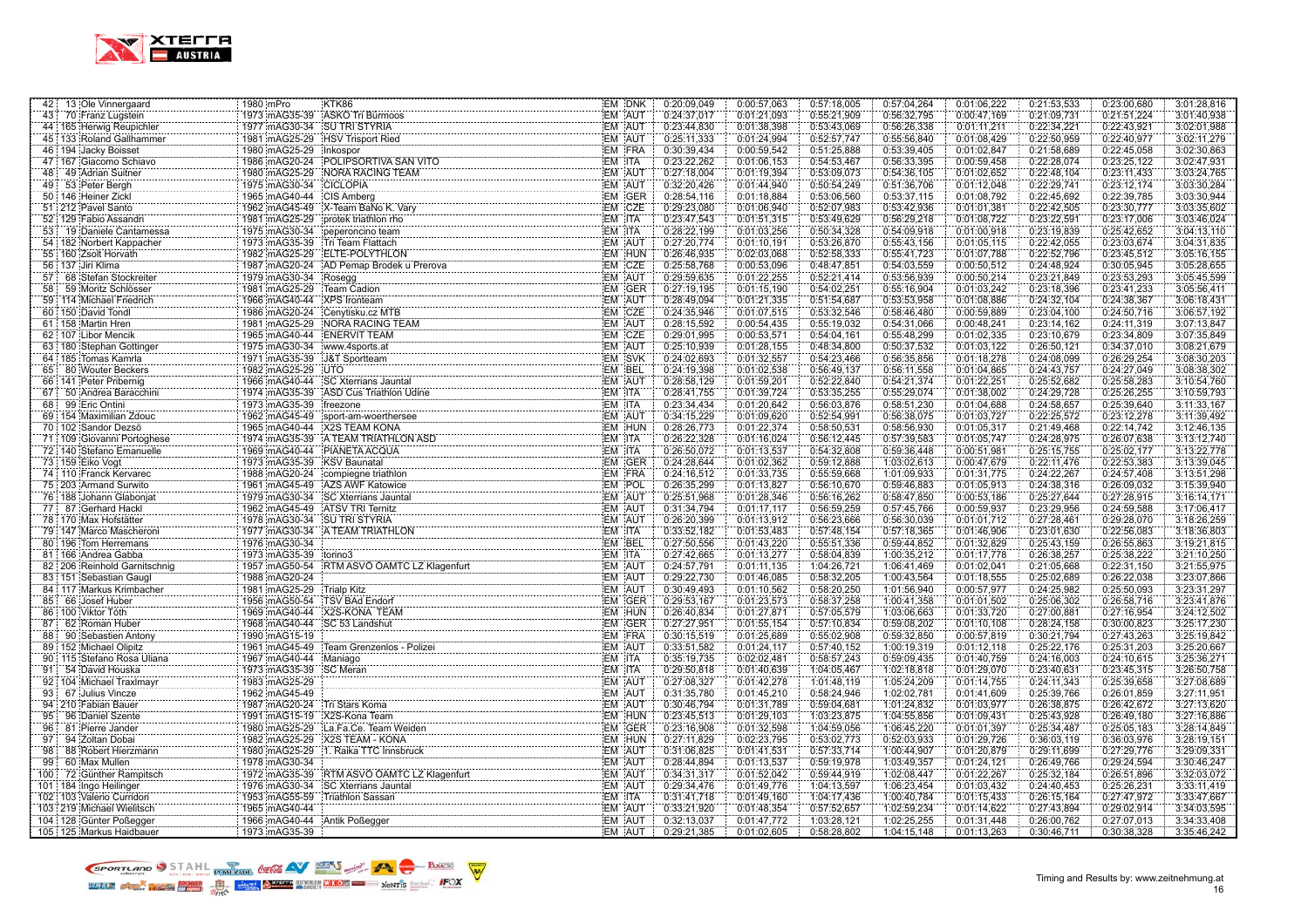

| 42 13 Ole Vinnergaard                       | KTK86<br>1980 mPro                                                                                                                           | EM DNK           | 0:20:09,049                | 0:00:57,063                | 0:57:18,005                | 0:57:04,264                | 0:01:06,222                | 0:21:53,533                | 0:23:00,680                | 3:01:28,816                |
|---------------------------------------------|----------------------------------------------------------------------------------------------------------------------------------------------|------------------|----------------------------|----------------------------|----------------------------|----------------------------|----------------------------|----------------------------|----------------------------|----------------------------|
| 43<br>70 Franz Lugstein                     | 1973 mAG35-39 ASKÖ Tri Bürmoos                                                                                                               | EM AUT           | 0:24:37,017                | 0:01:21,093                | 0:55:21,909                | 0:56:32,795                | 0:00:47,169                | 0:21:09,731                | 0:21:51,224                | 3:01:40,938                |
| 44 165 Herwig Reupichler                    | 1977 mAG30-34 SU TRI STYRIA                                                                                                                  | EM AUT           | 0:23:44,830                | 0:01:38,398                | 0:53:43,069                | 0:56:26,338                | 0:01:11,211                | 0:22:34,221                | 0:22:43,921                | 3:02:01,988                |
| 45 133 Roland Gallhammer                    | 1981 mAG25-29 HSV Trisport Ried                                                                                                              | EM AUT           | 0:25:11,333                | 0:01:24,994                | 0:52:57,747                | 0:55:56,840                | 0:01:08,429                | 0:22:50,959                | 0:22:40,977                | 3:02:11,279                |
| 46 194 Jacky Boisset                        | 1980 mAG25-29 Inkospor                                                                                                                       | EM FRA           | 0:30:39.434                | 0:00:59.542                | 0:51:25,888                | 0:53:39,405                | 0:01:02,847                | 0:21:58,689                | 0:22:45.058                | 3:02:30,863                |
| 47 167 Giacomo Schiavo                      | 1986 mAG20-24 POLIPSORTIVA SAN VITO                                                                                                          | EM ITA           | 0:23:22.262                | 0:01:06,153                | 0:54:53,467                | 0:56:33,395                | 0:00:59,458                | 0:22:28,074                | 0:23:25,122                | 3:02:47,931                |
| 48 49 Adrian Suitner                        | 1980 mAG25-29 NORA RACING TEAM                                                                                                               | <b>EM AUT</b>    | 0:27:18,004                | 0:01:19,394                | 0:53:09,073                | 0:54:36,105                | 0:01:02.652                | 0:22:48.104                | 0:23:11.433                | 3:03:24.765                |
| 53 Peter Bergh<br>49                        | 1975 mAG30-34 CICLOPIA                                                                                                                       | EM AUT           | 0:32:20,426                | 0:01:44,940                | 0:50:54,249                | 0:51:36,706                | 0:01:12,048                | 0:22:29,741                | 0:23:12,174                | 3:03:30,284                |
| 50 146 Heiner Zickl                         | 1965 mAG40-44 CIS Amberg                                                                                                                     | EM GER<br>EM CZE | 0:28:54,116                | 0:01:18,884                | 0:53:06,560                | 0:53:37,115                | 0:01:08,792                | 0:22:45,692                | 0:22:39,785                | 3:03:30,944                |
| 51 212 Pavel Santo                          | 1962 mAG45-49 X-Team BaNo K. Vary                                                                                                            |                  | 0:29:23,080                | 0:01:06,940                | 0:52:07,983                | 0:53:42,936                | 0:01:01,381                | 0:22:42,505                | 0:23:30,777                | 3:03:35,602                |
| 52 129 Fabio Assandri                       | 1981 mAG25-29 protek triathlon rho                                                                                                           | EM ITA           | 0:23:47,543                | 0:01:51,315                | 0:53:49,629                | 0:56:29,218                | 0:01:08,722                | 0:23:22,591                | 0:23:17,006                | 3:03:46,024                |
| 53 <sup>1</sup><br>19 Daniele Cantamessa    | 1975 mAG30-34 peperoncino team                                                                                                               | EM ITA           | 0:28:22,199                | 0:01:03,256                | 0:50:34,328                | 0.54:09.918                | 0:01:00,918                | 0:23:19,839                | 0:25:42,652                | 3:04:13,110                |
| 54 182 Norbert Kappacher                    | 1973 mAG35-39 Tri Team Flattach                                                                                                              | EM AUT           | 0:27:20.774                | 0:01:10,191                | 0:53:26,870                | 0:55:43,156                | 0:01:05,115                | 0:22:42.055                | 0:23:03,674                | 3:04:31,835                |
| 55 160 Zsolt Horvath                        | 1982 mAG25-29 ELTE-POLYTHLON                                                                                                                 | EM HUN           | 0:26:46,935                | 0:02:03,068                | 0:52:58,333                | 0:55:41,723                | 0:01:07,788                | 0:22:52,796                | 0:23:45,512                | 3:05:16,155                |
| 56 137 Jiri Klima                           | 1987 mAG20-24<br>AD Pemap Brodek u Prerova<br>Rosegg (EM   CZE                                                                               |                  | 0:25:58,768                | 0:00:53,096                | 0:48:47,851                | 0:54:03,559                | 0:00:50,512                | 0:24:48,924                | 0:30:05,945                | 3:05:28,655                |
| 57<br>68 Stefan Stockreiter                 | 1979 mAG30-34                                                                                                                                |                  | 0:29:59,635                | 0:01:22,255                | 0:52:21,414                | 0:53:56,939                | 0:00:50,214                | 0:23:21,849                | 0:23:53,293                | 3:05:45,599                |
| 58<br>59 Moritz Schlösser                   | 1981 mAG25-29<br>Team Cadion                                                                                                                 | EM GER           | 0:27:19,195                | 0:01:15,190                | 0:54:02,251                | 0:55:16,904                | 0:01:03,242                | 0:23:18,396                | 0:23:41,233                | 3:05:56,411                |
| 59 114 Michael Friedrich                    | 1966 mAG40-44<br>XPS Ironteam                                                                                                                | EM AUT           | 0:28:49,094                | 0:01:21,335                | 0:51:54,687                | 0:53:53,958                | 0:01:08,886                | 0:24:32,104                | 0:24:38,367                | 3:06:18,431                |
| 60 150 David Tondl                          | 1986 mAG20-24 Cenytisku.cz MTB                                                                                                               | EM CZE           | 0:24:35,946                | 0:01:07.515                | 0:53:32,546                | 0:58:46,480                | 0:00:59,889                | 0:23:04,100                | 0:24:50,716                | 3:06:57,192                |
| 61 158 Martin Hren                          | 1981 mAG25-29 NORA RACING TEAM                                                                                                               | EM AUT           | 0:28:15,592                | 0:00:54,435                | 0:55:19,032                | 0:54:31,066                | 0:00:48,241                | 0:23:14,162                | 0:24:11,319                | 3:07:13,847                |
| 62 107 Libor Mencik                         | 1965 mAG40-44 ENERVIT TEAM                                                                                                                   | EM CZE           | 0:29:01,995                | 0:00:53.571                | 0:54:04,161                | 0:55:48,299                | 0:01:02,335                | 0:23:10,679                | 0:23:34,809                | 3:07:35,849                |
| 63 180 Stephan Gottinger                    | 1975 mAG30-34 www.4sports.at                                                                                                                 | EM AUT           | 0:25:10,939                | 0:01:28,155                | 0:48:34,800                | 0:50:37,532                | 0:01:03,122                | 0:26:50,121                | 0:34:37,010                | 3:08:21,679                |
| 64 185 Tomas Kamrla                         | 1971 mAG35-39 J&T Sportteam                                                                                                                  | EM SVK           | 0:24:02,693                | 0:01:32,557                | 0:54:23,466                | 0:56:35,856                | 0:01:18,278                | 0:24:08,099                | 0:26:29,254                | 3:08:30,203                |
| 65 80 Wouter Beckers                        | 1982 mAG25-29 UTO                                                                                                                            | EM BEL           | 0:24:19,398                | 0:01:02,538                | 0:56:49,137                | 0:56:11,558                | 0:01:04,865                | 0:24:43,757                | 0:24:27,049                | 3:08:38,302                |
| 66 141 Peter Pribernig                      | 1974 mAG35-39 ASD Cus Triathlon Udine<br>1974 mAG35-39 ASD Cus Triathlon Udine                                                               | EM AUT           | 0:28:58,129                | 0:01:59,201                | 0:52:22,840                | 0:54:21,374                | 0:01:22,251                | 0:25:52,682                | 0:25:58,283                | 3:10:54,760                |
| 67<br>50 Andrea Baracchini                  |                                                                                                                                              | EM ITA           | 0:28:41,755                | 0:01:39,724                | 0:53:35,255                | 0:55:29,074                | 0:01:38,002                | 0:24:29,728                | 0:25:26,255                | 3:10:59,793                |
| 68<br>99 Eric Ontini                        | 1973 mAG35-39 freezone                                                                                                                       | EM ITA           | 0:23:34,434                | 0:01:20,642                | 0:56:03,876                | 0:58:51,230                | 0:01:04,688                | 0:24:58,657                | 0:25:39,640                | 3:11:33,167                |
| 69 154 Maximilian Zdouc                     | 1962 mAG45-49 sport-am-woerthersee                                                                                                           | EM AUT           | 0:34:15,229                | 0:01:09.620                | 0:52:54,991                | 0:56:38,075                | 0:01:03,727                | 0:22:25,572                | 0:23:12,278                | 3:11:39,492                |
| 70 102 Sandor Dezsö                         | 1965 mAG40-44 X2S TEAM KONA                                                                                                                  | <b>EM HUN</b>    | 0:28:26,773                | 0:01:22,374                | 0:58:50,531                | 0:58:56,930                | 0:01:05,317                | 0:21:49,468                | 0:22:14,742                | 3:12:46,135                |
| 71 109 Giovanni Portoghese                  | 1974 mAG35-39 A TEAM TRIATHLON ASD                                                                                                           | EM ITA           | 0:26:22,328                | 0:01:16,024                | 0:56:12,445                | 0:57:39,583                | 0:01:05,747                | 0:24:28,975                | 0:26:07,638                | 3:13:12,740                |
| 72 140 Stefano Emanuelle                    | 1969 mAG40-44 PIANETA ACQUA                                                                                                                  | EM ITA           | 0:26:50,072                | 0:01:13,537                | 0:54:32,808                | 0:59:36,448                | 0:00:51,981                | 0:25:15,755                | 0:25:02,177                | 3:13:22,778                |
| 73 159 Eiko Vogt                            | 1973 mAG35-39 KSV Baunatal                                                                                                                   | EM GER           | 0:24:28,644                | 0:01:02,362                | 0:59:12,888                | 1:03:02,613                | 0:00:47,679                | 0:22:11,476                | 0:22:53,383                | 3:13:39,045                |
| 74 110 Franck Kervarec                      | 1988 mAG20-24 compiegne triathlon                                                                                                            | EM FRA           | 0:24:16,512                | 0:01:33,735                | 0:55:59,668                | 1:01:09,933                | 0:01:31,775                | 0:24:22,267                | 0:24:57,408                | 3:13:51,298                |
| 75 203 Armand Surwito                       | 1961 mAG45-49 AZS AWF Katowice                                                                                                               | EM POL           | 0:26:35,299                | 0:01:13,827                | 0:56:10,670                | 0:59:46,883                | 0:01:05,913                | 0:24:38,316                | 0:26:09,032                | 3:15:39,940                |
| 76 188 Johann Glaboniat                     | 1979 mAG30-34 SC Xterrians Jauntal                                                                                                           | EM AUT           | 0:25:51,968                | 0:01:28.346                | 0:56:16,262                | 0:58:47.850                | 0:00:53,186                | 0:25:27.644                | 0:27:28,915                | 3:16:14.171                |
| 77 87 Gerhard Hackl                         | 1962 mAG45-49 ATSV TRI Ternitz                                                                                                               | EM AUT           | 0:31:34,794                | 0:01:17,117                | 0:56:59,259                | 0:57:45,766                | 0:00:59,937                | 0:23:29,956                | 0:24:59,588                | 3:17:06,417                |
| 78 170 Max Hofstätter                       | 1978 mAG30-34 SU TRI STYRIA                                                                                                                  | EM AUT           | 0:26:20,399                | 0:01:13,912                | 0:56:23,666                | 0:56:30,039                | 0:01:01,712                | 0:27:28,461                | 0:29:28,070                | 3:18:26,259                |
| 79 147 Marco Mascheroni<br>.                | 1977 mAG30-34 A TEAM TRIATHLON                                                                                                               | EM ITA           | 0:33:52,182                | 0:01:53,483                | 0:57:48,154                | 0:57:18,365                | 0:01:46,906                | 0:23:01,630                | 0:22:56,083                | 3:18:36,803                |
| 80 196 Tom Herremans                        | 1976 mAG30-34                                                                                                                                | EM BEL           | 0:27:50,556                | 0:01:43,220                | 0:55:51,336                | 0:59:44,852                | 0:01:32,829                | 0:25:43,159                | 0:26:55,863                | 3:19:21,815                |
| 81 166 Andrea Gabba                         | 1973 mAG35-39 torino3<br>torino3<br>RTM ASVO OAMTC LZ Klagenfurt                                                                             | EM ITA           | 0:27:42,665                | 0:01:13,277                | 0:58:04,839                | 1:00:35,212                | 0:01:17,778                | 0:26:38,257                | 0:25:38,222                | 3:21:10,250                |
| 82 206 Reinhold Garnitschnig<br>.           | 1957 mAG50-54                                                                                                                                | EM AUT           | 0:24:57,791                | 0:01:11.135                | 1:04:26,721                | 1:06:41.469                | 0:01:02,041                | 0:21:05.668                | 0:22:31,150                | 3:21:55,975                |
| 83 151 Sebastian Gaugl                      | 1988 mAG20-24                                                                                                                                | EM AUT           | 0:29:22,730                | 0:01:46,085                | 0:58:32,205                | 1:00:43,564                | 0:01:18,555                | 0:25:02,689                | 0:26:22,038                | 3:23:07,866                |
| 84 117 Markus Krimbacher                    | 1981 mAG25-29<br><b>Trialp Kitz</b>                                                                                                          | EM AUT           | 0:30:49,493                | 0:01:10,562                | 0:58:20,250                | 1:01:56,940                | 0:00:57,977                | 0:24:25,982                | 0:25:50,093                | 3:23:31,297                |
| 66 Josef Huber<br>85                        | 1956 mAG50-54<br>TSV BAd Endorf                                                                                                              | EM GER           | 0:29:53,167                | 0:01:23,573                | 0:58:37,258                | 1:00:41,358                | 0:01:01,502                | 0:25:06,302                | 0:26:58,716                | 3:23:41,876                |
| 100 Viktor Tóth<br>86                       | 1969 mAG40-44 X2S-KONA TEAM                                                                                                                  | EM HUN           | 0:26:40,834                | 0:01:27,871                | 0:57:05,579                | 1:03:06,663                | 0:01:33,720                | 0:27:00,881                | 0:27:16,954                | 3:24:12,502                |
| 87<br>62 Roman Huber                        | 1968 mAG40-44 SC 53 Landshut                                                                                                                 | EM GER           | 0:27:27,951                | 0:01:55,154                | 0:57:10,834                | 0:59:08,202                | 0:01:10,108                | 0:28:24,158                | 0:30:00,823                | 3:25:17,230                |
| 88<br>90 Sebastien Antony<br>.              |                                                                                                                                              | EM FRA           | 0:30:15,519                | 0:01:25,689                | 0:55:02,908                | 0:59:32,850                | 0:00:57,819                | 0:30:21,794                | 0:27:43,263                | 3:25:19,842                |
| 89 152 Michael Olipitz<br>                  |                                                                                                                                              | EM AUT           | 0:33:51,582                | 0:01:24,117                | 0:57:40,152                | 1:00:19,319                | 0:01:12,118                | 0:25:22,176                | 0:25:31,203                | 3:25:20,667                |
| 90 115 Stefano Rosa Uliana                  | 1967 mAG40-44 Maniago<br><b>SC</b> Meran                                                                                                     | EM ITA<br>EM ITA | 0:35:19,735                | 0:02:02,481                | 0:58:57,243                | 0:59:09,435                | 0:01:40,759                | 0:24:16,003                | 0:24:10,615                | 3:25:36,271                |
| 91<br>54 David Houska                       | 1973 mAG35-39                                                                                                                                |                  | 0:29:50,818                | 0:01:40,639                | 1:04:05,467                | 1:02:18,818                | 0:01:29,070                | 0:23:40,631                | 0:23:45,315                | 3:26:50,758                |
| 92 104 Michael Traxlmayr                    | 1983 mAG25-29                                                                                                                                | EM AUT           | 0:27:08,327                | 0:01:42,278                | 1:01:48,119                | 1:05:24,209                | 0:01:14,755                | 0:24:11,343                | 0:25:39,658                | 3:27:08,689                |
| 93<br>67 Julius Vincze                      | 1962 mAG45-49                                                                                                                                | EM AUT           | 0:31:35,780                | 0:01:45,210                | 0:58:24,946                | 1:02:02,781                | 0:01:41,609                | 0:25:39,766                | 0:26:01,859                | 3:27:11,951                |
| 94 210 Fabian Bauer                         | 1987 mAG20-24 Tri Stars Koma                                                                                                                 | EM AUT           | 0:30:46,794                | 0:01:31,789                | 0:59:04,681                | 1:01:24,832                | 0:01:03,977                | 0:26:38,875                | 0:26:42,672                | 3:27:13,620                |
| 95<br>96 Daniel Szente<br>96                |                                                                                                                                              | EM HUN           | 0:23:45,513                | 0:01:29,103                | 1:03:23,875                | 1:04:55,856                | 0:01:09,431                | 0:25:43,928                | 0:26:49,180                | 3:27:16,886                |
| 81 Pierre Jander<br>94 Zoltan Dobai<br>97   | 1980 mAG25-29 : La Fa.Ce. Team Weiden<br>1980 mAG25-29 : La Fa.Ce. Team Weiden<br>1982 mAGGE 28 : Lisa TELL<br>1982 mAG25-29 X2S TEAM - KONA | EM GER<br>EM HUN | 0:23:16,908<br>0:27:11,829 | 0:01:32,598<br>0:02:23,795 | 1:04:59,056<br>0:53:02,773 | 1:06:45,220<br>0:52:03,933 | 0:01:01,397<br>0:01:29,726 | 0:25:34,487<br>0:36:03,119 | 0:25:05,183<br>0:36:03,976 | 3:28:14,849<br>3:28:19,151 |
| 98                                          | 1. Raika TTC Innsbruck                                                                                                                       | EM AUT           | 0:31:06,825                | 0:01:41,531                | 0:57:33,714                | 1:00:44,907                |                            | 0:29:11,699                | 0:27:29,776                | 3:29:09,331                |
| 88 Robert Hierzmann                         | 1980 mAG25-29                                                                                                                                | EM AUT           |                            |                            |                            |                            | 0:01:20,879                |                            |                            |                            |
| 99<br>60 Max Mullen<br>72 Günther Rampitsch | 1978 mAG30-34                                                                                                                                | EM AUT           | 0:28:44,894<br>0:34:31,317 | 0:01:13,537<br>0:01:52,042 | 0:59:19,978<br>0:59:44,919 | 1:03:49,357<br>1:02:08,447 | 0:01:24,121<br>0:01:22,267 | 0:26:49,766<br>0:25:32,184 | 0:29:24,594                | 3:30:46,247                |
| 100<br>.<br>101:184 Ingo Heilinger          | 1972 mAG35-39 RTM ASVO OAMTC LZ Klagenfurt<br>1976 mAG30-34 SC Xterrians Jauntal                                                             | EM AUT           | 0:29:34,476                | 0:01:49,776                | 1:04:13,597                | 1:06:23,454                | 0:01:03,432                | 0:24:40,453                | 0:26:51,896<br>0:25:26,231 | 3:32:03,072<br>3:33:11,419 |
| 102   103 Valerio Curridori                 | 1953 mAG55-59<br><b>Triathlon Sassari</b>                                                                                                    | EM ITA           | 0:31:41,718                | 0:01:49,160                | 1:04:17,436                | 1:00:40,784                | 0:01:15,433                | 0:26:15,164                | 0:27:47,972                | 3:33:47,667                |
| 103 219 Michael Wielitsch                   | 1965 mAG40-44                                                                                                                                | EM AUT           | 0:33:21,920                | 0:01:48,354                | 0:57:52,657                | 1:02:59,234                | 0:01:14,622                | 0:27:43,894                | 0:29:02,914                | 3:34:03,595                |
| 104 128 Günter Poßegger                     | 1966 mAG40-44 Antik Poßegger                                                                                                                 | EM AUT           | 0:32:13,037                | 0:01:47,772                | 1:03:28,121                | 1:02:25,255                | 0:01:31,448                | 0:26:00,762                | 0:27:07.013                | 3:34:33,408                |
| 105 125 Markus Haidbauer                    | 1973 mAG35-39                                                                                                                                | EM AUT           | 0:29:21,385                | 0:01:02,605                | 0:58:28,802                | 1:04:15,148                | 0:01:13,263                | 0:30:46,711                | 0:30:38.328                | 3:35:46,242                |
|                                             |                                                                                                                                              |                  |                            |                            |                            |                            |                            |                            |                            |                            |

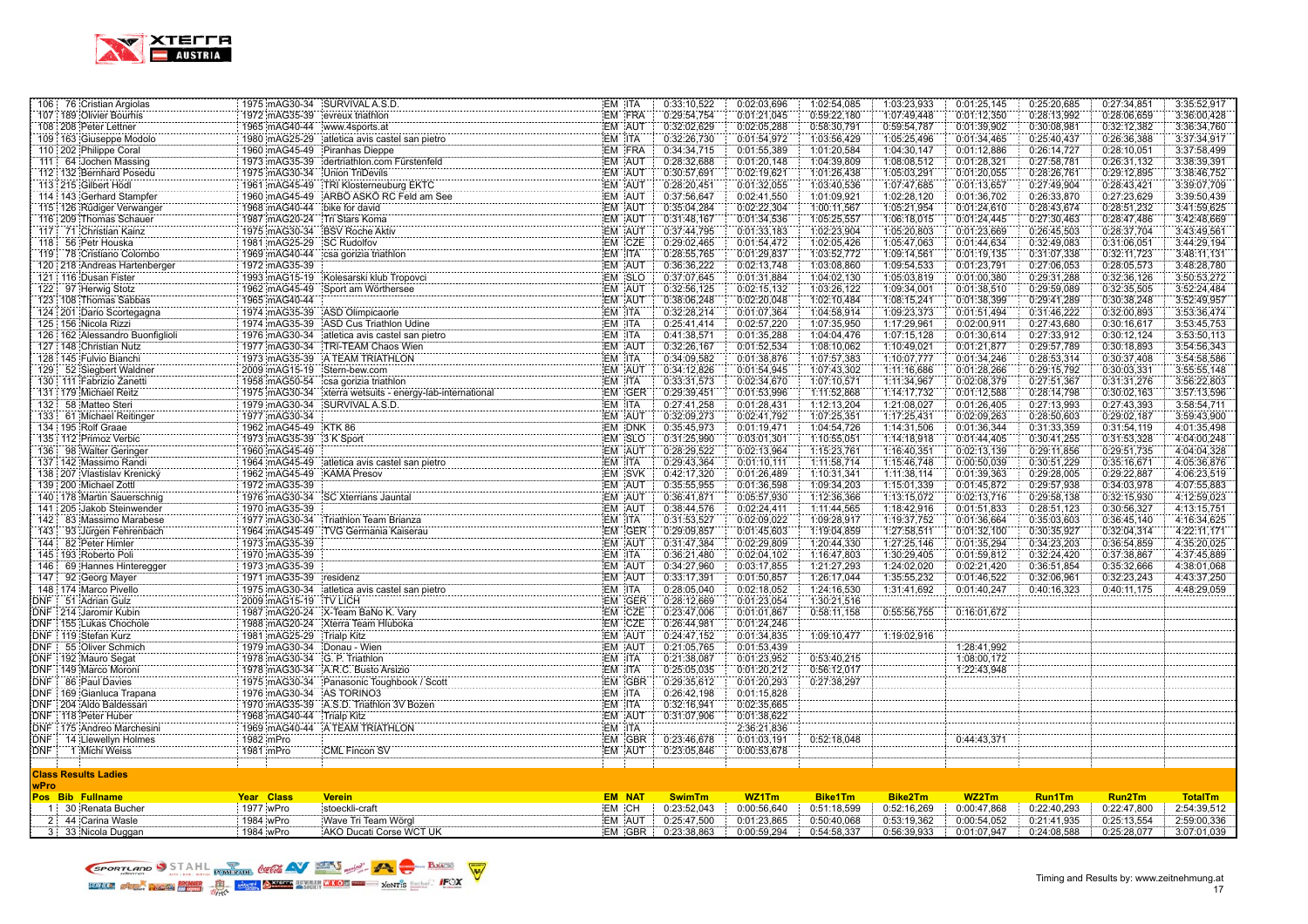

| 106 76 Cristian Argiolas                         |                                | 1975 mAG30-34 SURVIVAL A.S.D.                                                                                                                          | EM ITA |               | 0:33:10,522   | 0:02:03.696                | 1:02:54,085                | 1:03:23,933    | 0:01:25,145                | 0:25:20,685   | 0:27:34,851 | 3:35:52,917    |
|--------------------------------------------------|--------------------------------|--------------------------------------------------------------------------------------------------------------------------------------------------------|--------|---------------|---------------|----------------------------|----------------------------|----------------|----------------------------|---------------|-------------|----------------|
| 107 189 Olivier Bourhis                          | 1972 mAG35-39 evreux triathlon |                                                                                                                                                        |        | EM FRA        | 0:29:54,754   | 0:01:21,045                | 0:59:22,180                | 1:07:49,448    | 0:01:12,350                | 0:28:13,992   | 0:28:06,659 | 3:36:00,428    |
| 108 208 Peter Lettner                            | 1965 mAG40-44 www.4sports.at   |                                                                                                                                                        |        | EM AUT        | 0:32:02,629   | 0:02:05,288                | 0:58:30,791                | 0:59:54,787    | 0:01:39,902                | 0:30:08,981   | 0:32:12,382 | 3:36:34,760    |
| 109 163 Giuseppe Modolo                          |                                | 1980 mAG25-29 atletica avis castel san pietro                                                                                                          | EM ITA |               | 0:32:26,730   | 0:01:54,972                | 1:03:56,429                | 1:05:25,496    | 0:01:34,465                | 0:25:40,437   | 0:26:36,388 | 3:37:34,917    |
| 110 202 Philippe Coral                           |                                | 1960 mAG45-49 Piranhas Dieppe                                                                                                                          |        | EM FRA        | 0:34:34,715   | 0:01:55,389                | 1:01:20,584                | 1:04:30,147    | 0:01:12,886                | 0:26:14,727   | 0:28:10,051 | 3:37:58,499    |
| 111 64 Jochen Massing                            |                                | 1973 mAG35-39 dertriathlon.com Fürstenfeld                                                                                                             |        | EM AUT        | 0:28:32.688   | 0:01:20.148                | 1:04:39,809                | 1:08:08.512    | 0:01:28.321                | 0:27:58,781   | 0:26:31.132 | 3:38:39,391    |
| 112: 132 Bernhard Posedu                         | 1975 mAG30-34 Union TriDevils  |                                                                                                                                                        |        | EM AUT        | 0:30:57,691   | 0:02:19,621                | 1:01:26,438                | 1:05:03,291    | 0:01:20,055                | 0:28:26,761   | 0:29:12,895 | 3:38:46,752    |
| 113 215 Gilbert Hödl                             |                                | 1961 mAG45-49 TRI Klosterneuburg EKTC                                                                                                                  |        | EM AUT        | 0:28:20,451   | 0:01:32,055                | 1:03:40,536                | 1:07:47,685    | 0:01:13,657                | 0:27:49,904   | 0:28:43,421 | 3:39:07,709    |
| 114   143 Gerhard Stampfer                       |                                | 1960 mAG45-49 ARBO ASKO RC Feld am See                                                                                                                 |        | EM AUT        | 0:37:56.647   | 0:02:41,550                | 1:01:09,921                | 1:02:28,120    | 0:01:36,702                | 0:26:33,870   | 0:27:23,629 | 3:39:50.439    |
| 115 126 Rüdiger Verwanger                        | 1968 mAG40-44 bike for david   |                                                                                                                                                        |        | EM AUT        | 0:35:04,284   | 0:02:22,304                | 1:00:11,567                | 1:05:21,954    | 0:01:24,610                | 0:28:43,674   | 0:28:51,232 | 3:41:59,625    |
| 116   209   Thomas Schauer                       | 1987 mAG20-24 Tri Stars Koma   |                                                                                                                                                        |        | EM AUT        | 0:31:48,167   | 0:01:34,536                | 1:05:25,557                | 1:06:18,015    | 0:01:24,445                | 0:27:30,463   | 0:28:47,486 | 3:42:48,669    |
| 117 71 Christian Kainz                           |                                | 1975 mAG30-34 BSV Roche Aktiv                                                                                                                          |        | EM AUT        | 0:37:44.795   | 0:01:33.183                | 1:02:23,904                | 1:05:20.803    | 0:01:23,669                | 0:26:45,503   | 0:28:37,704 | 3:43:49,561    |
| 118 56 Petr Houska                               | 1981 mAG25-29 SC Rudolfov      |                                                                                                                                                        |        | EM CZE        | 0:29:02,465   | 0:01:54,472                | 1:02:05,426                | 1:05:47,063    | 0:01:44,634                | 0:32:49,083   | 0:31:06,051 | 3:44:29,194    |
| 119 78 Cristiano Colombo                         |                                | 1969 mAG40-44 csa gorizia triathlon                                                                                                                    | EM ITA |               | 0:28:55,765   | 0:01:29,837                | 1:03:52,772                | 1:09:14,561    | 0:01:19,135                | 0:31:07,338   | 0:32:11,723 | 3:48:11,131    |
| 120 218 Andreas Hartenberger                     | 1972 mAG35-39                  |                                                                                                                                                        |        | EM AUT        | 0:36:36.222   | 0:02:13,748                | 1:03:08,860                | 1:09:54.533    | 0:01:23.791                | 0:27:06.053   | 0:28:05,573 | 3:48:28.780    |
| 121 116 Dusan Fister                             |                                | 1993 mAG15-19 Kolesarski klub Tropovci<br>1983 mAG15-19 Kolesarski klub Tropovci                                                                       |        | EM SLO        | 0:37:07,645   | 0:01:31,884                | 1:04:02,130                | 1:05:03,819    | 0:01:00,380                | 0:29:31,288   | 0:32:36,126 | 3:50:53,272    |
| 122 97 Herwig Stotz                              |                                | 1962 mAG45-49 Sport am Wörthersee                                                                                                                      |        | EM AUT        | 0:32:56,125   | 0:02:15,132                | 1:03:26,122                | 1:09:34,001    | 0:01:38,510                | 0:29:59,089   | 0:32:35,505 | 3:52:24,484    |
| 123 108 Thomas Sabbas                            | 1965 mAG40-44                  |                                                                                                                                                        |        | EM AUT        | 0:38:06,248   | 0:02:20,048                | 1:02:10,484                | 1:08:15,241    | 0:01:38,399                | 0:29:41,289   | 0:30:38,248 | 3:52:49,957    |
| 124 201 Dario Scortegagna                        |                                | 1974 mAG35-39 ASD Olimpicaorle                                                                                                                         | EM ITA |               | 0:32:28,214   | 0:01:07,364                | 1:04:58,914                | 1:09:23,373    | 0:01:51,494                | 0:31:46,222   | 0:32:00,893 | 3:53:36,474    |
| 125 156 Nicola Rizzi                             |                                | 1974 mAG35-39 ASD Cus Triathlon Udine                                                                                                                  | EM ITA |               | 0:25:41,414   | 0:02:57,220                | 1:07:35,950                | 1:17:29,961    | 0:02:00,911                | 0:27:43,680   | 0:30:16,617 | 3:53:45,753    |
| 126 162 Alessandro Buonfiglioli                  |                                | 1976 mAG30-34 atletica avis castel san pietro                                                                                                          | EM ITA |               | 0:41:38,571   | 0:01:35,288                | 1:04:04,476                | 1:07:15,128    | 0:01:30,614                | 0:27:33,912   | 0:30:12,124 | 3:53:50,113    |
| 127   148 Christian Nutz                         | 1977 mAG30-34                  | TRI-TEAM Chaos Wien                                                                                                                                    |        | EM AUT        | 0:32:26,167   | 0:01:52,534                | 1:08:10,062                | 1:10:49,021    | 0:01:21,877                | 0:29:57,789   | 0:30:18,893 | 3:54:56,343    |
| 128 145 Fulvio Bianchi                           |                                | 1973 mAG35-39 A TEAM TRIATHLON                                                                                                                         | EM ITA |               | 0:34:09,582   | 0:01:38,876                | 1:07:57,383                | 1:10:07,777    | 0:01:34,246                | 0:28:53,314   | 0:30:37,408 | 3:54:58,586    |
| 129 52 Siegbert Waldner                          | 2009 mAG15-19 Stern-bew.com    |                                                                                                                                                        |        | EM AUT        | 0:34:12,826   | 0:01:54,945                | 1:07:43,302                | 1:11:16,686    | 0:01:28,266                | 0:29:15,792   | 0:30:03,331 | 3:55:55,148    |
| 130   111 Fabrizio Zanetti                       |                                | 1958 mAG50-54 csa gorizia triathlon                                                                                                                    | EM ITA |               | 0:33:31,573   | 0:02:34,670                | 1:07:10,571                | 1:11:34,967    | 0:02:08,379                | 0:27:51,367   | 0:31:31,276 | 3:56:22,803    |
| 131 179 Michael Reitz                            |                                |                                                                                                                                                        |        | EM GER        | 0:29:39,451   | 0:01:53,996                | 1:11:52,868                | 1:14:17,732    | 0:01:12,588                | 0:28:14,798   | 0:30:02,163 | 3:57:13,596    |
| 132<br>58 Matteo Steri                           | 1979 mAG30-34                  | SURVIVAL A.S.D.                                                                                                                                        | EM ITA |               | 0:27:41,258   | 0:01:28,431                | 1:12:13,204                | 1:21:08,027    | 0:01:26,405                | 0:27:13,993   | 0:27:43,393 | 3:58:54,711    |
| 133 61 Michael Reitinger                         | 1977 mAG30-34                  |                                                                                                                                                        |        | EM AUT        | 0:32:09,273   | 0:02:41.792                | 1:07:25,351                | 1:17:25,431    | 0:02:09,263                | 0:28:50,603   | 0:29:02,187 | 3:59:43,900    |
| 134 195 Rolf Graae                               | 1962 mAG45-49 KTK 86           |                                                                                                                                                        |        | EM DNK        | 0:35:45,973   | 0:01:19,471                | 1:04:54,726                | 1:14:31,506    | 0:01:36,344                | 0:31:33,359   | 0:31:54,119 | 4:01:35,498    |
| 135 112 Primoz Verbic                            | 1973 mAG35-39 3 K Sport        |                                                                                                                                                        |        | EM SLO        | 0:31:25,990   | 0:03:01,301                | 1:10:55,051                | 1:14:18,918    | 0:01:44,405                | 0:30:41,255   | 0:31:53,328 | 4:04:00,248    |
| 136 98 Walter Geringer                           | 1960 mAG45-49                  |                                                                                                                                                        |        | EM AUT        | 0:28:29,522   | 0:02:13,964                | 1:15:23,761                | 1:16:40,351    | 0:02:13,139                | 0:29:11,856   | 0:29:51,735 | 4:04:04,328    |
| 137 142 Massimo Randi                            |                                | 1964 mAG45-49 atletica avis castel san pietro                                                                                                          | EM ITA |               | 0:29:43,364   | 0:01:10,111                | 1:11:58,714                | 1:15:46,748    | 0:00:50,039                | 0:30:51,229   | 0:35:16,671 | 4:05:36,876    |
| 138   207   Vlastislav Krenický                  | 1962 mAG45-49                  | <b>KAMA Presov</b>                                                                                                                                     |        | EM SVK        | 0:42:17,320   | 0:01:26,489                | 1:10:31,341                | 1:11:38,114    | 0:01:39,363                | 0:29:28,005   | 0:29:22,887 | 4:06:23,519    |
| 139 200 Michael Zottl                            | 1972 mAG35-39                  | SC Xterrians Jauntal<br>SC Xterrians Jauntal                                                                                                           |        | EM AUT        | 0:35:55,955   | 0:01:36,598                | 1:09:34,203                | 1:15:01,339    | 0:01:45,872                | 0:29:57,938   | 0:34:03,978 | 4:07:55,883    |
| 140 178 Martin Sauerschnig                       | 1976 mAG30-34                  |                                                                                                                                                        |        | EM AUT        | 0:36:41,871   | 0:05:57,930                | 1:12:36,366                | 1:13:15,072    | 0:02:13,716                | 0:29:58,138   | 0:32:15,930 | 4:12:59,023    |
| 141 205 Jakob Steinwender                        | 1970 mAG35-39                  |                                                                                                                                                        |        | EM AUT        | 0:38:44,576   | 0:02:24,411                | 1:11:44,565                | 1:18:42,916    | 0:01:51,833                | 0:28:51,123   | 0:30:56,327 | 4:13:15,751    |
| 142 83 Massimo Marabese                          |                                | 1977 mAG30-34 Triathlon Team Brianza                                                                                                                   | EM ITA |               | 0:31:53,527   | 0:02:09,022                | 1:09:28,917                | 1:19:37,752    | 0:01:36,664                | 0:35:03,603   | 0:36:45,140 | 4:16:34,625    |
| 93 Jürgen Fehrenbach<br>143 :                    |                                | 1964 mAG45-49 TVG Germania Kaiserau                                                                                                                    |        | EM GER        | 0:29:09,857   | 0:01:45,603                | 1:19:04,859                | 1:27:58,511    | 0:01:32,100                | 0:30:35,927   | 0:32:04,314 | 4:22:11,171    |
| 144   82 Peter Himler                            | 1973 mAG35-39                  |                                                                                                                                                        |        | EM AUT        | 0:31:47,384   | 0:02:29,809                | 1:20:44,330                | 1:27:25,146    | 0:01:35,294                | 0:34:23,203   | 0:36:54,859 | 4:35:20,025    |
| 145   193 Roberto Poli                           | 1970 mAG35-39                  |                                                                                                                                                        | EM ITA |               | 0:36:21,480   | 0:02:04,102                | 1:16:47,803                | 1:30:29,405    | 0:01:59,812                | 0:32:24,420   | 0:37:38,867 | 4:37:45,889    |
| 69 Hannes Hinteregger<br>146 :                   | 1973 mAG35-39                  |                                                                                                                                                        |        | EM AUT        | 0:34:27,960   | 0:03:17,855                | 1:21:27,293                | 1:24:02,020    | 0:02:21,420                | 0:36:51,854   | 0:35:32,666 | 4:38:01,068    |
| 92 Georg Mayer<br>147                            | 1971 mAG35-39                  | residenz                                                                                                                                               |        | EM AUT        | 0:33:17,391   | 0:01:50,857                | 1:26:17,044                | 1:35:55,232    | 0:01:46,522                | 0:32:06,961   | 0:32:23,243 | 4:43:37,250    |
| 148 174 Marco Pivello                            |                                | 1975 mAG30-34 atletica avis castel san pietro                                                                                                          | EM ITA |               | 0:28:05,040   | 0:02:18,052                | 1:24:16,530                | 1:31:41,692    | 0:01:40,247                | 0:40:16,323   | 0:40:11,175 | 4:48:29,059    |
| DNF 51 Adrian Gulz                               | 2009 mAG15-19 TV LICH          |                                                                                                                                                        |        | EM GER        | 0:28:12,669   | 0:01:23,054                | 1:30:21,516                |                |                            |               |             |                |
| DNF 214 Jaromir Kubin                            |                                | 1987 mAG20-24 X-Team BaNo K. Vary                                                                                                                      |        | EM CZE        | 0:23:47,006   | 0:01:01.867                | 0:58:11,158                | 0:55:56,755    | 0:16:01,672                |               |             |                |
| DNF 155 Lukas Chochole                           |                                | 1988 mAG20-24 Xterra Team Hluboka                                                                                                                      |        | EM CZE        | 0:26:44,981   | 0:01:24,246                |                            |                |                            |               |             |                |
| DNF   119 Stefan Kurz<br>DNF 55 Oliver Schmich   | 1981 mAG25-29                  | Trialp Kitz                                                                                                                                            |        | EM AUT        | 0:24:47,152   | 0:01:34,835                | 1:09:10,477                | 1:19:02,916    |                            |               |             |                |
|                                                  | 1979 mAG30-34 Donau - Wien     |                                                                                                                                                        | EM ITA | EM AUT        | 0:21:05,765   | 0:01:53,439                |                            |                | 1:28:41,992<br>1:08:00,172 |               |             |                |
| DNF 192 Mauro Segat<br>DNF 149 Marco Moroni      | 1978 mAG30-34 G. P. Triathlon  |                                                                                                                                                        | EM ITA |               | 0:21:38,087   | 0:01:23,952                | 0:53:40,215<br>0:56:12,017 |                | 1:22:43,948                |               |             |                |
|                                                  |                                | 1978 mAG30-34 A.R.C. Busto Arsizio<br>1975 m AG30-34<br>1975 m AG30-34 Panasonic Toughbook / Scott<br>1976 = AGGG - AGGG - Panasonic Toughbook / Scott |        |               | 0:25:05.035   | 0:01:20,212                |                            |                |                            |               |             |                |
| DNF   86 Paul Davies                             |                                |                                                                                                                                                        | EM ITA | EM GBR        | 0:29:35,612   | 0:01:20,293                | 0:27:38,297                |                |                            |               |             |                |
| DNF 169 Gianluca Trapana                         | 1976 mAG30-34 AS TORINO3       |                                                                                                                                                        |        |               | 0:26:42,198   | 0:01:15,828                |                            |                |                            |               |             |                |
| DNF 204 Aldo Baldessari<br>DNF   118 Peter Huber |                                | 1970 mAG35-39 A.S.D. Triathlon 3V Bozen                                                                                                                | EM ITA | EM AUT        | 0:32:16,941   | 0:02:35,665<br>0:01:38,622 |                            |                |                            |               |             |                |
| DNF 175 Andreo Marchesini                        | 1968 mAG40-44                  | Trialp Kitz<br>1969 mAG40-44 A TEAM TRIATHLON                                                                                                          | EM ITA |               | 0:31:07,906   | 2:36:21,836                |                            |                |                            |               |             |                |
| DNF: 14 Llewellyn Holmes                         | 1982 mPro                      |                                                                                                                                                        |        | EM GBR        | 0:23:46,678   | 0:01:03,191                | 0:52:18,048                |                | 0:44:43,371                |               |             |                |
| DNF 1 Michi Weiss                                | 1981 mPro                      | CML Fincon SV                                                                                                                                          |        | EM AUT        | 0:23:05,846   | 0:00:53,678                |                            |                |                            |               |             |                |
|                                                  |                                |                                                                                                                                                        |        |               |               |                            |                            |                |                            |               |             |                |
| <b>Class Results Ladies</b>                      |                                |                                                                                                                                                        |        |               |               |                            |                            |                |                            |               |             |                |
| <b>wPro</b>                                      |                                |                                                                                                                                                        |        |               |               |                            |                            |                |                            |               |             |                |
| Pos Bib Fullname                                 | Year Class                     | <b>Verein</b>                                                                                                                                          |        | <b>EM NAT</b> | <b>SwimTm</b> | WZ1Tm                      | <b>Bike1Tm</b>             | <b>Bike2Tm</b> | WZ2Tm                      | <b>Run1Tm</b> | Run2Tm      | <b>TotalTm</b> |
| 1 30 Renata Bucher                               | 1977 wPro                      | stoeckli-craft                                                                                                                                         | EM CH  |               | 0:23:52,043   | 0:00:56,640                | 0:51:18,599                | 0:52:16,269    | 0:00:47,868                | 0:22:40,293   | 0:22:47,800 | 2:54:39,512    |
| 2 44 Carina Wasle                                | 1984 wPro                      | Wave Tri Team Wörgl                                                                                                                                    |        | EM AUT        | 0:25:47,500   | 0:01:23,865                | 0:50:40,068                | 0:53:19.362    | 0:00:54.052                | 0:21:41.935   | 0:25:13,554 | 2:59:00.336    |
| 3: 33 Nicola Duggan                              | 1984 wPro                      | AKO Ducati Corse WCT UK                                                                                                                                |        | EM GBR        | 0:23:38.863   | 0:00:59.294                | 0:54:58.337                | 0.56.39.933    | 0:01:07.947                | 0:24:08.588   | 0:25:28.077 | 3:07:01.039    |
|                                                  |                                |                                                                                                                                                        |        |               |               |                            |                            |                |                            |               |             |                |

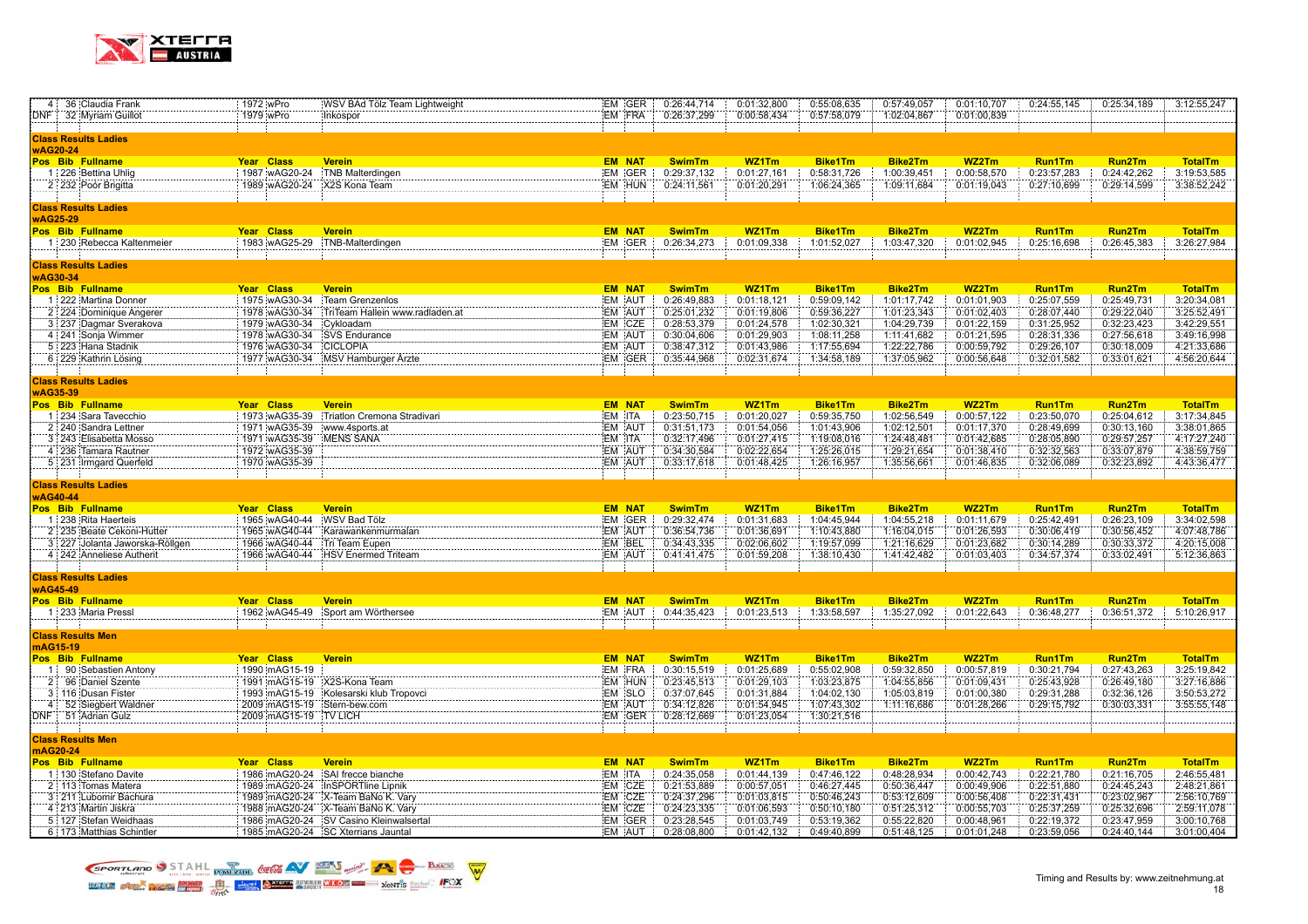

|          | 4 36 Claudia Frank                                | 1972 wPro             | WSV BAd Tölz Team Lightweight                                                | EM GER           | 0:26:44,714                | 0:01:32,800                | 0:55:08,635                | 0:57:49,057                | 0:01:10,707                | 0:24:55,145                | 0:25:34,189                | 3:12:55,247                |
|----------|---------------------------------------------------|-----------------------|------------------------------------------------------------------------------|------------------|----------------------------|----------------------------|----------------------------|----------------------------|----------------------------|----------------------------|----------------------------|----------------------------|
| DNF :    | 32 Myriam Guillot                                 | 1979 wPro             | Inkospor                                                                     | EM FRA           | 0:26:37,299                | 0:00:58,434                | 0:57:58,079                | 1:02:04,867                | 0:01:00,839                |                            |                            |                            |
|          |                                                   |                       |                                                                              |                  |                            |                            |                            |                            |                            |                            |                            |                            |
|          | Class Results Ladies                              |                       |                                                                              |                  |                            |                            |                            |                            |                            |                            |                            |                            |
| wAG20-24 |                                                   |                       |                                                                              |                  |                            |                            |                            |                            |                            |                            |                            |                            |
|          | Pos Bib Fullname                                  | Year Class            | <b>Verein</b>                                                                | <b>EM NAT</b>    | <b>SwimTm</b>              | WZ1Tm                      | <b>Bike1Tm</b>             | <b>Bike2Tm</b>             | WZ2Tm                      | <b>Run1Tm</b>              | <b>Run2Tm</b>              | <b>TotalTm</b>             |
|          | 1 226 Bettina Uhlig                               | 1987 wAG20-24         | <b>TNB Malterdingen</b>                                                      | EM GER           | 0:29:37,132                | 0:01:27,161                | 0:58:31,726                | 1:00:39,451                | 0:00:58,570                | 0:23:57,283                | 0:24:42,262                | 3:19:53,585                |
|          | 2 232 Poór Brigitta                               | 1989 wAG20-24         | X2S Kona Team                                                                | EM HUN           | 0:24:11,561                | 0:01:20,291                | 1:06:24,365                | 1:09:11,684                | 0:01:19,043                | 0:27:10,699                | 0:29:14,599                | 3:38:52,242                |
|          |                                                   |                       |                                                                              |                  |                            |                            |                            |                            |                            |                            |                            |                            |
|          | Class Results Ladies                              |                       |                                                                              |                  |                            |                            |                            |                            |                            |                            |                            |                            |
| wAG25-29 |                                                   |                       |                                                                              |                  |                            |                            |                            |                            |                            |                            |                            |                            |
|          | Pos Bib Fullname                                  | Year Class            | <b>Verein</b>                                                                | <b>EM NAT</b>    | <b>SwimTm</b>              | WZ1Tm                      | <b>Bike1Tm</b>             | <b>Bike2Tm</b>             | WZ2Tm                      | <b>Run1Tm</b>              | <b>Run2Tm</b>              | <b>TotalTm</b>             |
|          | 1 230 Rebecca Kaltenmeier                         | 1983 wAG25-29         | :TNB-Malterdingen                                                            | EM GER           | 0:26:34,273                | 0:01:09,338                | 1:01:52,027                | 1:03:47,320                | 0:01:02,945                | 0:25:16,698                | 0:26:45,383                | 3:26:27,984                |
|          |                                                   |                       |                                                                              |                  |                            |                            |                            |                            |                            |                            |                            |                            |
|          | <b>Class Results Ladies</b>                       |                       |                                                                              |                  |                            |                            |                            |                            |                            |                            |                            |                            |
| wAG30-34 |                                                   |                       |                                                                              |                  |                            |                            |                            |                            |                            |                            |                            |                            |
|          | Pos Bib Fullname                                  | Year Class            | <b>Verein</b>                                                                | <b>EM NAT</b>    | <b>SwimTm</b>              | WZ1Tm                      | <b>Bike1Tm</b>             | <b>Bike2Tm</b>             | WZ2Tm                      | <b>Run1Tm</b>              | <b>Run2Tm</b>              | <b>TotalTm</b>             |
|          | 1 222 Martina Donner                              | 1975 wAG30-34         | Team Grenzenlos                                                              | EM AUT           | 0:26:49,883                | 0:01:18,121                | 0:59:09,142                | 1:01:17,742                | 0:01:01,903                | 0:25:07,559                | 0:25:49,731                | 3:20:34,081                |
|          | 2 224 Dominique Angerer                           | 1978 wAG30-34         | TriTeam Hallein www.radladen.at                                              | EM AUT           | 0:25:01,232                | 0:01:19,806                | 0:59:36,227                | 1:01:23,343                | 0:01:02,403                | 0:28:07,440                | 0:29:22,040                | 3:25:52,491                |
|          | 3 237 Dagmar Sverakova                            | 1979 wAG30-34         | Cykloadam                                                                    | EM CZE           | 0:28:53,379                | 0:01:24,578                | 1:02:30,321                | 1:04:29,739                | 0:01:22,159                | 0:31:25,952                | 0:32:23,423                | 3:42:29,551                |
|          | 4 241 Sonja Wimmer                                | 1978 wAG30-34         | <b>SVS Endurance</b>                                                         | EM AUT           | 0:30:04,606                | 0:01:29,903                | 1:08:11,258                | 1:11:41,682                | 0:01:21,595                | 0:28:31,336                | 0:27:56,618                | 3:49:16,998                |
|          | 5 223 Hana Stadnik                                | 1976 wAG30-34         | <b>CICLOPIA</b>                                                              | EM AUT           | 0:38:47,312                | 0:01:43,986                | 1:17:55,694                | 1:22:22,786                | 0:00:59,792                | 0:29:26,107                | 0:30:18,009                | 4:21:33,686                |
|          | 6 229 Kathrin Lösing                              |                       | 1977 wAG30-34 MSV Hamburger Arzte                                            | EM GER           | 0:35:44,968                | 0:02:31,674                | 1:34:58,189                | 1:37:05,962                | 0:00:56,648                | 0:32:01,582                | 0:33:01,621                | 4:56:20,644                |
|          |                                                   |                       |                                                                              |                  |                            |                            |                            |                            |                            |                            |                            |                            |
|          | <b>Class Results Ladies</b>                       |                       |                                                                              |                  |                            |                            |                            |                            |                            |                            |                            |                            |
| wAG35-39 |                                                   |                       |                                                                              |                  |                            |                            |                            |                            |                            |                            |                            |                            |
|          | Pos Bib Fullname                                  | Year Class            | <b>Verein</b>                                                                | <b>EM NAT</b>    | <b>SwimTm</b>              | WZ1Tm                      | <b>Bike1Tm</b>             | <b>Bike2Tm</b>             | WZ2Tm                      | <b>Run1Tm</b>              | Run2Tm                     | <b>TotalTm</b>             |
|          | 1 234 Sara Tavecchio                              | 1973 wAG35-39         | Triatlon Cremona Stradivari                                                  | EM ITA           | 0:23:50,715                | 0:01:20,027                | 0:59:35,750                | 1:02:56,549                | 0:00:57,122                | 0:23:50,070                | 0:25:04,612                | 3:17:34,845                |
|          | 2 240 Sandra Lettner                              | 1971 wAG35-39         | www.4sports.at                                                               | EM AUT           | 0:31:51,173                | 0:01:54,056                | 1:01:43,906                | 1:02:12,501                | 0:01:17,370                | 0:28:49,699                | 0:30:13,160                | 3:38:01,865                |
|          | 3 243 Elisabetta Mosso                            | 1971 wAG35-39         | <b>MENS SANA</b>                                                             | EM ITA           | 0:32:17,496                | 0:01:27,415                | 1:19:08,016                | 1:24:48,481                | 0:01:42,685                | 0:28:05,890                | 0:29:57,257                | 4:17:27,240                |
|          | 4 236 Tamara Rautner                              | 1972 wAG35-39         |                                                                              | EM AUT           | 0:34:30,584                | 0:02:22,654                | 1:25:26,015                | 1:29:21,654                | 0:01:38,410                | 0:32:32,563                | 0:33:07,879                | 4:38:59,759                |
|          | 5 231 Irmgard Querfeld                            | 1970 wAG35-39         |                                                                              | EM AUT           | 0:33:17,618                | 0:01:48,425                | 1:26:16,957                | 1:35:56,661                | 0:01:46,835                | 0:32:06,089                | 0:32:23,892                | 4:43:36,477                |
|          |                                                   |                       |                                                                              |                  |                            |                            |                            |                            |                            |                            |                            |                            |
|          | <b>Class Results Ladies</b>                       |                       |                                                                              |                  |                            |                            |                            |                            |                            |                            |                            |                            |
| wAG40-44 |                                                   |                       |                                                                              |                  |                            |                            |                            |                            |                            |                            |                            |                            |
|          | Pos Bib Fullname                                  | Year Class            | <b>Verein</b>                                                                | <b>EM NAT</b>    | <b>SwimTm</b>              | WZ1Tm                      | <b>Bike1Tm</b>             | <b>Bike2Tm</b>             | WZ2Tm                      | <b>Run1Tm</b>              | <b>Run2Tm</b>              | <b>TotalTm</b>             |
|          | 1 238 Rita Haerteis                               | 1965 wAG40-44         | WSV Bad Tölz                                                                 | EM GER           | 0:29:32,474                | 0:01:31,683                | 1:04:45,944                | 1:04:55,218                | 0:01:11,679                | 0:25:42,491                | 0:26:23,109                | 3:34:02,598                |
|          | 2 235 Beate Cekoni-Hutter                         | 1965 wAG40-44         | Karawankenmurmalan                                                           | EM AUT           | 0:36:54,736                | 0:01:36,691                | 1:10:43,880                | 1:16:04,015                | 0:01:26,593                | 0:30:06,419                | 0:30:56,452                | 4:07:48,786                |
|          | 3 227 Jolanta Jaworska-Röllgen                    | 1966 wAG40-44         | Tri Team Eupen                                                               | EM BEL           | 0:34:43,335                | 0:02:06.602                | 1:19:57,099                | 1:21:16,629                | 0:01:23,682                | 0:30:14,289                | 0:30:33,372                | 4:20:15,008                |
|          | 4 242 Anneliese Autherit                          | 1966 wAG40-44         | <b>HSV Enermed Triteam</b>                                                   | EM AUT           | 0:41:41,475                | 0:01:59,208                | 1:38:10,430                | 1:41:42,482                | 0:01:03,403                | 0:34:57,374                | 0:33:02,491                | 5:12:36,863                |
|          |                                                   |                       |                                                                              |                  |                            |                            |                            |                            |                            |                            |                            |                            |
|          | <b>Class Results Ladies</b>                       |                       |                                                                              |                  |                            |                            |                            |                            |                            |                            |                            |                            |
| wAG45-49 |                                                   |                       |                                                                              |                  |                            |                            |                            |                            |                            |                            |                            |                            |
|          | Pos Bib Fullname                                  | Year Class            | <b>Verein</b>                                                                | <b>EM NAT</b>    | <b>SwimTm</b>              | WZ1Tm                      | <b>Bike1Tm</b>             | <b>Bike2Tm</b>             | WZ2Tm                      | <b>Run1Tm</b>              | <b>Run2Tm</b>              | <b>TotalTm</b>             |
|          | 1 233 Maria Pressl                                | 1962 wAG45-49         | Sport am Wörthersee                                                          | EM AUT           | 0:44:35,423                | 0:01:23,513                | 1:33:58,597                | 1:35:27,092                | 0:01:22,643                | 0:36:48,277                | 0:36:51,372                | 5:10:26,917                |
|          |                                                   |                       |                                                                              |                  |                            |                            |                            |                            |                            |                            |                            |                            |
|          | Class Results Men                                 |                       |                                                                              |                  |                            |                            |                            |                            |                            |                            |                            |                            |
| mAG15-19 |                                                   |                       |                                                                              |                  |                            |                            |                            |                            |                            |                            |                            |                            |
|          | Pos Bib Fullname                                  | Year Class            | <b>Verein</b>                                                                | <b>EM NAT</b>    | <b>SwimTm</b>              | WZ1Tm                      | <b>Bike1Tm</b>             | <b>Bike2Tm</b>             | WZ2Tm                      | <b>Run1Tm</b>              | <b>Run2Tm</b>              | <b>TotalTm</b>             |
|          | 1 90 Sebastien Antony                             | 1990 mAG15-19         |                                                                              | EM FRA           | 0:30:15,519                | 0:01:25,689                | 0:55:02,908                | 0:59:32,850                | 0:00:57,819                | 0:30:21,794                | 0:27:43,263                | 3:25:19,842                |
|          | 2 96 Daniel Szente                                | 1991 mAG15-19         | X2S-Kona Team                                                                | EM HUN           | 0:23:45,513                | 0:01:29,103                | 1:03:23,875                | 1:04:55,856                | 0:01:09,431                | 0:25:43,928                | 0:26:49,180                | 3:27:16,886                |
|          | 3 116 Dusan Fister                                |                       | 1993 mAG15-19 Kolesarski klub Tropovci                                       | EM SLO           | 0:37:07,645                | 0:01:31,884                | 1:04:02,130                | 1:05:03,819                | 0:01:00,380                | 0:29:31,288                | 0:32:36,126                | 3:50:53,272                |
|          | 4 52 Siegbert Waldner                             | 2009 mAG15-19         | Stern-bew.com                                                                | EM AUT           | 0:34:12,826                | 0:01:54,945                | 1:07:43,302                | 1:11:16,686                | 0:01:28,266                | 0:29:15,792                | 0:30:03,331                | 3:55:55,148                |
|          | DNF 51 Adrian Gulz                                | 2009 mAG15-19 TV LICH |                                                                              | EM GER           | 0:28:12,669                | 0:01:23,054                | 1:30:21,516                |                            |                            |                            |                            |                            |
|          |                                                   |                       |                                                                              |                  |                            |                            |                            |                            |                            |                            |                            |                            |
|          | Class Results Men                                 |                       |                                                                              |                  |                            |                            |                            |                            |                            |                            |                            |                            |
| mAG20-24 |                                                   |                       |                                                                              |                  |                            |                            |                            |                            |                            |                            |                            |                            |
|          | Pos Bib Fullname                                  | Year Class            | <b>Verein</b>                                                                | <b>EM NAT</b>    | <b>SwimTm</b>              | WZ1Tm                      | <b>Bike1Tm</b>             | <b>Bike2Tm</b>             | WZ2Tm                      | <b>Run1Tm</b>              | Run2Tm                     | <b>TotalTm</b>             |
|          | 1 130 Stefano Davite                              | 1986 mAG20-24         | SAI frecce bianche                                                           | EM ITA           | 0:24:35,058                | 0:01:44,139                | 0:47:46.122                | 0:48:28,934                | 0:00:42,743                | 0:22:21,780                | 0:21:16,705                | 2:46:55.481                |
|          | 2 113 Tomas Matera                                | 1989 mAG20-24         | InSPORTline Lipnik                                                           | EM CZE           | 0:21:53,889                | 0:00:57,051                | 0:46:27,445                | 0:50:36,447                | 0:00:49,906                | 0:22:51,880                | 0:24:45,243                | 2:48:21,861                |
|          | 3 211 Lubomir Bachura                             | 1989 mAG20-24         | X-Team BaNo K. Vary                                                          | EM CZE           | 0:24:37,296                | 0:01:03,815                | 0:50:46,243                | 0:53:12,609                | 0:00:56,408                | 0:22:31,431                | 0:23:02,967                | 2:56:10,769                |
|          | 4 213 Martin Jiskra                               | 1988 mAG20-24         | X-Team BaNo K. Vary                                                          | EM CZE           | 0:24:23,335                | 0:01:06,593                | 0:50:10,180                | 0:51:25,312                | 0:00:55,703                | 0:25:37,259                | 0:25:32,696                | 2:59:11,078                |
|          |                                                   |                       |                                                                              |                  |                            |                            |                            |                            |                            |                            |                            |                            |
|          | 5 127 Stefan Weidhaas<br>6:173 Matthias Schintler |                       | 1986 mAG20-24 SV Casino Kleinwalsertal<br>1985 mAG20-24 SC Xterrians Jauntal | EM GER<br>EM AUT | 0:23:28,545<br>0:28:08,800 | 0:01:03,749<br>0:01:42,132 | 0:53:19,362<br>0:49:40,899 | 0:55:22,820<br>0:51:48,125 | 0:00:48,961<br>0:01:01,248 | 0:22:19,372<br>0:23:59,056 | 0:23:47,959<br>0:24:40,144 | 3:00:10,768<br>3:01:00,404 |

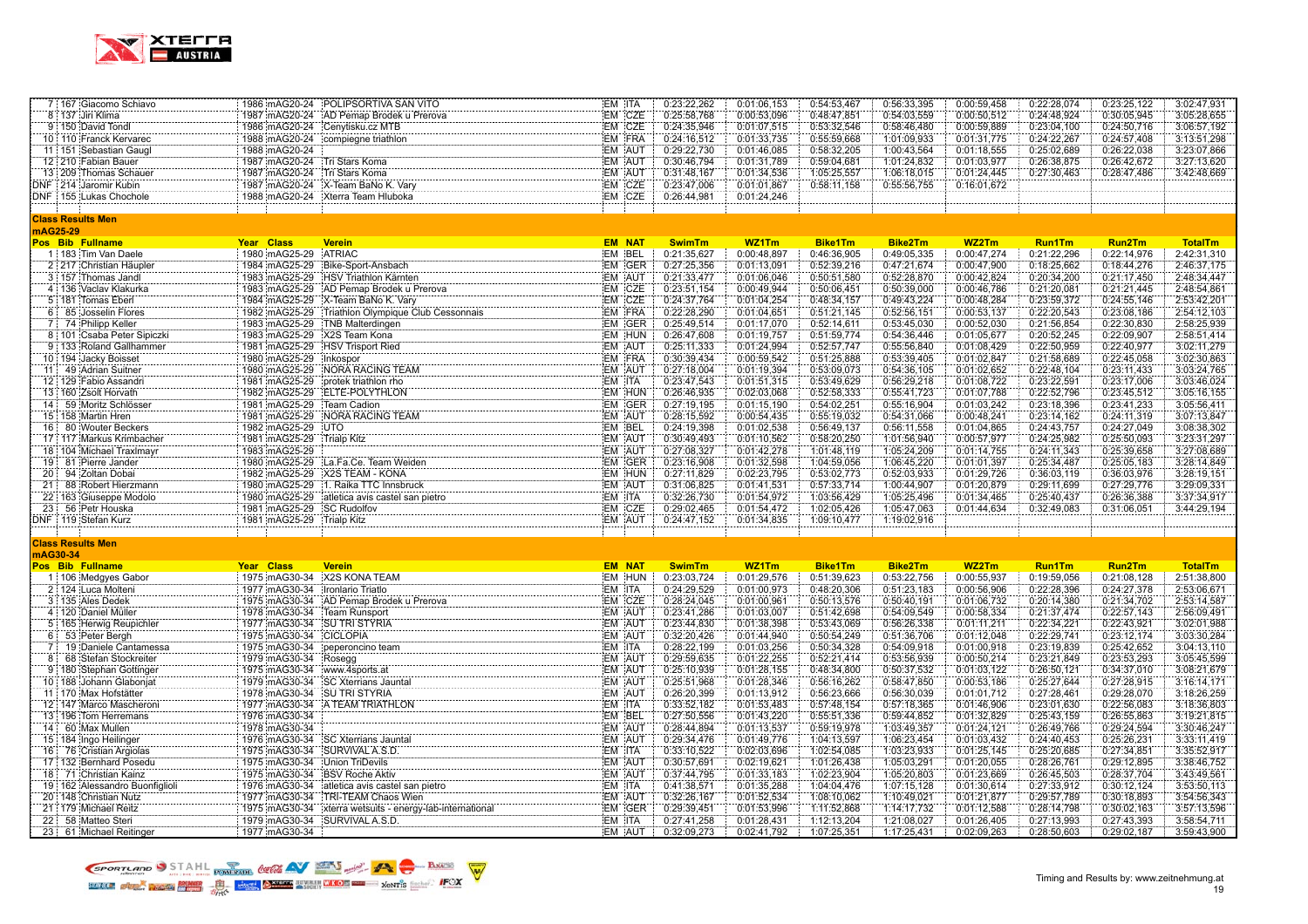

|                |          | 7 167 Giacomo Schiavo          |                                 | 1986 mAG20-24 POLIPSORTIVA SAN VITO                                                                                                                        |        | EM ITA        | 0:23:22,262   | 0:01:06,153 | 0:54:53,467    | 0:56:33,395    | 0:00:59,458 | 0:22:28,074   | 0:23:25,122 | 3:02:47,931    |
|----------------|----------|--------------------------------|---------------------------------|------------------------------------------------------------------------------------------------------------------------------------------------------------|--------|---------------|---------------|-------------|----------------|----------------|-------------|---------------|-------------|----------------|
|                |          | 8 137 Jiri Klima               |                                 | 1987 mAG20-24 AD Pemap Brodek u Prerova                                                                                                                    |        | EM CZE        | 0:25:58,768   | 0:00:53,096 | 0:48:47,851    | 0:54:03,559    | 0:00:50,512 | 0:24:48,924   | 0:30:05,945 | 3:05:28,655    |
|                |          | 9 150 David Tondl              |                                 | 1986 mAG20-24 Cenytisku.cz MTB                                                                                                                             |        | EM CZE        | 0:24:35,946   | 0:01:07,515 | 0:53:32,546    | 0:58:46,480    | 0:00:59,889 | 0:23:04,100   | 0:24:50,716 | 3:06:57,192    |
|                |          | 10 110 Franck Kervarec         |                                 | 1988 mAG20-24 compiegne triathlon                                                                                                                          |        | EM FRA        | 0:24:16,512   | 0:01:33,735 | 0:55:59,668    | 1:01:09,933    | 0:01:31,775 | 0:24:22,267   | 0:24:57,408 | 3:13:51,298    |
|                |          | 11 151 Sebastian Gaugl         | 1988 mAG20-24                   |                                                                                                                                                            |        | EM AUT        | 0:29:22.730   | 0:01:46,085 | 0:58:32,205    | 1:00:43.564    | 0:01:18,555 | 0:25:02,689   | 0:26:22,038 | 3:23:07.866    |
|                |          | 12 210 Fabian Bauer            | 1987 mAG20-24 Tri Stars Koma    |                                                                                                                                                            |        | EM AUT        | 0:30:46,794   | 0:01:31,789 | 0:59:04,681    | 1:01:24,832    | 0:01:03,977 | 0:26:38,875   | 0:26:42,672 | 3:27:13,620    |
|                |          | 13 209 Thomas Schauer          | 1987 mAG20-24 Tri Stars Koma    |                                                                                                                                                            |        | EM AUT        | 0:31:48,167   | 0:01:34,536 | 1:05:25,557    | 1:06:18,015    | 0:01:24,445 | 0:27:30,463   | 0:28:47,486 | 3:42:48,669    |
|                |          | <b>NF 214 Jaromir Kubin</b>    |                                 | 1987 mAG20-24 X-Team BaNo K. Vary                                                                                                                          |        | EM CZE        | 0:23:47,006   | 0:01:01.867 | 0:58:11,158    | 0:55:56,755    | 0:16:01,672 |               |             |                |
|                |          | DNF 155 Lukas Chochole         |                                 | 1988 mAG20-24 Xterra Team Hluboka                                                                                                                          |        | EM CZE        | 0:26:44,981   | 0:01:24,246 |                |                |             |               |             |                |
|                |          |                                |                                 |                                                                                                                                                            |        |               |               |             |                |                |             |               |             |                |
|                |          | <b>Class Results Men</b>       |                                 |                                                                                                                                                            |        |               |               |             |                |                |             |               |             |                |
|                | mAG25-29 |                                |                                 |                                                                                                                                                            |        |               |               |             |                |                |             |               |             |                |
|                |          | Pos Bib Fullname               | Year Class                      | <b>Verein</b>                                                                                                                                              |        | <b>EM NAT</b> | <b>SwimTm</b> | WZ1Tm       | <b>Bike1Tm</b> | <b>Bike2Tm</b> | WZ2Tm       | <b>Run1Tm</b> | Run2Tm      | <b>TotalTm</b> |
|                |          | 1:183 Tim Van Daele            | 1980 mAG25-29                   | <b>ATRIAC</b>                                                                                                                                              |        | EM BEL        | 0:21:35,627   | 0:00:48,897 | 0:46:36,905    | 0:49:05,335    | 0:00:47,274 | 0:21:22,296   | 0:22:14,976 | 2:42:31,310    |
|                |          | 2 217 Christian Häupler        | 1984 mAG25-29                   | Bike-Sport-Ansbach                                                                                                                                         |        | EM GER        | 0:27:25,356   | 0:01:13,091 | 0:52:39,216    | 0:47:21,674    | 0:00:47,900 | 0:18:25,662   | 0:18:44,276 | 2:46:37,175    |
|                |          | 3 157 Thomas Jandl             |                                 | 1983 mAG25-29 HSV Triathlon Kärnten                                                                                                                        |        | EM AUT        | 0:21:33,477   | 0:01:06,046 | 0:50:51,580    | 0:52:28,870    | 0:00:42,824 | 0:20:34,200   | 0:21:17,450 | 2:48:34,447    |
|                |          | 4 136 Vaclav Klakurka          |                                 | 1983 mAG25-29 AD Pemap Brodek u Prerova<br>the contract of the contract of the contract of the contract of the contract of the contract of the contract of |        | EM CZE        | 0:23:51,154   | 0:00:49,944 | 0:50:06,451    | 0:50:39,000    | 0:00:46,786 | 0:21:20,081   | 0:21:21,445 | 2:48:54,861    |
|                |          | 5 181 Tomas Eberl              |                                 | 1982 mAG25-29 Triathlon Olympique Club Cessonnais<br>1982 mAG25-29 Triathlon Olympique Club Cessonnais                                                     |        | EM CZE        | 0:24:37,764   | 0:01:04,254 | 0:48:34,157    | 0:49:43,224    | 0:00:48,284 | 0:23:59,372   | 0:24:55,146 | 2:53:42,201    |
|                |          | 6 85 Josselin Flores           |                                 |                                                                                                                                                            |        | EM FRA        | 0:22:28,290   | 0:01:04,651 | 0:51:21,145    | 0:52:56,151    | 0:00:53,137 | 0:22:20,543   | 0:23:08,186 | 2:54:12,103    |
|                |          | 7 74 Philipp Keller            |                                 | 1983 mAG25-29 TNB Malterdingen                                                                                                                             |        | EM GER        | 0:25:49,514   | 0:01:17.070 | 0:52:14,611    | 0:53:45,030    | 0:00:52,030 | 0:21:56,854   | 0:22:30,830 | 2:58:25,939    |
|                |          | 8 101 Csaba Peter Sipiczki     | 1983 mAG25-29 X2S Team Kona     |                                                                                                                                                            |        | EM HUN        | 0:26:47,608   | 0:01:19,757 | 0:51:59,774    | 0:54:36,446    | 0:01:05,677 | 0:20:52,245   | 0:22:09,907 | 2:58:51,414    |
|                |          | 9 133 Roland Gallhammer        |                                 | 1981 mAG25-29 HSV Trisport Ried                                                                                                                            |        | EM AUT        | 0:25:11,333   | 0:01:24,994 | 0:52:57,747    | 0:55:56,840    | 0:01:08,429 | 0:22:50,959   | 0:22:40,977 | 3:02:11,279    |
|                |          | 10 194 Jacky Boisset           |                                 | 1980   mAG25-29<br>  1980   mAG25-29   NORA RACING TEAM<br>  1981   mAGGE 28   NORA RACING TEAM                                                            |        | EM FRA        | 0:30:39,434   | 0:00:59,542 | 0:51:25,888    | 0:53:39,405    | 0:01:02,847 | 0:21:58,689   | 0:22:45,058 | 3:02:30,863    |
|                |          | 11: 49 Adrian Suitner          |                                 |                                                                                                                                                            |        | EM AUT        | 0:27:18,004   | 0:01:19,394 | 0:53:09,073    | 0:54:36,105    | 0:01:02,652 | 0:22:48,104   | 0:23:11,433 | 3:03:24,765    |
|                |          | 12 129 Fabio Assandri          |                                 | 1981 mAG25-29 protek triathlon rho                                                                                                                         |        | EM ITA        | 0:23:47,543   | 0:01:51,315 | 0:53:49,629    | 0:56:29,218    | 0:01:08,722 | 0:23:22,591   | 0:23:17,006 | 3:03:46,024    |
|                |          | 13 160 Zsolt Horvath           |                                 | 1982 mAG25-29 ELTE-POLYTHLON                                                                                                                               |        | EM HUN        | 0:26:46,935   | 0:02:03,068 | 0:52:58,333    | 0:55:41,723    | 0:01:07,788 | 0:22:52,796   | 0:23:45,512 | 3:05:16,155    |
|                |          | 14 59 Moritz Schlösser         | 1981 mAG25-29                   | Team Cadion                                                                                                                                                |        | EM GER        | 0:27:19,195   | 0:01:15,190 | 0:54:02,251    | 0:55:16,904    | 0:01:03,242 | 0:23:18,396   | 0:23:41,233 | 3:05:56,411    |
|                |          | 15 158 Martin Hren             |                                 | 1981 mAG25-29 NORA RACING TEAM                                                                                                                             |        | EM AUT        | 0:28:15,592   | 0:00:54,435 | 0:55:19,032    | 0:54:31,066    | 0:00:48,241 | 0:23:14,162   | 0:24:11,319 | 3:07:13,847    |
|                |          | 16 80 Wouter Beckers           | 1982 mAG25-29 UTO               |                                                                                                                                                            |        | EM BEL        | 0:24:19,398   | 0:01:02,538 | 0:56:49,137    | 0:56:11,558    | 0:01:04,865 | 0:24:43,757   | 0:24:27,049 | 3:08:38,302    |
|                |          | 17 117 Markus Krimbacher       | 1981 mAG25-29 Trialp Kitz       |                                                                                                                                                            |        | EM AUT        | 0:30:49,493   | 0:01:10,562 | 0:58:20,250    | 1:01:56,940    | 0:00:57,977 | 0:24:25,982   | 0:25:50,093 | 3:23:31,297    |
|                |          | 18 104 Michael Traxlmayr       | 1983 mAG25-29                   |                                                                                                                                                            |        | EM AUT        | 0:27:08,327   | 0:01:42,278 | 1:01:48,119    | 1:05:24,209    | 0:01:14,755 | 0:24:11,343   | 0:25:39,658 | 3:27:08,689    |
|                |          | 19 81 Pierre Jander            |                                 | 1980 mAG25-29 La.Fa.Ce. Team Weiden                                                                                                                        |        | EM GER        | 0:23:16,908   | 0:01:32,598 | 1:04:59,056    | 1:06:45.220    | 0:01:01,397 | 0:25:34,487   | 0:25:05,183 | 3:28:14.849    |
| 20:            |          | 94 Zoltan Dobai                |                                 | 1982 mAG25-29 X2S TEAM - KONA                                                                                                                              |        | EM HUN        | 0:27:11,829   | 0:02:23,795 | 0:53:02,773    | 0:52:03,933    | 0:01:29,726 | 0:36:03,119   | 0:36:03,976 | 3:28:19,151    |
| 21             |          | 88 Robert Hierzmann            |                                 | 1980 mAG25-29 1. Raika TTC Innsbruck                                                                                                                       |        | EM AUT        | 0:31:06,825   | 0:01:41,531 | 0:57:33,714    | 1:00:44,907    | 0:01:20,879 | 0:29:11,699   | 0:27:29,776 | 3:29:09,331    |
|                |          | 22 163 Giuseppe Modolo         |                                 | 1980 mAG25-29 atletica avis castel san pietro                                                                                                              | EM ITA |               | 0:32:26,730   | 0:01:54,972 | 1:03:56,429    | 1:05:25,496    | 0:01:34,465 | 0:25:40,437   | 0:26:36,388 | 3:37:34,917    |
|                |          | 23 56 Petr Houska              | 1981 mAG25-29 SC Rudolfov       |                                                                                                                                                            |        | EM CZE        | 0:29:02,465   | 0:01:54,472 | 1:02:05,426    | 1:05:47,063    | 0:01:44,634 | 0:32:49,083   | 0:31:06,051 | 3:44:29,194    |
|                |          | DNF 119 Stefan Kurz            | 1981 mAG25-29 Trialp Kitz       |                                                                                                                                                            |        | EM AUT        | 0:24:47,152   | 0:01:34.835 | 1:09:10,477    | 1:19:02,916    |             |               |             |                |
|                |          |                                |                                 |                                                                                                                                                            |        |               |               |             |                |                |             |               |             |                |
|                |          | <b>Class Results Men</b>       |                                 |                                                                                                                                                            |        |               |               |             |                |                |             |               |             |                |
|                | mAG30-34 |                                |                                 |                                                                                                                                                            |        |               |               |             |                |                |             |               |             |                |
|                |          | <b>Pos Bib Fullname</b>        | Year Class                      | <b>Verein</b>                                                                                                                                              |        | <b>EM NAT</b> | <b>SwimTm</b> | WZ1Tm       | <b>Bike1Tm</b> | Bike2Tm        | WZ2Tm       | <b>Run1Tm</b> | Run2Tm      | <b>TotalTm</b> |
|                |          | 1 106 Medgyes Gabor            |                                 | 1975 mAG30-34 X2S KONA TEAM                                                                                                                                |        | EM HUN        | 0:23:03,724   | 0:01:29,576 | 0:51:39,623    | 0:53:22,756    | 0:00:55,937 | 0:19:59,056   | 0:21:08,128 | 2:51:38,800    |
|                |          | 2 124 Luca Molteni             | 1977 mAG30-34 Ironlario Triatlo |                                                                                                                                                            |        | EM ITA        | 0:24:29,529   | 0:01:00,973 | 0:48:20,306    | 0:51:23,183    | 0:00:56,906 | 0:22:28,396   | 0:24:27,378 | 2:53:06,671    |
|                |          | 3 135 Ales Dedek               |                                 | 1975 mAG30-34 AD Pemap Brodek u Prerova                                                                                                                    |        | EM CZE        | 0:28:24,045   | 0:01:00,961 | 0:50:13,576    | 0:50:40,191    | 0:01:06,732 | 0:20:14,380   | 0:21:34,702 | 2:53:14,587    |
|                |          | 4 120 Daniel Müller            | 1978 mAG30-34                   | Team Runsport                                                                                                                                              |        | EM AUT        | 0:23:41,286   | 0:01:03,007 | 0:51:42,698    | 0:54:09,549    | 0:00:58,334 | 0:21:37,474   | 0:22:57,143 | 2:56:09,491    |
|                |          | 5 165 Herwig Reupichler        | 1977 mAG30-34 SU TRI STYRIA     |                                                                                                                                                            |        | EM AUT        | 0:23:44,830   | 0:01:38,398 | 0:53:43,069    | 0:56:26,338    | 0:01:11,211 | 0:22:34,221   | 0:22:43,921 | 3:02:01,988    |
| 6              |          | 53 Peter Bergh                 | 1975 mAG30-34 CICLOPIA          |                                                                                                                                                            |        | EM AUT        | 0:32:20.426   | 0:01:44.940 | 0:50:54,249    | 0:51:36,706    | 0:01:12,048 | 0:22:29.741   | 0:23:12,174 | 3:03:30.284    |
| $\overline{7}$ |          | 19 Daniele Cantamessa          | 1975 mAG30-34                   | peperoncino team                                                                                                                                           | EM ITA |               | 0:28:22,199   | 0:01:03,256 | 0:50:34,328    | 0:54:09,918    | 0:01:00,918 | 0:23:19,839   | 0:25:42,652 | 3:04:13,110    |
|                |          | 8 68 Stefan Stockreiter        | 1979 mAG30-34 Rosegg            |                                                                                                                                                            |        | EM AUT        | 0:29:59,635   | 0:01:22,255 | 0:52:21,414    | 0:53:56,939    | 0:00:50,214 | 0:23:21,849   | 0:23:53,293 | 3:05:45,599    |
|                |          | 9 180 Stephan Gottinger        | 1975 mAG30-34                   | www.4sports.at                                                                                                                                             |        | EM AUT        | 0:25:10,939   | 0:01:28,155 | 0:48:34,800    | 0:50:37,532    | 0:01:03,122 | 0:26:50,121   | 0:34:37,010 | 3:08:21,679    |
|                |          | 10 188 Johann Glabonjat        |                                 | 1979 mAG30-34 SC Xterrians Jauntal                                                                                                                         |        | EM AUT        | 0:25:51,968   | 0:01:28,346 | 0:56:16,262    | 0:58:47,850    | 0:00:53,186 | 0:25:27,644   | 0:27:28,915 | 3:16:14,171    |
|                |          | 11 170 Max Hofstätter          | 1978 mAG30-34 SU TRI STYRIA     |                                                                                                                                                            |        | EM AUT        | 0:26:20,399   | 0:01:13,912 | 0:56:23,666    | 0:56:30,039    | 0:01:01,712 | 0:27:28,461   | 0:29:28,070 | 3:18:26,259    |
|                |          | 12 147 Marco Mascheroni        |                                 | 1977 mAG30-34 A TEAM TRIATHLON                                                                                                                             |        | EM ITA        | 0:33:52,182   | 0:01:53,483 | 0:57:48,154    | 0:57:18.365    | 0:01:46,906 | 0:23:01,630   | 0:22:56,083 | 3:18:36,803    |
|                |          | 13 196 Tom Herremans           | 1976 mAG30-34                   |                                                                                                                                                            |        | EM BEL        | 0:27:50,556   | 0:01:43,220 | 0:55:51,336    | 0:59:44,852    | 0:01:32,829 | 0:25:43,159   | 0:26:55,863 | 3:19:21,815    |
|                |          | 14 60 Max Mullen               | 1978 mAG30-34                   |                                                                                                                                                            |        | EM AUT        | 0:28:44,894   | 0:01:13,537 | 0:59:19,978    | 1:03:49,357    | 0:01:24,121 | 0:26:49,766   | 0:29:24,594 | 3:30:46,247    |
|                |          | 15 184 Ingo Heilinger          |                                 | 1976 mAG30-34 SC Xterrians Jauntal                                                                                                                         |        | EM AUT        | 0:29:34,476   | 0:01:49,776 | 1:04:13,597    | 1:06:23,454    | 0:01:03,432 | 0:24:40,453   | 0:25:26,231 | 3:33:11,419    |
|                |          | 16 76 Cristian Argiolas        | 1975 mAG30-34 SURVIVAL A.S.D.   |                                                                                                                                                            | EM ITA |               | 0:33:10,522   | 0:02:03,696 | 1:02:54,085    | 1:03:23,933    | 0:01:25,145 | 0:25:20,685   | 0:27:34,851 | 3:35:52,917    |
|                |          | 17 132 Bernhard Posedu         | 1975 mAG30-34 Union TriDevils   |                                                                                                                                                            |        | EM AUT        | 0:30:57,691   | 0:02:19.621 | 1:01:26,438    | 1:05:03,291    | 0:01:20,055 | 0:28:26,761   | 0:29:12,895 | 3:38:46,752    |
|                |          | 18 71 Christian Kainz          | 1975 mAG30-34 BSV Roche Aktiv   |                                                                                                                                                            |        | EM AUT        | 0:37:44,795   | 0:01:33,183 | 1:02:23,904    | 1:05:20,803    | 0:01:23,669 | 0:26:45,503   | 0:28:37,704 | 3:43:49,561    |
|                |          | 19 162 Alessandro Buonfiglioli |                                 | 1975 mAG30-34 BSV Roche Aktiv<br>1976 mAG30-34 atletica avis castel san pietro                                                                             | EM ITA |               | 0:41:38,571   | 0:01:35,288 | 1:04:04,476    | 1:07:15,128    | 0:01:30,614 | 0:27:33,912   | 0:30:12,124 | 3:53:50,113    |
|                |          | 20 148 Christian Nutz          |                                 | 1975 im AG30-34 Externa websuits - energy-lab-international<br>1975 im AG30-34 Externa wetsuits - energy-lab-international                                 |        | EM AUT        | 0:32:26,167   | 0:01:52,534 | 1:08:10,062    | 1:10:49,021    | 0:01:21,877 | 0:29:57,789   | 0:30:18,893 | 3:54:56,343    |
|                |          | 21 179 Michael Reitz           |                                 |                                                                                                                                                            |        | EM GER        | 0:29:39,451   | 0:01:53,996 | 1:11:52,868    | 1:14:17,732    | 0:01:12,588 | 0:28:14,798   | 0:30:02,163 | 3:57:13,596    |
|                |          | 22 58 Matteo Steri             | 1979 mAG30-34 SURVIVAL A.S.D.   |                                                                                                                                                            | EM ITA |               | 0:27:41,258   | 0:01:28,431 | 1:12:13,204    | 1:21:08,027    | 0:01:26,405 | 0:27:13,993   | 0:27:43,393 | 3:58:54,711    |
|                |          | 23 61 Michael Reitinger        | 1977 mAG30-34                   |                                                                                                                                                            |        | EM AUT        | 0:32:09,273   | 0:02:41,792 | 1:07:25,351    | 1:17:25,431    | 0:02:09,263 | 0:28:50,603   | 0:29:02,187 | 3:59:43,900    |

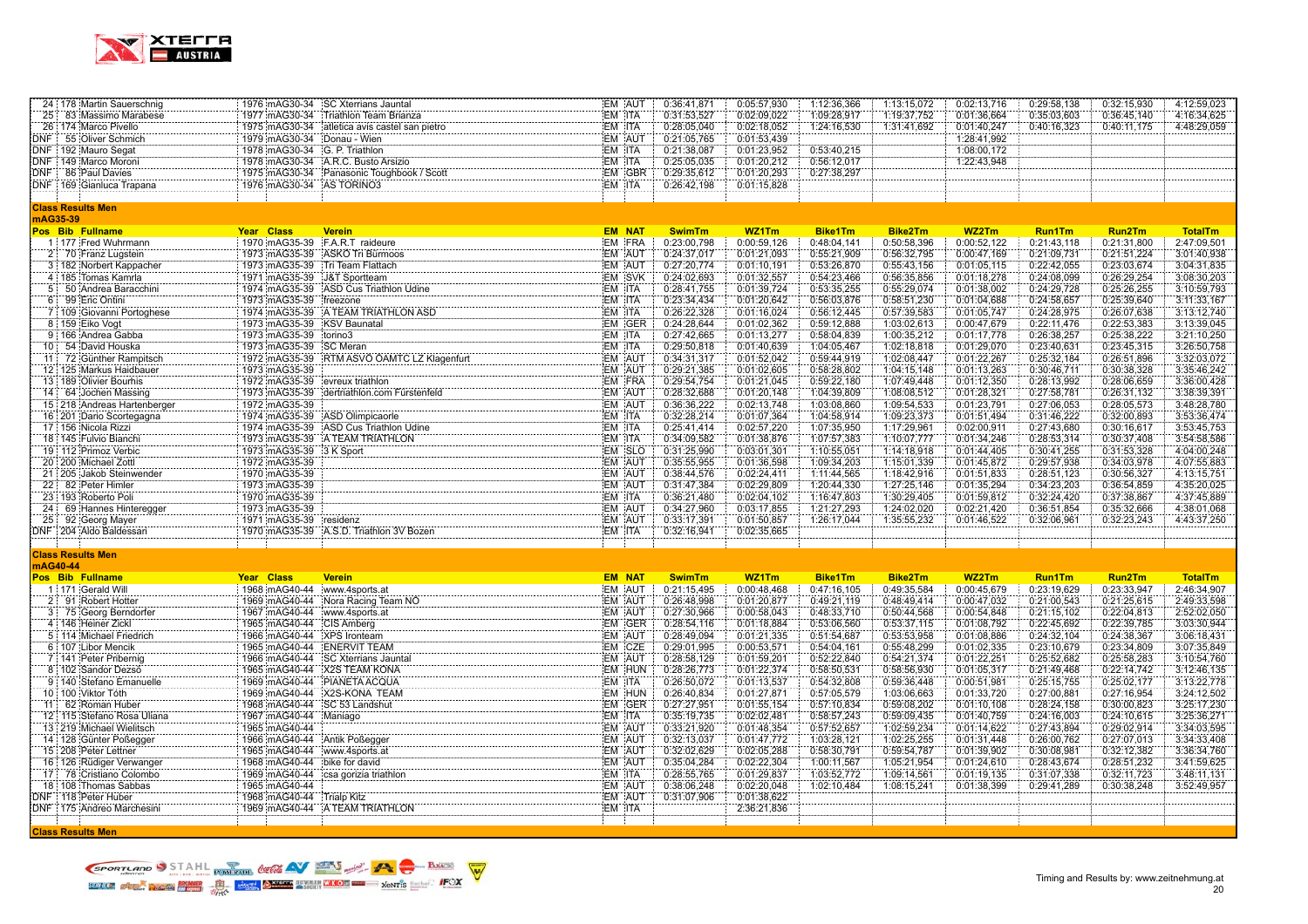

|          | 24 178 Martin Sauerschnig                     |                           | 1976 mAG30-34 SC Xterrians Jauntal                     |        | EM AUT           | 0:36:41,871                | 0:05:57,930                | 1:12:36,366                | 1:13:15,072                | 0:02:13,716                | 0:29:58,138                | 0:32:15,930                | 4:12:59,023                |
|----------|-----------------------------------------------|---------------------------|--------------------------------------------------------|--------|------------------|----------------------------|----------------------------|----------------------------|----------------------------|----------------------------|----------------------------|----------------------------|----------------------------|
|          | 25 83 Massimo Marabese                        |                           | 1977 mAG30-34 Triathlon Team Brianza                   | EM ITA |                  | 0:31:53,527                | 0:02:09,022                | 1:09:28,917                | 1:19:37,752                | 0:01:36,664                | 0:35:03,603                | 0:36:45,140                | 4:16:34,625                |
|          | 26 174 Marco Pivello                          |                           | 1975 mAG30-34 atletica avis castel san pietro          | EM ITA |                  | 0:28:05,040                | 0:02:18,052                | 1:24:16,530                | 1:31:41,692                | 0:01:40,247                | 0:40:16,323                | 0:40:11,175                | 4:48:29,059                |
|          | DNF 55 Oliver Schmich                         |                           | 1979 mAG30-34 Donau - Wien                             |        | EM AUT           | 0:21:05,765                | 0:01:53,439                |                            |                            | 1:28:41,992                |                            |                            |                            |
|          | DNF 192 Mauro Segat                           |                           | 1978 mAG30-34 G. P. Triathlon                          | EM ITA |                  | 0:21:38,087                | 0:01:23.952                | 0:53:40,215                |                            | 1:08:00,172                |                            |                            |                            |
|          | DNF 149 Marco Moroni                          |                           | 1978 mAG30-34 A.R.C. Busto Arsizio                     | EM ITA |                  | 0:25:05,035                | 0:01:20,212                | 0:56:12,017                |                            | 1:22:43,948                |                            |                            |                            |
|          | DNF 86 Paul Davies                            |                           | 1975 mAG30-34 Panasonic Toughbook / Scott              |        | EM GBR           | 0:29:35,612                | 0:01:20,293                | 0:27:38,297                |                            |                            |                            |                            |                            |
|          | DNF   169 Gianluca Trapana                    |                           | 1976 mAG30-34 AS TORINO3                               | EM ITA |                  | 0:26:42,198                | 0:01:15,828                |                            |                            |                            |                            |                            |                            |
|          |                                               |                           |                                                        |        |                  |                            |                            |                            |                            |                            |                            |                            |                            |
|          | <b>Class Results Men</b>                      |                           |                                                        |        |                  |                            |                            |                            |                            |                            |                            |                            |                            |
| mAG35-39 |                                               |                           |                                                        |        |                  |                            |                            |                            |                            |                            |                            |                            |                            |
|          | Pos Bib Fullname                              | Year Class                | <b>Verein</b>                                          |        | <b>EM NAT</b>    | <b>SwimTm</b>              | WZ1Tm                      | <b>Bike1Tm</b>             | Bike2Tm                    | WZ2Tm                      | <b>Run1Tm</b>              | Run2Tm                     | <b>TotalTm</b>             |
|          | 1 177 Fred Wuhrmann                           |                           | 1970 mAG35-39 F.A.R.T raideure                         |        | EM FRA           | 0:23:00,798                | 0:00:59,126                | 0:48:04,141                | 0:50:58,396                | 0:00:52,122                | 0:21:43,118                | 0:21:31,800                | 2:47:09,501                |
|          | 2 70 Franz Lugstein                           |                           | 1973 mAG35-39 ASKO Tri Bürmoos                         |        | EM AUT           | 0:24:37.017                | 0:01:21.093                | 0:55:21,909                | 0:56:32,795                | 0:00:47.169                | 0:21:09,731                | 0:21:51,224                | 3:01:40.938                |
|          | 3 182 Norbert Kappacher                       |                           | 1973 mAG35-39 Tri Team Flattach                        |        | EM AUT           | 0:27:20,774                | 0:01:10,191                | 0:53:26,870                | 0:55:43,156                | 0:01:05,115                | 0:22:42,055                | 0:23:03,674                | 3:04:31,835                |
|          | 4 185 Tomas Kamrla                            |                           | 1971 mAG35-39 J&T Sportteam                            |        | EM SVK           | 0:24:02,693                | 0:01:32,557                | 0:54:23,466                | 0:56:35,856                | 0:01:18,278                | 0:24:08,099                | 0:26:29,254                | 3:08:30,203                |
|          | 5 50 Andrea Baracchini                        |                           | 1974 mAG35-39 ASD Cus Triathlon Udine                  | EM ITA |                  | 0:28:41,755                | 0:01:39,724                | 0:53:35,255                | 0:55:29,074                | 0:01:38,002                | 0:24:29,728                | 0:25:26,255                | 3:10:59,793                |
|          | 6 99 Eric Ontini                              | 1973 mAG35-39 freezone    |                                                        | EM ITA |                  | 0:23:34,434                | 0:01:20,642                | 0:56:03,876                | 0:58:51,230                | 0:01:04,688                | 0:24:58,657                | 0:25:39,640                | 3:11:33,167                |
|          | 7 109 Giovanni Portoghese                     |                           | 1974 mAG35-39 A TEAM TRIATHLON ASD                     | EM ITA |                  | 0:26:22,328                | 0:01:16,024                | 0:56:12,445                | 0.57:39.583                | 0:01:05,747                | 0:24:28,975                | 0:26:07,638                | 3:13:12,740                |
|          | 8 159 Eiko Vogt                               |                           | 1973 mAG35-39 KSV Baunatal                             |        | EM GER           | 0:24:28,644                | 0:01:02,362                | 0:59:12,888                | 1:03:02,613                | 0:00:47,679                | 0:22:11.476                | 0:22:53,383                | 3:13:39,045                |
|          | 9:166 Andrea Gabba                            | 1973 mAG35-39             | torino3                                                | EM ITA |                  | 0:27:42.665                | 0:01:13.277                | 0:58:04,839                | 1:00:35,212                | 0:01:17.778                | 0:26:38.257                | 0:25:38,222                | 3:21:10.250                |
|          | 10 54 David Houska                            | 1973 mAG35-39 SC Meran    |                                                        | EM ITA |                  | 0:29:50,818                | 0:01:40,639                | 1:04:05,467                | 1:02:18,818                | 0:01:29,070                | 0:23:40,631                | 0:23:45,315                | 3:26:50,758                |
|          | 11 72 Günther Rampitsch                       |                           | 1972 mAG35-39 RTM ASVO OAMTC LZ Klagenfurt             |        | EM AUT           | 0:34:31,317                | 0:01:52,042                | 0:59:44,919                | 1:02:08,447                | 0:01:22,267                | 0:25:32,184                | 0:26:51,896                | 3:32:03,072                |
|          | 12 125 Markus Haidbauer                       | 1973 mAG35-39             |                                                        |        | EM AUT           | 0:29:21,385                | 0:01:02,605                | 0:58:28,802                | 1:04:15,148                | 0:01:13,263                | 0:30:46,711                | 0:30:38,328                | 3:35:46,242                |
|          | 13   189   Olivier Bourhis                    |                           | 1972 mAG35-39 evreux triathlon                         |        | EM FRA           | 0:29:54,754                | 0:01:21,045                | 0:59:22,180                | 1:07:49,448                | 0:01:12,350                | 0:28:13,992                | 0:28:06,659                | 3:36:00,428                |
|          | 14 64 Jochen Massing                          | 1973 mAG35-39             | dertriathlon.com Fürstenfeld                           |        | EM AUT           | 0:28:32,688                | 0:01:20,148                | 1:04:39,809                | 1:08:08,512                | 0:01:28,321                | 0:27:58,781                | 0:26:31,132                | 3:38:39,391                |
|          | 15 218 Andreas Hartenberger                   | 1972 mAG35-39             |                                                        |        | EM AUT           | 0:36:36.222                | 0:02:13,748                | 1:03:08,860                | 1:09:54,533                | 0:01:23.791                | 0:27:06,053                | 0:28:05,573                | 3:48:28,780                |
|          | 16 201 Dario Scortegagna                      |                           | 1974 mAG35-39 ASD Olimpicaorle                         | EM ITA |                  | 0:32:28,214                | 0:01:07.364                | 1:04:58,914                | 1:09:23,373                | 0:01:51,494                | 0:31:46,222                | 0:32:00,893                | 3:53:36,474                |
|          | 17 156 Nicola Rizzi                           |                           | 1974 mAG35-39 ASD Cus Triathlon Udine                  | EM ITA |                  | 0:25:41,414                | 0:02:57,220                | 1:07:35,950                | 1:17:29,961                | 0:02:00,911                | 0:27:43,680                | 0:30:16,617                | 3:53:45,753                |
|          | 18 145 Fulvio Bianchi                         |                           | 1973 mAG35-39 A TEAM TRIATHLON                         | EM ITA |                  | 0:34:09.582                | 0:01:38,876                | 1:07:57,383                | 1:10:07,777                | 0:01:34,246                | 0:28:53,314                | 0:30:37,408                | 3:54:58,586                |
|          | 19 112 Primoz Verbic                          | 1973 mAG35-39 3 K Sport   |                                                        |        | EM SLO           | 0:31:25,990                | 0:03:01,301                | 1:10:55,051                | 1:14:18,918                | 0:01:44,405                | 0:30:41,255                | 0:31:53,328                | 4:04:00,248                |
|          | 20 200 Michael Zottl                          | 1972 mAG35-39             |                                                        |        | EM AUT           | 0:35:55,955                | 0:01:36,598                | 1:09:34,203                | 1:15:01.339                | 0:01:45,872                | 0:29:57,938                | 0:34:03,978                | 4:07:55,883                |
|          | 21 205 Jakob Steinwender                      | 1970 mAG35-39             |                                                        |        | EM AUT           | 0:38:44,576                | 0:02:24.411                | 1:11:44,565                | 1:18:42,916                | 0:01:51,833                | 0:28:51,123                | 0:30:56,327                | 4:13:15,751                |
|          | 22 82 Peter Himler                            | 1973 mAG35-39             |                                                        |        | EM AUT           | 0:31:47,384                | 0:02:29,809                | 1:20:44,330                | 1:27:25,146                | 0:01:35,294                | 0:34:23,203                | 0:36:54,859                | 4:35:20,025                |
|          | 23 193 Roberto Poli                           | 1970 mAG35-39             |                                                        | EM ITA |                  | 0:36:21.480                | 0:02:04.102                | 1:16:47,803                | 1:30:29,405                | 0:01:59,812                | 0:32:24.420                | 0:37:38,867                | 4:37:45,889                |
| 24:      | 69 Hannes Hinteregger                         | 1973 mAG35-39             |                                                        |        | EM AUT           | 0:34:27,960                | 0:03:17,855                | 1:21:27,293                | 1:24:02,020                | 0:02:21,420                | 0:36:51,854                | 0:35:32,666                | 4:38:01,068                |
| 25       | 92 Georg Mayer                                | 1971 mAG35-39 residenz    |                                                        |        | EM AUT           | 0:33:17,391                | 0:01:50,857                | 1:26:17,044                | 1:35:55,232                | 0:01:46,522                | 0:32:06,961                | 0:32:23,243                | 4:43:37,250                |
|          | DNF 204 Aldo Baldessari                       |                           | 1970 mAG35-39 A.S.D. Triathlon 3V Bozen                | EM ITA |                  | 0:32:16,941                | 0:02:35,665                |                            |                            |                            |                            |                            |                            |
|          |                                               |                           |                                                        |        |                  |                            |                            |                            |                            |                            |                            |                            |                            |
|          | <b>Class Results Men</b>                      |                           |                                                        |        |                  |                            |                            |                            |                            |                            |                            |                            |                            |
| mAG40-44 |                                               |                           |                                                        |        |                  |                            |                            |                            |                            |                            |                            |                            |                            |
|          | Pos Bib Fullname                              | Year Class                | <b>Verein</b>                                          |        | <b>EM NAT</b>    | <b>SwimTm</b>              | WZ1Tm                      | <b>Bike1Tm</b>             | <b>Bike2Tm</b>             | WZ2Tm                      | <b>Run1Tm</b>              | Run2Tm                     | <b>TotalTm</b>             |
|          | 1:171 Gerald Will                             | 1968 mAG40-44             | www.4sports.at                                         |        | EM AUT           | 0:21:15,495                | 0:00:48,468                | 0:47:16,105                | 0:49:35,584                | 0:00:45,679                | 0:23:19,629                | 0:23:33,947                | 2:46:34.907                |
|          | 2 91 Robert Hotter                            |                           | 1969 mAG40-44 Nora Racing Team NO                      |        | EM AUT           | 0:26:48,998                | 0:01:20,877                | 0:49:21,119                | 0:48:49,414                | 0:00:47,032                | 0:21:00,543                | 0:21:25,615                | 2:49:33,598                |
|          | 3 75 Georg Berndorfer                         |                           | 1967 mAG40-44 www.4sports.at                           |        | EM AUT           | 0:27:30,966                | 0:00:58,043                | 0:48:33,710                | 0:50:44,568                | 0:00:54,848                | 0:21:15,102                | 0:22:04,813                | 2:52:02,050                |
|          | 4 146 Heiner Zickl                            |                           | 1965 mAG40-44 CIS Amberg<br>1966 mAG40-44 XPS Ironteam |        | EM GER           | 0:28:54,116                | 0:01:18,884                | 0:53:06,560                | 0:53:37,115                | 0:01:08,792                | 0:22:45,692                | 0:22:39,785                | 3:03:30,944                |
|          | 5 114 Michael Friedrich<br>6 107 Libor Mencik |                           | 1965 mAG40-44 ENERVIT TEAM                             |        | EM AUT<br>EM CZE | 0:28:49,094<br>0:29:01.995 | 0:01:21,335<br>0:00:53,571 | 0:51:54,687<br>0:54:04,161 | 0:53:53,958<br>0:55:48,299 | 0:01:08,886<br>0:01:02,335 | 0:24:32,104<br>0:23:10,679 | 0:24:38,367<br>0:23:34,809 | 3:06:18,431<br>3:07:35,849 |
|          | 7 141 Peter Pribernig                         |                           | 1966 mAG40-44 SC Xterrians Jauntal                     |        | EM AUT           | 0:28:58,129                | 0:01:59,201                | 0:52:22,840                | 0:54:21,374                | 0:01:22,251                | 0:25:52,682                | 0:25:58,283                | 3:10:54,760                |
|          | 8 102 Sandor Dezsö                            |                           | 1965 mAG40-44 X2S TEAM KONA                            |        | EM HUN           | 0:28:26,773                | 0:01:22,374                | 0:58:50,531                | 0:58:56,930                | 0:01:05,317                | 0:21:49,468                | 0:22:14,742                | 3:12:46,135                |
|          | 9 140 Stefano Emanuelle                       |                           | 1969 mAG40-44 PIANETA ACQUA                            | EM ITA |                  | 0:26:50,072                | 0:01:13,537                | 0:54:32,808                | 0:59:36,448                | 0:00:51,981                | 0:25:15,755                | 0:25:02,177                | 3:13:22,778                |
|          | 10 100 Viktor Tóth                            |                           | 1969 mAG40-44 X2S-KONA TEAM                            |        | EM HUN           | 0:26:40,834                | 0:01:27,871                | 0:57:05,579                | 1:03:06,663                | 0:01:33,720                | 0:27:00,881                | 0:27:16,954                | 3:24:12,502                |
|          | 11: 62 Roman Huber                            |                           | 1968 mAG40-44 SC 53 Landshut                           |        | EM GER           | 0:27:27,951                | 0:01:55,154                | 0:57:10,834                | 0:59:08,202                | 0:01:10,108                | 0:28:24,158                | 0:30:00,823                | 3:25:17,230                |
|          | 12 115 Stefano Rosa Uliana                    | 1967 mAG40-44 Maniago     |                                                        | EM ITA |                  | 0:35:19,735                | 0:02:02,481                | 0:58:57,243                | 0:59:09,435                | 0:01:40,759                | 0:24:16,003                | 0:24:10,615                | 3:25:36,271                |
|          | 13 219 Michael Wielitsch                      | 1965 mAG40-44             |                                                        |        | EM AUT           | 0:33:21,920                | 0:01:48,354                | 0:57:52,657                | 1:02:59,234                | 0:01:14,622                | 0:27:43,894                | 0:29:02,914                | 3:34:03,595                |
|          | 14 128 Günter Poßegger                        |                           | 1966 mAG40-44 Antik Poßegger                           |        | EM AUT           | 0:32:13,037                | 0:01:47,772                | 1:03:28,121                | 1:02:25,255                | 0:01:31,448                | 0:26:00,762                | 0:27:07,013                | 3:34:33,408                |
|          | 15 208 Peter Lettner                          |                           | 1965 mAG40-44 www.4sports.at                           |        | EM AUT           | 0:32:02,629                | 0:02:05,288                | 0:58:30,791                | 0:59:54,787                | 0:01:39,902                | 0:30:08,981                | 0:32:12,382                | 3:36:34,760                |
|          | 16   126   Rüdiger Verwanger                  |                           | 1968 mAG40-44 bike for david                           |        | EM AUT           | 0:35:04,284                | 0:02:22,304                | 1:00:11,567                | 1:05:21,954                | 0:01:24,610                | 0:28:43,674                | 0:28:51,232                | 3:41:59,625                |
|          | 17 78 Cristiano Colombo                       |                           | 1969 mAG40-44 csa gorizia triathlon                    | EM ITA |                  | 0:28:55,765                | 0:01:29,837                | 1:03:52,772                | 1:09:14,561                | 0:01:19,135                | 0:31:07,338                | 0:32:11,723                | 3:48:11,131                |
|          | 18 108 Thomas Sabbas                          | 1965 mAG40-44             |                                                        |        | EM AUT           | 0:38:06,248                | 0:02:20,048                | 1:02:10,484                | 1:08:15,241                | 0:01:38,399                | 0:29:41,289                | 0:30:38,248                | 3:52:49,957                |
|          | DNF 118 Peter Huber                           | 1968 mAG40-44 Trialp Kitz |                                                        |        | EM AUT           | 0:31:07,906                | 0:01:38,622                |                            |                            |                            |                            |                            |                            |
|          | DNF 175 Andreo Marchesin                      |                           | 1969 mAG40-44 A TEAM TRIATHLON                         | EM ITA |                  |                            | 2:36:21,836                |                            |                            |                            |                            |                            |                            |
|          |                                               |                           |                                                        |        |                  |                            |                            |                            |                            |                            |                            |                            |                            |
|          | <b>Class Results Men</b>                      |                           |                                                        |        |                  |                            |                            |                            |                            |                            |                            |                            |                            |